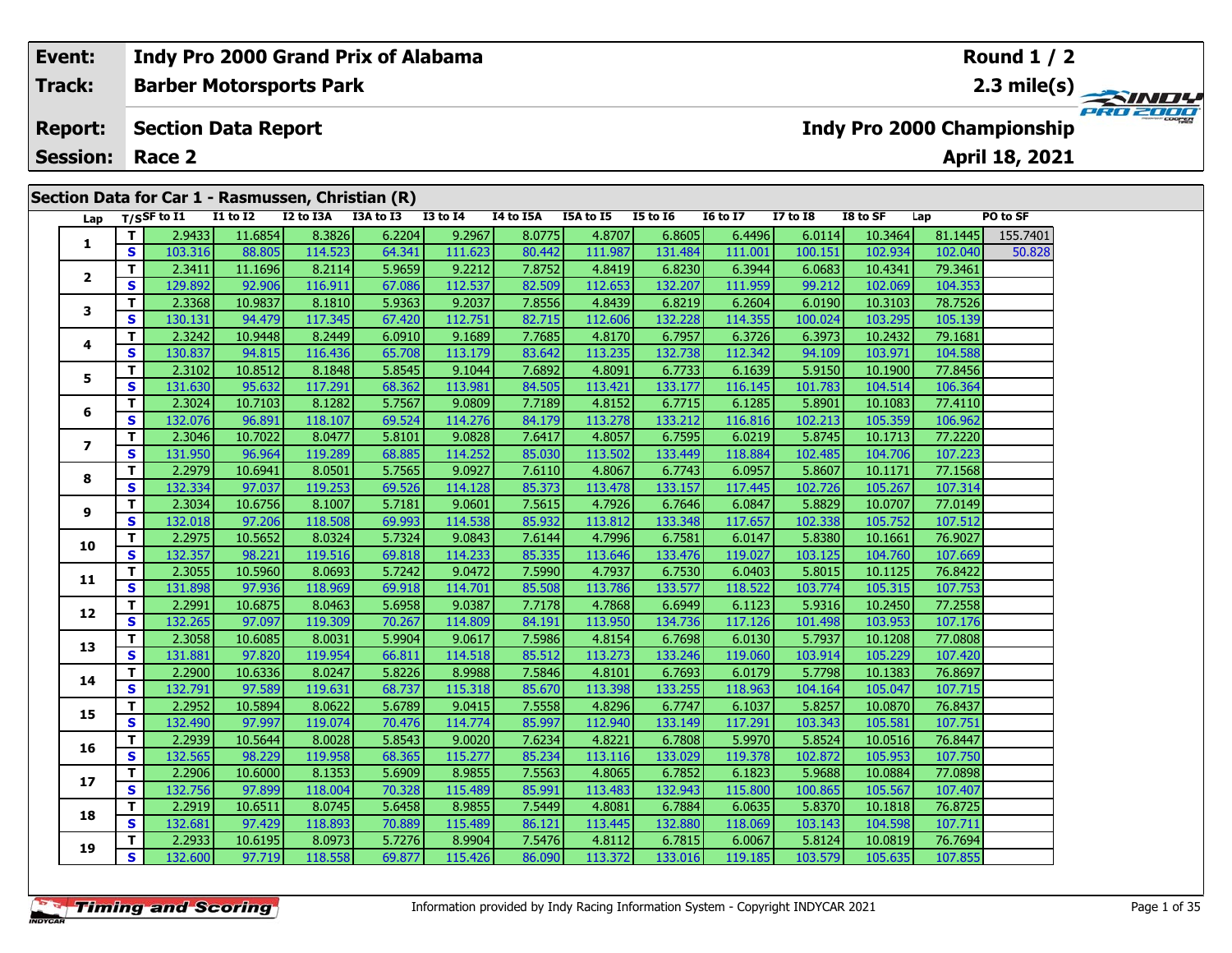| Event:<br>Indy Pro 2000 Grand Prix of Alabama<br>Track:<br><b>Barber Motorsports Park</b><br><b>Section Data Report</b><br><b>Report:</b><br><b>Session:</b><br>Race 2<br>Section Data for Car 1 - Rasmussen, Christian (R)<br>Lap T/SSF to I1<br><b>I1 to I2</b><br>I2 to I3A<br>I3A to I3<br><b>I3 to I4</b><br>I4 to I5A<br>I5A to I5<br><b>I5 to 16</b><br><b>16 to 17</b><br>2.9433<br>11.6854<br>8.3826<br>6.2204<br>9.2967<br>8.0775<br>4.8707<br>6.8605<br>1<br>103.316<br><b>S</b><br>64.341<br>111.623<br>80.442<br>88.805<br>114.523<br>111.987<br>131.484<br>2.3411<br>5.9659<br>9.2212<br>7.8752<br>6.8230<br>11.1696<br>8.2114<br>4.8419<br>2<br><b>S</b><br>129.892<br>92.906<br>67.086<br>112.537<br>82.509<br>112.653<br>132.207<br>116.911<br>2.3368<br>10.9837<br>8.1810<br>5.9363<br>9.2037<br>4.8439<br>6.8219<br>7.8556<br>3<br>S<br>130.131<br>112.751<br>82.715<br>132.228<br>94.479<br>117.345<br>67.420<br>112.606 |   |                          |                                        |         |         |        |         |        |          |         |         | Round $1/2$     |          |         |                                   |          |
|----------------------------------------------------------------------------------------------------------------------------------------------------------------------------------------------------------------------------------------------------------------------------------------------------------------------------------------------------------------------------------------------------------------------------------------------------------------------------------------------------------------------------------------------------------------------------------------------------------------------------------------------------------------------------------------------------------------------------------------------------------------------------------------------------------------------------------------------------------------------------------------------------------------------------------------------|---|--------------------------|----------------------------------------|---------|---------|--------|---------|--------|----------|---------|---------|-----------------|----------|---------|-----------------------------------|----------|
|                                                                                                                                                                                                                                                                                                                                                                                                                                                                                                                                                                                                                                                                                                                                                                                                                                                                                                                                              |   |                          |                                        |         |         |        |         |        |          |         |         |                 |          |         | <b>Indy Pro 2000 Championship</b> | PRO 2000 |
|                                                                                                                                                                                                                                                                                                                                                                                                                                                                                                                                                                                                                                                                                                                                                                                                                                                                                                                                              |   |                          |                                        |         |         |        |         |        |          |         |         |                 |          |         | April 18, 2021                    |          |
|                                                                                                                                                                                                                                                                                                                                                                                                                                                                                                                                                                                                                                                                                                                                                                                                                                                                                                                                              |   |                          |                                        |         |         |        |         |        |          |         |         |                 |          |         |                                   |          |
|                                                                                                                                                                                                                                                                                                                                                                                                                                                                                                                                                                                                                                                                                                                                                                                                                                                                                                                                              |   |                          |                                        |         |         |        |         |        |          |         |         | <b>I7 to I8</b> | I8 to SF | Lap     | PO to SF                          |          |
|                                                                                                                                                                                                                                                                                                                                                                                                                                                                                                                                                                                                                                                                                                                                                                                                                                                                                                                                              |   |                          |                                        |         |         |        |         |        |          |         | 6.4496  | 6.0114          | 10.3464  | 81.1445 | 155.7401                          |          |
|                                                                                                                                                                                                                                                                                                                                                                                                                                                                                                                                                                                                                                                                                                                                                                                                                                                                                                                                              |   |                          |                                        |         |         |        |         |        |          |         | 111.001 | 100.151         | 102.934  | 102.040 | 50.828                            |          |
|                                                                                                                                                                                                                                                                                                                                                                                                                                                                                                                                                                                                                                                                                                                                                                                                                                                                                                                                              |   |                          | 2.3242<br>130.837<br>2.3102<br>131.630 |         |         |        |         |        |          |         | 6.3944  | 6.0683          | 10.4341  | 79.3461 |                                   |          |
|                                                                                                                                                                                                                                                                                                                                                                                                                                                                                                                                                                                                                                                                                                                                                                                                                                                                                                                                              |   |                          |                                        |         |         |        |         |        |          |         | 111.959 | 99.212          | 102.069  | 104.353 |                                   |          |
|                                                                                                                                                                                                                                                                                                                                                                                                                                                                                                                                                                                                                                                                                                                                                                                                                                                                                                                                              |   |                          |                                        |         |         |        |         |        |          |         | 6.2604  | 6.0190          | 10.3103  | 78.7526 |                                   |          |
|                                                                                                                                                                                                                                                                                                                                                                                                                                                                                                                                                                                                                                                                                                                                                                                                                                                                                                                                              |   |                          |                                        |         |         |        |         |        |          |         | 114.355 | 100.024         | 103.295  | 105.139 |                                   |          |
|                                                                                                                                                                                                                                                                                                                                                                                                                                                                                                                                                                                                                                                                                                                                                                                                                                                                                                                                              | 4 | т<br><b>S</b><br>т<br>S. |                                        | 10.9448 | 8.2449  | 6.0910 | 9.1689  | 7.7685 | 4.8170   | 6.7957  | 6.3726  | 6.3973          | 10.2432  | 79.1681 |                                   |          |
|                                                                                                                                                                                                                                                                                                                                                                                                                                                                                                                                                                                                                                                                                                                                                                                                                                                                                                                                              |   |                          |                                        | 94.815  | 116.436 | 65.708 | 113.179 | 83.642 | 113.235  | 132.738 | 112.342 | 94.109          | 103.971  | 104.588 |                                   |          |
|                                                                                                                                                                                                                                                                                                                                                                                                                                                                                                                                                                                                                                                                                                                                                                                                                                                                                                                                              | 5 |                          |                                        | 10.8512 | 8.1848  | 5.8545 | 9.1044  | 7.6892 | 4.8091   | 6.7733  | 6.1639  | 5.9150          | 10.1900  | 77.8456 |                                   |          |
|                                                                                                                                                                                                                                                                                                                                                                                                                                                                                                                                                                                                                                                                                                                                                                                                                                                                                                                                              |   |                          |                                        | 95.632  | 117.291 | 68.362 | 113.981 | 84.505 | 113.4211 | 133.177 | 116.145 | 101.783         | 104.514  | 106.364 |                                   |          |

**<sup>T</sup>** 2.3024 10.7103 8.1282 5.7567 9.0809 7.7189 4.8152 6.7715 6.1285 5.8901 10.1083 77.4110 **<sup>S</sup>** 132.076 96.891 118.107 69.524 114.276 84.179 113.278 133.212 116.816 102.213 105.359 106.962

**<sup>T</sup>** 2.3046 10.7022 8.0477 5.8101 9.0828 7.6417 4.8057 6.7595 6.0219 5.8745 10.1713 77.2220 **<sup>S</sup>** 131.950 96.964 119.289 68.885 114.252 85.030 113.502 133.449 118.884 102.485 104.706 107.223

**<sup>T</sup>** 2.2979 10.6941 8.0501 5.7565 9.0927 7.6110 4.8067 6.7743 6.0957 5.8607 10.1171 77.1568 **<sup>S</sup>** 132.334 97.037 119.253 69.526 114.128 85.373 113.478 133.157 117.445 102.726 105.267 107.314

**<sup>T</sup>** 2.3034 10.6756 8.1007 5.7181 9.0601 7.5615 4.7926 6.7646 6.0847 5.8829 10.0707 77.0149 **<sup>S</sup>** 132.018 97.206 118.508 69.993 114.538 85.932 113.812 133.348 117.657 102.338 105.752 107.512

**<sup>T</sup>** 2.2975 10.5652 8.0324 5.7324 9.0843 7.6144 4.7996 6.7581 6.0147 5.8380 10.1661 76.9027 **<sup>S</sup>** 132.357 98.221 119.516 69.818 114.233 85.335 113.646 133.476 119.027 103.125 104.760 107.669

**<sup>T</sup>** 2.3055 10.5960 8.0693 5.7242 9.0472 7.5990 4.7937 6.7530 6.0403 5.8015 10.1125 76.8422 **<sup>S</sup>** 131.898 97.936 118.969 69.918 114.701 85.508 113.786 133.577 118.522 103.774 105.315 107.753

**<sup>T</sup>** 2.2991 10.6875 8.0463 5.6958 9.0387 7.7178 4.7868 6.6949 6.1123 5.9316 10.2450 77.2558 **<sup>S</sup>** 132.265 97.097 119.309 70.267 114.809 84.191 113.950 134.736 117.126 101.498 103.953 107.176

**<sup>T</sup>** 2.3058 10.6085 8.0031 5.9904 9.0617 7.5986 4.8154 6.7698 6.0130 5.7937 10.1208 77.0808 **<sup>S</sup>** 131.881 97.820 119.954 66.811 114.518 85.512 113.273 133.246 119.060 103.914 105.229 107.420

**<sup>T</sup>** 2.2900 10.6336 8.0247 5.8226 8.9988 7.5846 4.8101 6.7693 6.0179 5.7798 10.1383 76.8697 **<sup>S</sup>** 132.791 97.589 119.631 68.737 115.318 85.670 113.398 133.255 118.963 104.164 105.047 107.715

**<sup>T</sup>** 2.2952 10.5894 8.0622 5.6789 9.0415 7.5558 4.8296 6.7747 6.1037 5.8257 10.0870 76.8437 **<sup>S</sup>** 132.490 97.997 119.074 70.476 114.774 85.997 112.940 133.149 117.291 103.343 105.581 107.751

**<sup>T</sup>** 2.2939 10.5644 8.0028 5.8543 9.0020 7.6234 4.8221 6.7808 5.9970 5.8524 10.0516 76.8447 **<sup>S</sup>** 132.565 98.229 119.958 68.365 115.277 85.234 113.116 133.029 119.378 102.872 105.953 107.750

**<sup>T</sup>** 2.2906 10.6000 8.1353 5.6909 8.9855 7.5563 4.8065 6.7852 6.1823 5.9688 10.0884 77.0898 **<sup>S</sup>** 132.756 97.899 118.004 70.328 115.489 85.991 113.483 132.943 115.800 100.865 105.567 107.407

**<sup>T</sup>** 2.2919 10.6511 8.0745 5.6458 8.9855 7.5449 4.8081 6.7884 6.0635 5.8370 10.1818 76.8725 **<sup>S</sup>** 132.681 97.429 118.893 70.889 115.489 86.121 113.445 132.880 118.069 103.143 104.598 107.711

**<sup>T</sup>** 2.2933 10.6195 8.0973 5.7276 8.9904 7.5476 4.8112 6.7815 6.0067 5.8124 10.0819 76.7694 **<sup>S</sup>** 132.600 97.719 118.558 69.877 115.426 86.090 113.372 133.016 119.185 103.579 105.635 107.855

**6**

**Indy Pro 2000 Grand Prix of Alabama**

**7**

**8**

**9**

**10**

**11**

**12**

**13**

**14**

**15**

**16**

**17**

**18**

**19**

107.223

**Round 1 / 2**

107.512

107.71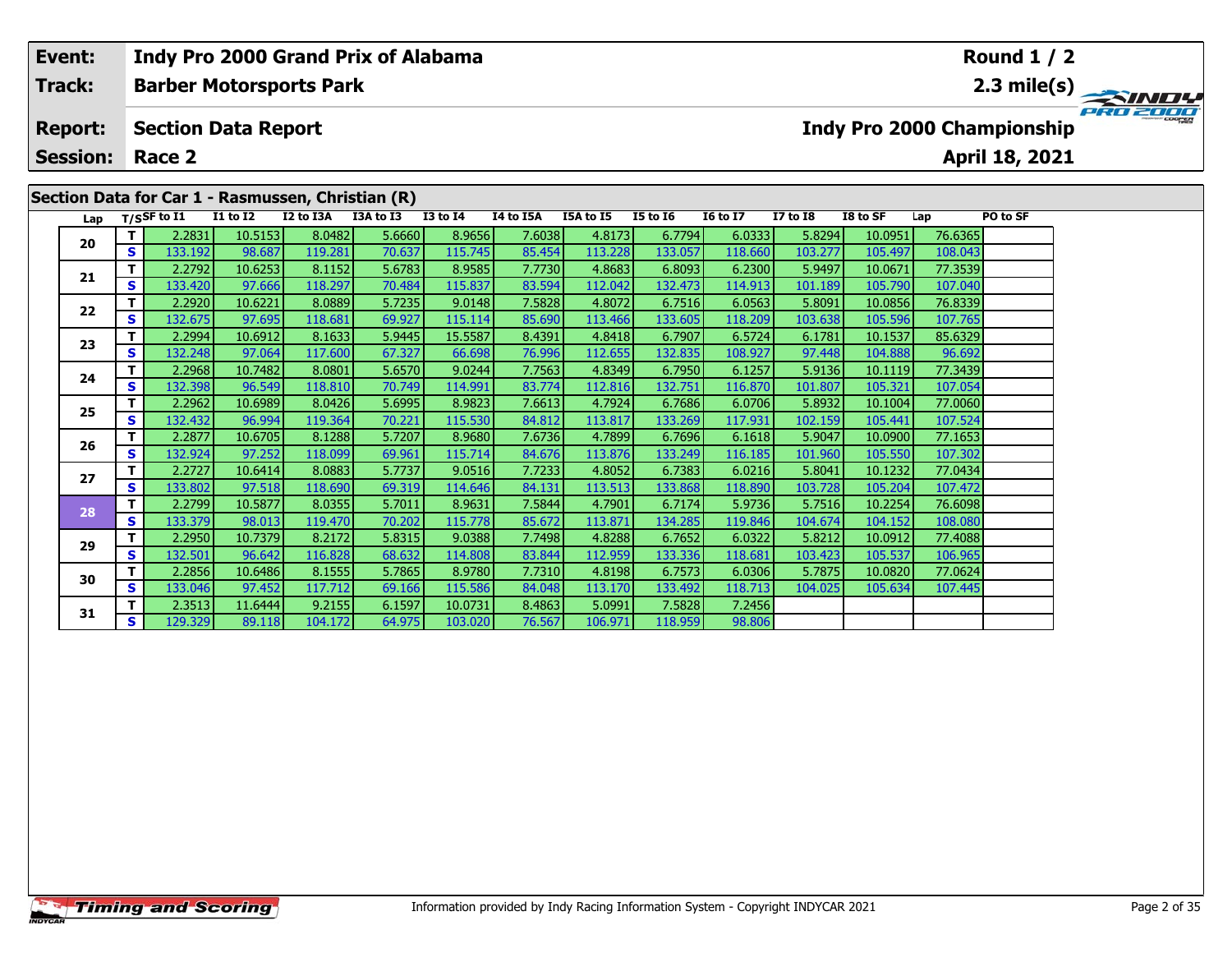| Event:          |                                                                                                                |                                |                 |           | <b>Indy Pro 2000 Grand Prix of Alabama</b> |                 |           |           |                 |                 |              |          |         | <b>Round 1 / 2</b>                |                           |
|-----------------|----------------------------------------------------------------------------------------------------------------|--------------------------------|-----------------|-----------|--------------------------------------------|-----------------|-----------|-----------|-----------------|-----------------|--------------|----------|---------|-----------------------------------|---------------------------|
| Track:          | Section Data for Car 1 - Rasmussen, Christian (R)<br>Lap<br>20<br><b>S</b><br>21<br><b>S</b><br>22<br><b>S</b> | <b>Barber Motorsports Park</b> |                 |           |                                            |                 |           |           |                 |                 |              |          |         |                                   | 2.3 mile(s) $\rightarrow$ |
| <b>Report:</b>  |                                                                                                                | <b>Section Data Report</b>     |                 |           |                                            |                 |           |           |                 |                 |              |          |         | <b>Indy Pro 2000 Championship</b> | PRO 2000                  |
| <b>Session:</b> |                                                                                                                | Race 2                         |                 |           |                                            |                 |           |           |                 |                 |              |          |         | April 18, 2021                    |                           |
|                 |                                                                                                                |                                |                 |           |                                            |                 |           |           |                 |                 |              |          |         |                                   |                           |
|                 |                                                                                                                | T/SSF to $I1$                  | <b>I1 to I2</b> | I2 to I3A | I3A to I3                                  | <b>I3 to I4</b> | I4 to I5A | I5A to I5 | <b>I5 to 16</b> | <b>16 to 17</b> | $I7$ to $I8$ | I8 to SF | Lap     | PO to SF                          |                           |
|                 |                                                                                                                | 2.2831                         | 10.5153         | 8.0482    | 5.6660                                     | 8.9656          | 7.6038    | 4.8173    | 6.7794          | 6.0333          | 5.8294       | 10.0951  | 76.6365 |                                   |                           |
|                 |                                                                                                                | 133.192                        | 98.687          | 119.281   | 70.637                                     | 115.745         | 85.454    | 113.228   | 133.057         | 118.660         | 103.277      | 105.497  | 108.043 |                                   |                           |
|                 |                                                                                                                | 2.2792                         | 10.6253         | 8.1152    | 5.6783                                     | 8.9585          | 7.7730    | 4.8683    | 6.8093          | 6.2300          | 5.9497       | 10.0671  | 77.3539 |                                   |                           |
|                 |                                                                                                                | 133.420                        | 97.666          | 118.297   | 70.484                                     | 115.837         | 83.594    | 112.042   | 132.473         | 114.913         | 101.189      | 105.790  | 107.040 |                                   |                           |
|                 |                                                                                                                | 2.2920                         | 10.6221         | 8.0889    | 5.7235                                     | 9.0148          | 7.5828    | 4.8072    | 6.7516          | 6.0563          | 5.8091       | 10.0856  | 76.8339 |                                   |                           |
|                 |                                                                                                                | 132.675                        | 97.695          | 118.681   | 69.927                                     | 115.114         | 85.690    | 113.466   | 133.605         | 118.209         | 103.638      | 105.596  | 107.765 |                                   |                           |
| 23              |                                                                                                                | 2.2994                         | 10.6912         | 8.1633    | 5.9445                                     | 15.5587         | 8.4391    | 4.8418    | 6.7907          | 6.5724          | 6.1781       | 10.1537  | 85.6329 |                                   |                           |
|                 | S.                                                                                                             | 132.248                        | 97.064          | 117.600   | 67.327                                     | 66.698          | 76.996    | 112.655   | 132.835         | 108.927         | 97.448       | 104.888  | 96.692  |                                   |                           |

**<sup>T</sup>** 2.2968 10.7482 8.0801 5.6570 9.0244 7.7563 4.8349 6.7950 6.1257 5.9136 10.1119 77.3439 **<sup>S</sup>** 132.398 96.549 118.810 70.749 114.991 83.774 112.816 132.751 116.870 101.807 105.321 107.054

**<sup>T</sup>** 2.2962 10.6989 8.0426 5.6995 8.9823 7.6613 4.7924 6.7686 6.0706 5.8932 10.1004 77.0060 **<sup>S</sup>** 132.432 96.994 119.364 70.221 115.530 84.812 113.817 133.269 117.931 102.159 105.441 107.524

**<sup>T</sup>** 2.2877 10.6705 8.1288 5.7207 8.9680 7.6736 4.7899 6.7696 6.1618 5.9047 10.0900 77.1653 **<sup>S</sup>** 132.924 97.252 118.099 69.961 115.714 84.676 113.876 133.249 116.185 101.960 105.550 107.302

**<sup>T</sup>** 2.2727 10.6414 8.0883 5.7737 9.0516 7.7233 4.8052 6.7383 6.0216 5.8041 10.1232 77.0434 **<sup>S</sup>** 133.802 97.518 118.690 69.319 114.646 84.131 113.513 133.868 118.890 103.728 105.204 107.472

**<sup>T</sup>** 2.2799 10.5877 8.0355 5.7011 8.9631 7.5844 4.7901 6.7174 5.9736 5.7516 10.2254 76.6098 **<sup>S</sup>** 133.379 98.013 119.470 70.202 115.778 85.672 113.871 134.285 119.846 104.674 104.152 108.080

**<sup>T</sup>** 2.2950 10.7379 8.2172 5.8315 9.0388 7.7498 4.8288 6.7652 6.0322 5.8212 10.0912 77.4088 **<sup>S</sup>** 132.501 96.642 116.828 68.632 114.808 83.844 112.959 133.336 118.681 103.423 105.537 106.965

**<sup>T</sup>** 2.2856 10.6486 8.1555 5.7865 8.9780 7.7310 4.8198 6.7573 6.0306 5.7875 10.0820 77.0624 **<sup>S</sup>** 133.046 97.452 117.712 69.166 115.586 84.048 113.170 133.492 118.713 104.025 105.634 107.445

**<sup>T</sup>** 2.3513 11.6444 9.2155 6.1597 10.0731 8.4863 5.0991 7.5828 7.2456 **<sup>S</sup>** 129.329 89.118 104.172 64.975 103.020 76.567 106.971 118.959 98.806

**24**

**25**

**26**

**27**

**28**

**29**

**30**

**31**

98.806

107.302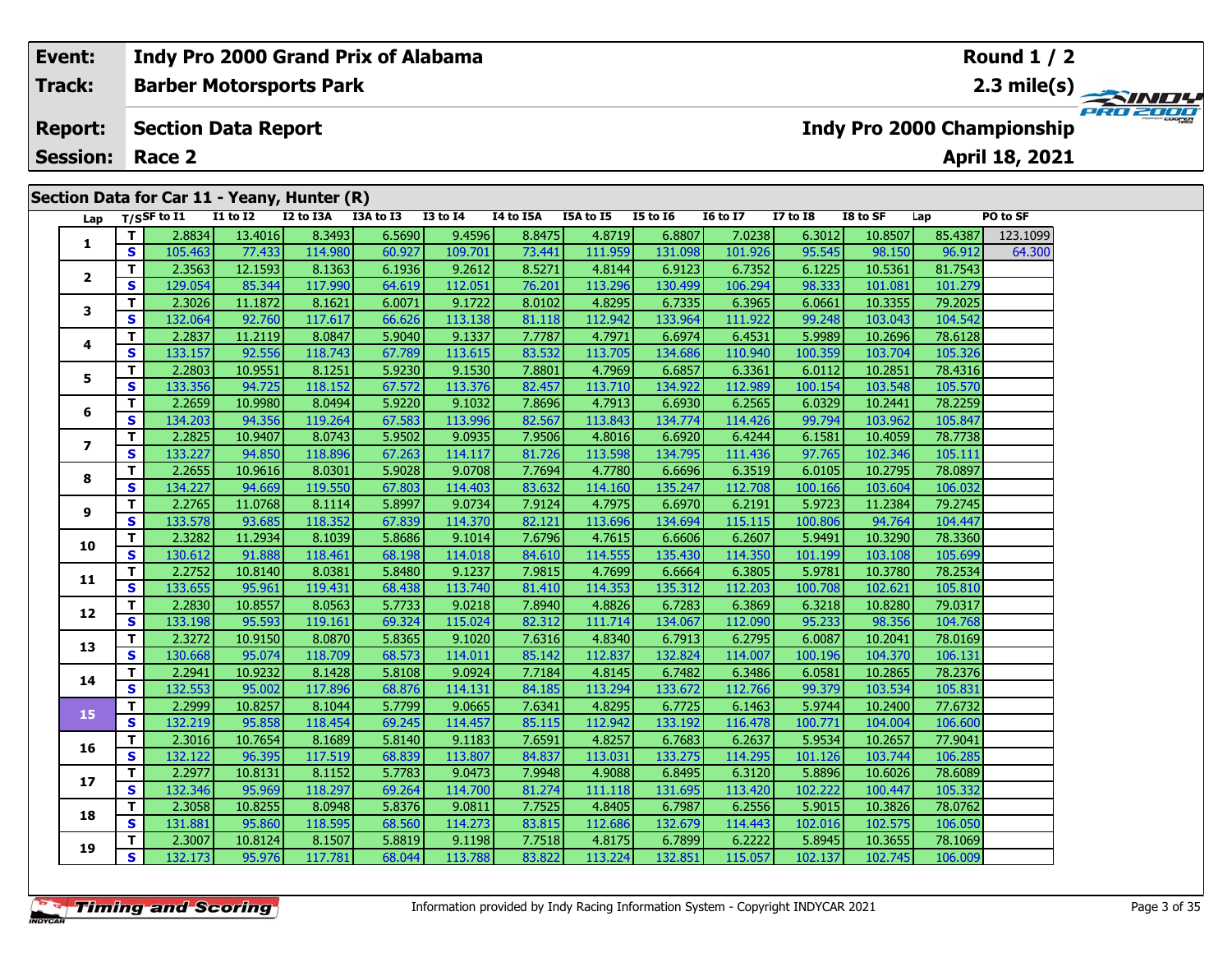### **Event:Round 1 / 2 Indy Pro 2000 Grand Prix of Alabama Track:Barber Motorsports Park 2.3 mile(s) PRO 2000 Report: Section Data Report Indy Pro 2000 Championship April 18, 2021 Session: Race 2 Section Data for Car 11 - Yeany, Hunter (R) Lap T/SSF to I1 I1 to I2 I2 to I3A I3A to I3 I3 to I4 I4 to I5A I5A to I5 I5 to I6 I6 to I7 I7 to I8 I8 to SF Lap PO to SF <sup>T</sup>** 2.8834 13.4016 8.3493 6.5690 9.4596 8.8475 4.8719 6.8807 7.0238 6.3012 10.8507 85.4387 123.1099 **<sup>S</sup>** 105.463 77.433 114.980 60.927 109.701 73.441 111.959 131.098 101.926 95.545 98.150 96.912 64.300**1**64.300 **<sup>T</sup>** 2.3563 12.1593 8.1363 6.1936 9.2612 8.5271 4.8144 6.9123 6.7352 6.1225 10.5361 81.7543 **<sup>S</sup>** 129.054 85.344 117.990 64.619 112.051 76.201 113.296 130.499 106.294 98.333 101.081 101.279**2**

| 5 I | 105.4631 | 77.4331          | 114.9801 | <b>60.9271</b> |
|-----|----------|------------------|----------|----------------|
| ΤI  | 2.3563   | 12.1593          | 8.1363   | 6.1936         |
| S   | 129.054  | 85.344           | 117.990  | 64.619         |
| т   | 2.3026   | 11.1872          | 8.1621   | 6.0071         |
| S   | 132.064  | 92.760           | 117.617  | 66.626         |
| тI  | ודרפר ר' | 11.2110 <b>1</b> | 8.0847   | 5.9040         |

| $\mathbf{2}$             | T            | 2.3563  | 12.1593 | 8.1363  | 6.1936 | 9.2612  | 8.5271 | 4.8144  | 6.9123  | 6.7352  | 6.1225  | 10.5361 | 81.7543 |
|--------------------------|--------------|---------|---------|---------|--------|---------|--------|---------|---------|---------|---------|---------|---------|
|                          | S            | 129.054 | 85.344  | 117.990 | 64.619 | 112.051 | 76.201 | 113.296 | 130.499 | 106.294 | 98.333  | 101.081 | 101.279 |
| 3                        | T            | 2.3026  | 11.1872 | 8.1621  | 6.0071 | 9.1722  | 8.0102 | 4.8295  | 6.7335  | 6.3965  | 6.0661  | 10.3355 | 79.2025 |
|                          | $\mathbf{s}$ | 132.064 | 92.760  | 117.617 | 66.626 | 113.138 | 81.118 | 112.942 | 133.964 | 111.922 | 99.248  | 103.043 | 104.542 |
| 4                        | T.           | 2.2837  | 11.2119 | 8.0847  | 5.9040 | 9.1337  | 7.7787 | 4.7971  | 6.6974  | 6.4531  | 5.9989  | 10.2696 | 78.6128 |
|                          | $\mathbf{s}$ | 133.157 | 92.556  | 118.743 | 67.789 | 113.615 | 83.532 | 113.705 | 134.686 | 110.940 | 100.359 | 103.704 | 105.326 |
| 5                        | т            | 2.2803  | 10.9551 | 8.1251  | 5.9230 | 9.1530  | 7.8801 | 4.7969  | 6.6857  | 6.3361  | 6.0112  | 10.2851 | 78.4316 |
|                          | $\mathbf{s}$ | 133.356 | 94.725  | 118.152 | 67.572 | 113.376 | 82.457 | 113.710 | 134.922 | 112.989 | 100.154 | 103.548 | 105.570 |
| 6                        | Т            | 2.2659  | 10.9980 | 8.0494  | 5.9220 | 9.1032  | 7.8696 | 4.7913  | 6.6930  | 6.2565  | 6.0329  | 10.2441 | 78.2259 |
|                          | S            | 134.203 | 94.356  | 119.264 | 67.583 | 113.996 | 82.567 | 113.843 | 134.774 | 114.426 | 99.794  | 103.962 | 105.847 |
| $\overline{\phantom{a}}$ | T            | 2.2825  | 10.9407 | 8.0743  | 5.9502 | 9.0935  | 7.9506 | 4.8016  | 6.6920  | 6.4244  | 6.1581  | 10.4059 | 78.7738 |
|                          | S            | 133.227 | 94.850  | 118.896 | 67.263 | 114.117 | 81.726 | 113.598 | 134.795 | 111.436 | 97.765  | 102.346 | 105.111 |
| 8                        | T            | 2.2655  | 10.9616 | 8.0301  | 5.9028 | 9.0708  | 7.7694 | 4.7780  | 6.6696  | 6.3519  | 6.0105  | 10.2795 | 78.0897 |
|                          | S            | 134.227 | 94.669  | 119.550 | 67.803 | 114.403 | 83.632 | 114.160 | 135.247 | 112.708 | 100.166 | 103.604 | 106.032 |
| 9                        | Т            | 2.2765  | 11.0768 | 8.1114  | 5.8997 | 9.0734  | 7.9124 | 4.7975  | 6.6970  | 6.2191  | 5.9723  | 11.2384 | 79.2745 |
|                          | $\mathbf{s}$ | 133.578 | 93.685  | 118.352 | 67.839 | 114.370 | 82.121 | 113.696 | 134.694 | 115.115 | 100.806 | 94.764  | 104.447 |
| 10                       | T            | 2.3282  | 11.2934 | 8.1039  | 5.8686 | 9.1014  | 7.6796 | 4.7615  | 6.6606  | 6.2607  | 5.9491  | 10.3290 | 78.3360 |
|                          | $\mathbf{s}$ | 130.612 | 91.888  | 118.461 | 68.198 | 114.018 | 84.610 | 114.555 | 135.430 | 114.350 | 101.199 | 103.108 | 105.699 |
| 11                       | T            | 2.2752  | 10.8140 | 8.0381  | 5.8480 | 9.1237  | 7.9815 | 4.7699  | 6.6664  | 6.3805  | 5.9781  | 10.3780 | 78.2534 |
|                          | $\mathbf{s}$ | 133.655 | 95.961  | 119.431 | 68.438 | 113.740 | 81.410 | 114.353 | 135.312 | 112.203 | 100.708 | 102.621 | 105.810 |
| 12                       | T            | 2.2830  | 10.8557 | 8.0563  | 5.7733 | 9.0218  | 7.8940 | 4.8826  | 6.7283  | 6.3869  | 6.3218  | 10.8280 | 79.0317 |
|                          | $\mathbf{s}$ | 133.198 | 95.593  | 119.161 | 69.324 | 115.024 | 82.312 | 111.714 | 134.067 | 112.090 | 95.233  | 98.356  | 104.768 |
| 13                       | T            | 2.3272  | 10.9150 | 8.0870  | 5.8365 | 9.1020  | 7.6316 | 4.8340  | 6.7913  | 6.2795  | 6.0087  | 10.2041 | 78.0169 |
|                          | $\mathbf{s}$ | 130.668 | 95.074  | 118.709 | 68.573 | 114.011 | 85.142 | 112.837 | 132.824 | 114.007 | 100.196 | 104.370 | 106.131 |
| 14                       | T.           | 2.2941  | 10.9232 | 8.1428  | 5.8108 | 9.0924  | 7.7184 | 4.8145  | 6.7482  | 6.3486  | 6.0581  | 10.2865 | 78.2376 |
|                          | $\mathbf{s}$ | 132.553 | 95.002  | 117.896 | 68.876 | 114.131 | 84.185 | 113.294 | 133.672 | 112.766 | 99.379  | 103.534 | 105.831 |
| 15                       | T            | 2.2999  | 10.8257 | 8.1044  | 5.7799 | 9.0665  | 7.6341 | 4.8295  | 6.7725  | 6.1463  | 5.9744  | 10.2400 | 77.6732 |
|                          | S            | 132.219 | 95.858  | 118.454 | 69.245 | 114.457 | 85.115 | 112.942 | 133.192 | 116.478 | 100.771 | 104.004 | 106.600 |
| 16                       | T            | 2.3016  | 10.7654 | 8.1689  | 5.8140 | 9.1183  | 7.6591 | 4.8257  | 6.7683  | 6.2637  | 5.9534  | 10.2657 | 77.9041 |
|                          | $\mathbf{s}$ | 132.122 | 96.395  | 117.519 | 68.839 | 113.807 | 84.837 | 113.031 | 133.275 | 114.295 | 101.126 | 103.744 | 106.285 |
| 17                       | T            | 2.2977  | 10.8131 | 8.1152  | 5.7783 | 9.0473  | 7.9948 | 4.9088  | 6.8495  | 6.3120  | 5.8896  | 10.6026 | 78.6089 |
|                          | $\mathbf{s}$ | 132.346 | 95.969  | 118.297 | 69.264 | 114.700 | 81.274 | 111.118 | 131.695 | 113.420 | 102.222 | 100.447 | 105.332 |
| 18                       | T            | 2.3058  | 10.8255 | 8.0948  | 5.8376 | 9.0811  | 7.7525 | 4.8405  | 6.7987  | 6.2556  | 5.9015  | 10.3826 | 78.0762 |
|                          | S            | 131.881 | 95.860  | 118.595 | 68.560 | 114.273 | 83.815 | 112.686 | 132.679 | 114.443 | 102.016 | 102.575 | 106.050 |
| 19                       | Т            | 2.3007  | 10.8124 | 8.1507  | 5.8819 | 9.1198  | 7.7518 | 4.8175  | 6.7899  | 6.2222  | 5.8945  | 10.3655 | 78.1069 |
|                          | S            | 132.173 | 95.976  | 117.781 | 68.044 | 113.788 | 83.822 | 113.224 | 132.851 | 115.057 | 102.137 | 102.745 | 106.009 |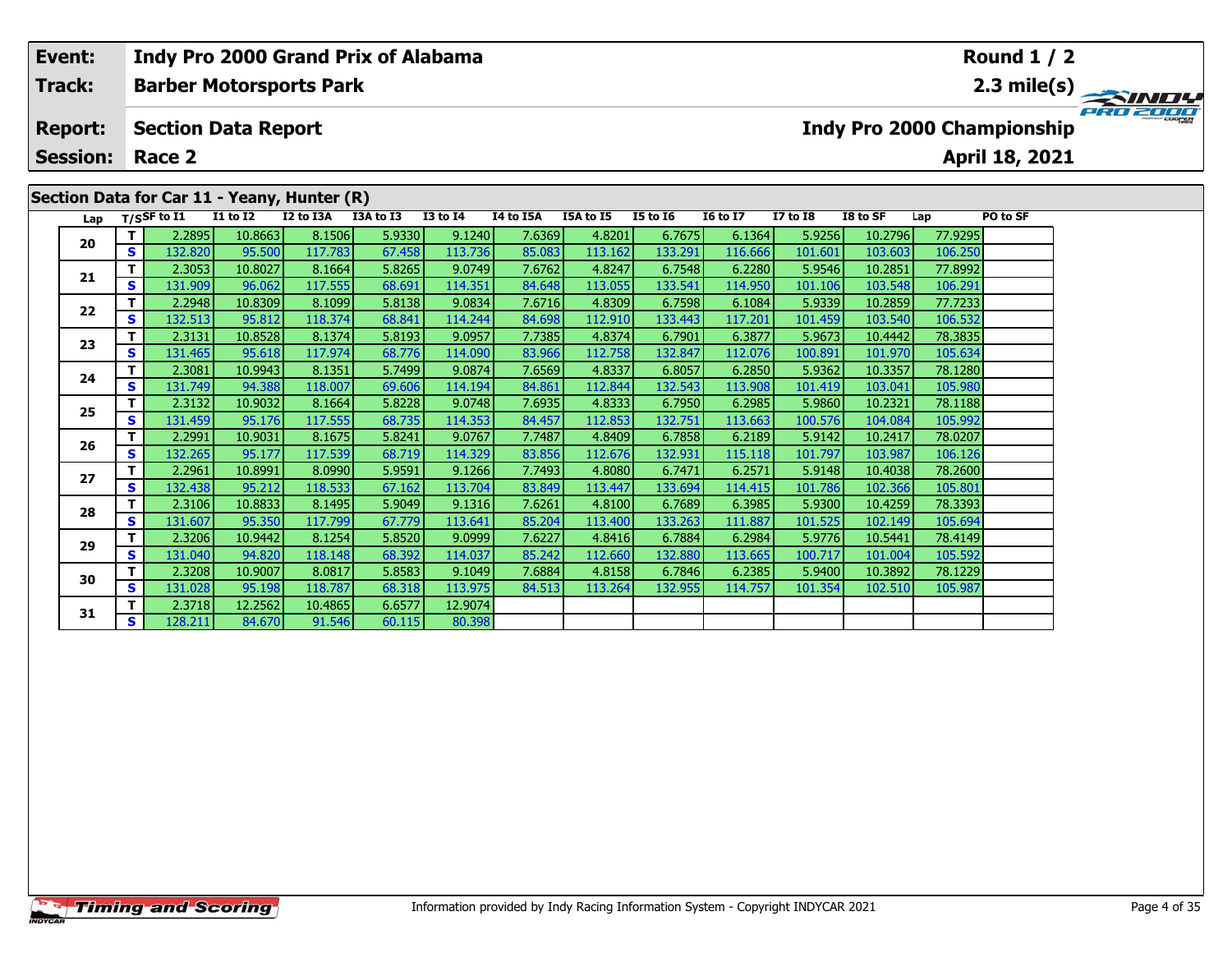# **Event: Indy Pro 2000 Grand Prix of Alabama Round 1 / 2Track:Barber Motorsports Park 2.3 mile(s)** PRO 2000 **Report: Section Data Report Indy Pro 2000 Championship April 18, 2021 Session: Race 2Section Data for Car 11 - Yeany, Hunter (R) Lap T/SSF to I1 I1 to I2 I2 to I3A I3A to I3 I3 to I4 I4 to I5A I5A to I5 I5 to I6 I6 to I7 I7 to I8 I8 to SF Lap PO to SF <sup>T</sup>** 2.2895 10.8663 8.1506 5.9330 9.1240 7.6369 4.8201 6.7675 6.1364 5.9256 10.2796 77.9295 **<sup>S</sup>** 132.820 95.500 117.783 67.458 113.736 85.083 113.162 133.291 116.666 101.601 103.603 106.250**20 <sup>T</sup>** 2.3053 10.8027 8.1664 5.8265 9.0749 7.6762 4.8247 6.7548 6.2280 5.9546 10.2851 77.8992 **<sup>S</sup>** 131.909 96.062 117.555 68.691 114.351 84.648 113.055 133.541 114.950 101.106 103.548 106.291**21<sup>T</sup>** 2.2948 10.8309 8.1099 5.8138 9.0834 7.6716 4.8309 6.7598 6.1084 5.9339 10.2859 77.7233 **<sup>S</sup>** 132.513 95.812 118.374 68.841 114.244 84.698 112.910 133.443 117.201 101.459 103.540 106.532

**<sup>T</sup>** 2.3131 10.8528 8.1374 5.8193 9.0957 7.7385 4.8374 6.7901 6.3877 5.9673 10.4442 78.3835 **<sup>S</sup>** 131.465 95.618 117.974 68.776 114.090 83.966 112.758 132.847 112.076 100.891 101.970 105.634

**<sup>T</sup>** 2.3081 10.9943 8.1351 5.7499 9.0874 7.6569 4.8337 6.8057 6.2850 5.9362 10.3357 78.1280 **<sup>S</sup>** 131.749 94.388 118.007 69.606 114.194 84.861 112.844 132.543 113.908 101.419 103.041 105.980

**<sup>T</sup>** 2.3132 10.9032 8.1664 5.8228 9.0748 7.6935 4.8333 6.7950 6.2985 5.9860 10.2321 78.1188 **<sup>S</sup>** 131.459 95.176 117.555 68.735 114.353 84.457 112.853 132.751 113.663 100.576 104.084 105.992

**<sup>T</sup>** 2.2991 10.9031 8.1675 5.8241 9.0767 7.7487 4.8409 6.7858 6.2189 5.9142 10.2417 78.0207 **<sup>S</sup>** 132.265 95.177 117.539 68.719 114.329 83.856 112.676 132.931 115.118 101.797 103.987 106.126

**<sup>T</sup>** 2.2961 10.8991 8.0990 5.9591 9.1266 7.7493 4.8080 6.7471 6.2571 5.9148 10.4038 78.2600 **<sup>S</sup>** 132.438 95.212 118.533 67.162 113.704 83.849 113.447 133.694 114.415 101.786 102.366 105.801

**<sup>T</sup>** 2.3106 10.8833 8.1495 5.9049 9.1316 7.6261 4.8100 6.7689 6.3985 5.9300 10.4259 78.3393 **<sup>S</sup>** 131.607 95.350 117.799 67.779 113.641 85.204 113.400 133.263 111.887 101.525 102.149 105.694

**<sup>T</sup>** 2.3206 10.9442 8.1254 5.8520 9.0999 7.6227 4.8416 6.7884 6.2984 5.9776 10.5441 78.4149 **<sup>S</sup>** 131.040 94.820 118.148 68.392 114.037 85.242 112.660 132.880 113.665 100.717 101.004 105.592

**<sup>T</sup>** 2.3208 10.9007 8.0817 5.8583 9.1049 7.6884 4.8158 6.7846 6.2385 5.9400 10.3892 78.1229 **<sup>S</sup>** 131.028 95.198 118.787 68.318 113.975 84.513 113.264 132.955 114.757 101.354 102.510 105.987

**<sup>T</sup>** 2.3718 12.2562 10.4865 6.6577 12.9074 **<sup>S</sup>** 128.211 84.670 91.546 60.115 80.398

**22**

**23**

**24**

**25**

**26**

**27**

**28**

**29**

**30**

**31**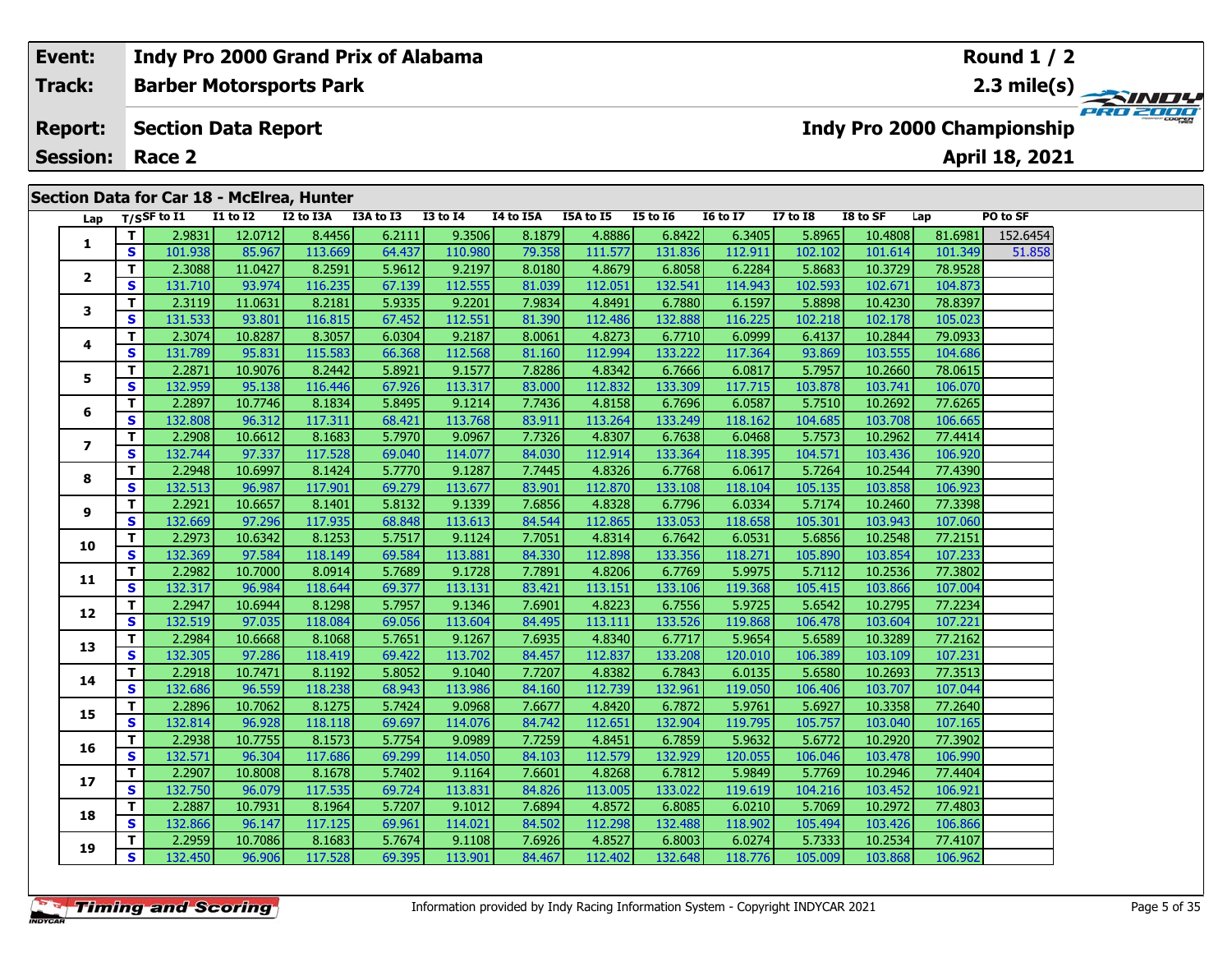# **Event: Indy Pro 2000 Grand Prix of Alabama Round 1 / 2Barber Motorsports Park 2.3 mile(s) Track:** PRO 2001 **Section Data Report Indy Pro 2000 Championship Report: April 18, 2021 Session: Race 2 Section Data for Car 18 - McElrea, Hunter Lap T/SSF to I1 I1 to I2 I2 to I3A I3A to I3 I3 to I4 I4 to I5A I5A to I5 I5 to I6 I6 to I7 I7 to I8 I8 to SF Lap PO to SF <sup>T</sup>** 2.9831 12.0712 8.4456 6.2111 9.3506 8.1879 4.8886 6.8422 6.3405 5.8965 10.4808 81.6981 152.6454 **<sup>S</sup>** 101.938 85.967 113.669 64.437 110.980 79.358 111.577 131.836 112.911 102.102 101.614 101.349 51.858**1 <sup>T</sup>** 2.3088 11.0427 8.2591 5.9612 9.2197 8.0180 4.8679 6.8058 6.2284 5.8683 10.3729 78.9528 **<sup>S</sup>** 131.710 93.974 116.235 67.139 112.555 81.039 112.051 132.541 114.943 102.593 102.671 104.873**2**

| Lap                     |                    | T/SSF to 11       | 11 to 12          | 12 to 13A         | 13A to 13        | 13 to 14          | 14 to 15A        | L5A to 15         | 15 to 16          | 10 to 1/          | 1\to 18           | <b>IS TO SF</b>    | Lap                | PO to SF |
|-------------------------|--------------------|-------------------|-------------------|-------------------|------------------|-------------------|------------------|-------------------|-------------------|-------------------|-------------------|--------------------|--------------------|----------|
|                         | T.                 | 2.9831            | 12.0712           | 8.4456            | 6.2111           | 9.3506            | 8.1879           | 4.8886            | 6.8422            | 6.3405            | 5.8965            | 10.4808            | 81.6981            | 152.6454 |
| 1                       | S                  | 101.938           | 85.967            | 113.669           | 64.437           | 110.980           | 79.358           | 111.577           | 131.836           | 112.911           | 102.102           | 101.614            | 101.349            | 51.858   |
|                         | T.                 | 2.3088            | 11.0427           | 8.2591            | 5.9612           | 9.2197            | 8.0180           | 4.8679            | 6.8058            | 6.2284            | 5.8683            | 10.3729            | 78.9528            |          |
| $\overline{\mathbf{2}}$ | $\mathbf{s}$       | 131.710           | 93.974            | 116.235           | 67.139           | 112.555           | 81.039           | 112.051           | 132.541           | 114.943           | 102.593           | 102.671            | 104.873            |          |
| 3                       | T.                 | 2.3119            | 11.0631           | 8.2181            | 5.9335           | 9.2201            | 7.9834           | 4.8491            | 6.7880            | 6.1597            | 5.8898            | 10.4230            | 78.8397            |          |
|                         | $\mathbf{s}$       | 131.533           | 93.801            | 116.815           | 67.452           | 112.551           | 81.390           | 112.486           | 132.888           | 116.225           | 102.218           | 102.178            | 105.023            |          |
| 4                       | T.                 | 2.3074            | 10.8287           | 8.3057            | 6.0304           | 9.2187            | 8.0061           | 4.8273            | 6.7710            | 6.0999            | 6.4137            | 10.2844            | 79.0933            |          |
|                         | S                  | 131.789           | 95.831            | 115.583           | 66.368           | 112.568           | 81.160           | 112.994           | 133.222           | 117.364           | 93.869            | 103.555            | 104.686            |          |
| 5                       | T                  | 2.2871            | 10.9076           | 8.2442            | 5.8921           | 9.1577            | 7.8286           | 4.8342            | 6.7666            | 6.0817            | 5.7957            | 10.2660            | 78.0615            |          |
|                         | $\mathbf{s}$       | 132.959           | 95.138            | 116.446           | 67.926           | 113.317           | 83.000           | 112.832           | 133.309           | 117.715           | 103.878           | 103.741            | 106.070            |          |
| 6                       | T.                 | 2.2897            | 10.7746           | 8.1834            | 5.8495           | 9.1214            | 7.7436           | 4.8158            | 6.7696            | 6.0587            | 5.7510            | 10.2692            | 77.6265            |          |
|                         | S                  | 132.808           | 96.312            | 117.311           | 68.421           | 113.768           | 83.911           | 113.264           | 133.249           | 118.162           | 104.685           | 103.708            | 106.665            |          |
| $\overline{ }$          | T.                 | 2.2908            | 10.6612           | 8.1683            | 5.7970           | 9.0967            | 7.7326           | 4.8307            | 6.7638            | 6.0468            | 5.7573            | 10.2962            | 77.4414            |          |
|                         | S.                 | 132.744           | 97.337            | 117.528           | 69.040           | 114.077           | 84.030           | 112.914           | 133.364           | 118.395           | 104.571           | 103.436            | 106.920            |          |
| 8                       | T.                 | 2.2948            | 10.6997           | 8.1424            | 5.7770           | 9.1287            | 7.7445           | 4.8326            | 6.7768            | 6.0617            | 5.7264            | 10.2544            | 77.4390            |          |
|                         | $\mathbf{s}$       | 132.513           | 96.987            | 117.901           | 69.279           | 113.677           | 83.901           | 112.870           | 133.108           | 118.104           | 105.135           | 103.858            | 106.923            |          |
| 9                       | T.                 | 2.2921            | 10.6657           | 8.1401            | 5.8132           | 9.1339            | 7.6856           | 4.8328            | 6.7796            | 6.0334            | 5.7174            | 10.2460            | 77.3398            |          |
|                         | S                  | 132.669           | 97.296            | 117.935           | 68.848           | 113.613           | 84.544           | 112.865           | 133.053           | 118.658           | 105.301           | 103.943            | 107.060            |          |
| 10                      | T.                 | 2.2973            | 10.6342           | 8.1253            | 5.7517           | 9.1124            | 7.7051           | 4.8314            | 6.7642            | 6.0531            | 5.6856            | 10.2548            | 77.2151            |          |
|                         | S                  | 132.369           | 97.584            | 118.149           | 69.584           | 113.881           | 84.330           | 112.898           | 133.356           | 118.271           | 105.890           | 103.854            | 107.233            |          |
| 11                      | T.                 | 2.2982            | 10.7000           | 8.0914            | 5.7689           | 9.1728            | 7.7891           | 4.8206            | 6.7769            | 5.9975            | 5.7112            | 10.2536            | 77.3802            |          |
|                         | $\mathbf{s}$       | 132.317           | 96.984            | 118.644           | 69.377           | 113.131           | 83.421           | 113.151           | 133.106           | 119.368           | 105.415           | 103.866            | 107.004            |          |
| 12                      | T                  | 2.2947            | 10.6944           | 8.1298            | 5.7957           | 9.1346            | 7.6901           | 4.8223            | 6.7556            | 5.9725            | 5.6542            | 10.2795            | 77.2234            |          |
|                         | S                  | 132.519           | 97.035            | 118.084           | 69.056           | 113.604           | 84.495           | 113.111           | 133.526           | 119.868           | 106.478           | 103.604            | 107.221            |          |
| 13                      | T.                 | 2.2984            | 10.6668           | 8.1068            | 5.7651           | 9.1267            | 7.6935           | 4.8340            | 6.7717            | 5.9654            | 5.6589            | 10.3289            | 77.2162            |          |
|                         | S                  | 132.305           | 97.286            | 118.419           | 69.422           | 113.702           | 84.457           | 112.837           | 133.208           | 120.010           | 106.389           | 103.109            | 107.231            |          |
| 14                      | T.<br>$\mathbf{s}$ | 2.2918            | 10.7471           | 8.1192            | 5.8052           | 9.1040            | 7.7207           | 4.8382            | 6.7843            | 6.0135            | 5.6580            | 10.2693            | 77.3513            |          |
|                         | T.                 | 132.686<br>2.2896 | 96.559<br>10.7062 | 118.238<br>8.1275 | 68.943<br>5.7424 | 113.986<br>9.0968 | 84.160<br>7.6677 | 112.739<br>4.8420 | 132.961<br>6.7872 | 119.050<br>5.9761 | 106.406<br>5.6927 | 103.707<br>10.3358 | 107.044<br>77.2640 |          |
| 15                      | S                  | 132.814           | 96.928            | 118.118           | 69.697           | 114.076           | 84.742           | 112.651           | 132.904           | 119.795           | 105.757           | 103.040            | 107.165            |          |
|                         | T.                 | 2.2938            | 10.7755           | 8.1573            | 5.7754           | 9.0989            | 7.7259           | 4.8451            | 6.7859            | 5.9632            | 5.6772            | 10.2920            | 77.3902            |          |
| 16                      | S                  | 132.571           | 96.304            | 117.686           | 69.299           | 114.050           | 84.103           | 112.579           | 132.929           | 120.055           | 106.046           | 103.478            | 106.990            |          |
|                         | T                  | 2.2907            | 10.8008           | 8.1678            | 5.7402           | 9.1164            | 7.6601           | 4.8268            | 6.7812            | 5.9849            | 5.7769            | 10.2946            | 77.4404            |          |
| 17                      | $\mathbf{s}$       | 132.750           | 96.079            | 117.535           | 69.724           | 113.831           | 84.826           | 113.005           | 133.022           | 119.619           | 104.216           | 103.452            | 106.921            |          |
|                         | T.                 | 2.2887            | 10.7931           | 8.1964            | 5.7207           | 9.1012            | 7.6894           | 4.8572            | 6.8085            | 6.0210            | 5.7069            | 10.2972            | 77.4803            |          |
| 18                      | S                  | 132.866           | 96.147            | 117.125           | 69.961           | 114.021           | 84.502           | 112.298           | 132.488           | 118.902           | 105.494           | 103.426            | 106.866            |          |
|                         | T.                 | 2.2959            | 10.7086           | 8.1683            | 5.7674           | 9.1108            | 7.6926           | 4.8527            | 6.8003            | 6.0274            | 5.7333            | 10.2534            | 77.4107            |          |
| 19                      | S                  | 132.450           | 96.906            | 117.528           | 69.395           | 113.901           | 84.467           | 112.402           | 132.648           | 118.776           | 105.009           | 103.868            | 106.962            |          |
|                         |                    |                   |                   |                   |                  |                   |                  |                   |                   |                   |                   |                    |                    |          |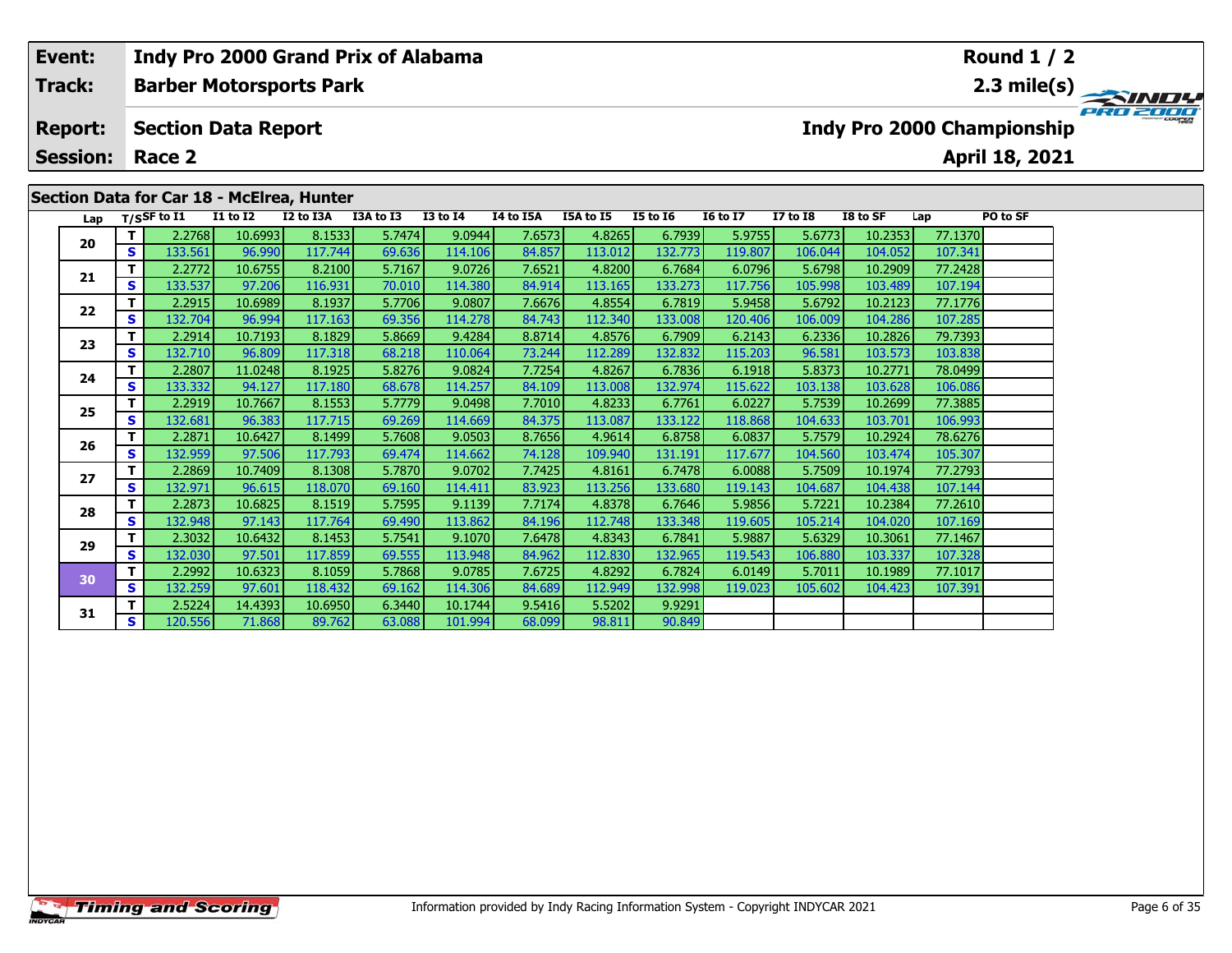| Event:          |          |                            |                 | Indy Pro 2000 Grand Prix of Alabama       |           |              |           |           |                 |                 |                 |          |         | Round $1/2$                |                                   |
|-----------------|----------|----------------------------|-----------------|-------------------------------------------|-----------|--------------|-----------|-----------|-----------------|-----------------|-----------------|----------|---------|----------------------------|-----------------------------------|
| <b>Track:</b>   |          |                            |                 | <b>Barber Motorsports Park</b>            |           |              |           |           |                 |                 |                 |          |         |                            | $\frac{2.3 \text{ mile(s)}}{PRO}$ |
| <b>Report:</b>  |          | <b>Section Data Report</b> |                 |                                           |           |              |           |           |                 |                 |                 |          |         | Indy Pro 2000 Championship |                                   |
| <b>Session:</b> |          | Race 2                     |                 |                                           |           |              |           |           |                 |                 |                 |          |         | April 18, 2021             |                                   |
|                 |          |                            |                 | Section Data for Car 18 - McElrea, Hunter |           |              |           |           |                 |                 |                 |          |         |                            |                                   |
| Lap             |          | T/SSF to $I1$              | <b>I1 to I2</b> | I2 to I3A                                 | I3A to I3 | $I3$ to $I4$ | I4 to I5A | I5A to I5 | <b>I5 to 16</b> | <b>16 to 17</b> | <b>I7 to I8</b> | I8 to SF | Lap     | PO to SF                   |                                   |
| 20              |          | 2.2768                     | 10.6993         | 8.1533                                    | 5.7474    | 9.0944       | 7.6573    | 4.8265    | 6.7939          | 5.9755          | 5.6773          | 10.2353  | 77.1370 |                            |                                   |
|                 | <b>S</b> | 133.561                    | 96.990          | 117.744                                   | 69.636    | 114.106      | 84.857    | 113.012   | 132.773         | 119.807         | 106.044         | 104.052  | 107.341 |                            |                                   |
|                 |          | 2.2772                     | 10.6755         | 8.2100                                    | 5.7167    | 9.0726       | 7.6521    | 4.8200    | 6.7684          | 6.0796          | 5.6798          | 10.2909  | 77.2428 |                            |                                   |
| 21              | S        | 133.537                    | 97.206          | 116.931                                   | 70.010    | 114.380      | 84.914    | 113.1651  | 133.273         | 117.756         | 105.998         | 103.489  | 107.194 |                            |                                   |

**<sup>T</sup>** 2.2915 10.6989 8.1937 5.7706 9.0807 7.6676 4.8554 6.7819 5.9458 5.6792 10.2123 77.1776 **<sup>S</sup>** 132.704 96.994 117.163 69.356 114.278 84.743 112.340 133.008 120.406 106.009 104.286 107.285

**<sup>T</sup>** 2.2914 10.7193 8.1829 5.8669 9.4284 8.8714 4.8576 6.7909 6.2143 6.2336 10.2826 79.7393 **<sup>S</sup>** 132.710 96.809 117.318 68.218 110.064 73.244 112.289 132.832 115.203 96.581 103.573 103.838

**<sup>T</sup>** 2.2807 11.0248 8.1925 5.8276 9.0824 7.7254 4.8267 6.7836 6.1918 5.8373 10.2771 78.0499 **<sup>S</sup>** 133.332 94.127 117.180 68.678 114.257 84.109 113.008 132.974 115.622 103.138 103.628 106.086

**<sup>T</sup>** 2.2919 10.7667 8.1553 5.7779 9.0498 7.7010 4.8233 6.7761 6.0227 5.7539 10.2699 77.3885 **<sup>S</sup>** 132.681 96.383 117.715 69.269 114.669 84.375 113.087 133.122 118.868 104.633 103.701 106.993

**<sup>T</sup>** 2.2871 10.6427 8.1499 5.7608 9.0503 8.7656 4.9614 6.8758 6.0837 5.7579 10.2924 78.6276 **<sup>S</sup>** 132.959 97.506 117.793 69.474 114.662 74.128 109.940 131.191 117.677 104.560 103.474 105.307

**<sup>T</sup>** 2.2869 10.7409 8.1308 5.7870 9.0702 7.7425 4.8161 6.7478 6.0088 5.7509 10.1974 77.2793 **<sup>S</sup>** 132.971 96.615 118.070 69.160 114.411 83.923 113.256 133.680 119.143 104.687 104.438 107.144

**<sup>T</sup>** 2.2873 10.6825 8.1519 5.7595 9.1139 7.7174 4.8378 6.7646 5.9856 5.7221 10.2384 77.2610 **<sup>S</sup>** 132.948 97.143 117.764 69.490 113.862 84.196 112.748 133.348 119.605 105.214 104.020 107.169

**<sup>T</sup>** 2.3032 10.6432 8.1453 5.7541 9.1070 7.6478 4.8343 6.7841 5.9887 5.6329 10.3061 77.1467 **<sup>S</sup>** 132.030 97.501 117.859 69.555 113.948 84.962 112.830 132.965 119.543 106.880 103.337 107.328

**<sup>T</sup>** 2.2992 10.6323 8.1059 5.7868 9.0785 7.6725 4.8292 6.7824 6.0149 5.7011 10.1989 77.1017 **<sup>S</sup>** 132.259 97.601 118.432 69.162 114.306 84.689 112.949 132.998 119.023 105.602 104.423 107.391

**<sup>T</sup>** 2.5224 14.4393 10.6950 6.3440 10.1744 9.5416 5.5202 9.9291 **<sup>S</sup>** 120.556 71.868 89.762 63.088 101.994 68.099 98.811 90.849

| <b>Timing and Scoring</b> |  |  |
|---------------------------|--|--|

**22**

**23**

**24**

**25**

**26**

**27**

**28**

**29**

**30**

**31**

90.849

103.83

105.307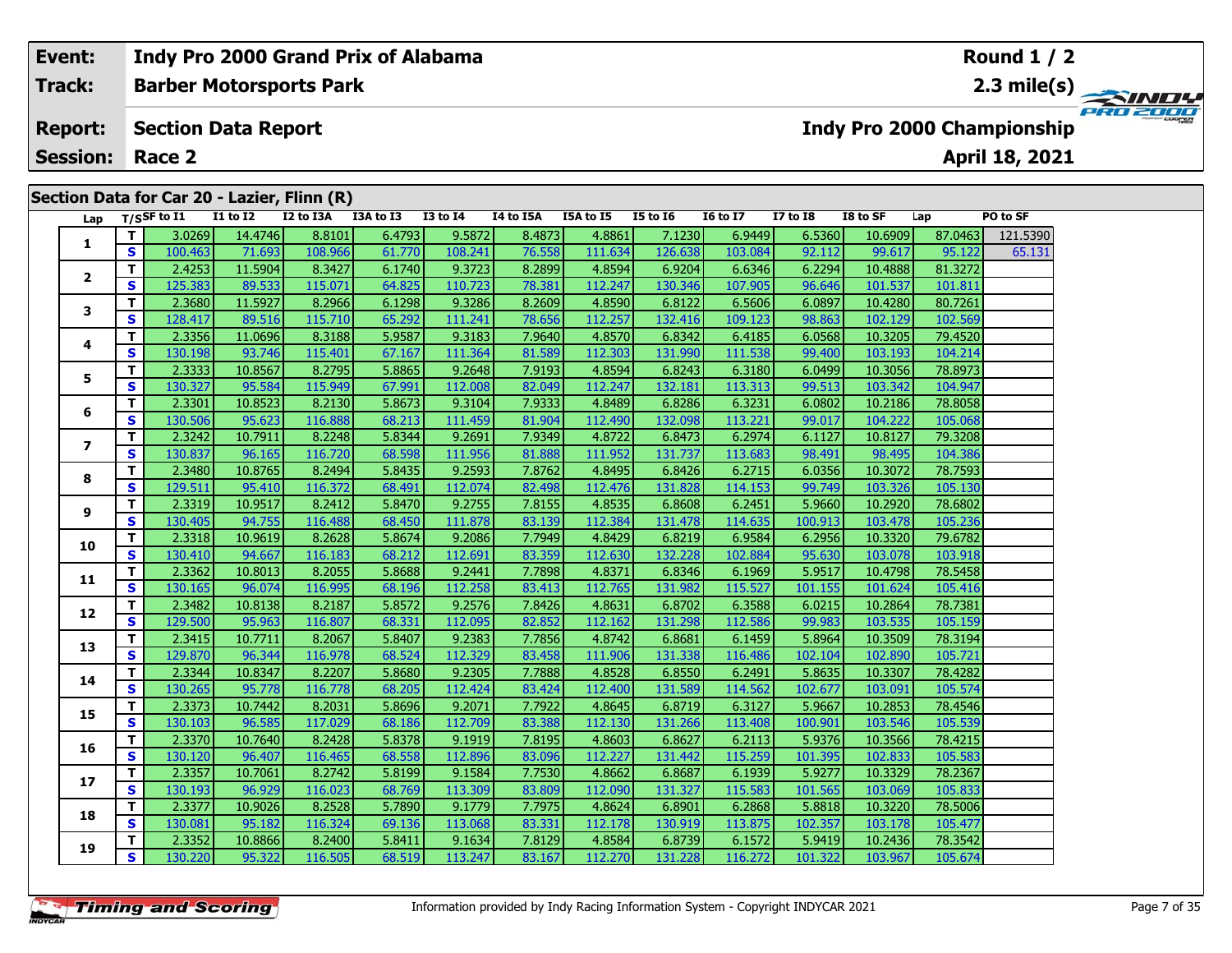# **Event: Indy Pro 2000 Grand Prix of Alabama Round 1 / 2Barber Motorsports Park 2.3 mile(s) Track:** PRO 2000 **Report: Indy Pro 2000 Championship Section Data Report April 18, 2021 Session: Race 2 Section Data for Car 20 - Lazier, Flinn (R) Lap T/SSF to I1 I1 to I2 I2 to I3A I3A to I3 I3 to I4 I4 to I5A I5A to I5 I5 to I6 I6 to I7 I7 to I8 I8 to SF Lap PO to SF <sup>T</sup>** 3.0269 14.4746 8.8101 6.4793 9.5872 8.4873 4.8861 7.1230 6.9449 6.5360 10.6909 87.0463 121.5390 **<sup>S</sup>** 100.463 71.693 108.966 61.770 108.241 76.558 111.634 126.638 103.084 92.112 99.617 95.122 65.131**1 <sup>T</sup>** 2.4253 11.5904 8.3427 6.1740 9.3723 8.2899 4.8594 6.9204 6.6346 6.2294 10.4888 81.3272 **<sup>S</sup>** 125.383 89.533 115.071 64.825 110.723 78.381 112.247 130.346 107.905 96.646 101.537 101.811**2**

| Lap            |              | T/SSF to I1 | <b>I1 to I2</b> | I2 to I3A | I3A to I3 | <b>I3 to I4</b> | I4 to I5A | I5A to I5 | <b>I5 to 16</b> | <b>16 to 17</b> | <b>I7 to I8</b> | I8 to SF | Lap     | PO to SF |
|----------------|--------------|-------------|-----------------|-----------|-----------|-----------------|-----------|-----------|-----------------|-----------------|-----------------|----------|---------|----------|
|                | T.           | 3.0269      | 14.4746         | 8.8101    | 6.4793    | 9.5872          | 8.4873    | 4.8861    | 7.1230          | 6.9449          | 6.5360          | 10.6909  | 87.0463 | 121.5390 |
| 1              | S            | 100.463     | 71.693          | 108.966   | 61.770    | 108.241         | 76.558    | 111.634   | 126.638         | 103.084         | 92.112          | 99.617   | 95.122  | 65.131   |
| $\mathbf{2}$   | т            | 2.4253      | 11.5904         | 8.3427    | 6.1740    | 9.3723          | 8.2899    | 4.8594    | 6.9204          | 6.6346          | 6.2294          | 10.4888  | 81.3272 |          |
|                | S            | 125.383     | 89.533          | 115.071   | 64.825    | 110.723         | 78.381    | 112.247   | 130.346         | 107.905         | 96.646          | 101.537  | 101.811 |          |
| 3              | т            | 2.3680      | 11.5927         | 8.2966    | 6.1298    | 9.3286          | 8.2609    | 4.8590    | 6.8122          | 6.5606          | 6.0897          | 10.4280  | 80.7261 |          |
|                | S            | 128.417     | 89.516          | 115.710   | 65.292    | 111.241         | 78.656    | 112.257   | 132.416         | 109.123         | 98.863          | 102.129  | 102.569 |          |
| 4              | T.           | 2.3356      | 11.0696         | 8.3188    | 5.9587    | 9.3183          | 7.9640    | 4.8570    | 6.8342          | 6.4185          | 6.0568          | 10.3205  | 79.4520 |          |
|                | S            | 130.198     | 93.746          | 115.401   | 67.167    | 111.364         | 81.589    | 112.303   | 131.990         | 111.538         | 99.400          | 103.193  | 104.214 |          |
| 5              | T.           | 2.3333      | 10.8567         | 8.2795    | 5.8865    | 9.2648          | 7.9193    | 4.8594    | 6.8243          | 6.3180          | 6.0499          | 10.3056  | 78.8973 |          |
|                | S            | 130.327     | 95.584          | 115.949   | 67.991    | 112.008         | 82.049    | 112.247   | 132.181         | 113.313         | 99.513          | 103.342  | 104.947 |          |
| 6              | T.           | 2.3301      | 10.8523         | 8.2130    | 5.8673    | 9.3104          | 7.9333    | 4.8489    | 6.8286          | 6.3231          | 6.0802          | 10.2186  | 78.8058 |          |
|                | S            | 130.506     | 95.623          | 116.888   | 68.213    | 111.459         | 81.904    | 112.490   | 132.098         | 113.221         | 99.017          | 104.222  | 105.068 |          |
| $\overline{ }$ | T.           | 2.3242      | 10.7911         | 8.2248    | 5.8344    | 9.2691          | 7.9349    | 4.8722    | 6.8473          | 6.2974          | 6.1127          | 10.8127  | 79.3208 |          |
|                | S            | 130.837     | 96.165          | 116.720   | 68.598    | 111.956         | 81.888    | 111.952   | 131.737         | 113.683         | 98.491          | 98.495   | 104.386 |          |
| 8              | T.           | 2.3480      | 10.8765         | 8.2494    | 5.8435    | 9.2593          | 7.8762    | 4.8495    | 6.8426          | 6.2715          | 6.0356          | 10.3072  | 78.7593 |          |
|                | $\mathbf{s}$ | 129.511     | 95.410          | 116.372   | 68.491    | 112.074         | 82.498    | 112.476   | 131.828         | 114.153         | 99.749          | 103.326  | 105.130 |          |
| 9              | T            | 2.3319      | 10.9517         | 8.2412    | 5.8470    | 9.2755          | 7.8155    | 4.8535    | 6.8608          | 6.2451          | 5.9660          | 10.2920  | 78.6802 |          |
|                | $\mathbf{s}$ | 130.405     | 94.755          | 116.488   | 68.450    | 111.878         | 83.139    | 112.384   | 131.478         | 114.635         | 100.913         | 103.478  | 105.236 |          |
| 10             | T.           | 2.3318      | 10.9619         | 8.2628    | 5.8674    | 9.2086          | 7.7949    | 4.8429    | 6.8219          | 6.9584          | 6.2956          | 10.3320  | 79.6782 |          |
|                | $\mathbf{s}$ | 130.410     | 94.667          | 116.183   | 68.212    | 112.691         | 83.359    | 112.630   | 132.228         | 102.884         | 95.630          | 103.078  | 103.918 |          |
| 11             | T            | 2.3362      | 10.8013         | 8.2055    | 5.8688    | 9.2441          | 7.7898    | 4.8371    | 6.8346          | 6.1969          | 5.9517          | 10.4798  | 78.5458 |          |
|                | S            | 130.165     | 96.074          | 116.995   | 68.196    | 112.258         | 83.413    | 112.765   | 131.982         | 115.527         | 101.155         | 101.624  | 105.416 |          |
| 12             | T.           | 2.3482      | 10.8138         | 8.2187    | 5.8572    | 9.2576          | 7.8426    | 4.8631    | 6.8702          | 6.3588          | 6.0215          | 10.2864  | 78.7381 |          |
|                | $\mathbf{s}$ | 129.500     | 95.963          | 116.807   | 68.331    | 112.095         | 82.852    | 112.162   | 131.298         | 112.586         | 99.983          | 103.535  | 105.159 |          |
| 13             | T.           | 2.3415      | 10.7711         | 8.2067    | 5.8407    | 9.2383          | 7.7856    | 4.8742    | 6.8681          | 6.1459          | 5.8964          | 10.3509  | 78.3194 |          |
|                | $\mathbf{s}$ | 129.870     | 96.344          | 116.978   | 68.524    | 112.329         | 83.458    | 111.906   | 131.338         | 116.486         | 102.104         | 102.890  | 105.721 |          |
| 14             | т            | 2.3344      | 10.8347         | 8.2207    | 5.8680    | 9.2305          | 7.7888    | 4.8528    | 6.8550          | 6.2491          | 5.8635          | 10.3307  | 78.4282 |          |
|                | $\mathbf{s}$ | 130.265     | 95.778          | 116.778   | 68.205    | 112.424         | 83.424    | 112.400   | 131.589         | 114.562         | 102.677         | 103.091  | 105.574 |          |
| 15             | T.           | 2.3373      | 10.7442         | 8.2031    | 5.8696    | 9.2071          | 7.7922    | 4.8645    | 6.8719          | 6.3127          | 5.9667          | 10.2853  | 78.4546 |          |
|                | S            | 130.103     | 96.585          | 117.029   | 68.186    | 112.709         | 83.388    | 112.130   | 131.266         | 113.408         | 100.901         | 103.546  | 105.539 |          |
| 16             | Т            | 2.3370      | 10.7640         | 8.2428    | 5.8378    | 9.1919          | 7.8195    | 4.8603    | 6.8627          | 6.2113          | 5.9376          | 10.3566  | 78.4215 |          |
|                | $\mathbf{s}$ | 130.120     | 96.407          | 116.465   | 68.558    | 112.896         | 83.096    | 112.227   | 131.442         | 115.259         | 101.395         | 102.833  | 105.583 |          |
| 17             | T.           | 2.3357      | 10.7061         | 8.2742    | 5.8199    | 9.1584          | 7.7530    | 4.8662    | 6.8687          | 6.1939          | 5.9277          | 10.3329  | 78.2367 |          |
|                | S            | 130.193     | 96.929          | 116.023   | 68.769    | 113.309         | 83.809    | 112.090   | 131.327         | 115.583         | 101.565         | 103.069  | 105.833 |          |
| 18             | т            | 2.3377      | 10.9026         | 8.2528    | 5.7890    | 9.1779          | 7.7975    | 4.8624    | 6.8901          | 6.2868          | 5.8818          | 10.3220  | 78.5006 |          |
|                | S            | 130.081     | 95.182          | 116.324   | 69.136    | 113.068         | 83.331    | 112.178   | 130.919         | 113.875         | 102.357         | 103.178  | 105.477 |          |
| 19             | т            | 2.3352      | 10.8866         | 8.2400    | 5.8411    | 9.1634          | 7.8129    | 4.8584    | 6.8739          | 6.1572          | 5.9419          | 10.2436  | 78.3542 |          |
|                | S            | 130.220     | 95.322          | 116.505   | 68.519    | 113.247         | 83.167    | 112.270   | 131.228         | 116.272         | 101.322         | 103.967  | 105.674 |          |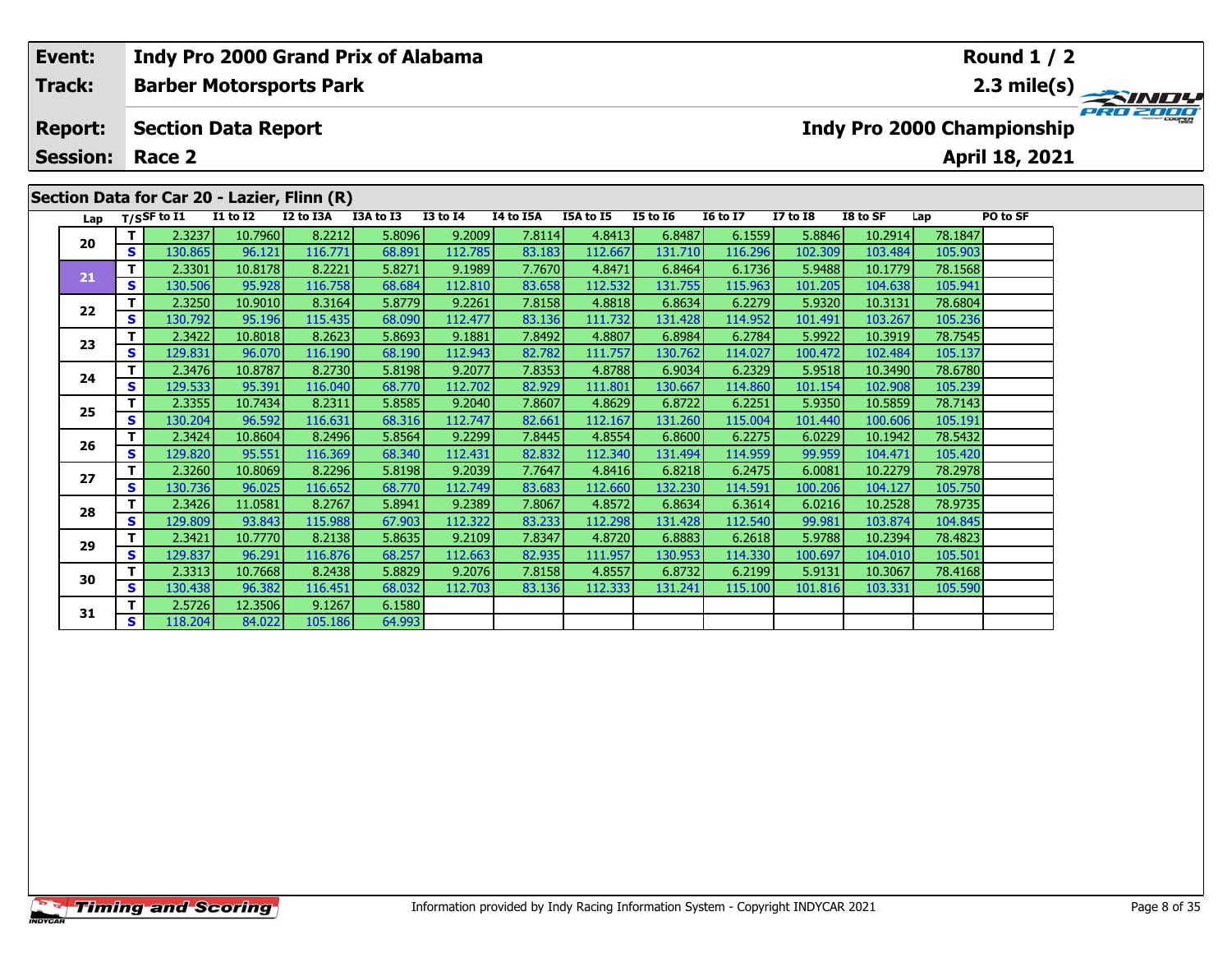# **Round 1 / 2Event: Indy Pro 2000 Grand Prix of Alabama Track:Barber Motorsports Park 2.3 mile(s)** PRO 2000 **Report: Section Data Report Indy Pro 2000 Championship April 18, 2021 Session: Race 2 Section Data for Car 20 - Lazier, Flinn (R) Lap T/SSF to I1 I1 to I2 I2 to I3A I3A to I3 I3 to I4 I4 to I5A I5A to I5 I5 to I6 I6 to I7 I7 to I8 I8 to SF Lap PO to SF <sup>T</sup>** 2.3237 10.7960 8.2212 5.8096 9.2009 7.8114 4.8413 6.8487 6.1559 5.8846 10.2914 78.1847 **<sup>S</sup>** 130.865 96.121 116.771 68.891 112.785 83.183 112.667 131.710 116.296 102.309 103.484 105.903**20 <sup>T</sup>** 2.3301 10.8178 8.2221 5.8271 9.1989 7.7670 4.8471 6.8464 6.1736 5.9488 10.1779 78.1568 **<sup>S</sup>** 130.506 95.928 116.758 68.684 112.810 83.658 112.532 131.755 115.963 101.205 104.638 105.941**21**

| 21 | S | 130.506 | 95.928  | 116.758 | 68.684 | 112.810 | 83.658 | 112.532 | 131.755 | 115.963  | 101.205 | 104.638 | 105.941 |  |
|----|---|---------|---------|---------|--------|---------|--------|---------|---------|----------|---------|---------|---------|--|
| 22 | т | 2.3250  | 10.9010 | 8.3164  | 5.8779 | 9.2261  | 7.8158 | 4.8818  | 6.8634  | 6.2279   | 5.9320  | 10.3131 | 78.6804 |  |
|    | S | 130.792 | 95.196  | 115.435 | 68.090 | 112.477 | 83.136 | 111.732 | 131.428 | 114.952  | 101.491 | 103.267 | 105.236 |  |
| 23 | т | 2.3422  | 10.8018 | 8.2623  | 5.8693 | 9.1881  | 7.8492 | 4.8807  | 6.8984  | 6.2784   | 5.9922  | 10.3919 | 78.7545 |  |
|    | S | 129.831 | 96.070  | 116.190 | 68.190 | 112.943 | 82.782 | 111.757 | 130.762 | 114.027  | 100.472 | 102.484 | 105.137 |  |
| 24 | т | 2.3476  | 10.8787 | 8.2730  | 5.8198 | 9.2077  | 7.8353 | 4.8788  | 6.9034  | 6.2329   | 5.9518  | 10.3490 | 78,6780 |  |
|    | S | 129.533 | 95.391  | 116.040 | 68.770 | 112.702 | 82.929 | 111.801 | 130.667 | 114.860  | 101.154 | 102.908 | 105.239 |  |
| 25 | т | 2.3355  | 10.7434 | 8.2311  | 5.8585 | 9.2040  | 7.8607 | 4.8629  | 6.8722  | 6.2251   | 5.9350  | 10.5859 | 78.7143 |  |
|    | S | 130.204 | 96.592  | 116.631 | 68.316 | 112.747 | 82.661 | 112.167 | 131.260 | 115.004  | 101.440 | 100.606 | 105.191 |  |
| 26 | т | 2.3424  | 10.8604 | 8.2496  | 5.8564 | 9.2299  | 7.8445 | 4.8554  | 6.8600  | 6.2275   | 6.0229  | 10.1942 | 78.5432 |  |
|    | S | 129.820 | 95.551  | 116.369 | 68.340 | 112.431 | 82.832 | 112.340 | 131.494 | 114.9591 | 99.959  | 104.471 | 105.420 |  |
| 27 | т | 2.3260  | 10.8069 | 8.2296  | 5.8198 | 9.2039  | 7.7647 | 4.8416  | 6.8218  | 6.2475   | 6.0081  | 10.2279 | 78.2978 |  |
|    | S | 130.736 | 96.025  | 116.652 | 68.770 | 112.749 | 83.683 | 112.660 | 132.230 | 114.591  | 100.206 | 104.127 | 105.750 |  |
| 28 |   | 2.3426  | 11.0581 | 8.2767  | 5.8941 | 9.2389  | 7.8067 | 4.8572  | 6.8634  | 6.3614   | 6.0216  | 10.2528 | 78.9735 |  |
|    | S | 129.809 | 93.843  | 115.988 | 67.903 | 112.322 | 83.233 | 112.298 | 131.428 | 112.540  | 99.981  | 103.874 | 104.845 |  |
| 29 | т | 2.3421  | 10.7770 | 8.2138  | 5.8635 | 9.2109  | 7.8347 | 4.8720  | 6.8883  | 6.2618   | 5.9788  | 10.2394 | 78.4823 |  |
|    | S | 129.837 | 96.291  | 116.876 | 68.257 | 112.663 | 82.935 | 111.957 | 130.953 | 114.330  | 100.697 | 104.010 | 105.501 |  |
| 30 | т | 2.3313  | 10.7668 | 8.2438  | 5.8829 | 9.2076  | 7.8158 | 4.8557  | 6.8732  | 6.2199   | 5.9131  | 10.3067 | 78.4168 |  |
|    | s | 130.438 | 96.382  | 116.451 | 68.032 | 112.703 | 83.136 | 112.333 | 131.241 | 115.100  | 101.816 | 103.331 | 105.590 |  |
| 31 | т | 2.5726  | 12.3506 | 9.1267  | 6.1580 |         |        |         |         |          |         |         |         |  |
|    | S | 118.204 | 84.022  | 105.186 | 64.993 |         |        |         |         |          |         |         |         |  |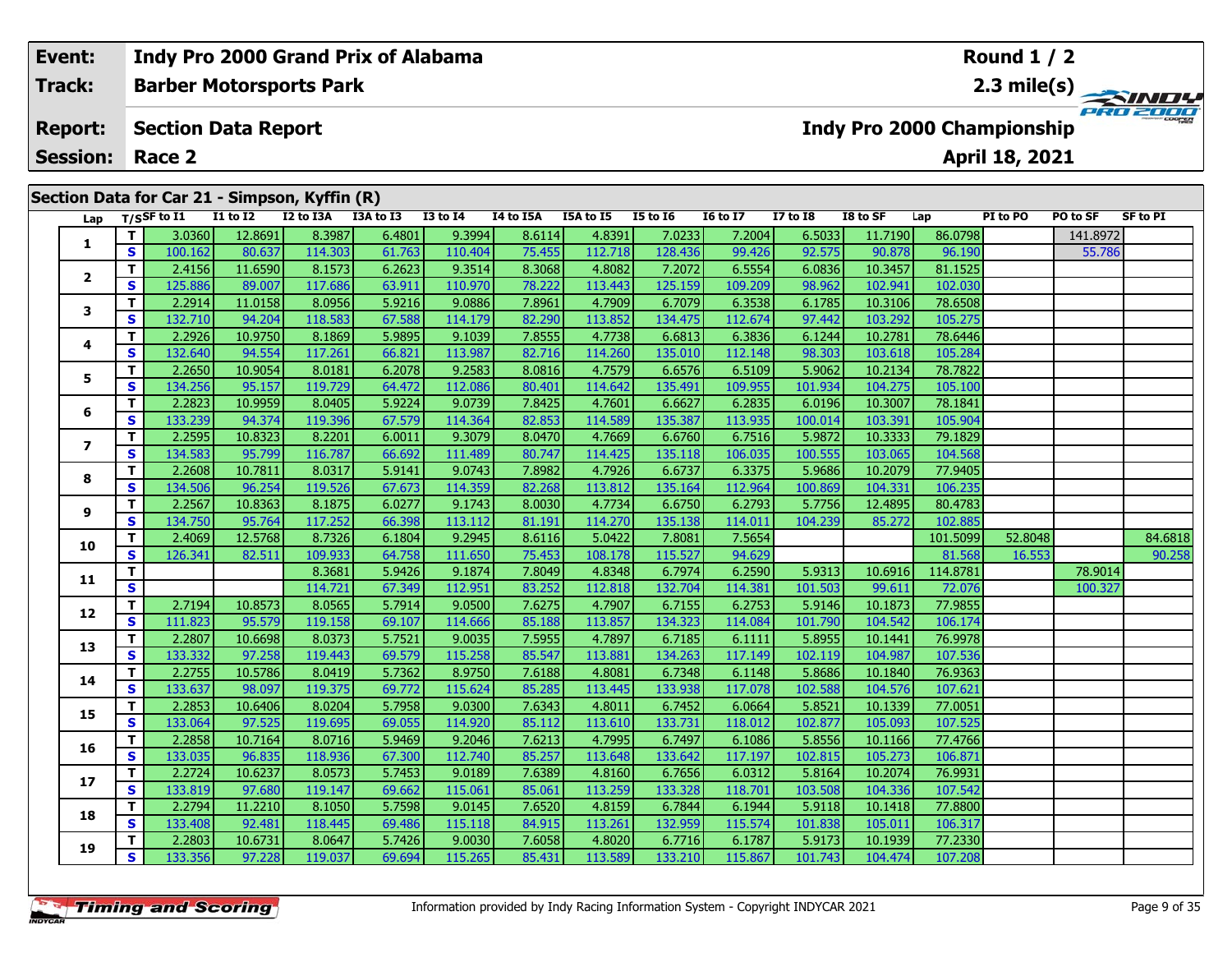| Event:         | <b>Session: Race 2</b><br>S.<br>S.<br>S.                               |         |                            | Indy Pro 2000 Grand Prix of Alabama |           |              |           |           |                 |                 |              |          |                            | Round $1/2$    |          |                           |
|----------------|------------------------------------------------------------------------|---------|----------------------------|-------------------------------------|-----------|--------------|-----------|-----------|-----------------|-----------------|--------------|----------|----------------------------|----------------|----------|---------------------------|
| Track:         |                                                                        |         |                            | <b>Barber Motorsports Park</b>      |           |              |           |           |                 |                 |              |          |                            |                |          | 2.3 mile(s) $\rightarrow$ |
| <b>Report:</b> |                                                                        |         | <b>Section Data Report</b> |                                     |           |              |           |           |                 |                 |              |          | Indy Pro 2000 Championship | April 18, 2021 |          | PRO 2000                  |
|                |                                                                        |         |                            |                                     |           |              |           |           |                 |                 |              |          |                            |                |          |                           |
|                |                                                                        |         | <b>I1 to I2</b>            | I2 to I3A                           | I3A to I3 | $I3$ to $I4$ | I4 to I5A | I5A to I5 | <b>I5 to I6</b> | <b>16 to 17</b> | $I7$ to $I8$ | I8 to SF | Lap                        | PI to PO       | PO to SF | SF to PI                  |
|                |                                                                        | 3.0360  | 12.8691                    | 8.3987                              | 6.4801    | 9.3994       | 8.6114    | 4.8391    | 7.0233          | 7.2004          | 6.5033       | 11.7190  | 86.0798                    |                | 141.8972 |                           |
|                |                                                                        | 100.162 | 80.637                     | 114.303                             | 61.763    | 110.404      | 75.455    | 112.718   | 128.436         | 99.426          | 92.575       | 90.878   | 96.190                     |                | 55.786   |                           |
|                |                                                                        | 2.4156  | 11.6590                    | 8.1573                              | 6.2623    | 9.3514       | 8.3068    | 4.8082    | 7.2072          | 6.5554          | 6.0836       | 10.3457  | 81.1525                    |                |          |                           |
|                |                                                                        | 125.886 | 89.007                     | 117.686                             | 63.911    | 110.970      | 78.222    | 113.443   | 125.159         | 109.209         | 98.962       | 102.941  | 102.030                    |                |          |                           |
|                |                                                                        | 2.2914  | 11.0158                    | 8.0956                              | 5.9216    | 9.0886       | 7.8961    | 4.7909    | 6.7079          | 6.3538          | 6.1785       | 10.3106  | 78.6508                    |                |          |                           |
|                | Section Data for Car 21 - Simpson, Kyffin (R)<br>Lap T/SSF to I1<br>s. | 132.710 | 94.204                     | 118.583                             | 67.588    | 114.179      | 82.290    | 113.852   | 134.475         | 112.674         | 97.442       | 103.292  | 105.275                    |                |          |                           |
|                |                                                                        | 2.2926  | 10.9750                    | 8.1869                              | 5.9895    | 9.1039       | 7.8555    | 4.7738    | 6.6813          | 6.3836          | 6.1244       | 10.2781  | 78.6446                    |                |          |                           |
|                |                                                                        | 132.640 | 94.554                     | 117.261                             | 66.821    | 113.987      | 82.716    | 114.260   | 135.010         | 112.148         | 98.303       | 103.618  | 105.284                    |                |          |                           |

**<sup>T</sup>** 2.2650 10.9054 8.0181 6.2078 9.2583 8.0816 4.7579 6.6576 6.5109 5.9062 10.2134 78.7822 **<sup>S</sup>** 134.256 95.157 119.729 64.472 112.086 80.401 114.642 135.491 109.955 101.934 104.275 105.100

**<sup>T</sup>** 2.2823 10.9959 8.0405 5.9224 9.0739 7.8425 4.7601 6.6627 6.2835 6.0196 10.3007 78.1841 **<sup>S</sup>** 133.239 94.374 119.396 67.579 114.364 82.853 114.589 135.387 113.935 100.014 103.391 105.904

**<sup>T</sup>** 2.2595 10.8323 8.2201 6.0011 9.3079 8.0470 4.7669 6.6760 6.7516 5.9872 10.3333 79.1829 **<sup>S</sup>** 134.583 95.799 116.787 66.692 111.489 80.747 114.425 135.118 106.035 100.555 103.065 104.568

**<sup>T</sup>** 2.2608 10.7811 8.0317 5.9141 9.0743 7.8982 4.7926 6.6737 6.3375 5.9686 10.2079 77.9405 **<sup>S</sup>** 134.506 96.254 119.526 67.673 114.359 82.268 113.812 135.164 112.964 100.869 104.331 106.235

**<sup>T</sup>** 2.2567 10.8363 8.1875 6.0277 9.1743 8.0030 4.7734 6.6750 6.2793 5.7756 12.4895 80.4783 **<sup>S</sup>** 134.750 95.764 117.252 66.398 113.112 81.191 114.270 135.138 114.011 104.239 85.272 102.885

**<sup>T</sup>** 2.7194 10.8573 8.0565 5.7914 9.0500 7.6275 4.7907 6.7155 6.2753 5.9146 10.1873 77.9855 **<sup>S</sup>** 111.823 95.579 119.158 69.107 114.666 85.188 113.857 134.323 114.084 101.790 104.542 106.174

**<sup>T</sup>** 2.2807 10.6698 8.0373 5.7521 9.0035 7.5955 4.7897 6.7185 6.1111 5.8955 10.1441 76.9978 **<sup>S</sup>** 133.332 97.258 119.443 69.579 115.258 85.547 113.881 134.263 117.149 102.119 104.987 107.536

**<sup>T</sup>** 2.2755 10.5786 8.0419 5.7362 8.9750 7.6188 4.8081 6.7348 6.1148 5.8686 10.1840 76.9363 **<sup>S</sup>** 133.637 98.097 119.375 69.772 115.624 85.285 113.445 133.938 117.078 102.588 104.576 107.621

**<sup>T</sup>** 2.2853 10.6406 8.0204 5.7958 9.0300 7.6343 4.8011 6.7452 6.0664 5.8521 10.1339 77.0051 **<sup>S</sup>** 133.064 97.525 119.695 69.055 114.920 85.112 113.610 133.731 118.012 102.877 105.093 107.525

**<sup>T</sup>** 2.2858 10.7164 8.0716 5.9469 9.2046 7.6213 4.7995 6.7497 6.1086 5.8556 10.1166 77.4766 **<sup>S</sup>** 133.035 96.835 118.936 67.300 112.740 85.257 113.648 133.642 117.197 102.815 105.273 106.871

**<sup>T</sup>** 2.2724 10.6237 8.0573 5.7453 9.0189 7.6389 4.8160 6.7656 6.0312 5.8164 10.2074 76.9931 **<sup>S</sup>** 133.819 97.680 119.147 69.662 115.061 85.061 113.259 133.328 118.701 103.508 104.336 107.542

**<sup>T</sup>** 2.2794 11.2210 8.1050 5.7598 9.0145 7.6520 4.8159 6.7844 6.1944 5.9118 10.1418 77.8800 **<sup>S</sup>** 133.408 92.481 118.445 69.486 115.118 84.915 113.261 132.959 115.574 101.838 105.011 106.317

**<sup>T</sup>** 2.2803 10.6731 8.0647 5.7426 9.0030 7.6058 4.8020 6.7716 6.1787 5.9173 10.1939 77.2330 **<sup>S</sup>** 133.356 97.228 119.037 69.694 115.265 85.431 113.589 133.210 115.867 101.743 104.474 107.208

**5**

**Indy Pro 2000 Grand Prix of Alabama**

**6**

**7**

**8**

**9**

**10**

**11**

**12**

**13**

**14**

**15**

**16**

**17**

**18**

**19**

**0 T** 2.4069 12.5768 8.7326 6.1804 9.2945 8.6116 5.0422 7.8081 7.5654 | 101.5099 52.8048 | 84.6818<br>**S 1**26.341 82.511 109.933 64.758 111.650 75.453 108.178 115.527 94.629 | 81.568 16.553 | 90.258

**<sup>T</sup>** 8.3681 5.9426 9.1874 7.8049 4.8348 6.7974 6.2590 5.9313 10.6916 114.8781 78.9014 **<sup>S</sup>** 114.721 67.349 112.951 83.252 112.818 132.704 114.381 101.503 99.611 72.076 100.327

107.621

**Round 1 / 2**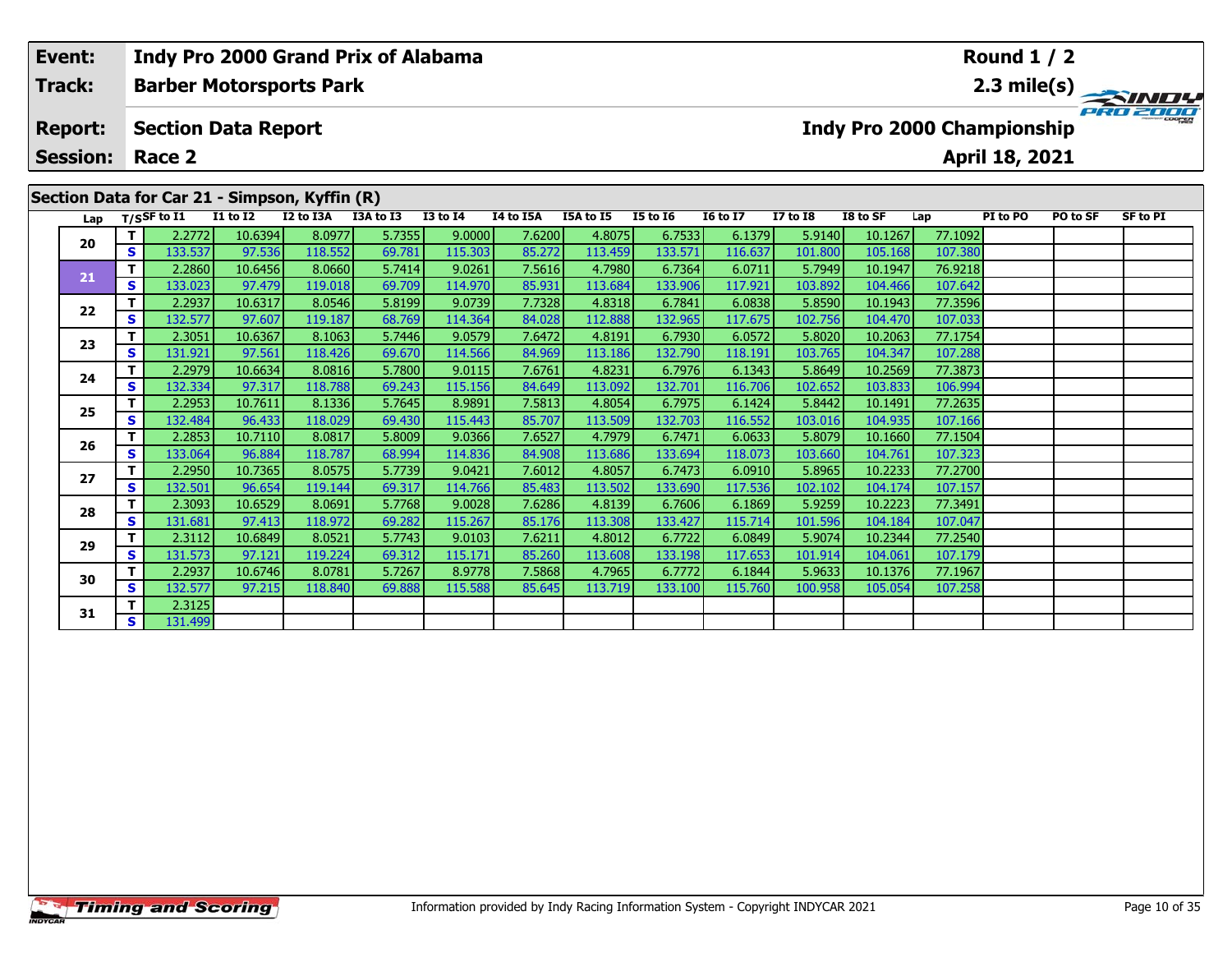| Event:<br><b>Track:</b><br><b>Report:</b><br>20<br>S.<br>21<br>S.<br>22<br><b>S</b>                                                                                                                                                                                                                                                                                                                                                                         |          | <b>Barber Motorsports Park</b> |         |         | Indy Pro 2000 Grand Prix of Alabama |         |        |         |         |         |         |                            |         | Round $1/2$ |          |          |
|-------------------------------------------------------------------------------------------------------------------------------------------------------------------------------------------------------------------------------------------------------------------------------------------------------------------------------------------------------------------------------------------------------------------------------------------------------------|----------|--------------------------------|---------|---------|-------------------------------------|---------|--------|---------|---------|---------|---------|----------------------------|---------|-------------|----------|----------|
|                                                                                                                                                                                                                                                                                                                                                                                                                                                             |          | <b>Section Data Report</b>     |         |         |                                     |         |        |         |         |         |         | Indy Pro 2000 Championship |         |             |          | PRO 2000 |
| <b>Session:</b><br>April 18, 2021<br>Race 2<br>Section Data for Car 21 - Simpson, Kyffin (R)<br>Lap $T/SSF$ to $\overline{11}$<br>$I1$ to $I2$<br>I2 to I3A<br><b>I3 to I4</b><br>I4 to I5A<br><b>I5 to 16</b><br>PI to PO<br>I3A to I3<br><b>I5A to I5</b><br><b>16 to 17</b><br><b>I7 to I8</b><br>PO to SF<br>I8 to SF<br>Lap<br>8.0977<br>5.7355<br>9.0000<br>6.7533<br>6.1379<br>2.2772<br>10.6394<br>7.6200<br>4.8075<br>5.9140<br>10.1267<br>77.1092 |          |                                |         |         |                                     |         |        |         |         |         |         |                            |         |             | SF to PI |          |
|                                                                                                                                                                                                                                                                                                                                                                                                                                                             |          |                                |         |         |                                     |         |        |         |         |         |         |                            |         |             |          |          |
|                                                                                                                                                                                                                                                                                                                                                                                                                                                             |          | 133.537                        | 97.536  | 118.552 | 69.781                              | 115.303 | 85.272 | 113.459 | 133.571 | 116.637 | 101.800 | 105.168                    | 107.380 |             |          |          |
|                                                                                                                                                                                                                                                                                                                                                                                                                                                             |          | 2.2860                         | 10.6456 | 8.0660  | 5.7414                              | 9.0261  | 7.5616 | 4.7980  | 6.7364  | 6.0711  | 5.7949  | 10.1947                    | 76.9218 |             |          |          |
|                                                                                                                                                                                                                                                                                                                                                                                                                                                             |          | 133.023                        | 97.479  | 119.018 | 69.709                              | 114.970 | 85.931 | 113.684 | 133.906 | 117.921 | 103.892 | 104.466                    | 107.642 |             |          |          |
|                                                                                                                                                                                                                                                                                                                                                                                                                                                             |          | 2.2937                         | 10.6317 | 8.0546  | 5.8199                              | 9.0739  | 7.7328 | 4.8318  | 6.7841  | 6.0838  | 5.8590  | 10.1943                    | 77.3596 |             |          |          |
|                                                                                                                                                                                                                                                                                                                                                                                                                                                             |          | 132.577                        | 97.607  | 119.187 | 68.769                              | 114.364 | 84.028 | 112.888 | 132.965 | 117.675 | 102.756 | 104.470                    | 107.033 |             |          |          |
| 23                                                                                                                                                                                                                                                                                                                                                                                                                                                          |          | 2.3051                         | 10.6367 | 8.1063  | 5.7446                              | 9.0579  | 7.6472 | 4.8191  | 6.7930  | 6.0572  | 5.8020  | 10.2063                    | 77.1754 |             |          |          |
|                                                                                                                                                                                                                                                                                                                                                                                                                                                             | <b>S</b> | 131.921                        | 97.561  | 118.426 | 69.670                              | 114.566 | 84.969 | 113.186 | 132.790 | 118.191 | 103.765 | 104.347                    | 107.288 |             |          |          |

**<sup>T</sup>** 2.2979 10.6634 8.0816 5.7800 9.0115 7.6761 4.8231 6.7976 6.1343 5.8649 10.2569 77.3873 **<sup>S</sup>** 132.334 97.317 118.788 69.243 115.156 84.649 113.092 132.701 116.706 102.652 103.833 106.994

**<sup>T</sup>** 2.2953 10.7611 8.1336 5.7645 8.9891 7.5813 4.8054 6.7975 6.1424 5.8442 10.1491 77.2635 **<sup>S</sup>** 132.484 96.433 118.029 69.430 115.443 85.707 113.509 132.703 116.552 103.016 104.935 107.166

**<sup>T</sup>** 2.2853 10.7110 8.0817 5.8009 9.0366 7.6527 4.7979 6.7471 6.0633 5.8079 10.1660 77.1504 **<sup>S</sup>** 133.064 96.884 118.787 68.994 114.836 84.908 113.686 133.694 118.073 103.660 104.761 107.323

**<sup>T</sup>** 2.2950 10.7365 8.0575 5.7739 9.0421 7.6012 4.8057 6.7473 6.0910 5.8965 10.2233 77.2700 **<sup>S</sup>** 132.501 96.654 119.144 69.317 114.766 85.483 113.502 133.690 117.536 102.102 104.174 107.157

**<sup>T</sup>** 2.3093 10.6529 8.0691 5.7768 9.0028 7.6286 4.8139 6.7606 6.1869 5.9259 10.2223 77.3491 **<sup>S</sup>** 131.681 97.413 118.972 69.282 115.267 85.176 113.308 133.427 115.714 101.596 104.184 107.047

**<sup>T</sup>** 2.3112 10.6849 8.0521 5.7743 9.0103 7.6211 4.8012 6.7722 6.0849 5.9074 10.2344 77.2540 **<sup>S</sup>** 131.573 97.121 119.224 69.312 115.171 85.260 113.608 133.198 117.653 101.914 104.061 107.179

**<sup>T</sup>** 2.2937 10.6746 8.0781 5.7267 8.9778 7.5868 4.7965 6.7772 6.1844 5.9633 10.1376 77.1967 **<sup>S</sup>** 132.577 97.215 118.840 69.888 115.588 85.645 113.719 133.100 115.760 100.958 105.054 107.258

**24**

**25**

**26**

**27**

**28**

**29**

**30**

**31**

**<sup>T</sup>** 2.3125 **<sup>S</sup>** 131.499

107.323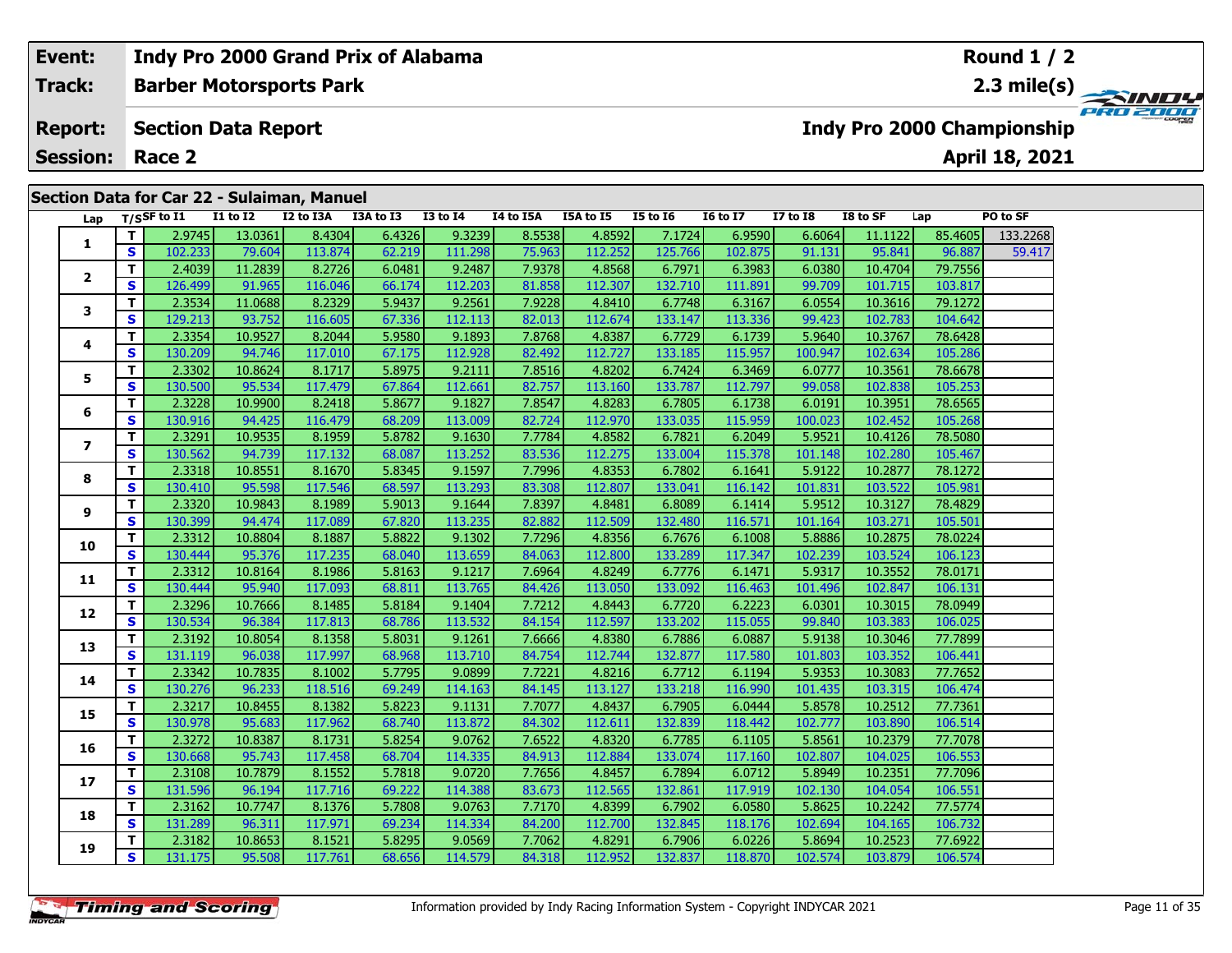### **Event:Round 1 / 2 Indy Pro 2000 Grand Prix of Alabama Track:Barber Motorsports Park 2.3 mile(s)** PRO 200 **Report: Section Data Report Indy Pro 2000 Championship April 18, 2021 Session: Race 2 Section Data for Car 22 - Sulaiman, Manuel Lap T/SSF to I1 I1 to I2 I2 to I3A I3A to I3 I3 to I4 I4 to I5A I5A to I5 I5 to I6 I6 to I7 I7 to I8 I8 to SF Lap PO to SF T** 2.9745 13.0361 8.4304 6.4326 9.3239 8.5538 4.8592 7.1724 6.9590 6.6064 11.1122 85.4605 133.2268  $\Box$ **12**

|                |              | 2.J/TJ  | דמרמירד | דטכד.ט  | ט.ד.ט  | <b>P.P.P.</b> | 0.JJJ0 | אכט.ד   | 7.1727  | 0.5350  | דטטט.ט  | 11.11 <i>66</i> | כטטד.כס | 177.SZ00 |
|----------------|--------------|---------|---------|---------|--------|---------------|--------|---------|---------|---------|---------|-----------------|---------|----------|
| 1              | S            | 102.233 | 79.604  | 113.874 | 62.219 | 111.298       | 75.963 | 112.252 | 125.766 | 102.875 | 91.131  | 95.841          | 96.887  | 59.417   |
| $\overline{2}$ | T.           | 2.4039  | 11.2839 | 8.2726  | 6.0481 | 9.2487        | 7.9378 | 4.8568  | 6.7971  | 6.3983  | 6.0380  | 10.4704         | 79.7556 |          |
|                | S.           | 126.499 | 91.965  | 116.046 | 66.174 | 112.203       | 81.858 | 112.307 | 132.710 | 111.891 | 99.709  | 101.715         | 103.817 |          |
| 3              | T            | 2.3534  | 11.0688 | 8.2329  | 5.9437 | 9.2561        | 7.9228 | 4.8410  | 6.7748  | 6.3167  | 6.0554  | 10.3616         | 79.1272 |          |
|                | S.           | 129.213 | 93.752  | 116.605 | 67.336 | 112.113       | 82.013 | 112.674 | 133.147 | 113.336 | 99.423  | 102.783         | 104.642 |          |
| 4              | T.           | 2.3354  | 10.9527 | 8.2044  | 5.9580 | 9.1893        | 7.8768 | 4.8387  | 6.7729  | 6.1739  | 5.9640  | 10.3767         | 78.6428 |          |
|                | S.           | 130.209 | 94.746  | 117.010 | 67.175 | 112.928       | 82.492 | 112.727 | 133.185 | 115.957 | 100.947 | 102.634         | 105.286 |          |
| 5.             | T.           | 2.3302  | 10.8624 | 8.1717  | 5.8975 | 9.2111        | 7.8516 | 4.8202  | 6.7424  | 6.3469  | 6.0777  | 10.3561         | 78.6678 |          |
|                | S.           | 130.500 | 95.534  | 117.479 | 67.864 | 112.661       | 82.757 | 113.160 | 133.787 | 112.797 | 99.058  | 102.838         | 105.253 |          |
| 6              | T.           | 2.3228  | 10.9900 | 8.2418  | 5.8677 | 9.1827        | 7.8547 | 4.8283  | 6.7805  | 6.1738  | 6.0191  | 10.3951         | 78.6565 |          |
|                | S            | 130.916 | 94.425  | 116.479 | 68.209 | 113.009       | 82.724 | 112.970 | 133.035 | 115.959 | 100.023 | 102.452         | 105.268 |          |
| $\overline{ }$ | T.           | 2.3291  | 10.9535 | 8.1959  | 5.8782 | 9.1630        | 7.7784 | 4.8582  | 6.7821  | 6.2049  | 5.9521  | 10.4126         | 78.5080 |          |
|                | S.           | 130.562 | 94.739  | 117.132 | 68.087 | 113.252       | 83.536 | 112.275 | 133.004 | 115.378 | 101.148 | 102.280         | 105.467 |          |
| 8              | $\mathbf{T}$ | 2.3318  | 10.8551 | 8.1670  | 5.8345 | 9.1597        | 7.7996 | 4.8353  | 6.7802  | 6.1641  | 5.9122  | 10.2877         | 78.1272 |          |
|                | <b>S</b>     | 130.410 | 95.598  | 117.546 | 68.597 | 113.293       | 83.308 | 112.807 | 133.041 | 116.142 | 101.831 | 103.522         | 105.981 |          |
| 9              | T.           | 2.3320  | 10.9843 | 8.1989  | 5.9013 | 9.1644        | 7.8397 | 4.8481  | 6.8089  | 6.1414  | 5.9512  | 10.3127         | 78.4829 |          |
|                | S.           | 130.399 | 94.474  | 117.089 | 67.820 | 113.235       | 82.882 | 112.509 | 132.480 | 116.571 | 101.164 | 103.271         | 105.501 |          |
| 10             | T.           | 2.3312  | 10.8804 | 8.1887  | 5.8822 | 9.1302        | 7.7296 | 4.8356  | 6.7676  | 6.1008  | 5.8886  | 10.2875         | 78.0224 |          |
|                | S            | 130.444 | 95.376  | 117.235 | 68.040 | 113.659       | 84.063 | 112.800 | 133.289 | 117.347 | 102.239 | 103.524         | 106.123 |          |
| 11             | T.           | 2.3312  | 10.8164 | 8.1986  | 5.8163 | 9.1217        | 7.6964 | 4.8249  | 6.7776  | 6.1471  | 5.9317  | 10.3552         | 78.0171 |          |
|                | S            | 130.444 | 95.940  | 117.093 | 68.811 | 113.765       | 84.426 | 113.050 | 133.092 | 116.463 | 101.496 | 102.847         | 106.131 |          |
| 12             | T.           | 2.3296  | 10.7666 | 8.1485  | 5.8184 | 9.1404        | 7.7212 | 4.8443  | 6.7720  | 6.2223  | 6.0301  | 10.3015         | 78.0949 |          |
|                | S            | 130.534 | 96.384  | 117.813 | 68.786 | 113.532       | 84.154 | 112.597 | 133.202 | 115.055 | 99.840  | 103.383         | 106.025 |          |
| 13             | T.           | 2.3192  | 10.8054 | 8.1358  | 5.8031 | 9.1261        | 7.6666 | 4.8380  | 6.7886  | 6.0887  | 5.9138  | 10.3046         | 77.7899 |          |
|                | S            | 131.119 | 96.038  | 117.997 | 68.968 | 113.710       | 84.754 | 112.744 | 132.877 | 117.580 | 101.803 | 103.352         | 106.441 |          |
| 14             | T.           | 2.3342  | 10.7835 | 8.1002  | 5.7795 | 9.0899        | 7.7221 | 4.8216  | 6.7712  | 6.1194  | 5.9353  | 10.3083         | 77.7652 |          |
|                | S            | 130.276 | 96.233  | 118.516 | 69.249 | 114.163       | 84.145 | 113.127 | 133.218 | 116.990 | 101.435 | 103.315         | 106.474 |          |
| 15             | T.           | 2.3217  | 10.8455 | 8.1382  | 5.8223 | 9.1131        | 7.7077 | 4.8437  | 6.7905  | 6.0444  | 5.8578  | 10.2512         | 77.7361 |          |
|                | S.           | 130.978 | 95.683  | 117.962 | 68.740 | 113.872       | 84.302 | 112.611 | 132.839 | 118.442 | 102.777 | 103.890         | 106.514 |          |
| 16             | T.           | 2.3272  | 10.8387 | 8.1731  | 5.8254 | 9.0762        | 7.6522 | 4.8320  | 6.7785  | 6.1105  | 5.8561  | 10.2379         | 77.7078 |          |
|                | S            | 130.668 | 95.743  | 117.458 | 68.704 | 114.335       | 84.913 | 112.884 | 133.074 | 117.160 | 102.807 | 104.025         | 106.553 |          |
| 17             | т            | 2.3108  | 10.7879 | 8.1552  | 5.7818 | 9.0720        | 7.7656 | 4.8457  | 6.7894  | 6.0712  | 5.8949  | 10.2351         | 77.7096 |          |
|                | S            | 131.596 | 96.194  | 117.716 | 69.222 | 114.388       | 83.673 | 112.565 | 132.861 | 117.919 | 102.130 | 104.054         | 106.551 |          |
| 18             | T.           | 2.3162  | 10.7747 | 8.1376  | 5.7808 | 9.0763        | 7.7170 | 4.8399  | 6.7902  | 6.0580  | 5.8625  | 10.2242         | 77.5774 |          |
|                | S            | 131.289 | 96.311  | 117.971 | 69.234 | 114.334       | 84.200 | 112.700 | 132.845 | 118.176 | 102.694 | 104.165         | 106.732 |          |
| 19             | T.           | 2.3182  | 10.8653 | 8.1521  | 5.8295 | 9.0569        | 7.7062 | 4.8291  | 6.7906  | 6.0226  | 5.8694  | 10.2523         | 77.6922 |          |
|                | S            | 131.175 | 95.508  | 117.761 | 68.656 | 114.579       | 84.318 | 112.952 | 132.837 | 118.870 | 102.574 | 103.879         | 106.574 |          |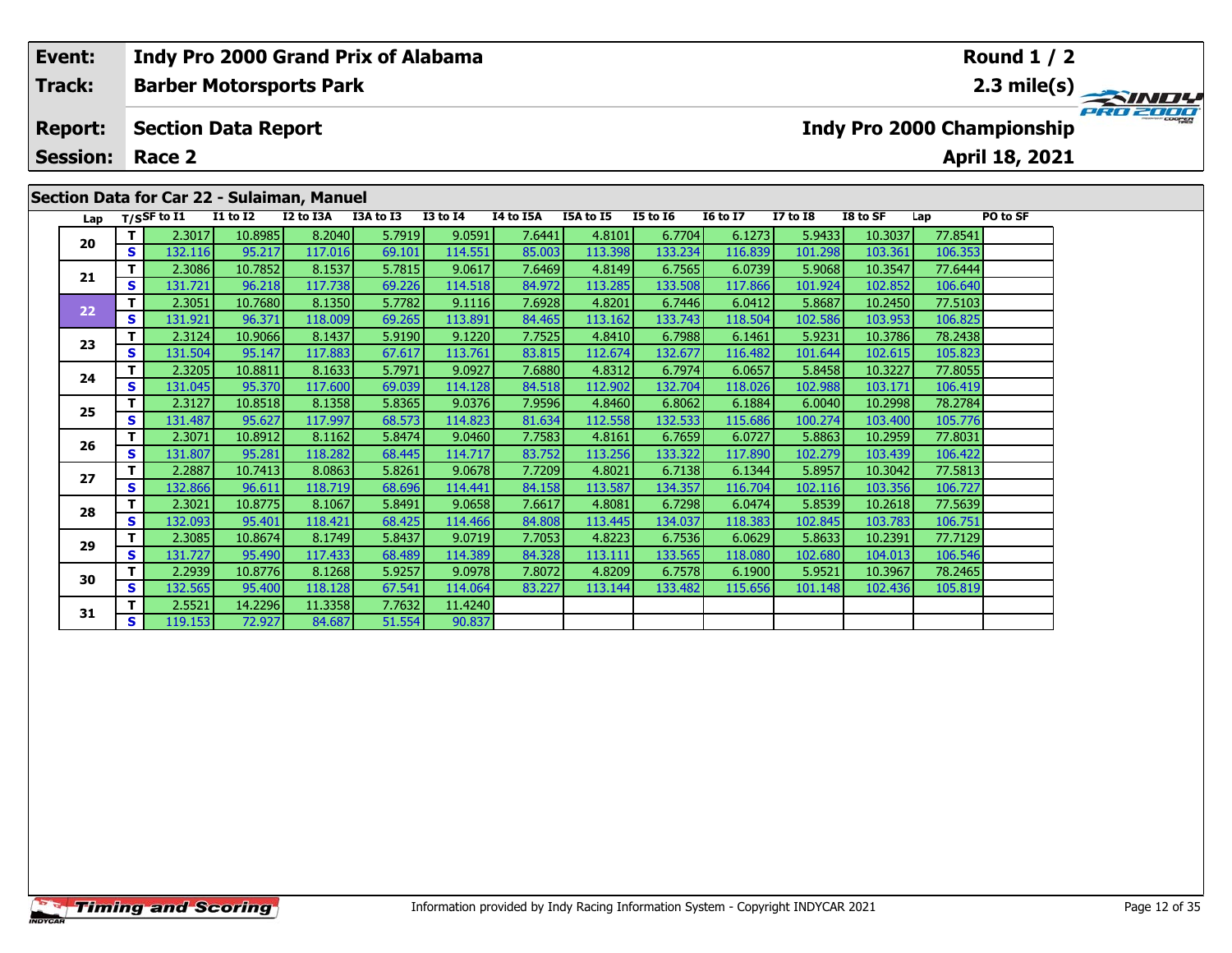| Event:          |            |                                |                            |                                            | Indy Pro 2000 Grand Prix of Alabama |                   |           |           |                 |                 |              |          |         | Round $1/2$                       |                                                 |
|-----------------|------------|--------------------------------|----------------------------|--------------------------------------------|-------------------------------------|-------------------|-----------|-----------|-----------------|-----------------|--------------|----------|---------|-----------------------------------|-------------------------------------------------|
| Track:          |            |                                |                            | <b>Barber Motorsports Park</b>             |                                     |                   |           |           |                 |                 |              |          |         |                                   | $\frac{2.3 \text{ mile(s)}}{4.7 \text{ rad/s}}$ |
| <b>Report:</b>  |            |                                | <b>Section Data Report</b> |                                            |                                     |                   |           |           |                 |                 |              |          |         | <b>Indy Pro 2000 Championship</b> |                                                 |
| <b>Session:</b> |            | Race 2                         |                            |                                            |                                     |                   |           |           |                 |                 |              |          |         | <b>April 18, 2021</b>             |                                                 |
|                 |            |                                |                            |                                            |                                     |                   |           |           |                 |                 |              |          |         |                                   |                                                 |
|                 |            |                                |                            | Section Data for Car 22 - Sulaiman, Manuel |                                     |                   |           |           |                 |                 |              |          |         |                                   |                                                 |
|                 |            | Lap $T/SSF$ to $\overline{11}$ | <b>I1 to I2</b>            | I2 to I3A                                  | I3A to I3                           | <b>I3 to I4</b>   | I4 to I5A | I5A to I5 | <b>I5 to I6</b> | <b>16 to 17</b> | $I7$ to $I8$ | I8 to SF | Lap     | PO to SF                          |                                                 |
| 20              |            | 2.3017                         | 10.8985                    | 8.2040                                     | 5.7919                              | 9.0591            | 7.6441    | 4.8101    | 6.7704          | 6.1273          | 5.9433       | 10.3037  | 77.8541 |                                   |                                                 |
|                 | S.         | 132.116                        | 95.217                     | 117.016                                    | 69.101                              | l 14.551 <b>l</b> | 85.003    | 113.398   | 133.234         | 116.839         | 101.298      | 103.361  | 106.353 |                                   |                                                 |
|                 |            | 2.3086                         | 10.7852                    | 8.1537                                     | 5.7815                              | 9.0617            | 7.6469    | 4.8149    | 6.7565          | 6.0739          | 5.9068       | 10.3547  | 77.6444 |                                   |                                                 |
| 21              | S.         | 131.721                        | 96.218                     | 117.738                                    | 69.226                              | 114.518           | 84.972    | 113.285   | 133.508         | 117.866         | 101.924      | 102.852  | 106.640 |                                   |                                                 |
|                 | <u>т І</u> | n poes L                       | $10 \text{ oz}$            | 0.1250                                     | r 7700 li                           | 0.111c            | z copol   | 10001     | $C$ 744 $c$     | $c$ 0412        | 0007         | 10.2450  | 77E102  |                                   |                                                 |

| ZU | s  | 132.116 | 95.217  | 117.016 | 69.101 | 114.551 | 85.003 | 113.398 | 133.234 | 116.839 | 101.298 | 103.361 | 106.353 |  |
|----|----|---------|---------|---------|--------|---------|--------|---------|---------|---------|---------|---------|---------|--|
|    |    | 2.3086  | 10.7852 | 8.1537  | 5.7815 | 9.0617  | 7.6469 | 4.8149  | 6.7565  | 6.0739  | 5.9068  | 10.3547 | 77.6444 |  |
| 21 | S  | 131.721 | 96.218  | 117.738 | 69.226 | 114.518 | 84.972 | 113.285 | 133.508 | 117.866 | 101.924 | 102.852 | 106.640 |  |
|    |    | 2.3051  | 10.7680 | 8.1350  | 5.7782 | 9.1116  | 7.6928 | 4.8201  | 6.7446  | 6.0412  | 5.8687  | 10.2450 | 77.5103 |  |
| 22 | S  | 131.921 | 96.371  | 118.009 | 69.265 | 113.891 | 84.465 | 113.162 | 133.743 | 118.504 | 102.586 | 103.953 | 106.825 |  |
|    |    | 2.3124  | 10.9066 | 8.1437  | 5.9190 | 9.1220  | 7.7525 | 4.8410  | 6.7988  | 6.1461  | 5.9231  | 10.3786 | 78.2438 |  |
| 23 | S  | 131.504 | 95.147  | 117.883 | 67.617 | 113.761 | 83.815 | 112.674 | 132.677 | 116.482 | 101.644 | 102.615 | 105.823 |  |
| 24 | т  | 2.3205  | 10.8811 | 8.1633  | 5.7971 | 9.0927  | 7.6880 | 4.8312  | 6.7974  | 6.0657  | 5.8458  | 10.3227 | 77.8055 |  |
|    | S  | 131.045 | 95.370  | 117.600 | 69.039 | 114.128 | 84.518 | 112.902 | 132.704 | 118.026 | 102.988 | 103.171 | 106.419 |  |
|    |    | 2.3127  | 10.8518 | 8.1358  | 5.8365 | 9.0376  | 7.9596 | 4.8460  | 6.8062  | 6.1884  | 6.0040  | 10.2998 | 78.2784 |  |
| 25 | S  | 131.487 | 95.627  | 117.997 | 68.573 | 114.823 | 81.634 | 112.558 | 132.533 | 115.686 | 100.274 | 103.400 | 105.776 |  |
|    |    | 2.3071  | 10.8912 | 8.1162  | 5.8474 | 9.0460  | 7.7583 | 4.8161  | 6.7659  | 6.0727  | 5.8863  | 10.2959 | 77.8031 |  |
| 26 | S  | 131.807 | 95.281  | 118.282 | 68.445 | 114.717 | 83.752 | 113.256 | 133.322 | 117.890 | 102.279 | 103.439 | 106.422 |  |
| 27 |    | 2.2887  | 10.7413 | 8.0863  | 5.8261 | 9.0678  | 7.7209 | 4.8021  | 6.7138  | 6.1344  | 5.8957  | 10.3042 | 77.5813 |  |
|    | S  | 132.866 | 96.611  | 118.719 | 68.696 | 114.441 | 84.158 | 113.587 | 134.357 | 116.704 | 102.116 | 103.356 | 106.727 |  |
|    |    | 2.3021  | 10.8775 | 8.1067  | 5.8491 | 9.0658  | 7.6617 | 4.8081  | 6.7298  | 6.0474  | 5.8539  | 10.2618 | 77.5639 |  |
| 28 | S  | 132.093 | 95.401  | 118.421 | 68.425 | 114.466 | 84.808 | 113.445 | 134.037 | 118.383 | 102.845 | 103.783 | 106.751 |  |
|    |    | 2.3085  | 10.8674 | 8.1749  | 5.8437 | 9.0719  | 7.7053 | 4.8223  | 6.7536  | 6.0629  | 5.8633  | 10.2391 | 77.7129 |  |
| 29 | S  | 131.727 | 95.490  | 117.433 | 68.489 | 114.389 | 84.328 | 113.111 | 133.565 | 118.080 | 102.680 | 104.013 | 106.546 |  |
|    | т  | 2.2939  | 10.8776 | 8.1268  | 5.9257 | 9.0978  | 7.8072 | 4.8209  | 6.7578  | 6.1900  | 5.9521  | 10.3967 | 78.2465 |  |
| 30 | S  | 132.565 | 95.400  | 118.128 | 67.541 | 114.064 | 83.227 | 113.144 | 133.482 | 115.656 | 101.148 | 102.436 | 105.819 |  |
|    |    | 2.5521  | 14.2296 | 11.3358 | 7.7632 | 11.4240 |        |         |         |         |         |         |         |  |
| 31 | S. | 119.153 | 72.927  | 84.687  | 51.554 | 90.837  |        |         |         |         |         |         |         |  |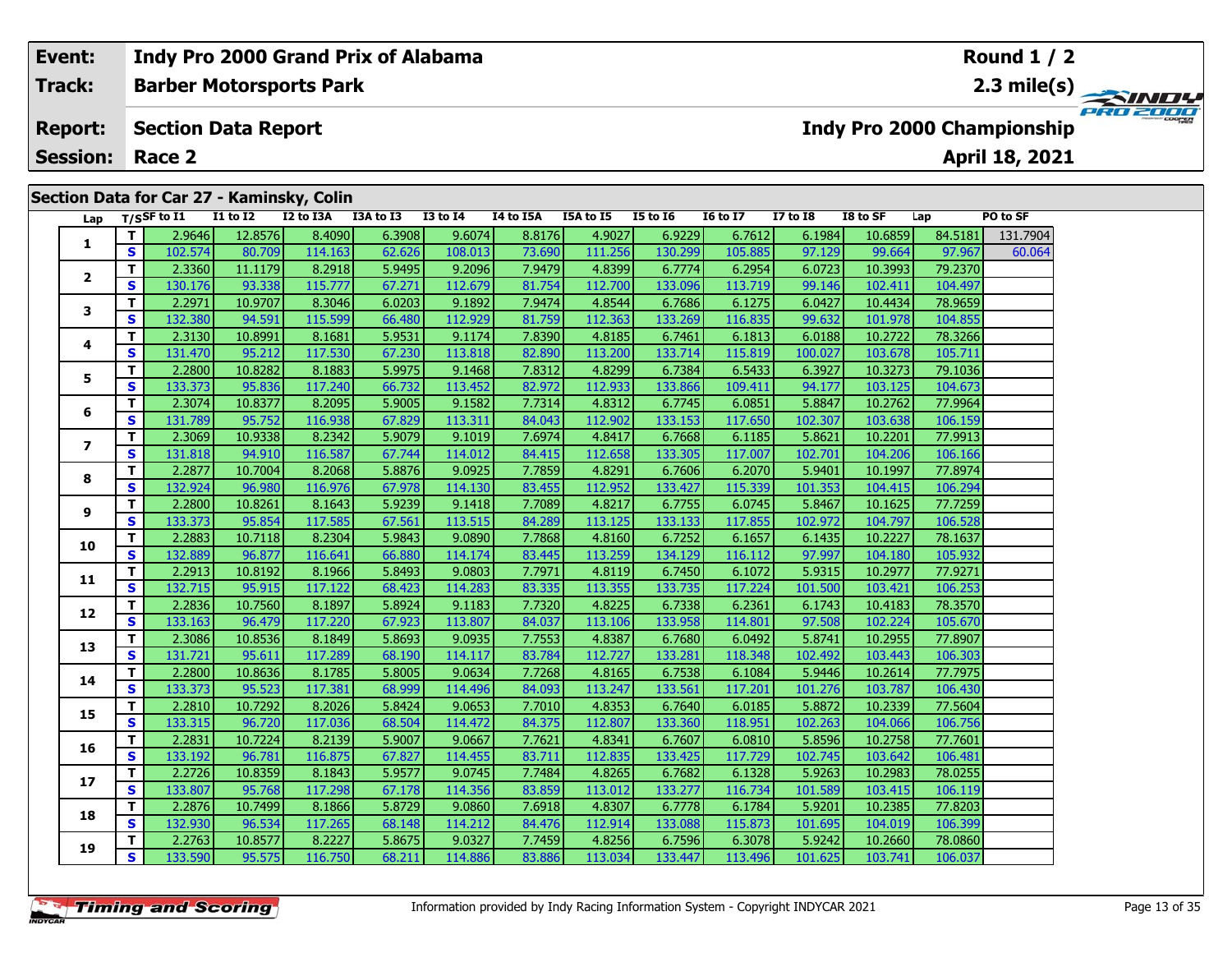# **Event: Indy Pro 2000 Grand Prix of Alabama Round 1 / 2Track:Barber Motorsports Park 2.3 mile(s)** PRO 2001 **Report: Section Data Report Indy Pro 2000 Championship April 18, 2021 Session: Race 2 Section Data for Car 27 - Kaminsky, Colin Lap T/SSF to I1 I1 to I2 I2 to I3A I3A to I3 I3 to I4 I4 to I5A I5A to I5 I5 to I6 I6 to I7 I7 to I8 I8 to SF Lap PO to SF <sup>T</sup>** 2.9646 12.8576 8.4090 6.3908 9.6074 8.8176 4.9027 6.9229 6.7612 6.1984 10.6859 84.5181 131.7904 **<sup>S</sup>** 102.574 80.709 114.163 62.626 108.013 73.690 111.256 130.299 105.885 97.129 99.664 97.967 60.064**1 <sup>T</sup>** 2.3360 11.1179 8.2918 5.9495 9.2096 7.9479 4.8399 6.7774 6.2954 6.0723 10.3993 79.2370 **<sup>S</sup>** 130.176 93.338 115.777 67.271 112.679 81.754 112.700 133.096 113.719 99.146 102.411 104.497**2**

| Lap            |                         | <sup>1733</sup> שנ | 11 W 14 | 14 W 19M | 13M W 13 | 13 W 17 | 17 W 19M | 13M W 13 | 13 W 19 | 10 W 17 | 17 W 10 | וכ שו טו | ⊾αμ     | rv w Ji  |
|----------------|-------------------------|--------------------|---------|----------|----------|---------|----------|----------|---------|---------|---------|----------|---------|----------|
|                | т                       | 2.9646             | 12.8576 | 8.4090   | 6.3908   | 9.6074  | 8.8176   | 4.9027   | 6.9229  | 6.7612  | 6.1984  | 10.6859  | 84.5181 | 131.7904 |
| 1              | S                       | 102.574            | 80.709  | 114.163  | 62.626   | 108.013 | 73.690   | 111.256  | 130.299 | 105.885 | 97.129  | 99.664   | 97.967  | 60.064   |
|                | T.                      | 2.3360             | 11.1179 | 8.2918   | 5.9495   | 9.2096  | 7.9479   | 4.8399   | 6.7774  | 6.2954  | 6.0723  | 10.3993  | 79.2370 |          |
| $\mathbf{2}$   | S                       | 130.176            | 93.338  | 115.777  | 67.271   | 112.679 | 81.754   | 112.700  | 133.096 | 113.719 | 99.146  | 102.411  | 104.497 |          |
| 3              | T.                      | 2.2971             | 10.9707 | 8.3046   | 6.0203   | 9.1892  | 7.9474   | 4.8544   | 6.7686  | 6.1275  | 6.0427  | 10.4434  | 78.9659 |          |
|                | S                       | 132.380            | 94.591  | 115.599  | 66.480   | 112.929 | 81.759   | 112.363  | 133.269 | 116.835 | 99.632  | 101.978  | 104.855 |          |
| 4              | T.                      | 2.3130             | 10.8991 | 8.1681   | 5.9531   | 9.1174  | 7.8390   | 4.8185   | 6.7461  | 6.1813  | 6.0188  | 10.2722  | 78.3266 |          |
|                | S                       | 131.470            | 95.212  | 117.530  | 67.230   | 113.818 | 82.890   | 113.200  | 133.714 | 115.819 | 100.027 | 103.678  | 105.711 |          |
| 5              | T.                      | 2.2800             | 10.8282 | 8.1883   | 5.9975   | 9.1468  | 7.8312   | 4.8299   | 6.7384  | 6.5433  | 6.3927  | 10.3273  | 79.1036 |          |
|                | S                       | 133.373            | 95.836  | 117.240  | 66.732   | 113.452 | 82.972   | 112.933  | 133.866 | 109.411 | 94.177  | 103.125  | 104.673 |          |
| 6              | T.                      | 2.3074             | 10.8377 | 8.2095   | 5.9005   | 9.1582  | 7.7314   | 4.8312   | 6.7745  | 6.0851  | 5.8847  | 10.2762  | 77.9964 |          |
|                | $\mathbf{s}$            | 131.789            | 95.752  | 116.938  | 67.829   | 113.311 | 84.043   | 112.902  | 133.153 | 117.650 | 102.307 | 103.638  | 106.159 |          |
| $\overline{ }$ | T.                      | 2.3069             | 10.9338 | 8.2342   | 5.9079   | 9.1019  | 7.6974   | 4.8417   | 6.7668  | 6.1185  | 5.8621  | 10.2201  | 77.9913 |          |
|                | S                       | 131.818            | 94.910  | 116.587  | 67.744   | 114.012 | 84.415   | 112.658  | 133.305 | 117.007 | 102.701 | 104.206  | 106.166 |          |
| 8              | T.                      | 2.2877             | 10.7004 | 8.2068   | 5.8876   | 9.0925  | 7.7859   | 4.8291   | 6.7606  | 6.2070  | 5.9401  | 10.1997  | 77.8974 |          |
|                | S                       | 132.924            | 96.980  | 116.976  | 67.978   | 114.130 | 83.455   | 112.952  | 133.427 | 115.339 | 101.353 | 104.415  | 106.294 |          |
| 9              | T                       | 2.2800             | 10.8261 | 8.1643   | 5.9239   | 9.1418  | 7.7089   | 4.8217   | 6.7755  | 6.0745  | 5.8467  | 10.1625  | 77.7259 |          |
|                | $\overline{\mathbf{s}}$ | 133.373            | 95.854  | 117.585  | 67.561   | 113.515 | 84.289   | 113.125  | 133.133 | 117.855 | 102.972 | 104.797  | 106.528 |          |
| 10             | T                       | 2.2883             | 10.7118 | 8.2304   | 5.9843   | 9.0890  | 7.7868   | 4.8160   | 6.7252  | 6.1657  | 6.1435  | 10.2227  | 78.1637 |          |
|                | $\mathbf{s}$            | 132.889            | 96.877  | 116.641  | 66.880   | 114.174 | 83.445   | 113.259  | 134.129 | 116.112 | 97.997  | 104.180  | 105.932 |          |
| 11             | T.                      | 2.2913             | 10.8192 | 8.1966   | 5.8493   | 9.0803  | 7.7971   | 4.8119   | 6.7450  | 6.1072  | 5.9315  | 10.2977  | 77.9271 |          |
|                | S                       | 132.715            | 95.915  | 117.122  | 68.423   | 114.283 | 83.335   | 113.355  | 133.735 | 117.224 | 101.500 | 103.421  | 106.253 |          |
| 12             | T.                      | 2.2836             | 10.7560 | 8.1897   | 5.8924   | 9.1183  | 7.7320   | 4.8225   | 6.7338  | 6.2361  | 6.1743  | 10.4183  | 78.3570 |          |
|                | S                       | 133.163            | 96.479  | 117.220  | 67.923   | 113.807 | 84.037   | 113.106  | 133.958 | 114.801 | 97.508  | 102.224  | 105.670 |          |
| 13             | T.                      | 2.3086             | 10.8536 | 8.1849   | 5.8693   | 9.0935  | 7.7553   | 4.8387   | 6.7680  | 6.0492  | 5.8741  | 10.2955  | 77.8907 |          |
|                | $\mathbf{s}$            | 131.721            | 95.611  | 117.289  | 68.190   | 114.117 | 83.784   | 112.727  | 133.281 | 118.348 | 102.492 | 103.443  | 106.303 |          |
| 14             | $\overline{\mathsf{r}}$ | 2.2800             | 10.8636 | 8.1785   | 5.8005   | 9.0634  | 7.7268   | 4.8165   | 6.7538  | 6.1084  | 5.9446  | 10.2614  | 77.7975 |          |
|                | $\mathbf{s}$            | 133.373            | 95.523  | 117.381  | 68.999   | 114.496 | 84.093   | 113.247  | 133.561 | 117.201 | 101.276 | 103.787  | 106.430 |          |
| 15             | T                       | 2.2810             | 10.7292 | 8.2026   | 5.8424   | 9.0653  | 7.7010   | 4.8353   | 6.7640  | 6.0185  | 5.8872  | 10.2339  | 77.5604 |          |
|                | S.                      | 133.315            | 96.720  | 117.036  | 68.504   | 114.472 | 84.375   | 112.807  | 133.360 | 118.951 | 102.263 | 104.066  | 106.756 |          |
| 16             | T.                      | 2.2831             | 10.7224 | 8.2139   | 5.9007   | 9.0667  | 7.7621   | 4.8341   | 6.7607  | 6.0810  | 5.8596  | 10.2758  | 77.7601 |          |
|                | S                       | 133.192            | 96.781  | 116.875  | 67.827   | 114.455 | 83.711   | 112.835  | 133.425 | 117.729 | 102.745 | 103.642  | 106.481 |          |
| 17             | T                       | 2.2726             | 10.8359 | 8.1843   | 5.9577   | 9.0745  | 7.7484   | 4.8265   | 6.7682  | 6.1328  | 5.9263  | 10.2983  | 78.0255 |          |
|                | S                       | 133.807            | 95.768  | 117.298  | 67.178   | 114.356 | 83.859   | 113.012  | 133.277 | 116.734 | 101.589 | 103.415  | 106.119 |          |
| 18             | T                       | 2.2876             | 10.7499 | 8.1866   | 5.8729   | 9.0860  | 7.6918   | 4.8307   | 6.7778  | 6.1784  | 5.9201  | 10.2385  | 77.8203 |          |
|                | S                       | 132.930            | 96.534  | 117.265  | 68.148   | 114.212 | 84.476   | 112.914  | 133.088 | 115.873 | 101.695 | 104.019  | 106.399 |          |
| 19             | T.                      | 2.2763             | 10.8577 | 8.2227   | 5.8675   | 9.0327  | 7.7459   | 4.8256   | 6.7596  | 6.3078  | 5.9242  | 10.2660  | 78.0860 |          |
|                | S.                      | 133.590            | 95.575  | 116.750  | 68.211   | 114.886 | 83.886   | 113.034  | 133.447 | 113.496 | 101.625 | 103.741  | 106.037 |          |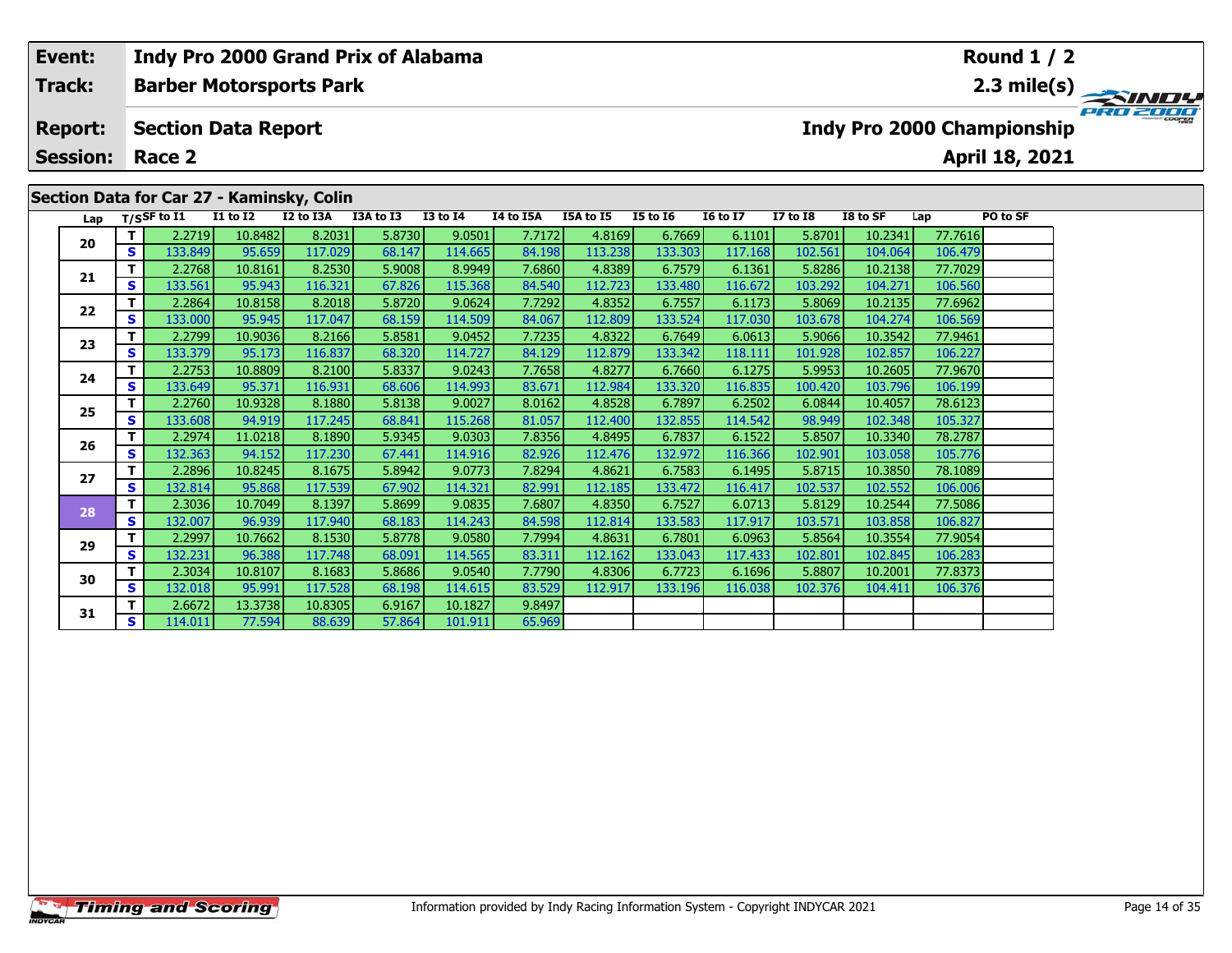| Event:          |          |                            |                 | Indy Pro 2000 Grand Prix of Alabama                    |           |                 |                  |           |                 |                 |              |          |         | Round $1/2$                       |          |
|-----------------|----------|----------------------------|-----------------|--------------------------------------------------------|-----------|-----------------|------------------|-----------|-----------------|-----------------|--------------|----------|---------|-----------------------------------|----------|
| <b>Track:</b>   |          |                            |                 | <b>Barber Motorsports Park</b>                         |           |                 |                  |           |                 |                 |              |          |         |                                   |          |
| <b>Report:</b>  |          | <b>Section Data Report</b> |                 |                                                        |           |                 |                  |           |                 |                 |              |          |         | <b>Indy Pro 2000 Championship</b> | PRO 2000 |
| <b>Session:</b> |          | Race 2                     |                 |                                                        |           |                 |                  |           |                 |                 |              |          |         | April 18, 2021                    |          |
| Lap             |          | T/SSF to I1                | <b>I1 to I2</b> | Section Data for Car 27 - Kaminsky, Colin<br>I2 to I3A | I3A to I3 | <b>I3 to I4</b> | <b>I4 to I5A</b> | I5A to I5 | <b>I5 to 16</b> | <b>16 to 17</b> | $I7$ to $I8$ | I8 to SF | Lap     | PO to SF                          |          |
| 20              |          | 2.2719                     | 10.8482         | 8.2031                                                 | 5.8730    | 9.0501          | 7.7172           | 4.8169    | 6.7669          | 6.1101          | 5.8701       | 10.2341  | 77.7616 |                                   |          |
|                 | <b>S</b> | 133.849                    | 95.659          | 117.029                                                | 68.147    | 114.665         | 84.198           | 113.238   | 133.303         | 117.168         | 102.561      | 104.064  | 106.479 |                                   |          |
| 21              |          | 2.2768                     | 10.8161         | 8.2530                                                 | 5.9008    | 8.9949          | 7.6860           | 4.8389    | 6.7579          | 6.1361          | 5.8286       | 10.2138  | 77.7029 |                                   |          |
|                 | <b>S</b> | 133.561                    | 95.943          | 116.321                                                | 67.826    | 115.368         | 84.540           | 112.723   | 133.480         | 116.672         | 103.292      | 104.271  | 106.560 |                                   |          |
| 22              |          | 2.2864                     | 10.8158         | 8.2018                                                 | 5.8720    | 9.0624          | 7.7292           | 4.8352    | 6.7557          | 6.1173          | 5.8069       | 10.2135  | 77.6962 |                                   |          |
|                 | <b>S</b> | 133.000                    | 95.945          | 117.047                                                | 68.159    | 114.509         | 84.067           | 112.809   | 133.524         | 117.030         | 103.678      | 104.274  | 106.569 |                                   |          |

**<sup>T</sup>** 2.2799 10.9036 8.2166 5.8581 9.0452 7.7235 4.8322 6.7649 6.0613 5.9066 10.3542 77.9461 **<sup>S</sup>** 133.379 95.173 116.837 68.320 114.727 84.129 112.879 133.342 118.111 101.928 102.857 106.227

**<sup>T</sup>** 2.2753 10.8809 8.2100 5.8337 9.0243 7.7658 4.8277 6.7660 6.1275 5.9953 10.2605 77.9670 **<sup>S</sup>** 133.649 95.371 116.931 68.606 114.993 83.671 112.984 133.320 116.835 100.420 103.796 106.199

**<sup>T</sup>** 2.2760 10.9328 8.1880 5.8138 9.0027 8.0162 4.8528 6.7897 6.2502 6.0844 10.4057 78.6123 **<sup>S</sup>** 133.608 94.919 117.245 68.841 115.268 81.057 112.400 132.855 114.542 98.949 102.348 105.327

**<sup>T</sup>** 2.2974 11.0218 8.1890 5.9345 9.0303 7.8356 4.8495 6.7837 6.1522 5.8507 10.3340 78.2787 **<sup>S</sup>** 132.363 94.152 117.230 67.441 114.916 82.926 112.476 132.972 116.366 102.901 103.058 105.776

**<sup>T</sup>** 2.2896 10.8245 8.1675 5.8942 9.0773 7.8294 4.8621 6.7583 6.1495 5.8715 10.3850 78.1089 **<sup>S</sup>** 132.814 95.868 117.539 67.902 114.321 82.991 112.185 133.472 116.417 102.537 102.552 106.006

**<sup>T</sup>** 2.3036 10.7049 8.1397 5.8699 9.0835 7.6807 4.8350 6.7527 6.0713 5.8129 10.2544 77.5086 **<sup>S</sup>** 132.007 96.939 117.940 68.183 114.243 84.598 112.814 133.583 117.917 103.571 103.858 106.827

**<sup>T</sup>** 2.2997 10.7662 8.1530 5.8778 9.0580 7.7994 4.8631 6.7801 6.0963 5.8564 10.3554 77.9054 **<sup>S</sup>** 132.231 96.388 117.748 68.091 114.565 83.311 112.162 133.043 117.433 102.801 102.845 106.283

**<sup>T</sup>** 2.3034 10.8107 8.1683 5.8686 9.0540 7.7790 4.8306 6.7723 6.1696 5.8807 10.2001 77.8373 **<sup>S</sup>** 132.018 95.991 117.528 68.198 114.615 83.529 112.917 133.196 116.038 102.376 104.411 106.376

65.969

**<sup>T</sup>** 2.6672 13.3738 10.8305 6.9167 10.1827 9.8497 **<sup>S</sup>** 114.011 77.594 88.639 57.864 101.911 65.969

**23**

**24**

**25**

**26**

**27**

**28**

**29**

**30**

**31**

106.227

105.776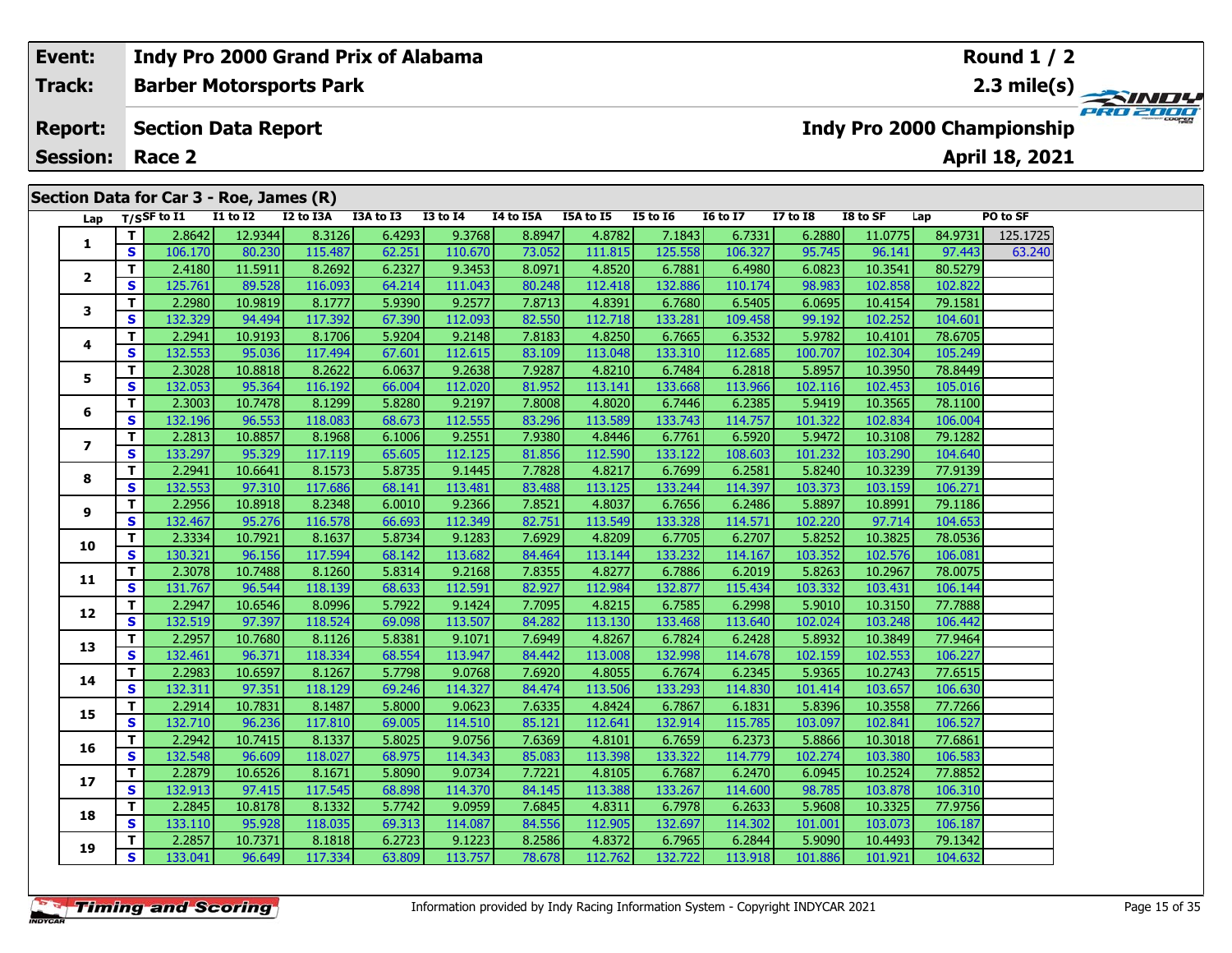#### **Event: Indy Pro 2000 Grand Prix of Alabama Round 1 / 2Track:Barber Motorsports Park 2.3 mile(s)** PRO 2000 **Report: Section Data Report Indy Pro 2000 Championship April 18, 2021 Session: Race 2Section Data for Car 3 - Roe, James (R) Lap T/SSF to I1 I1 to I2 I2 to I3A I3A to I3 I3 to I4 I4 to I5A I5A to I5 I5 to I6 I6 to I7 I7 to I8 I8 to SF Lap PO to SF <sup>T</sup>** 2.8642 12.9344 8.3126 6.4293 9.3768 8.8947 4.8782 7.1843 6.7331 6.2880 11.0775 84.9731 125.1725 **<sup>S</sup>** 106.170 80.230 115.487 62.251 110.670 73.052 111.815 125.558 106.327 95.745 96.141 97.443 63.240**1 <sup>T</sup>** 2.4180 11.5911 8.2692 6.2327 9.3453 8.0971 4.8520 6.7881 6.4980 6.0823 10.3541 80.5279 **<sup>S</sup>** 125.761 89.528 116.093 64.214 111.043 80.248 112.418 132.886 110.174 98.983 102.858 102.822**2 <sup>T</sup>** 2.2980 10.9819 8.1777 5.9390 9.2577 7.8713 4.8391 6.7680 6.5405 6.0695 10.4154 79.1581 **<sup>S</sup>** 132.329 94.494 117.392 67.390 112.093 82.550 112.718 133.281 109.458 99.192 102.252 104.601**3**

**<sup>T</sup>** 2.2941 10.9193 8.1706 5.9204 9.2148 7.8183 4.8250 6.7665 6.3532 5.9782 10.4101 78.6705 **<sup>S</sup>** 132.553 95.036 117.494 67.601 112.615 83.109 113.048 133.310 112.685 100.707 102.304 105.249

**<sup>T</sup>** 2.3028 10.8818 8.2622 6.0637 9.2638 7.9287 4.8210 6.7484 6.2818 5.8957 10.3950 78.8449 **<sup>S</sup>** 132.053 95.364 116.192 66.004 112.020 81.952 113.141 133.668 113.966 102.116 102.453 105.016

**<sup>T</sup>** 2.3003 10.7478 8.1299 5.8280 9.2197 7.8008 4.8020 6.7446 6.2385 5.9419 10.3565 78.1100 **<sup>S</sup>** 132.196 96.553 118.083 68.673 112.555 83.296 113.589 133.743 114.757 101.322 102.834 106.004

**<sup>T</sup>** 2.2813 10.8857 8.1968 6.1006 9.2551 7.9380 4.8446 6.7761 6.5920 5.9472 10.3108 79.1282 **<sup>S</sup>** 133.297 95.329 117.119 65.605 112.125 81.856 112.590 133.122 108.603 101.232 103.290 104.640

**<sup>T</sup>** 2.2941 10.6641 8.1573 5.8735 9.1445 7.7828 4.8217 6.7699 6.2581 5.8240 10.3239 77.9139 **<sup>S</sup>** 132.553 97.310 117.686 68.141 113.481 83.488 113.125 133.244 114.397 103.373 103.159 106.271

**<sup>T</sup>** 2.2956 10.8918 8.2348 6.0010 9.2366 7.8521 4.8037 6.7656 6.2486 5.8897 10.8991 79.1186 **<sup>S</sup>** 132.467 95.276 116.578 66.693 112.349 82.751 113.549 133.328 114.571 102.220 97.714 104.653

**<sup>T</sup>** 2.3334 10.7921 8.1637 5.8734 9.1283 7.6929 4.8209 6.7705 6.2707 5.8252 10.3825 78.0536 **<sup>S</sup>** 130.321 96.156 117.594 68.142 113.682 84.464 113.144 133.232 114.167 103.352 102.576 106.081

**<sup>T</sup>** 2.3078 10.7488 8.1260 5.8314 9.2168 7.8355 4.8277 6.7886 6.2019 5.8263 10.2967 78.0075 **<sup>S</sup>** 131.767 96.544 118.139 68.633 112.591 82.927 112.984 132.877 115.434 103.332 103.431 106.144

**<sup>T</sup>** 2.2947 10.6546 8.0996 5.7922 9.1424 7.7095 4.8215 6.7585 6.2998 5.9010 10.3150 77.7888 **<sup>S</sup>** 132.519 97.397 118.524 69.098 113.507 84.282 113.130 133.468 113.640 102.024 103.248 106.442

**<sup>T</sup>** 2.2957 10.7680 8.1126 5.8381 9.1071 7.6949 4.8267 6.7824 6.2428 5.8932 10.3849 77.9464 **<sup>S</sup>** 132.461 96.371 118.334 68.554 113.947 84.442 113.008 132.998 114.678 102.159 102.553 106.227

| 4 |          | 2.29831 | 10.6597 | 8.12671 | 5.77981 | 9.07681 | 7.69201 | 4.80551 | 6.76741  | 6.23451 | 5.93651 | 10.27431 | 77.6515 |
|---|----------|---------|---------|---------|---------|---------|---------|---------|----------|---------|---------|----------|---------|
|   | S        | 132.311 | 97.351  | 118.129 | 69.246  | 114.327 | 84.474  | 113.506 | 133.293  | 114.830 | 101.414 | 103.657  | 106.630 |
| 5 |          | 2.2914  | 10.7831 | 8.1487  | 5.8000  | 9.0623  | 7.6335  | 4.8424  | 6.7867   | 6.1831  | 5.8396  | 10.3558  | 77.7266 |
|   | S        | 132.710 | 96.236  | 117.810 | 69.005  | 114.510 | 85.121  | 112.641 | 132.914  | 115.785 | 103.097 | 102.841  | 106.527 |
| 6 |          | 2.2942  | 10.7415 | 8.1337  | 5.8025  | 9.0756  | 7.6369  | 4.8101  | 6.7659   | 6.2373  | 5.8866  | 10.3018  | 77.6861 |
|   | S        | 132.548 | 96.609  | 118.027 | 68.975  | 114.343 | 85.083  | 113.398 | 133.322  | 114.779 | 102.274 | 103.380  | 106.583 |
|   |          | 2.2879  | 10.6526 | 8.1671  | 5.8090  | 9.0734  | 7.7221  | 4.8105  | 6.7687   | 6.2470  | 6.0945  | 10.2524  | 77.8852 |
|   | <b>S</b> | 132.913 | 97.415  | 117.545 | 68.898  | 114.370 | 84.145  | 113.388 | 133.267  | 114.600 | 98.785  | 103.878  | 106.310 |
| 8 |          | 2.2845  | 10.8178 | 8.1332  | 5.7742  | 9.0959  | 7.6845  | 4.8311  | 6.7978   | 6.2633  | 5.9608  | 10.3325  | 77.9756 |
|   | S        | 133.110 | 95.928  | 118.035 | 69.313  | 114.087 | 84.556  | 112.905 | 132.697  | 114.302 | 101.001 | 103.073  | 106.187 |
| 9 | ÷        | 2.2857  | 10.7371 | 8.1818  | 6.2723  | 9.1223  | 8.2586  | 4.8372  | 6.7965   | 6.2844  | 5.9090  | 10.4493  | 79.1342 |
|   | <b>S</b> | 133.041 | 96.649  | 117.334 | 63.809  | 113.757 | 78.678  | 112.762 | 132.7221 | 113.918 | 101.886 | 101.921  | 104.632 |
|   |          |         |         |         |         |         |         |         |          |         |         |          |         |
|   |          |         |         |         |         |         |         |         |          |         |         |          |         |

**4**

**5**

**6**

**7**

**8**

**9**

**10**

**11**

**12**

**13**

**14**

**15**

**16**

**17**

**18**

**19**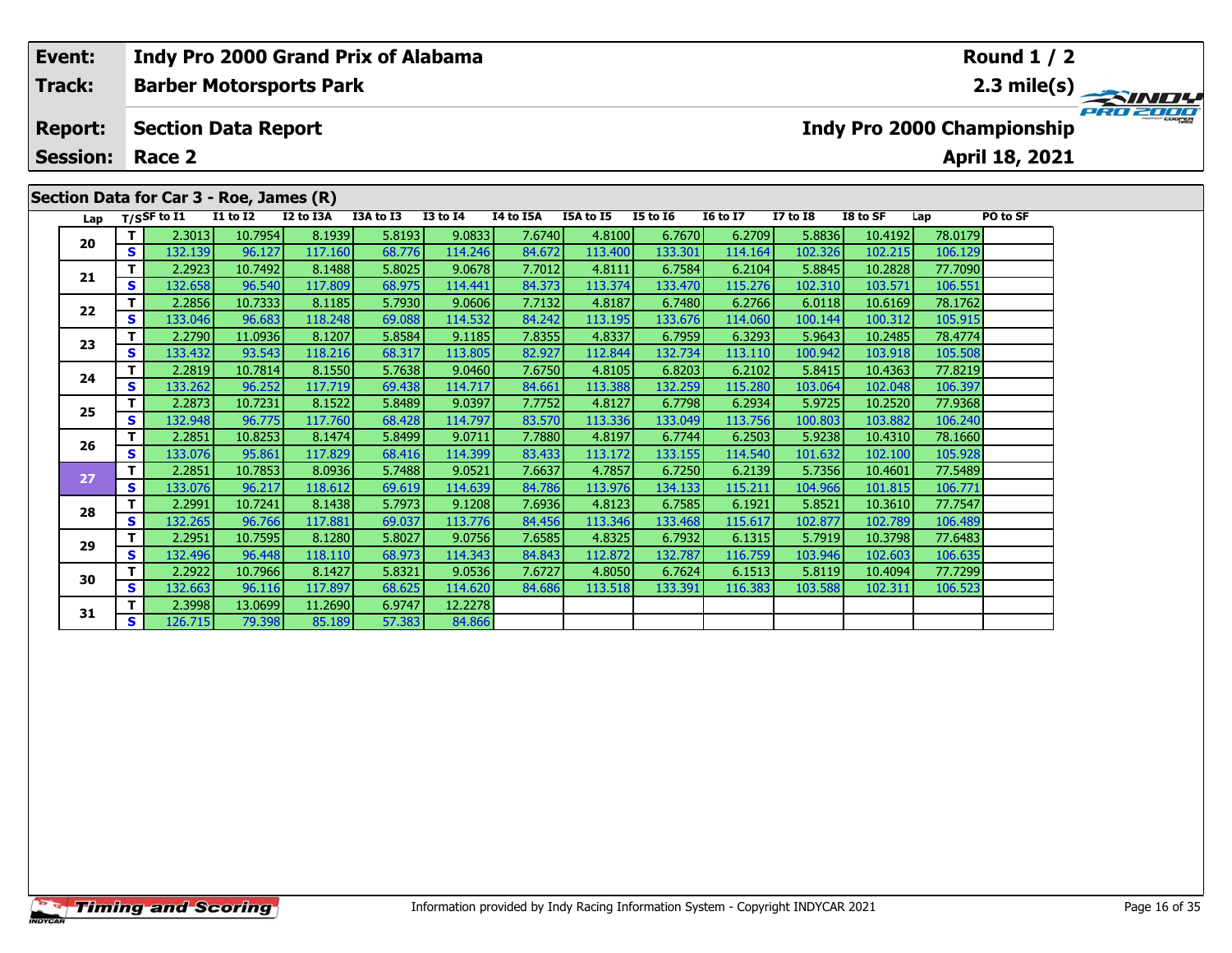| Event:          |          |                                         |                          | Indy Pro 2000 Grand Prix of Alabama |             |                 |              |                  |                 |                 |                 |                       |                          | Round $1/2$                       |             |
|-----------------|----------|-----------------------------------------|--------------------------|-------------------------------------|-------------|-----------------|--------------|------------------|-----------------|-----------------|-----------------|-----------------------|--------------------------|-----------------------------------|-------------|
| Track:          |          |                                         |                          | <b>Barber Motorsports Park</b>      |             |                 |              |                  |                 |                 |                 |                       |                          |                                   | 2.3 mile(s) |
| <b>Report:</b>  |          | <b>Section Data Report</b>              |                          |                                     |             |                 |              |                  |                 |                 |                 |                       |                          | <b>Indy Pro 2000 Championship</b> |             |
| <b>Session:</b> |          | Race 2                                  |                          |                                     |             |                 |              |                  |                 |                 |                 |                       |                          | April 18, 2021                    |             |
|                 |          | Section Data for Car 3 - Roe, James (R) |                          |                                     |             |                 |              |                  |                 |                 |                 |                       |                          |                                   |             |
| Lap             |          | T/SSF to I1                             | <b>I1 to I2</b>          | I2 to I3A                           | I3A to I3   | <b>I3 to I4</b> | I4 to I5A    | <b>I5A to I5</b> | <b>I5 to 16</b> | <b>16 to 17</b> | <b>I7 to I8</b> | I8 to SF              | Lap                      | PO to SF                          |             |
| 20              |          | 2.3013                                  | 10.7954                  | 8.1939                              | 5.8193      | 9.0833          | 7.6740       | 4.8100           | 6.7670          | 6.2709          | 5.8836          | 10.4192               | 78.0179                  |                                   |             |
|                 | <b>S</b> | 132.139                                 | 96.127                   | 117.160                             | 68.776      | 114.246         | 84.672       | 113.400          | 133.301         | 114.164         | 102.326         | 102.215               | 106.129                  |                                   |             |
|                 |          | 2.2923                                  | 10.7492                  | 8.1488                              | 5.8025      | 9.0678          | 7.7012       | 4.8111           | 6.7584          | 6.2104          | 5.8845          | 10.2828               | 77.7090                  |                                   |             |
| 21              | <b>S</b> | 132.658                                 | 96.540                   | 117.809                             | 68.975      | 114.441         | 84.373       | 113.374          | 133.470         | 115.276         | 102.310         | 103.571               | 106.551                  |                                   |             |
|                 |          | 2.2856                                  | 10.7333                  | 8.1185                              | 5.7930      | 9.0606          | 7.7132       | 4.8187           | 6.7480          | 6.2766          | 6.0118          | 10.6169               | 78.1762                  |                                   |             |
| 22              | S.       | 133.046                                 | 96.683                   | 118.248                             | 69.088      | 114.532         | 84.242       | 113.195          | 133.676         | 114.060         | 100.144         | 100.312               | 105.915                  |                                   |             |
|                 | -        | 2222                                    | $\overline{11}$ conclude | 0.1001                              | $F = 0.504$ | 0.1100          | $\sim$ ones. | $1000 - 1$       | 27.55           | connat          | r ocasti        | $\sqrt{2}$ $\sqrt{2}$ | $\overline{\phantom{a}}$ |                                   |             |

|    |              | Lap T/SSF to I1   | <b>I1 to I2</b>   | I2 to I3A         | I3A to I3        | $I3$ to $I4$      | I4 to I5A        | I5A to I5         | <b>I5 to 16</b>   | <b>I6 to I7</b> | <b>I7 to I8</b>   | I8 to SF           | Lap                | PO to SF |
|----|--------------|-------------------|-------------------|-------------------|------------------|-------------------|------------------|-------------------|-------------------|-----------------|-------------------|--------------------|--------------------|----------|
| 20 | T.           | 2.3013            | 10.7954           | 8.1939            | 5.8193           | 9.0833            | 7.6740           | 4.8100            | 6.7670            | 6.2709          | 5.8836            | 10.4192            | 78.0179            |          |
|    | S            | 132.139           | 96.127            | 117.160           | 68.776           | 114.246           | 84.672           | 113.400           | 133.301           | 114.164         | 102.326           | 102.215            | 106.129            |          |
| 21 | Т            | 2.2923            | 10.7492           | 8.1488            | 5.8025           | 9.0678            | 7.7012           | 4.8111            | 6.7584            | 6.2104          | 5.8845            | 10.2828            | 77.7090            |          |
|    | S            | 132.658           | 96.540            | 117.809           | 68.975           | 114.441           | 84.373           | 113.374           | 133.470           | 115.276         | 102.310           | 103.571            | 106.551            |          |
| 22 | T            | 2.2856            | 10.7333           | 8.1185            | 5.7930           | 9.0606            | 7.7132           | 4.8187            | 6.7480            | 6.2766          | 6.0118            | 10.6169            | 78.1762            |          |
|    | S            | 133.046           | 96.683            | 118.248           | 69.088           | 114.532           | 84.242           | 113.195           | 133.676           | 114.060         | 100.144           | 100.312            | 105.915            |          |
| 23 | т            | 2.2790            | 11.0936           | 8.1207            | 5.8584           | 9.1185            | 7.8355           | 4.8337            | 6.7959            | 6.3293          | 5.9643            | 10.2485            | 78.4774            |          |
|    | S            | 133.432           | 93.543            | 118.216           | 68.317           | 113.805           | 82.927           | 112.844           | 132.734           | 113.110         | 100.942           | 103.918            | 105.508            |          |
| 24 | т            | 2.2819            | 10.7814           | 8.1550            | 5.7638           | 9.0460            | 7.6750           | 4.8105            | 6.8203            | 6.2102          | 5.8415            | 10.4363            | 77.8219            |          |
|    | S            | 133.262           | 96.252            | 117.719           | 69.438           | 114.717           | 84.661           | 113.388           | 132.259           | 115.280         | 103.064           | 102.048            | 106.397            |          |
| 25 | T            | 2.2873            | 10.7231           | 8.1522            | 5.8489           | 9.0397            | 7.7752           | 4.8127            | 6.7798            | 6.2934          | 5.9725            | 10.2520            | 77.9368            |          |
|    | S            | 132.948           | 96.775            | 117.760           | 68.428           | 114.797           | 83.570           | 113.336           | 133.049           | 113.756         | 100.803           | 103.882            | 106.240            |          |
| 26 | T            | 2.2851            | 10.8253           | 8.1474            | 5.8499           | 9.0711            | 7.7880           | 4.8197            | 6.7744            | 6.2503          | 5.9238            | 10.4310            | 78.1660            |          |
|    | $\mathbf{s}$ | 133.076           | 95.861            | 117.829           | 68.416           | 114.399           | 83.433           | 113.172           | 133.155           | 114.540         | 101.632           | 102.100            | 105.928            |          |
| 27 | T.           | 2.2851            | 10.7853           | 8.0936            | 5.7488           | 9.0521            | 7.6637           | 4.7857            | 6.7250            | 6.2139          | 5.7356            | 10.4601            | 77.5489            |          |
|    | S            | 133.076           | 96.217            | 118.612           | 69.619           | 114.639           | 84.786           | 113.976           | 134.133           | 115.211         | 104.966           | 101.815            | 106.771            |          |
| 28 | T.           | 2.2991            | 10.7241           | 8.1438            | 5.7973           | 9.1208            | 7.6936           | 4.8123            | 6.7585            | 6.1921          | 5.8521            | 10.3610            | 77.7547            |          |
|    | S            | 132.265           | 96.766            | 117.881           | 69.037           | 113.776           | 84.456           | 113.346           | 133.468           | 115.617         | 102.877           | 102.789            | 106.489            |          |
| 29 | $\mathbf{T}$ | 2.2951            | 10.7595           | 8.1280            | 5.8027           | 9.0756            | 7.6585           | 4.8325            | 6.7932            | 6.1315          | 5.7919            | 10.3798            | 77.6483            |          |
|    | S            | 132.496           | 96.448            | 118.110           | 68.973           | 114.343           | 84.843           | 112.872           | 132.787           | 116.759         | 103.946           | 102.603            | 106.635            |          |
| 30 | T.<br>S      | 2.2922<br>132.663 | 10.7966<br>96.116 | 8.1427<br>117.897 | 5.8321<br>68.625 | 9.0536<br>114.620 | 7.6727<br>84.686 | 4.8050<br>113.518 | 6.7624<br>133.391 | 6.1513          | 5.8119<br>103.588 | 10.4094<br>102.311 | 77.7299<br>106.523 |          |
|    | T.           | 2.3998            | 13.0699           | 11.2690           | 6.9747           | 12.2278           |                  |                   |                   | 116.383         |                   |                    |                    |          |
| 31 | S            |                   |                   |                   |                  |                   |                  |                   |                   |                 |                   |                    |                    |          |
|    |              | 126.715           | 79.398            | 85.189            | 57.383           | 84.866            |                  |                   |                   |                 |                   |                    |                    |          |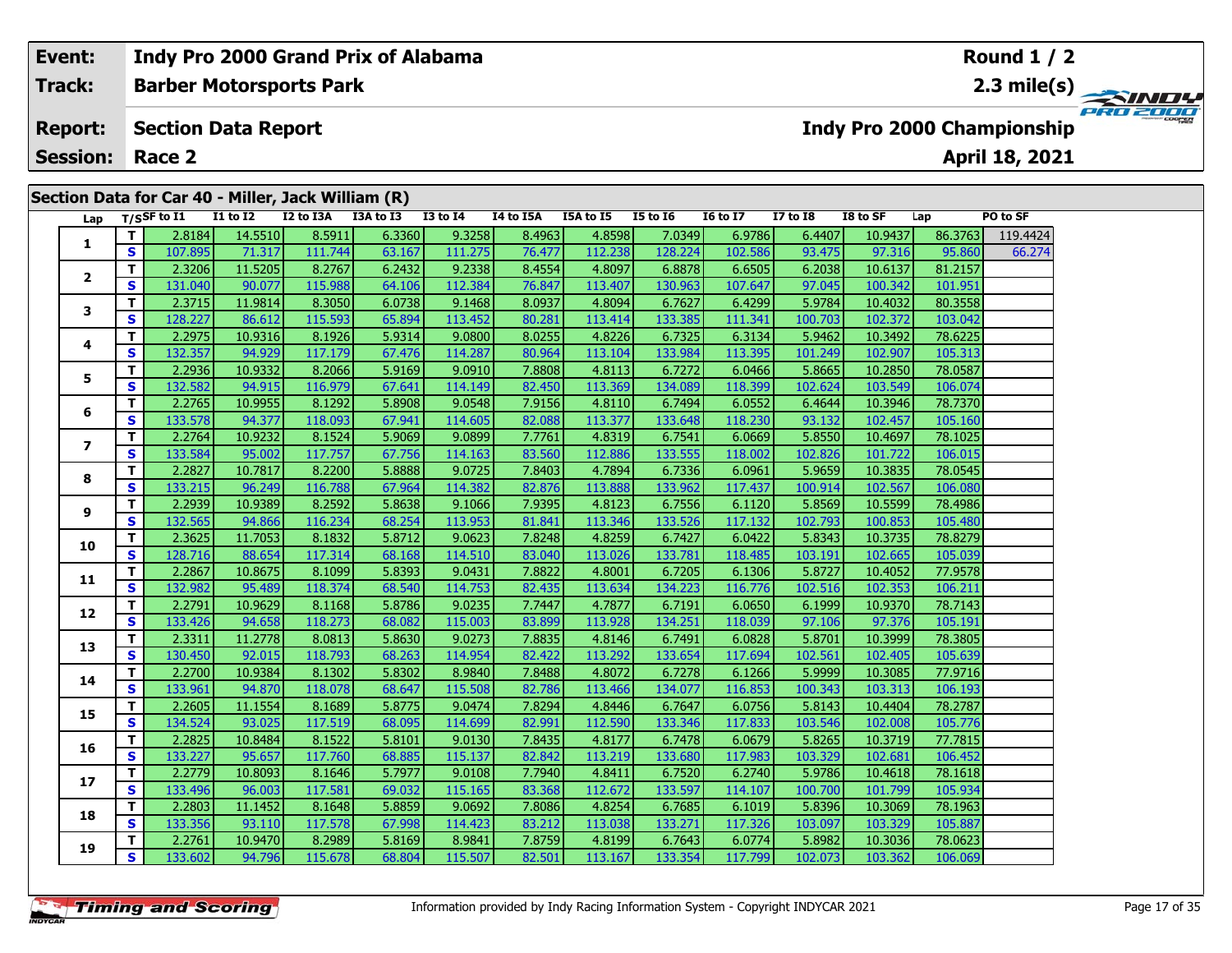| Event:          |              |                          |                            | Indy Pro 2000 Grand Prix of Alabama                |           |              |           |           |                 |                 |                  |            |                                                                                                                                                                                                                                                                                                                                                                                                                                                                                 | <b>Round 1 / 2</b>                |           |
|-----------------|--------------|--------------------------|----------------------------|----------------------------------------------------|-----------|--------------|-----------|-----------|-----------------|-----------------|------------------|------------|---------------------------------------------------------------------------------------------------------------------------------------------------------------------------------------------------------------------------------------------------------------------------------------------------------------------------------------------------------------------------------------------------------------------------------------------------------------------------------|-----------------------------------|-----------|
| Track:          |              |                          |                            | <b>Barber Motorsports Park</b>                     |           |              |           |           |                 |                 |                  |            |                                                                                                                                                                                                                                                                                                                                                                                                                                                                                 |                                   |           |
| <b>Report:</b>  |              |                          | <b>Section Data Report</b> |                                                    |           |              |           |           |                 |                 |                  |            |                                                                                                                                                                                                                                                                                                                                                                                                                                                                                 | <b>Indy Pro 2000 Championship</b> | PRO 200er |
| <b>Session:</b> |              | Race 2                   |                            |                                                    |           |              |           |           |                 |                 |                  |            |                                                                                                                                                                                                                                                                                                                                                                                                                                                                                 | April 18, 2021                    |           |
|                 |              |                          |                            | Section Data for Car 40 - Miller, Jack William (R) |           |              |           |           |                 |                 |                  |            |                                                                                                                                                                                                                                                                                                                                                                                                                                                                                 |                                   |           |
| Lap             |              | T/SSF to $\overline{11}$ | <b>I1 to I2</b>            | I2 to I3A                                          | I3A to I3 | $I3$ to $I4$ | I4 to I5A | I5A to I5 | <b>I5 to 16</b> | <b>16 to 17</b> | <b>I7 to I8</b>  | I8 to SF   | Lap                                                                                                                                                                                                                                                                                                                                                                                                                                                                             | PO to SF                          |           |
|                 |              | 2.8184                   | 14.5510                    | 8.5911                                             | 6.3360    | 9.3258       | 8.4963    | 4.8598    | 7.0349          | 6.9786          | 6.4407           | 10.9437    | 86.3763                                                                                                                                                                                                                                                                                                                                                                                                                                                                         | 119.4424                          |           |
| ÷.              | <b>S</b>     | 107.895                  | 71.317                     | 111.744                                            | 63.167    | 111.275      | 76.477    | 112.238   | 128.224         | 102.586         | 93.475           | 97.316     | 95.860                                                                                                                                                                                                                                                                                                                                                                                                                                                                          | 66.274                            |           |
| $\overline{2}$  |              | 2.3206                   | 11.5205                    | 8.2767                                             | 6.2432    | 9.2338       | 8.4554    | 4.8097    | 6.8878          | 6.6505          | 6.2038           | 10.6137    | 81.2157                                                                                                                                                                                                                                                                                                                                                                                                                                                                         |                                   |           |
|                 | $\mathbf{s}$ | 131.040                  | 90.077                     | 115.988                                            | 64.106    | 112.384      | 76.847    | 113.407   | 130.963         | 107.647         | 97.045           | 100.342    | 101.951                                                                                                                                                                                                                                                                                                                                                                                                                                                                         |                                   |           |
| 3               | т.           | 2.3715                   | 11.9814                    | 8.3050                                             | 6.0738    | 9.1468       | 8.0937    | 4.8094    | 6.7627          | 6.4299          | 5.9784           | 10.4032    | 80.3558                                                                                                                                                                                                                                                                                                                                                                                                                                                                         |                                   |           |
|                 | <b>S</b>     | 128.227                  | 86.612                     | 115.593                                            | 65.894    | 113.452      | 80.281    | 113.414   | 133.385         | 111.341         | 100.703          | 102.372    | 103.042                                                                                                                                                                                                                                                                                                                                                                                                                                                                         |                                   |           |
|                 | - 1          | 2222                     | $\sqrt{2}$                 | 0.1000                                             | r ona al  | 0.0001       | 0.0255    | 10000     | c poort         | 2.222           | $F \sim 10^{-1}$ | $\sqrt{2}$ | $\overline{\phantom{a}}$ $\overline{\phantom{a}}$ $\overline{\phantom{a}}$ $\overline{\phantom{a}}$ $\overline{\phantom{a}}$ $\overline{\phantom{a}}$ $\overline{\phantom{a}}$ $\overline{\phantom{a}}$ $\overline{\phantom{a}}$ $\overline{\phantom{a}}$ $\overline{\phantom{a}}$ $\overline{\phantom{a}}$ $\overline{\phantom{a}}$ $\overline{\phantom{a}}$ $\overline{\phantom{a}}$ $\overline{\phantom{a}}$ $\overline{\phantom{a}}$ $\overline{\phantom{a}}$ $\overline{\$ |                                   |           |

| Lap          |              | T/SSF to $I1$ | <b>I1 to I2</b> | I2 to I3A | I3A to I3 | I3 to I4 | I4 to I5A | I5A to I5 | I5 to I6 | <b>I6 to I7</b> | <b>I7 to I8</b> | I8 to SF | Lap     | PO to SF |
|--------------|--------------|---------------|-----------------|-----------|-----------|----------|-----------|-----------|----------|-----------------|-----------------|----------|---------|----------|
| 1            | T.           | 2.8184        | 14.5510         | 8.5911    | 6.3360    | 9.3258   | 8.4963    | 4.8598    | 7.0349   | 6.9786          | 6.4407          | 10.9437  | 86.3763 | 119.4424 |
|              | S            | 107.895       | 71.317          | 111.744   | 63.167    | 111.275  | 76.477    | 112.238   | 128.224  | 102.586         | 93.475          | 97.316   | 95.860  | 66.274   |
| $\mathbf{2}$ | T.           | 2.3206        | 11.5205         | 8.2767    | 6.2432    | 9.2338   | 8.4554    | 4.8097    | 6.8878   | 6.6505          | 6.2038          | 10.6137  | 81.2157 |          |
|              | S            | 131.040       | 90.077          | 115.988   | 64.106    | 112.384  | 76.847    | 113.407   | 130.963  | 107.647         | 97.045          | 100.342  | 101.951 |          |
| 3            | T.           | 2.3715        | 11.9814         | 8.3050    | 6.0738    | 9.1468   | 8.0937    | 4.8094    | 6.7627   | 6.4299          | 5.9784          | 10.4032  | 80.3558 |          |
|              | S            | 128.227       | 86.612          | 115.593   | 65.894    | 113.452  | 80.281    | 113.414   | 133.385  | 111.341         | 100.703         | 102.372  | 103.042 |          |
| 4            | T.           | 2.2975        | 10.9316         | 8.1926    | 5.9314    | 9.0800   | 8.0255    | 4.8226    | 6.7325   | 6.3134          | 5.9462          | 10.3492  | 78.6225 |          |
|              | S            | 132.357       | 94.929          | 117.179   | 67.476    | 114.287  | 80.964    | 113.104   | 133.984  | 113.395         | 101.249         | 102.907  | 105.313 |          |
| 5            | T.           | 2.2936        | 10.9332         | 8.2066    | 5.9169    | 9.0910   | 7.8808    | 4.8113    | 6.7272   | 6.0466          | 5.8665          | 10.2850  | 78.0587 |          |
|              | S            | 132.582       | 94.915          | 116.979   | 67.641    | 114.149  | 82.450    | 113.369   | 134.089  | 118.399         | 102.624         | 103.549  | 106.074 |          |
| 6            | T.           | 2.2765        | 10.9955         | 8.1292    | 5.8908    | 9.0548   | 7.9156    | 4.8110    | 6.7494   | 6.0552          | 6.4644          | 10.3946  | 78.7370 |          |
|              | S            | 133.578       | 94.377          | 118.093   | 67.941    | 114.605  | 82.088    | 113.377   | 133.648  | 118.230         | 93.132          | 102.457  | 105.160 |          |
| 7            | T.           | 2.2764        | 10.9232         | 8.1524    | 5.9069    | 9.0899   | 7.7761    | 4.8319    | 6.7541   | 6.0669          | 5.8550          | 10.4697  | 78.1025 |          |
|              | S            | 133.584       | 95.002          | 117.757   | 67.756    | 114.163  | 83.560    | 112.886   | 133.555  | 118.002         | 102.826         | 101.722  | 106.015 |          |
| 8            | T.           | 2.2827        | 10.7817         | 8.2200    | 5.8888    | 9.0725   | 7.8403    | 4.7894    | 6.7336   | 6.0961          | 5.9659          | 10.3835  | 78.0545 |          |
|              | <b>S</b>     | 133.215       | 96.249          | 116.788   | 67.964    | 114.382  | 82.876    | 113.888   | 133.962  | 117.437         | 100.914         | 102.567  | 106.080 |          |
| 9            | T            | 2.2939        | 10.9389         | 8.2592    | 5.8638    | 9.1066   | 7.9395    | 4.8123    | 6.7556   | 6.1120          | 5.8569          | 10.5599  | 78.4986 |          |
|              | $\mathbf{s}$ | 132.565       | 94.866          | 116.234   | 68.254    | 113.953  | 81.841    | 113.346   | 133.526  | 117.132         | 102.793         | 100.853  | 105.480 |          |
| 10           | T.           | 2.3625        | 11.7053         | 8.1832    | 5.8712    | 9.0623   | 7.8248    | 4.8259    | 6.7427   | 6.0422          | 5.8343          | 10.3735  | 78.8279 |          |
|              | S            | 128.716       | 88.654          | 117.314   | 68.168    | 114.510  | 83.040    | 113.026   | 133.781  | 118.485         | 103.191         | 102.665  | 105.039 |          |
| 11           | T.           | 2.2867        | 10.8675         | 8.1099    | 5.8393    | 9.0431   | 7.8822    | 4.8001    | 6.7205   | 6.1306          | 5.8727          | 10.4052  | 77.9578 |          |
|              | S            | 132.982       | 95.489          | 118.374   | 68.540    | 114.753  | 82.435    | 113.634   | 134.223  | 116.776         | 102.516         | 102.353  | 106.211 |          |
| 12           | T.           | 2.2791        | 10.9629         | 8.1168    | 5.8786    | 9.0235   | 7.7447    | 4.7877    | 6.7191   | 6.0650          | 6.1999          | 10.9370  | 78.7143 |          |
|              | S            | 133.426       | 94.658          | 118.273   | 68.082    | 115.003  | 83.899    | 113.928   | 134.251  | 118.039         | 97.106          | 97.376   | 105.191 |          |
| 13           | T.           | 2.3311        | 11.2778         | 8.0813    | 5.8630    | 9.0273   | 7.8835    | 4.8146    | 6.7491   | 6.0828          | 5.8701          | 10.3999  | 78.3805 |          |
|              | S            | 130.450       | 92.015          | 118.793   | 68.263    | 114.954  | 82.422    | 113.292   | 133.654  | 117.694         | 102.561         | 102.405  | 105.639 |          |
| 14           | T.           | 2.2700        | 10.9384         | 8.1302    | 5.8302    | 8.9840   | 7.8488    | 4.8072    | 6.7278   | 6.1266          | 5.9999          | 10.3085  | 77.9716 |          |
|              | <b>S</b>     | 133.961       | 94.870          | 118.078   | 68.647    | 115.508  | 82.786    | 113.466   | 134.077  | 116.853         | 100.343         | 103.313  | 106.193 |          |
| 15           | T.           | 2.2605        | 11.1554         | 8.1689    | 5.8775    | 9.0474   | 7.8294    | 4.8446    | 6.7647   | 6.0756          | 5.8143          | 10.4404  | 78.2787 |          |
|              | <b>S</b>     | 134.524       | 93.025          | 117.519   | 68.095    | 114.699  | 82.991    | 112.590   | 133.346  | 117.833         | 103.546         | 102.008  | 105.776 |          |
| 16           | T.           | 2.2825        | 10.8484         | 8.1522    | 5.8101    | 9.0130   | 7.8435    | 4.8177    | 6.7478   | 6.0679          | 5.8265          | 10.3719  | 77.7815 |          |
|              | S            | 133.227       | 95.657          | 117.760   | 68.885    | 115.137  | 82.842    | 113.219   | 133.680  | 117.983         | 103.329         | 102.681  | 106.452 |          |
| 17           | $\mathbf{T}$ | 2.2779        | 10.8093         | 8.1646    | 5.7977    | 9.0108   | 7.7940    | 4.8411    | 6.7520   | 6.2740          | 5.9786          | 10.4618  | 78.1618 |          |
|              | S            | 133.496       | 96.003          | 117.581   | 69.032    | 115.165  | 83.368    | 112.672   | 133.597  | 114.107         | 100.700         | 101.799  | 105.934 |          |
| 18           | T.           | 2.2803        | 11.1452         | 8.1648    | 5.8859    | 9.0692   | 7.8086    | 4.8254    | 6.7685   | 6.1019          | 5.8396          | 10.3069  | 78.1963 |          |
|              | S            | 133.356       | 93.110          | 117.578   | 67.998    | 114.423  | 83.212    | 113.038   | 133.271  | 117.326         | 103.097         | 103.329  | 105.887 |          |
| 19           | T.           | 2.2761        | 10.9470         | 8.2989    | 5.8169    | 8.9841   | 7.8759    | 4.8199    | 6.7643   | 6.0774          | 5.8982          | 10.3036  | 78.0623 |          |
|              | S.           | 133.602       | 94.796          | 115.678   | 68.804    | 115.507  | 82.501    | 113.167   | 133.354  | 117.799         | 102.073         | 103.362  | 106.069 |          |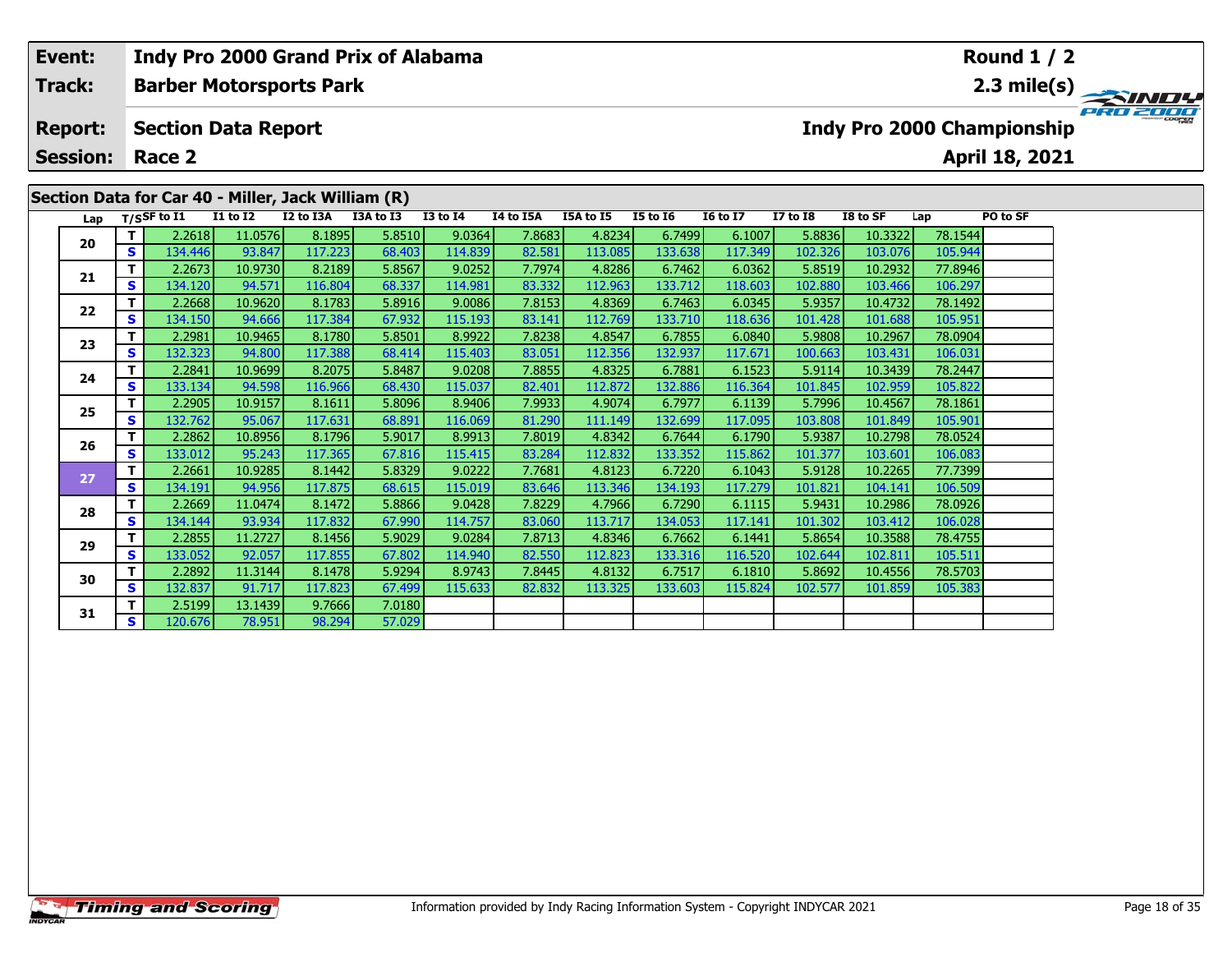| <b>SINDY</b> |
|--------------|
| PRO 2000     |
|              |
|              |
|              |
|              |
|              |
|              |
|              |
|              |
|              |

| Lap |                | $T/S$ SF to I1    | <b>I1 to I2</b>   | I2 to I3A         | I3A to I3        | <b>I3 to I4</b>   | I4 to I5A        | <b>I5A to I5</b>  | <b>I5 to I6</b>   | <b>I6 to I7</b>   | <b>I7 to I8</b>   | I8 to SF           | Lap                | PO to SF |
|-----|----------------|-------------------|-------------------|-------------------|------------------|-------------------|------------------|-------------------|-------------------|-------------------|-------------------|--------------------|--------------------|----------|
| 20  | T.             | 2.2618            | 11.0576           | 8.1895            | 5.8510           | 9.0364            | 7.8683           | 4.8234            | 6.7499            | 6.1007            | 5.8836            | 10.3322            | 78.1544            |          |
|     | S.             | 134.446           | 93.847            | 117.223           | 68.403           | 114.839           | 82.581           | 113.085           | 133.638           | 117.349           | 102.326           | 103.076            | 105.944            |          |
| 21  | T.             | 2.2673            | 10.9730           | 8.2189            | 5.8567           | 9.0252            | 7.7974           | 4.8286            | 6.7462            | 6.0362            | 5.8519            | 10.2932            | 77.8946            |          |
|     | <b>S</b>       | 134.120           | 94.571            | 116.804           | 68.337           | 114.981           | 83.332           | 112.963           | 133.712           | 118.603           | 102.880           | 103.466            | 106.297            |          |
| 22  | T              | 2.2668            | 10.9620           | 8.1783            | 5.8916           | 9.0086            | 7.8153           | 4.8369            | 6.7463            | 6.0345            | 5.9357            | 10.4732            | 78.1492            |          |
|     | <b>S</b>       | 134.150           | 94.666            | 117.384           | 67.932           | 115.193           | 83.141           | 112.769           | 133.710           | 118.636           | 101.428           | 101.688            | 105.951            |          |
| 23  | T.             | 2.2981            | 10.9465           | 8.1780            | 5.8501           | 8.9922            | 7.8238           | 4.8547            | 6.7855            | 6.0840            | 5.9808            | 10.2967            | 78.0904            |          |
|     | <b>S</b>       | 132.323           | 94.800            | 117.388           | 68.414           | 115.403           | 83.051           | 112.356           | 132.937           | 117.671           | 100.663           | 103.431            | 106.031            |          |
| 24  | T.             | 2.2841            | 10.9699           | 8.2075            | 5.8487           | 9.0208            | 7.8855           | 4.8325            | 6.7881            | 6.1523            | 5.9114            | 10.3439            | 78.2447            |          |
|     | <b>S</b>       | 133.134           | 94.598            | 116.966           | 68.430           | 115.037           | 82.401           | 112.872           | 132.886           | 116.364           | 101.845           | 102.959            | 105.822            |          |
| 25  | T.             | 2.2905            | 10.9157           | 8.1611            | 5.8096           | 8.9406            | 7.9933           | 4.9074            | 6.7977            | 6.1139            | 5.7996            | 10.4567            | 78.1861            |          |
|     | S              | 132.762           | 95.067            | 117.631           | 68.891           | 116.069           | 81.290           | 111.149           | 132.699           | 117.095           | 103.808           | 101.849            | 105.901            |          |
| 26  | T.             | 2.2862            | 10.8956           | 8.1796            | 5.9017           | 8.9913            | 7.8019           | 4.8342            | 6.7644            | 6.1790            | 5.9387            | 10.2798            | 78.0524            |          |
|     | S              | 133.012           | 95.243            | 117.365           | 67.816           | 115.415           | 83.284           | 112.832           | 133.352           | 115.862           | 101.377           | 103.601            | 106.083            |          |
| 27  | T.             | 2.2661            | 10.9285           | 8.1442            | 5.8329           | 9.0222            | 7.7681           | 4.8123            | 6.7220            | 6.1043            | 5.9128            | 10.2265            | 77.7399            |          |
|     | S              | 134.191           | 94.956            | 117.875           | 68.615           | 115.019           | 83.646           | 113.346           | 134.193           | 117.279           | 101.821           | 104.141            | 106.509            |          |
| 28  | T.<br><b>S</b> | 2.2669            | 11.0474           | 8.1472            | 5.8866           | 9.0428            | 7.8229           | 4.7966            | 6.7290            | 6.1115            | 5.9431            | 10.2986            | 78.0926<br>106.028 |          |
|     | T.             | 134.144<br>2.2855 | 93.934<br>11.2727 | 117.832<br>8.1456 | 67.990<br>5.9029 | 114.757<br>9.0284 | 83.060<br>7.8713 | 113.717<br>4.8346 | 134.053<br>6.7662 | 117.141<br>6.1441 | 101.302<br>5.8654 | 103.412<br>10.3588 | 78.4755            |          |
| 29  | $\mathbf{s}$   | 133.052           | 92.057            | 117.855           | 67.802           | 114.940           | 82.550           | 112.823           | 133.316           | 116.520           | 102.644           | 102.811            | 105.511            |          |
|     | T.             | 2.2892            | 11.3144           | 8.1478            | 5.9294           | 8.9743            | 7.8445           | 4.8132            | 6.7517            | 6.1810            | 5.8692            | 10.4556            | 78.5703            |          |
| 30  | S              | 132.837           | 91.717            | 117.823           | 67.499           | 115.633           | 82.832           | 113.325           | 133.603           | 115.824           | 102.577           | 101.859            | 105.383            |          |
|     | T.             | 2.5199            | 13.1439           | 9.7666            | 7.0180           |                   |                  |                   |                   |                   |                   |                    |                    |          |
| 31  | <b>S</b>       | 120.676           | 78.951            | 98.294            | 57.029           |                   |                  |                   |                   |                   |                   |                    |                    |          |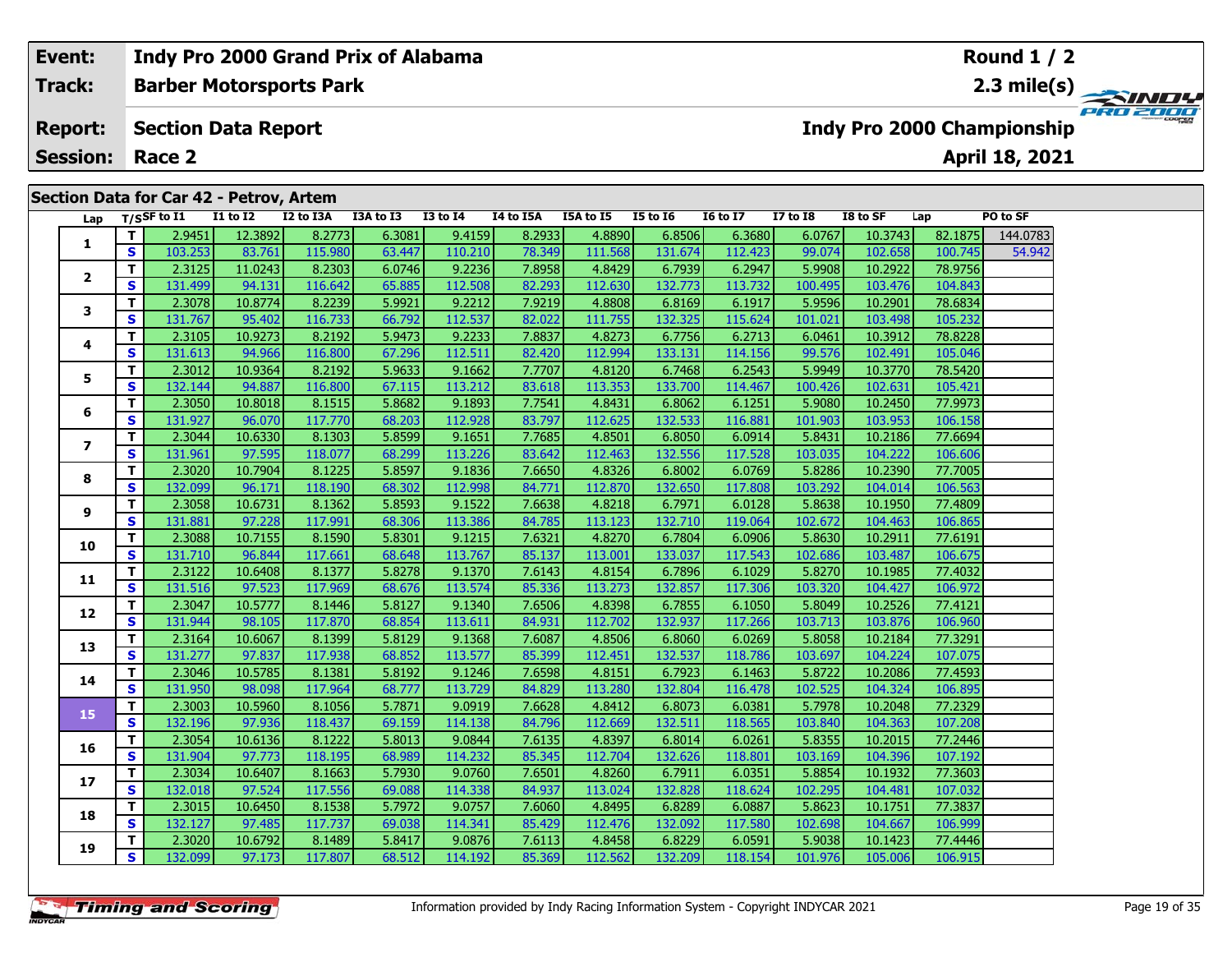#### **Round 1 / 2Event: Indy Pro 2000 Grand Prix of Alabama Track:Barber Motorsports Park 2.3 mile(s)** P30200 **Report: Section Data Report Indy Pro 2000 Championship April 18, 2021 Session: Race 2 Section Data for Car 42 - Petrov, Artem Lap T/SSF to I1 I1 to I2 I2 to I3A I3A to I3 I3 to I4 I4 to I5A I5A to I5 I5 to I6 I6 to I7 I7 to I8 I8 to SF Lap PO to SF <sup>T</sup>** 2.9451 12.3892 8.2773 6.3081 9.4159 8.2933 4.8890 6.8506 6.3680 6.0767 10.3743 82.1875 144.0783 **<sup>S</sup>** 103.253 83.761 115.980 63.447 110.210 78.349 111.568 131.674 112.423 99.074 102.658 100.745 54.942**1**.942 **<sup>T</sup>** 2.3125 11.0243 8.2303 6.0746 9.2236 7.8958 4.8429 6.7939 6.2947 5.9908 10.2922 78.9756 **<sup>S</sup>** 131.499 94.131 116.642 65.885 112.508 82.293 112.630 132.773 113.732 100.495 103.476 104.843**2**

| ı.             | S  | 103.253 | 83.761  | 115.980 | 63.447 | 110.210 | 78.349 | 111.568 | 131.674 | 112.423 | 99.074  | 102.658 | 100.745 | 54.942 |
|----------------|----|---------|---------|---------|--------|---------|--------|---------|---------|---------|---------|---------|---------|--------|
| 2              | T. | 2.3125  | 11.0243 | 8.2303  | 6.0746 | 9.2236  | 7.8958 | 4.8429  | 6.7939  | 6.2947  | 5.9908  | 10.2922 | 78.9756 |        |
|                | S  | 131.499 | 94.131  | 116.642 | 65.885 | 112.508 | 82.293 | 112.630 | 132.773 | 113.732 | 100.495 | 103.476 | 104.843 |        |
| 3              | T. | 2.3078  | 10.8774 | 8.2239  | 5.9921 | 9.2212  | 7.9219 | 4.8808  | 6.8169  | 6.1917  | 5.9596  | 10.2901 | 78.6834 |        |
|                | S  | 131.767 | 95.402  | 116.733 | 66.792 | 112.537 | 82.022 | 111.755 | 132.325 | 115.624 | 101.021 | 103.498 | 105.232 |        |
| 4              | T. | 2.3105  | 10.9273 | 8.2192  | 5.9473 | 9.2233  | 7.8837 | 4.8273  | 6.7756  | 6.2713  | 6.0461  | 10.3912 | 78.8228 |        |
|                | S  | 131.613 | 94.966  | 116.800 | 67.296 | 112.511 | 82.420 | 112.994 | 133.131 | 114.156 | 99.576  | 102.491 | 105.046 |        |
| 5              | T. | 2.3012  | 10.9364 | 8.2192  | 5.9633 | 9.1662  | 7.7707 | 4.8120  | 6.7468  | 6.2543  | 5.9949  | 10.3770 | 78.5420 |        |
|                | S  | 132.144 | 94.887  | 116.800 | 67.115 | 113.212 | 83.618 | 113.353 | 133.700 | 114.467 | 100.426 | 102.631 | 105.421 |        |
| 6              | T. | 2.3050  | 10.8018 | 8.1515  | 5.8682 | 9.1893  | 7.7541 | 4.8431  | 6.8062  | 6.1251  | 5.9080  | 10.2450 | 77.9973 |        |
|                | S  | 131.927 | 96.070  | 117.770 | 68.203 | 112.928 | 83.797 | 112.625 | 132.533 | 116.881 | 101.903 | 103.953 | 106.158 |        |
| $\overline{ }$ | T. | 2.3044  | 10.6330 | 8.1303  | 5.8599 | 9.1651  | 7.7685 | 4.8501  | 6.8050  | 6.0914  | 5.8431  | 10.2186 | 77.6694 |        |
|                | S  | 131.961 | 97.595  | 118.077 | 68.299 | 113.226 | 83.642 | 112.463 | 132.556 | 117.528 | 103.035 | 104.222 | 106.606 |        |
| 8              | T. | 2.3020  | 10.7904 | 8.1225  | 5.8597 | 9.1836  | 7.6650 | 4.8326  | 6.8002  | 6.0769  | 5.8286  | 10.2390 | 77.7005 |        |
|                | S  | 132.099 | 96.171  | 118.190 | 68.302 | 112.998 | 84.771 | 112.870 | 132.650 | 117.808 | 103.292 | 104.014 | 106.563 |        |
| 9              | T. | 2.3058  | 10.6731 | 8.1362  | 5.8593 | 9.1522  | 7.6638 | 4.8218  | 6.7971  | 6.0128  | 5.8638  | 10.1950 | 77.4809 |        |
|                | S  | 131.881 | 97.228  | 117.991 | 68.306 | 113.386 | 84.785 | 113.123 | 132.710 | 119.064 | 102.672 | 104.463 | 106.865 |        |
| 10             | T. | 2.3088  | 10.7155 | 8.1590  | 5.8301 | 9.1215  | 7.6321 | 4.8270  | 6.7804  | 6.0906  | 5.8630  | 10.2911 | 77.6191 |        |
|                | S  | 131.710 | 96.844  | 117.661 | 68.648 | 113.767 | 85.137 | 113.001 | 133.037 | 117.543 | 102.686 | 103.487 | 106.675 |        |
| 11             | T. | 2.3122  | 10.6408 | 8.1377  | 5.8278 | 9.1370  | 7.6143 | 4.8154  | 6.7896  | 6.1029  | 5.8270  | 10.1985 | 77.4032 |        |
|                | S  | 131.516 | 97.523  | 117.969 | 68.676 | 113.574 | 85.336 | 113.273 | 132.857 | 117.306 | 103.320 | 104.427 | 106.972 |        |
| 12             | T. | 2.3047  | 10.5777 | 8.1446  | 5.8127 | 9.1340  | 7.6506 | 4.8398  | 6.7855  | 6.1050  | 5.8049  | 10.2526 | 77.4121 |        |
|                | S. | 131.944 | 98.105  | 117.870 | 68.854 | 113.611 | 84.931 | 112.702 | 132.937 | 117.266 | 103.713 | 103.876 | 106.960 |        |
| 13             | T. | 2.3164  | 10.6067 | 8.1399  | 5.8129 | 9.1368  | 7.6087 | 4.8506  | 6.8060  | 6.0269  | 5.8058  | 10.2184 | 77.3291 |        |
|                | S  | 131.277 | 97.837  | 117.938 | 68.852 | 113.577 | 85.399 | 112.451 | 132.537 | 118.786 | 103.697 | 104.224 | 107.075 |        |
| 14             | T. | 2.3046  | 10.5785 | 8.1381  | 5.8192 | 9.1246  | 7.6598 | 4.8151  | 6.7923  | 6.1463  | 5.8722  | 10.2086 | 77.4593 |        |
|                | S. | 131.950 | 98.098  | 117.964 | 68.777 | 113.729 | 84.829 | 113.280 | 132.804 | 116.478 | 102.525 | 104.324 | 106.895 |        |
| 15             | T. | 2.3003  | 10.5960 | 8.1056  | 5.7871 | 9.0919  | 7.6628 | 4.8412  | 6.8073  | 6.0381  | 5.7978  | 10.2048 | 77.2329 |        |
|                | S  | 132.196 | 97.936  | 118.437 | 69.159 | 114.138 | 84.796 | 112.669 | 132.511 | 118.565 | 103.840 | 104.363 | 107.208 |        |
| 16             | T. | 2.3054  | 10.6136 | 8.1222  | 5.8013 | 9.0844  | 7.6135 | 4.8397  | 6.8014  | 6.0261  | 5.8355  | 10.2015 | 77.2446 |        |
|                | S  | 131.904 | 97.773  | 118.195 | 68.989 | 114.232 | 85.345 | 112.704 | 132.626 | 118.801 | 103.169 | 104.396 | 107.192 |        |
| 17             | T. | 2.3034  | 10.6407 | 8.1663  | 5.7930 | 9.0760  | 7.6501 | 4.8260  | 6.7911  | 6.0351  | 5.8854  | 10.1932 | 77.3603 |        |
|                | S  | 132.018 | 97.524  | 117.556 | 69.088 | 114.338 | 84.937 | 113.024 | 132.828 | 118.624 | 102.295 | 104.481 | 107.032 |        |
| 18             | T. | 2.3015  | 10.6450 | 8.1538  | 5.7972 | 9.0757  | 7.6060 | 4.8495  | 6.8289  | 6.0887  | 5.8623  | 10.1751 | 77.3837 |        |
|                | S  | 132.127 | 97.485  | 117.737 | 69.038 | 114.341 | 85.429 | 112.476 | 132.092 | 117.580 | 102.698 | 104.667 | 106.999 |        |
| 19             | T. | 2.3020  | 10.6792 | 8.1489  | 5.8417 | 9.0876  | 7.6113 | 4.8458  | 6.8229  | 6.0591  | 5.9038  | 10.1423 | 77.4446 |        |
|                | S  | 132.099 | 97.173  | 117.807 | 68.512 | 114.192 | 85.369 | 112.562 | 132.209 | 118.154 | 101.976 | 105.006 | 106.915 |        |
|                |    |         |         |         |        |         |        |         |         |         |         |         |         |        |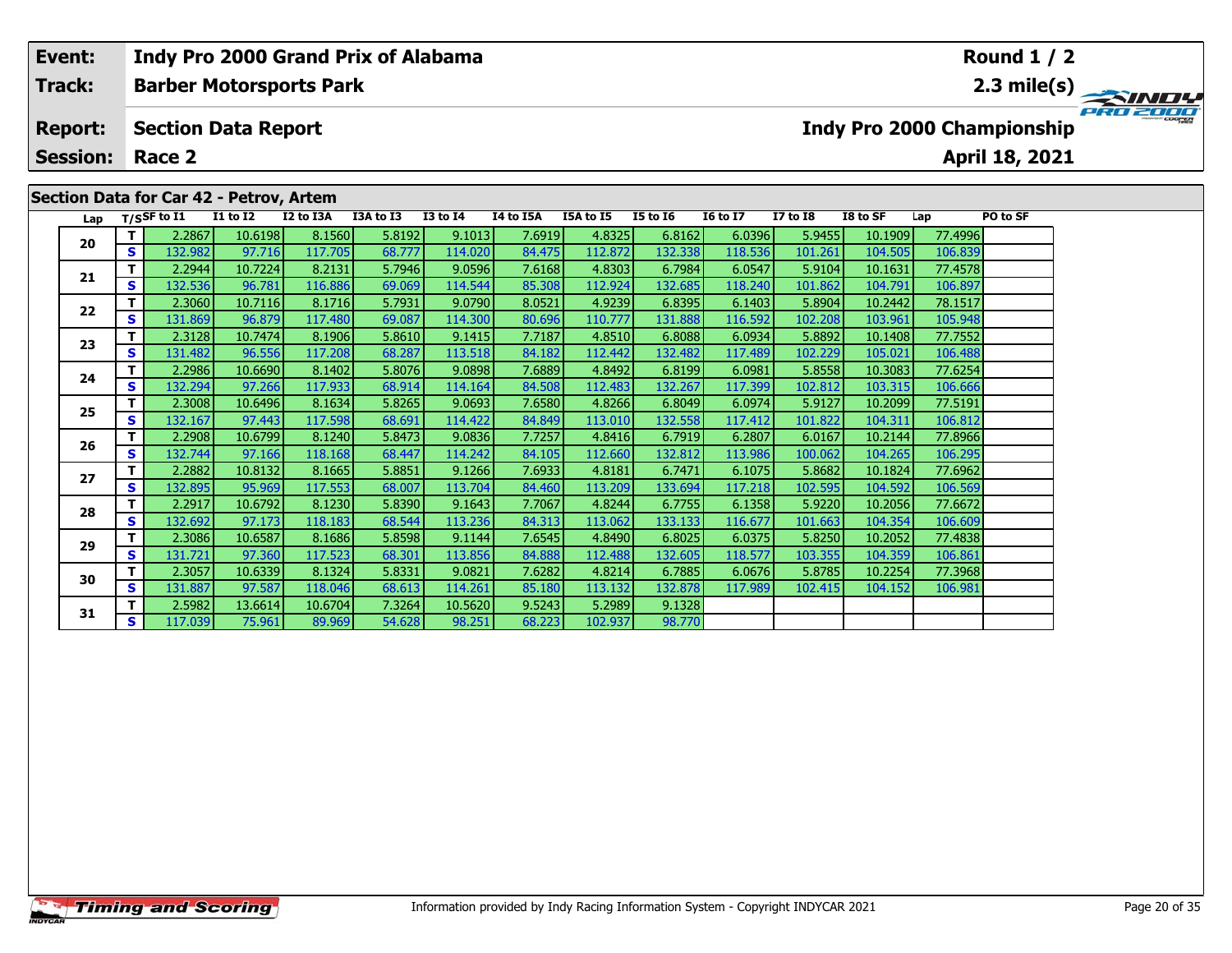#### **Event: Indy Pro 2000 Grand Prix of Alabama Round 1 / 2Track:Barber Motorsports Park 2.3 mile(s)** PRO 2000 **Report: Section Data Report Indy Pro 2000 Championship April 18, 2021 Session: Race 2Section Data for Car 42 - Petrov, Artem Lap T/SSF to I1 I1 to I2 I2 to I3A I3A to I3 I3 to I4 I4 to I5A I5A to I5 I5 to I6 I6 to I7 I7 to I8 I8 to SF Lap PO to SF <sup>T</sup>** 2.2867 10.6198 8.1560 5.8192 9.1013 7.6919 4.8325 6.8162 6.0396 5.9455 10.1909 77.4996 **<sup>S</sup>** 132.982 97.716 117.705 68.777 114.020 84.475 112.872 132.338 118.536 101.261 104.505 106.839**20 <sup>T</sup>** 2.2944 10.7224 8.2131 5.7946 9.0596 7.6168 4.8303 6.7984 6.0547 5.9104 10.1631 77.4578 **<sup>S</sup>** 132.536 96.781 116.886 69.069 114.544 85.308 112.924 132.685 118.240 101.862 104.791 106.897**21**

**<sup>T</sup>** 2.3060 10.7116 8.1716 5.7931 9.0790 8.0521 4.9239 6.8395 6.1403 5.8904 10.2442 78.1517 **<sup>S</sup>** 131.869 96.879 117.480 69.087 114.300 80.696 110.777 131.888 116.592 102.208 103.961 105.948

**<sup>T</sup>** 2.3128 10.7474 8.1906 5.8610 9.1415 7.7187 4.8510 6.8088 6.0934 5.8892 10.1408 77.7552 **<sup>S</sup>** 131.482 96.556 117.208 68.287 113.518 84.182 112.442 132.482 117.489 102.229 105.021 106.488

**<sup>T</sup>** 2.2986 10.6690 8.1402 5.8076 9.0898 7.6889 4.8492 6.8199 6.0981 5.8558 10.3083 77.6254 **<sup>S</sup>** 132.294 97.266 117.933 68.914 114.164 84.508 112.483 132.267 117.399 102.812 103.315 106.666

**<sup>T</sup>** 2.3008 10.6496 8.1634 5.8265 9.0693 7.6580 4.8266 6.8049 6.0974 5.9127 10.2099 77.5191 **<sup>S</sup>** 132.167 97.443 117.598 68.691 114.422 84.849 113.010 132.558 117.412 101.822 104.311 106.812

**<sup>T</sup>** 2.2908 10.6799 8.1240 5.8473 9.0836 7.7257 4.8416 6.7919 6.2807 6.0167 10.2144 77.8966 **<sup>S</sup>** 132.744 97.166 118.168 68.447 114.242 84.105 112.660 132.812 113.986 100.062 104.265 106.295

**<sup>T</sup>** 2.2882 10.8132 8.1665 5.8851 9.1266 7.6933 4.8181 6.7471 6.1075 5.8682 10.1824 77.6962 **<sup>S</sup>** 132.895 95.969 117.553 68.007 113.704 84.460 113.209 133.694 117.218 102.595 104.592 106.569

**<sup>T</sup>** 2.2917 10.6792 8.1230 5.8390 9.1643 7.7067 4.8244 6.7755 6.1358 5.9220 10.2056 77.6672 **<sup>S</sup>** 132.692 97.173 118.183 68.544 113.236 84.313 113.062 133.133 116.677 101.663 104.354 106.609

**<sup>T</sup>** 2.3086 10.6587 8.1686 5.8598 9.1144 7.6545 4.8490 6.8025 6.0375 5.8250 10.2052 77.4838 **<sup>S</sup>** 131.721 97.360 117.523 68.301 113.856 84.888 112.488 132.605 118.577 103.355 104.359 106.861

**<sup>T</sup>** 2.3057 10.6339 8.1324 5.8331 9.0821 7.6282 4.8214 6.7885 6.0676 5.8785 10.2254 77.3968 **<sup>S</sup>** 131.887 97.587 118.046 68.613 114.261 85.180 113.132 132.878 117.989 102.415 104.152 106.981

**<sup>T</sup>** 2.5982 13.6614 10.6704 7.3264 10.5620 9.5243 5.2989 9.1328 **<sup>S</sup>** 117.039 75.961 89.969 54.628 98.251 68.223 102.937 98.770

**22**

**23**

**24**

**25**

**26**

**27**

**28**

**29**

**30**

**31**

106.48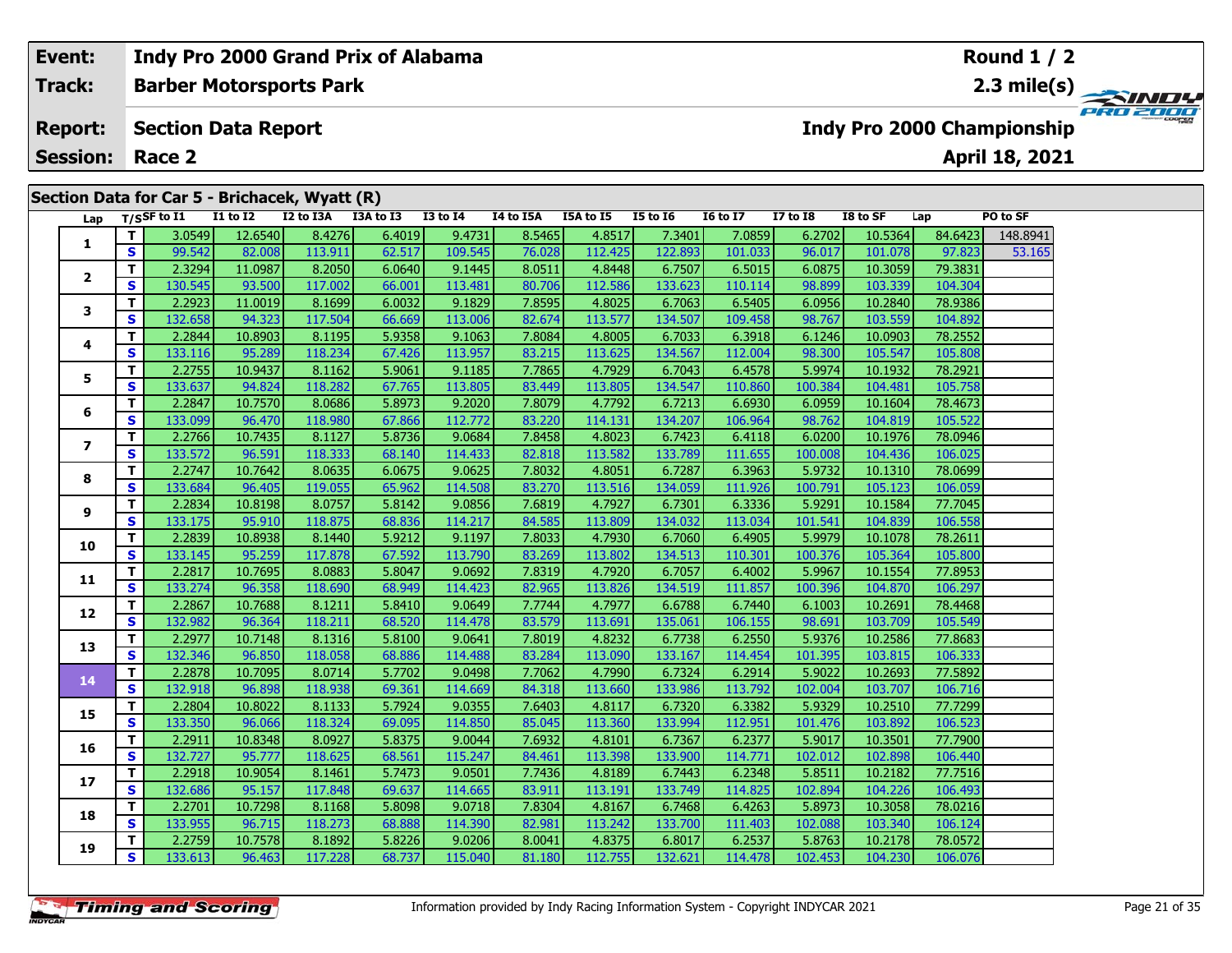| Event:          |    |               |                            | Indy Pro 2000 Grand Prix of Alabama           |           |                 |           |           |                 |                 |                 |          |         | <b>Round 1 / 2</b>                |          |
|-----------------|----|---------------|----------------------------|-----------------------------------------------|-----------|-----------------|-----------|-----------|-----------------|-----------------|-----------------|----------|---------|-----------------------------------|----------|
| <b>Track:</b>   |    |               |                            | <b>Barber Motorsports Park</b>                |           |                 |           |           |                 |                 |                 |          |         |                                   |          |
| <b>Report:</b>  |    |               | <b>Section Data Report</b> |                                               |           |                 |           |           |                 |                 |                 |          |         | <b>Indy Pro 2000 Championship</b> | PRO 2000 |
| <b>Session:</b> |    | Race 2        |                            |                                               |           |                 |           |           |                 |                 |                 |          |         | April 18, 2021                    |          |
|                 |    |               |                            |                                               |           |                 |           |           |                 |                 |                 |          |         |                                   |          |
|                 |    |               |                            | Section Data for Car 5 - Brichacek, Wyatt (R) |           |                 |           |           |                 |                 |                 |          |         |                                   |          |
| Lap             |    | T/SSF to $I1$ | <b>I1 to I2</b>            | I2 to I3A                                     | I3A to I3 | <b>I3 to I4</b> | I4 to I5A | I5A to I5 | <b>I5 to I6</b> | <b>16 to 17</b> | <b>I7 to I8</b> | I8 to SF | Lap     | PO to SF                          |          |
| 1               |    | 3.0549        | 12.6540                    | 8.4276                                        | 6.4019    | 9.4731          | 8.5465    | 4.8517    | 7.3401          | 7.0859          | 6.2702          | 10.5364  | 84.6423 | 148.8941                          |          |
|                 | S. | 99.542        | 82.008                     | 113.911                                       | 62.517    | 109.545         | 76.028    | 112.425   | 122.893         | 101.033         | 96.017          | 101.078  | 97.823  | 53.165                            |          |
| $\overline{2}$  |    | 2.3294        | 11.0987                    | 8.2050                                        | 6.0640    | 9.1445          | 8.0511    | 4.8448    | 6.7507          | 6.5015          | 6.0875          | 10.3059  | 79.3831 |                                   |          |
|                 | S. | 130.545       | 93.500                     | 117.002                                       | 66.001    | 113.481         | 80.706    | 112.586   | 133.6231        | 110.114         | 98.899          | 103.339  | 104.304 |                                   |          |
|                 |    | 2.2923        | 11.0019                    | 8.1699                                        | 6.0032    | 9.1829          | 7.8595    | 4.8025    | 6.7063          | 6.5405          | 6.0956          | 10.2840  | 78.9386 |                                   |          |

|              | $\mathbf{v}$ | 99.542  | 82.008  | 113.911 | <b>PS.21/</b> | 109.545 | 76.028 | 112.425 | 122.893 | 101.033 | <b>90.017</b> | 101.078 | 97.823  | 53.105 |
|--------------|--------------|---------|---------|---------|---------------|---------|--------|---------|---------|---------|---------------|---------|---------|--------|
|              | T.           | 2.3294  | 11.0987 | 8.2050  | 6.0640        | 9.1445  | 8.0511 | 4.8448  | 6.7507  | 6.5015  | 6.0875        | 10.3059 | 79.3831 |        |
| $\mathbf{2}$ | S            | 130.545 | 93.500  | 117.002 | 66.001        | 113.481 | 80.706 | 112.586 | 133.623 | 110.114 | 98.899        | 103.339 | 104.304 |        |
| 3            | T.           | 2.2923  | 11.0019 | 8.1699  | 6.0032        | 9.1829  | 7.8595 | 4.8025  | 6.7063  | 6.5405  | 6.0956        | 10.2840 | 78.9386 |        |
|              | S            | 132.658 | 94.323  | 117.504 | 66.669        | 113.006 | 82.674 | 113.577 | 134.507 | 109.458 | 98.767        | 103.559 | 104.892 |        |
| 4            | T.           | 2.2844  | 10.8903 | 8.1195  | 5.9358        | 9.1063  | 7.8084 | 4.8005  | 6.7033  | 6.3918  | 6.1246        | 10.0903 | 78.2552 |        |
|              | S            | 133.116 | 95.289  | 118.234 | 67.426        | 113.957 | 83.215 | 113.625 | 134.567 | 112.004 | 98.300        | 105.547 | 105.808 |        |
| 5            | T.           | 2.2755  | 10.9437 | 8.1162  | 5.9061        | 9.1185  | 7.7865 | 4.7929  | 6.7043  | 6.4578  | 5.9974        | 10.1932 | 78.2921 |        |
|              | S            | 133.637 | 94.824  | 118.282 | 67.765        | 113.805 | 83.449 | 113.805 | 134.547 | 110.860 | 100.384       | 104.481 | 105.758 |        |
| 6            | T.           | 2.2847  | 10.7570 | 8.0686  | 5.8973        | 9.2020  | 7.8079 | 4.7792  | 6.7213  | 6.6930  | 6.0959        | 10.1604 | 78.4673 |        |
|              | S            | 133.099 | 96.470  | 118.980 | 67.866        | 112.772 | 83.220 | 114.131 | 134.207 | 106.964 | 98.762        | 104.819 | 105.522 |        |
| 7            | T.           | 2.2766  | 10.7435 | 8.1127  | 5.8736        | 9.0684  | 7.8458 | 4.8023  | 6.7423  | 6.4118  | 6.0200        | 10.1976 | 78.0946 |        |
|              | S            | 133.572 | 96.591  | 118.333 | 68.140        | 114.433 | 82.818 | 113.582 | 133.789 | 111.655 | 100.008       | 104.436 | 106.025 |        |
| 8            | T.           | 2.2747  | 10.7642 | 8.0635  | 6.0675        | 9.0625  | 7.8032 | 4.8051  | 6.7287  | 6.3963  | 5.9732        | 10.1310 | 78.0699 |        |
|              | S            | 133.684 | 96.405  | 119.055 | 65.962        | 114.508 | 83.270 | 113.516 | 134.059 | 111.926 | 100.791       | 105.123 | 106.059 |        |
| 9            | T.           | 2.2834  | 10.8198 | 8.0757  | 5.8142        | 9.0856  | 7.6819 | 4.7927  | 6.7301  | 6.3336  | 5.9291        | 10.1584 | 77.7045 |        |
|              | S            | 133.175 | 95.910  | 118.875 | 68.836        | 114.217 | 84.585 | 113.809 | 134.032 | 113.034 | 101.541       | 104.839 | 106.558 |        |
| 10           | T.           | 2.2839  | 10.8938 | 8.1440  | 5.9212        | 9.1197  | 7.8033 | 4.7930  | 6.7060  | 6.4905  | 5.9979        | 10.1078 | 78.2611 |        |
|              | S            | 133.145 | 95.259  | 117.878 | 67.592        | 113.790 | 83.269 | 113.802 | 134.513 | 110.301 | 100.376       | 105.364 | 105.800 |        |
| 11           | T.           | 2.2817  | 10.7695 | 8.0883  | 5.8047        | 9.0692  | 7.8319 | 4.7920  | 6.7057  | 6.4002  | 5.9967        | 10.1554 | 77.8953 |        |
|              | S            | 133.274 | 96.358  | 118.690 | 68.949        | 114.423 | 82.965 | 113.826 | 134.519 | 111.857 | 100.396       | 104.870 | 106.297 |        |
| 12           | T.           | 2.2867  | 10.7688 | 8.1211  | 5.8410        | 9.0649  | 7.7744 | 4.7977  | 6.6788  | 6.7440  | 6.1003        | 10.2691 | 78.4468 |        |
|              | S            | 132.982 | 96.364  | 118.211 | 68.520        | 114.478 | 83.579 | 113.691 | 135.061 | 106.155 | 98.691        | 103.709 | 105.549 |        |
| 13           | T.           | 2.2977  | 10.7148 | 8.1316  | 5.8100        | 9.0641  | 7.8019 | 4.8232  | 6.7738  | 6.2550  | 5.9376        | 10.2586 | 77.8683 |        |
|              | S            | 132.346 | 96.850  | 118.058 | 68.886        | 114.488 | 83.284 | 113.090 | 133.167 | 114.454 | 101.395       | 103.815 | 106.333 |        |
| 14           | T.           | 2.2878  | 10.7095 | 8.0714  | 5.7702        | 9.0498  | 7.7062 | 4.7990  | 6.7324  | 6.2914  | 5.9022        | 10.2693 | 77.5892 |        |
|              | S            | 132.918 | 96.898  | 118.938 | 69.361        | 114.669 | 84.318 | 113.660 | 133.986 | 113.792 | 102.004       | 103.707 | 106.716 |        |
| 15           | T.           | 2.2804  | 10.8022 | 8.1133  | 5.7924        | 9.0355  | 7.6403 | 4.8117  | 6.7320  | 6.3382  | 5.9329        | 10.2510 | 77.7299 |        |
|              | S            | 133.350 | 96.066  | 118.324 | 69.095        | 114.850 | 85.045 | 113.360 | 133.994 | 112.951 | 101.476       | 103.892 | 106.523 |        |
| 16           | T.           | 2.2911  | 10.8348 | 8.0927  | 5.8375        | 9.0044  | 7.6932 | 4.8101  | 6.7367  | 6.2377  | 5.9017        | 10.3501 | 77.7900 |        |
|              | S            | 132.727 | 95.777  | 118.625 | 68.561        | 115.247 | 84.461 | 113.398 | 133.900 | 114.771 | 102.012       | 102.898 | 106.440 |        |
| 17           | T.           | 2.2918  | 10.9054 | 8.1461  | 5.7473        | 9.0501  | 7.7436 | 4.8189  | 6.7443  | 6.2348  | 5.8511        | 10.2182 | 77.7516 |        |
|              | S            | 132.686 | 95.157  | 117.848 | 69.637        | 114.665 | 83.911 | 113.191 | 133.749 | 114.825 | 102.894       | 104.226 | 106.493 |        |
| 18           | T.           | 2.2701  | 10.7298 | 8.1168  | 5.8098        | 9.0718  | 7.8304 | 4.8167  | 6.7468  | 6.4263  | 5.8973        | 10.3058 | 78.0216 |        |
|              | S            | 133.955 | 96.715  | 118.273 | 68.888        | 114.390 | 82.981 | 113.242 | 133.700 | 111.403 | 102.088       | 103.340 | 106.124 |        |
| 19           | T.           | 2.2759  | 10.7578 | 8.1892  | 5.8226        | 9.0206  | 8.0041 | 4.8375  | 6.8017  | 6.2537  | 5.8763        | 10.2178 | 78.0572 |        |
|              | S.           | 133.613 | 96.463  | 117.228 | 68.737        | 115.040 | 81.180 | 112.755 | 132.621 | 114.478 | 102.453       | 104.230 | 106.076 |        |
|              |              |         |         |         |               |         |        |         |         |         |               |         |         |        |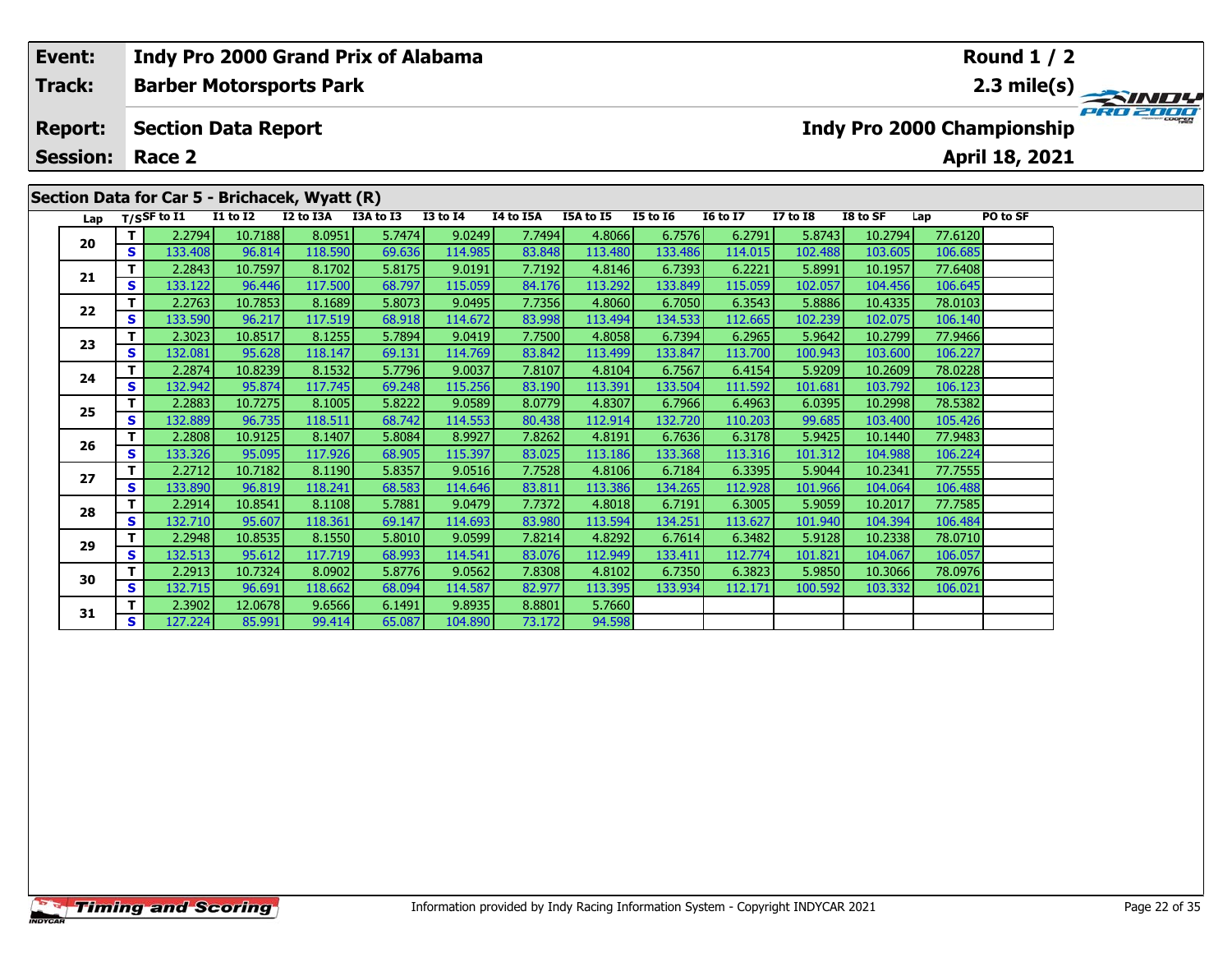| 2.3 mile(s) $\overline{\phantom{a}}$<br>SINDY |
|-----------------------------------------------|
| PRO 2000                                      |
|                                               |
|                                               |
|                                               |
|                                               |
|                                               |
|                                               |
|                                               |
|                                               |
|                                               |

|    | ت | <b>TOD'ITS</b> | טדד.טכ  | 117.JUU | <u>uu. 197</u> | TTO'OOS | 07.I/U | 113.292 | 1JJ.UTJ | 11J.UJJ | 102.UJ7 | <b>UUT.TUL</b> | נדט.טע  |  |
|----|---|----------------|---------|---------|----------------|---------|--------|---------|---------|---------|---------|----------------|---------|--|
| 22 |   | 2.2763         | 10.7853 | 8.1689  | 5.8073         | 9.0495  | 7.7356 | 4.8060  | 6.7050  | 6.3543  | 5.8886  | 10.4335        | 78.0103 |  |
|    | S | 133.590        | 96.217  | 117.519 | 68.918         | 114.672 | 83.998 | 113.494 | 134.533 | 112.665 | 102.239 | 102.075        | 106.140 |  |
| 23 |   | 2.3023         | 10.8517 | 8.1255  | 5.7894         | 9.0419  | 7.7500 | 4.8058  | 6.7394  | 6.2965  | 5.9642  | 10.2799        | 77.9466 |  |
|    | S | 132.081        | 95.628  | 118.147 | 69.131         | 114.769 | 83.842 | 113.499 | 133.847 | 113.700 | 100.943 | 103.600        | 106.227 |  |
| 24 |   | 2.2874         | 10.8239 | 8.1532  | 5.7796         | 9.0037  | 7.8107 | 4.8104  | 6.7567  | 6.4154  | 5.9209  | 10.2609        | 78.0228 |  |
|    | S | 132.942        | 95.874  | 117.745 | 69.248         | 115.256 | 83.190 | 113.391 | 133.504 | 111.592 | 101.681 | 103.792        | 106.123 |  |
| 25 |   | 2.2883         | 10.7275 | 8.1005  | 5.8222         | 9.0589  | 8.0779 | 4.8307  | 6.7966  | 6.4963  | 6.0395  | 10.2998        | 78.5382 |  |
|    | S | 132.889        | 96.735  | 118.511 | 68.742         | 114.553 | 80.438 | 112.914 | 132.720 | 110.203 | 99.685  | 103.400        | 105.426 |  |
| 26 |   | 2.2808         | 10.9125 | 8.1407  | 5.8084         | 8.9927  | 7.8262 | 4.8191  | 6.7636  | 6.3178  | 5.9425  | 10.1440        | 77.9483 |  |
|    | S | 133.326        | 95.095  | 117.926 | 68.905         | 115.397 | 83.025 | 113.186 | 133.368 | 113.316 | 101.312 | 104.988        | 106.224 |  |
| 27 |   | 2.2712         | 10.7182 | 8.1190  | 5.8357         | 9.0516  | 7.7528 | 4.8106  | 6.7184  | 6.3395  | 5.9044  | 10.2341        | 77.7555 |  |
|    | S | 133.890        | 96.819  | 118.241 | 68.583         | 114.646 | 83.811 | 113.386 | 134.265 | 112.928 | 101.966 | 104.064        | 106.488 |  |
| 28 |   | 2.2914         | 10.8541 | 8.1108  | 5.7881         | 9.0479  | 7.7372 | 4.8018  | 6.7191  | 6.3005  | 5.9059  | 10.2017        | 77.7585 |  |
|    | S | 132.710        | 95.607  | 118.361 | 69.147         | 114.693 | 83.980 | 113.594 | 134.251 | 113.627 | 101.940 | 104.394        | 106.484 |  |
| 29 |   | 2.2948         | 10.8535 | 8.1550  | 5.8010         | 9.0599  | 7.8214 | 4.8292  | 6.7614  | 6.3482  | 5.9128  | 10.2338        | 78.0710 |  |
|    | S | 132.513        | 95.612  | 117.719 | 68.993         | 114.541 | 83.076 | 112.949 | 133.411 | 112.774 | 101.821 | 104.067        | 106.057 |  |
| 30 |   | 2.2913         | 10.7324 | 8.0902  | 5.8776         | 9.0562  | 7.8308 | 4.8102  | 6.7350  | 6.3823  | 5.9850  | 10.3066        | 78.0976 |  |
|    | S | 132.715        | 96.691  | 118.662 | 68.094         | 114.587 | 82.977 | 113.395 | 133.934 | 112.171 | 100.592 | 103.332        | 106.021 |  |
|    |   | 2.3902         | 12.0678 | 9.6566  | 6.1491         | 9.8935  | 8.8801 | 5.7660  |         |         |         |                |         |  |
| 31 | S | 127.2241       | 85.991  | 99.414  | 65.087         | 104.890 | 73.172 | 94.598  |         |         |         |                |         |  |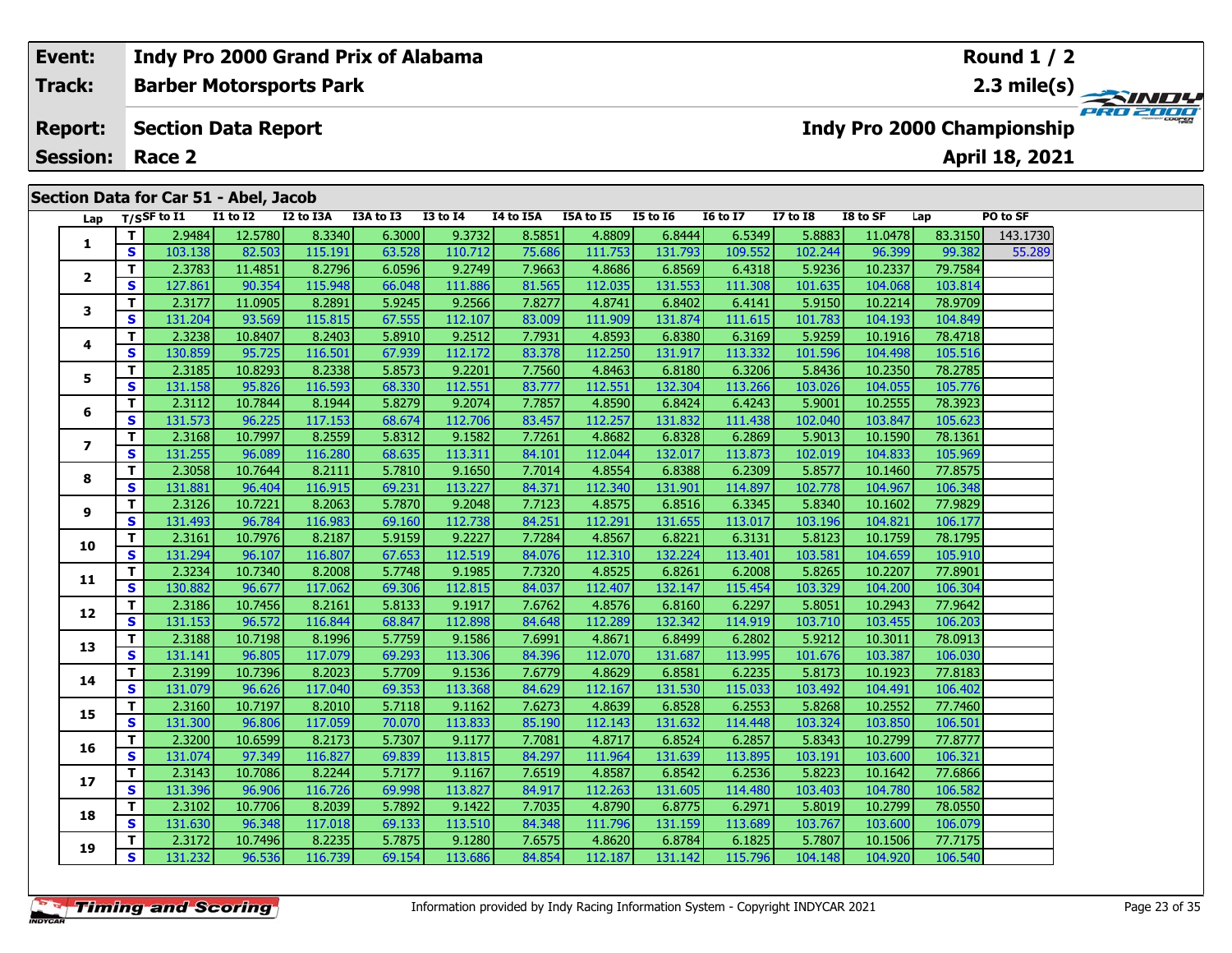#### **Event: Indy Pro 2000 Grand Prix of Alabama Round 1 / 2Track:Barber Motorsports Park 2.3 mile(s)** PRO 2000 **Report: Section Data Report Indy Pro 2000 Championship April 18, 2021 Session: Race 2Section Data for Car 51 - Abel, Jacob Lap T/SSF to I1 I1 to I2 I2 to I3A I3A to I3 I3 to I4 I4 to I5A I5A to I5 I5 to I6 I6 to I7 I7 to I8 I8 to SF Lap PO to SF <sup>T</sup>** 2.9484 12.5780 8.3340 6.3000 9.3732 8.5851 4.8809 6.8444 6.5349 5.8883 11.0478 83.3150 143.1730 **<sup>S</sup>** 103.138 82.503 115.191 63.528 110.712 75.686 111.753 131.793 109.552 102.244 96.399 99.382 55.289**1 <sup>T</sup>** 2.3783 11.4851 8.2796 6.0596 9.2749 7.9663 4.8686 6.8569 6.4318 5.9236 10.2337 79.7584 **<sup>S</sup>** 127.861 90.354 115.948 66.048 111.886 81.565 112.035 131.553 111.308 101.635 104.068 103.814**2**

**<sup>T</sup>** 2.3177 11.0905 8.2891 5.9245 9.2566 7.8277 4.8741 6.8402 6.4141 5.9150 10.2214 78.9709 **<sup>S</sup>** 131.204 93.569 115.815 67.555 112.107 83.009 111.909 131.874 111.615 101.783 104.193 104.849

**<sup>T</sup>** 2.3238 10.8407 8.2403 5.8910 9.2512 7.7931 4.8593 6.8380 6.3169 5.9259 10.1916 78.4718 **<sup>S</sup>** 130.859 95.725 116.501 67.939 112.172 83.378 112.250 131.917 113.332 101.596 104.498 105.516

**<sup>T</sup>** 2.3185 10.8293 8.2338 5.8573 9.2201 7.7560 4.8463 6.8180 6.3206 5.8436 10.2350 78.2785 **<sup>S</sup>** 131.158 95.826 116.593 68.330 112.551 83.777 112.551 132.304 113.266 103.026 104.055 105.776

**<sup>T</sup>** 2.3112 10.7844 8.1944 5.8279 9.2074 7.7857 4.8590 6.8424 6.4243 5.9001 10.2555 78.3923 **<sup>S</sup>** 131.573 96.225 117.153 68.674 112.706 83.457 112.257 131.832 111.438 102.040 103.847 105.623

**<sup>T</sup>** 2.3168 10.7997 8.2559 5.8312 9.1582 7.7261 4.8682 6.8328 6.2869 5.9013 10.1590 78.1361 **<sup>S</sup>** 131.255 96.089 116.280 68.635 113.311 84.101 112.044 132.017 113.873 102.019 104.833 105.969

**<sup>T</sup>** 2.3058 10.7644 8.2111 5.7810 9.1650 7.7014 4.8554 6.8388 6.2309 5.8577 10.1460 77.8575 **<sup>S</sup>** 131.881 96.404 116.915 69.231 113.227 84.371 112.340 131.901 114.897 102.778 104.967 106.348

**<sup>T</sup>** 2.3126 10.7221 8.2063 5.7870 9.2048 7.7123 4.8575 6.8516 6.3345 5.8340 10.1602 77.9829 **<sup>S</sup>** 131.493 96.784 116.983 69.160 112.738 84.251 112.291 131.655 113.017 103.196 104.821 106.177

**<sup>T</sup>** 2.3161 10.7976 8.2187 5.9159 9.2227 7.7284 4.8567 6.8221 6.3131 5.8123 10.1759 78.1795 **<sup>S</sup>** 131.294 96.107 116.807 67.653 112.519 84.076 112.310 132.224 113.401 103.581 104.659 105.910

**<sup>T</sup>** 2.3234 10.7340 8.2008 5.7748 9.1985 7.7320 4.8525 6.8261 6.2008 5.8265 10.2207 77.8901 **<sup>S</sup>** 130.882 96.677 117.062 69.306 112.815 84.037 112.407 132.147 115.454 103.329 104.200 106.304

**<sup>T</sup>** 2.3186 10.7456 8.2161 5.8133 9.1917 7.6762 4.8576 6.8160 6.2297 5.8051 10.2943 77.9642 **<sup>S</sup>** 131.153 96.572 116.844 68.847 112.898 84.648 112.289 132.342 114.919 103.710 103.455 106.203

**<sup>T</sup>** 2.3188 10.7198 8.1996 5.7759 9.1586 7.6991 4.8671 6.8499 6.2802 5.9212 10.3011 78.0913 **<sup>S</sup>** 131.141 96.805 117.079 69.293 113.306 84.396 112.070 131.687 113.995 101.676 103.387 106.030

**<sup>T</sup>** 2.3199 10.7396 8.2023 5.7709 9.1536 7.6779 4.8629 6.8581 6.2235 5.8173 10.1923 77.8183 **<sup>S</sup>** 131.079 96.626 117.040 69.353 113.368 84.629 112.167 131.530 115.033 103.492 104.491 106.402

**<sup>T</sup>** 2.3160 10.7197 8.2010 5.7118 9.1162 7.6273 4.8639 6.8528 6.2553 5.8268 10.2552 77.7460 **<sup>S</sup>** 131.300 96.806 117.059 70.070 113.833 85.190 112.143 131.632 114.448 103.324 103.850 106.501

**<sup>T</sup>** 2.3200 10.6599 8.2173 5.7307 9.1177 7.7081 4.8717 6.8524 6.2857 5.8343 10.2799 77.8777 **<sup>S</sup>** 131.074 97.349 116.827 69.839 113.815 84.297 111.964 131.639 113.895 103.191 103.600 106.321

**<sup>T</sup>** 2.3143 10.7086 8.2244 5.7177 9.1167 7.6519 4.8587 6.8542 6.2536 5.8223 10.1642 77.6866 **<sup>S</sup>** 131.396 96.906 116.726 69.998 113.827 84.917 112.263 131.605 114.480 103.403 104.780 106.582

**<sup>T</sup>** 2.3102 10.7706 8.2039 5.7892 9.1422 7.7035 4.8790 6.8775 6.2971 5.8019 10.2799 78.0550 **<sup>S</sup>** 131.630 96.348 117.018 69.133 113.510 84.348 111.796 131.159 113.689 103.767 103.600 106.079

**<sup>T</sup>** 2.3172 10.7496 8.2235 5.7875 9.1280 7.6575 4.8620 6.8784 6.1825 5.7807 10.1506 77.7175 **<sup>S</sup>** 131.232 96.536 116.739 69.154 113.686 84.854 112.187 131.142 115.796 104.148 104.920 106.540

| <b>Timing and Scoring</b> |  |
|---------------------------|--|
|                           |  |

**3**

**4**

**5**

**6**

**7**

**8**

**9**

**10**

**11**

**12**

**13**

**14**

**15**

**16**

**17**

**18**

**19**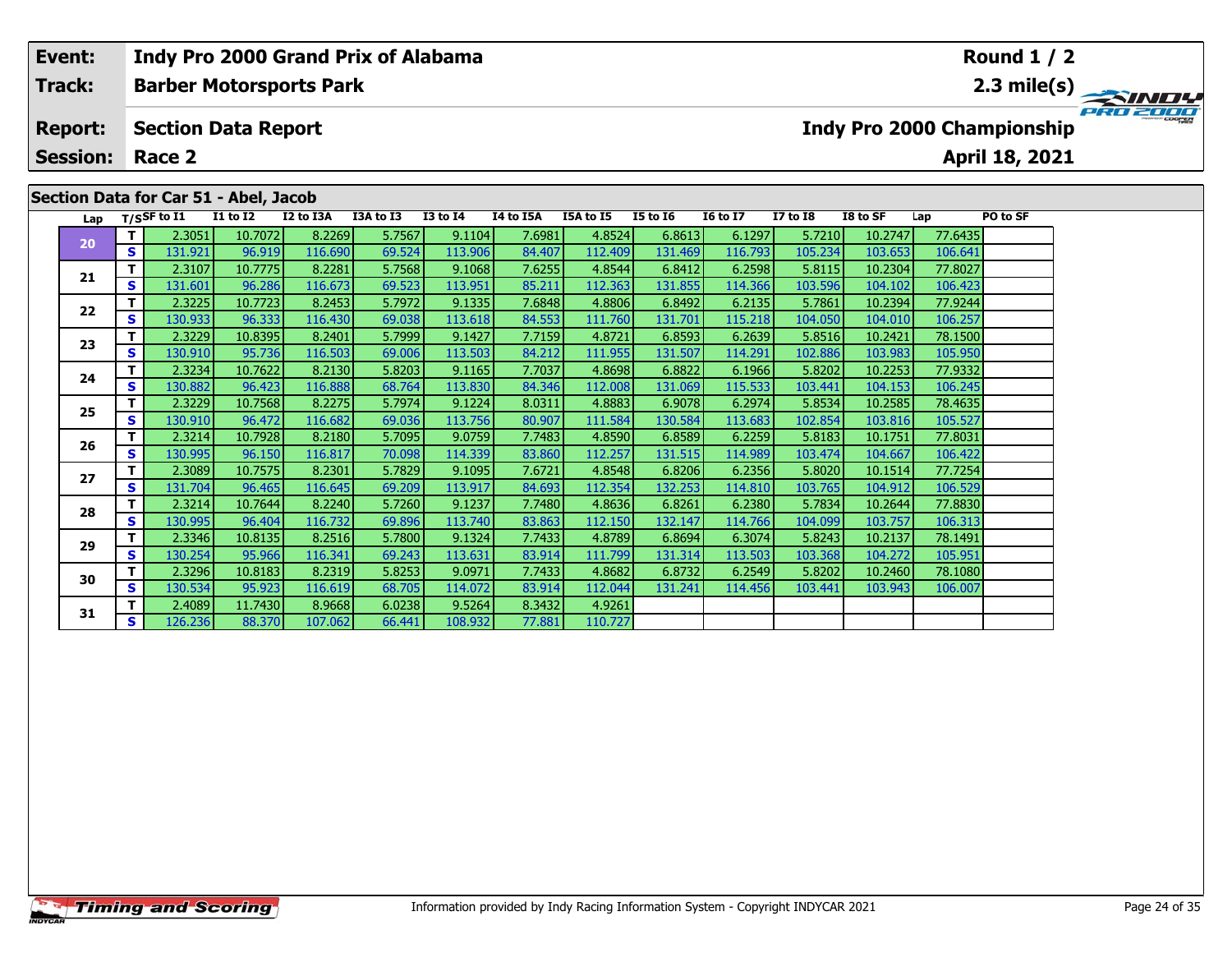# **Event: Indy Pro 2000 Grand Prix of Alabama Round 1 / 2Track:Barber Motorsports Park 2.3 mile(s)** PRO 2000 **Report: Section Data Report Indy Pro 2000 Championship April 18, 2021 Session: Race 2Section Data for Car 51 - Abel, Jacob Lap T/SSF to I1 I1 to I2 I2 to I3A I3A to I3 I3 to I4 I4 to I5A I5A to I5 I5 to I6 I6 to I7 I7 to I8 I8 to SF Lap PO to SF <sup>T</sup>** 2.3051 10.7072 8.2269 5.7567 9.1104 7.6981 4.8524 6.8613 6.1297 5.7210 10.2747 77.6435 **<sup>S</sup>** 131.921 96.919 116.690 69.524 113.906 84.407 112.409 131.469 116.793 105.234 103.653 106.641**20 <sup>T</sup>** 2.3107 10.7775 8.2281 5.7568 9.1068 7.6255 4.8544 6.8412 6.2598 5.8115 10.2304 77.8027 **<sup>S</sup>** 131.601 96.286 116.673 69.523 113.951 85.211 112.363 131.855 114.366 103.596 104.102 106.423**21<sup>T</sup>** 2.3225 10.7723 8.2453 5.7972 9.1335 7.6848 4.8806 6.8492 6.2135 5.7861 10.2394 77.9244 **<sup>S</sup>** 130.933 96.333 116.430 69.038 113.618 84.553 111.760 131.701 115.218 104.050 104.010 106.257

**<sup>T</sup>** 2.3229 10.8395 8.2401 5.7999 9.1427 7.7159 4.8721 6.8593 6.2639 5.8516 10.2421 78.1500 **<sup>S</sup>** 130.910 95.736 116.503 69.006 113.503 84.212 111.955 131.507 114.291 102.886 103.983 105.950

**<sup>T</sup>** 2.3234 10.7622 8.2130 5.8203 9.1165 7.7037 4.8698 6.8822 6.1966 5.8202 10.2253 77.9332 **<sup>S</sup>** 130.882 96.423 116.888 68.764 113.830 84.346 112.008 131.069 115.533 103.441 104.153 106.245

**<sup>T</sup>** 2.3229 10.7568 8.2275 5.7974 9.1224 8.0311 4.8883 6.9078 6.2974 5.8534 10.2585 78.4635 **<sup>S</sup>** 130.910 96.472 116.682 69.036 113.756 80.907 111.584 130.584 113.683 102.854 103.816 105.527

**<sup>T</sup>** 2.3214 10.7928 8.2180 5.7095 9.0759 7.7483 4.8590 6.8589 6.2259 5.8183 10.1751 77.8031 **<sup>S</sup>** 130.995 96.150 116.817 70.098 114.339 83.860 112.257 131.515 114.989 103.474 104.667 106.422

**<sup>T</sup>** 2.3089 10.7575 8.2301 5.7829 9.1095 7.6721 4.8548 6.8206 6.2356 5.8020 10.1514 77.7254 **<sup>S</sup>** 131.704 96.465 116.645 69.209 113.917 84.693 112.354 132.253 114.810 103.765 104.912 106.529

**<sup>T</sup>** 2.3214 10.7644 8.2240 5.7260 9.1237 7.7480 4.8636 6.8261 6.2380 5.7834 10.2644 77.8830 **<sup>S</sup>** 130.995 96.404 116.732 69.896 113.740 83.863 112.150 132.147 114.766 104.099 103.757 106.313

**<sup>T</sup>** 2.3346 10.8135 8.2516 5.7800 9.1324 7.7433 4.8789 6.8694 6.3074 5.8243 10.2137 78.1491 **<sup>S</sup>** 130.254 95.966 116.341 69.243 113.631 83.914 111.799 131.314 113.503 103.368 104.272 105.951

**<sup>T</sup>** 2.3296 10.8183 8.2319 5.8253 9.0971 7.7433 4.8682 6.8732 6.2549 5.8202 10.2460 78.1080 **<sup>S</sup>** 130.534 95.923 116.619 68.705 114.072 83.914 112.044 131.241 114.456 103.441 103.943 106.007

**<sup>T</sup>** 2.4089 11.7430 8.9668 6.0238 9.5264 8.3432 4.9261 **<sup>S</sup>** 126.236 88.370 107.062 66.441 108.932 77.881 110.727

**22**

**23**

**24**

**25**

**26**

**27**

**28**

**29**

**30**

**31**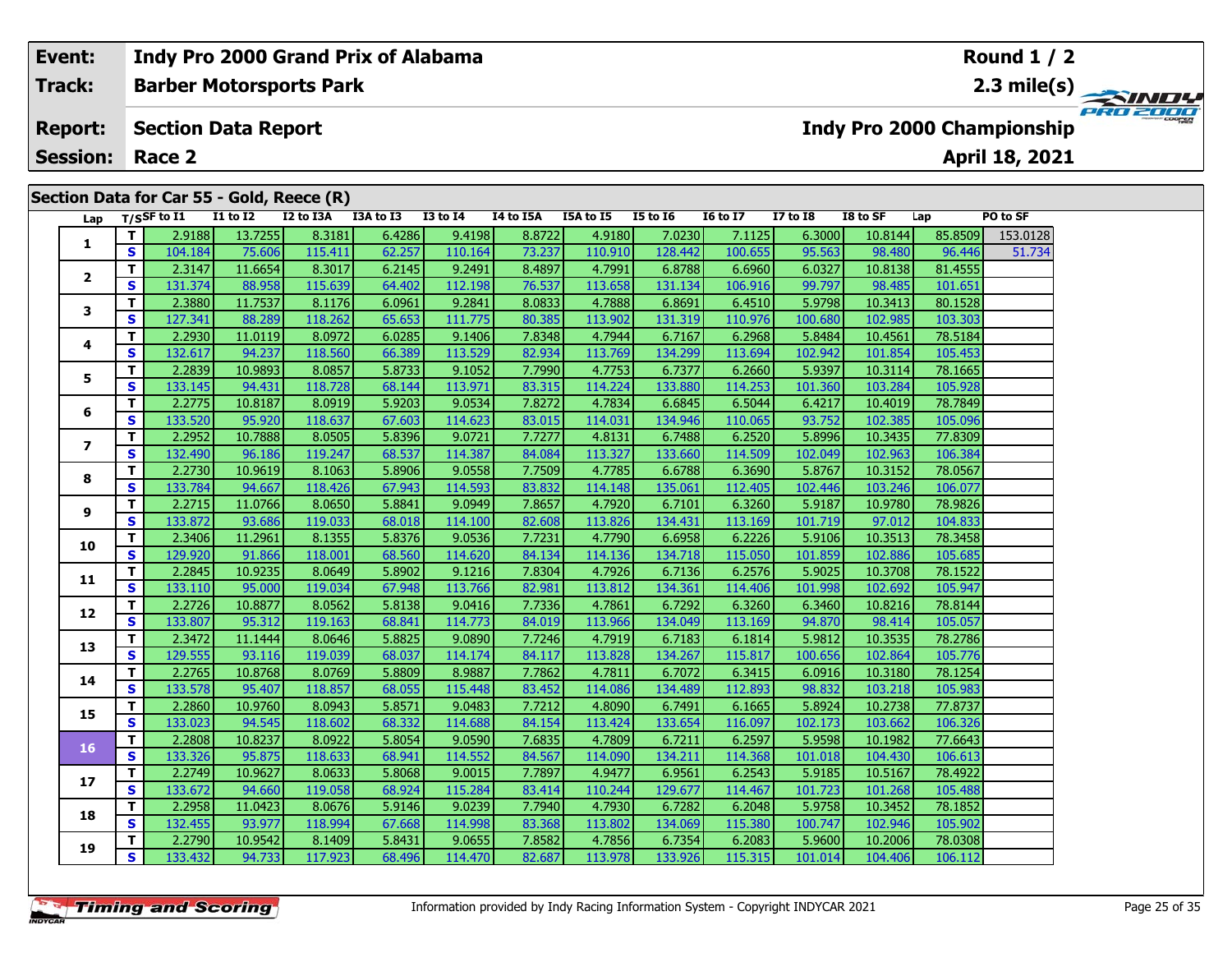# **Event:Round 1 / 2 Indy Pro 2000 Grand Prix of Alabama Barber Motorsports Park 2.3 mile(s) Track:** PRO 2000 **Report: Section Data Report Indy Pro 2000 Championship April 18, 2021 Session: Race 2 Section Data for Car 55 - Gold, Reece (R) Lap T/SSF to I1 I1 to I2 I2 to I3A I3A to I3 I3 to I4 I4 to I5A I5A to I5 I5 to I6 I6 to I7 I7 to I8 I8 to SF Lap PO to SF <sup>T</sup>** 2.9188 13.7255 8.3181 6.4286 9.4198 8.8722 4.9180 7.0230 7.1125 6.3000 10.8144 85.8509 153.0128 **<sup>S</sup>** 104.184 75.606 115.411 62.257 110.164 73.237 110.910 128.442 100.655 95.563 98.480 96.446 51.734**1 <sup>T</sup>** 2.3147 11.6654 8.3017 6.2145 9.2491 8.4897 4.7991 6.8788 6.6960 6.0327 10.8138 81.4555 **<sup>S</sup>** 131.374 88.958 115.639 64.402 112.198 76.537 113.658 131.134 106.916 99.797 98.485 101.651**23**

|                | S  | 104.184 | 75.606  | 115.411 | 62.257 | 110.164 | 73.237 | 110.910 | 128.442 | 100.655 | 95.563  | 98.480  | 96.446  | 51.734 |
|----------------|----|---------|---------|---------|--------|---------|--------|---------|---------|---------|---------|---------|---------|--------|
| $\overline{2}$ | T. | 2.3147  | 11.6654 | 8.3017  | 6.2145 | 9.2491  | 8.4897 | 4.7991  | 6.8788  | 6.6960  | 6.0327  | 10.8138 | 81.4555 |        |
|                | S  | 131.374 | 88.958  | 115.639 | 64.402 | 112.198 | 76.537 | 113.658 | 131.134 | 106.916 | 99.797  | 98.485  | 101.651 |        |
| 3              | т  | 2.3880  | 11.7537 | 8.1176  | 6.0961 | 9.2841  | 8.0833 | 4.7888  | 6.8691  | 6.4510  | 5.9798  | 10.3413 | 80.1528 |        |
|                | S  | 127.341 | 88.289  | 118.262 | 65.653 | 111.775 | 80.385 | 113.902 | 131.319 | 110.976 | 100.680 | 102.985 | 103.303 |        |
| 4              | T. | 2.2930  | 11.0119 | 8.0972  | 6.0285 | 9.1406  | 7.8348 | 4.7944  | 6.7167  | 6.2968  | 5.8484  | 10.4561 | 78.5184 |        |
|                | S  | 132.617 | 94.237  | 118.560 | 66.389 | 113.529 | 82.934 | 113.769 | 134.299 | 113.694 | 102.942 | 101.854 | 105.453 |        |
| 5              | T. | 2.2839  | 10.9893 | 8.0857  | 5.8733 | 9.1052  | 7.7990 | 4.7753  | 6.7377  | 6.2660  | 5.9397  | 10.3114 | 78.1665 |        |
|                | S  | 133.145 | 94.431  | 118.728 | 68.144 | 113.971 | 83.315 | 114.224 | 133.880 | 114.253 | 101.360 | 103.284 | 105.928 |        |
| 6              | T. | 2.2775  | 10.8187 | 8.0919  | 5.9203 | 9.0534  | 7.8272 | 4.7834  | 6.6845  | 6.5044  | 6.4217  | 10.4019 | 78.7849 |        |
|                | S  | 133.520 | 95.920  | 118.637 | 67.603 | 114.623 | 83.015 | 114.031 | 134.946 | 110.065 | 93.752  | 102.385 | 105.096 |        |
| $\overline{ }$ | T. | 2.2952  | 10.7888 | 8.0505  | 5.8396 | 9.0721  | 7.7277 | 4.8131  | 6.7488  | 6.2520  | 5.8996  | 10.3435 | 77.8309 |        |
|                | S  | 132.490 | 96.186  | 119.247 | 68.537 | 114.387 | 84.084 | 113.327 | 133.660 | 114.509 | 102.049 | 102.963 | 106.384 |        |
| 8              | T. | 2.2730  | 10.9619 | 8.1063  | 5.8906 | 9.0558  | 7.7509 | 4.7785  | 6.6788  | 6.3690  | 5.8767  | 10.3152 | 78.0567 |        |
|                | S  | 133.784 | 94.667  | 118.426 | 67.943 | 114.593 | 83.832 | 114.148 | 135.061 | 112.405 | 102.446 | 103.246 | 106.077 |        |
| 9              | T. | 2.2715  | 11.0766 | 8.0650  | 5.8841 | 9.0949  | 7.8657 | 4.7920  | 6.7101  | 6.3260  | 5.9187  | 10.9780 | 78.9826 |        |
|                | S  | 133.872 | 93.686  | 119.033 | 68.018 | 114.100 | 82.608 | 113.826 | 134.431 | 113.169 | 101.719 | 97.012  | 104.833 |        |
| 10             | T. | 2.3406  | 11.2961 | 8.1355  | 5.8376 | 9.0536  | 7.7231 | 4.7790  | 6.6958  | 6.2226  | 5.9106  | 10.3513 | 78.3458 |        |
|                | S  | 129.920 | 91.866  | 118.001 | 68.560 | 114.620 | 84.134 | 114.136 | 134.718 | 115.050 | 101.859 | 102.886 | 105.685 |        |
| 11             | т  | 2.2845  | 10.9235 | 8.0649  | 5.8902 | 9.1216  | 7.8304 | 4.7926  | 6.7136  | 6.2576  | 5.9025  | 10.3708 | 78.1522 |        |
|                | S  | 133.110 | 95.000  | 119.034 | 67.948 | 113.766 | 82.981 | 113.812 | 134.361 | 114.406 | 101.998 | 102.692 | 105.947 |        |
| 12             | T  | 2.2726  | 10.8877 | 8.0562  | 5.8138 | 9.0416  | 7.7336 | 4.7861  | 6.7292  | 6.3260  | 6.3460  | 10.8216 | 78.8144 |        |
|                | S  | 133.807 | 95.312  | 119.163 | 68.841 | 114.773 | 84.019 | 113.966 | 134.049 | 113.169 | 94.870  | 98.414  | 105.057 |        |
| 13             | т  | 2.3472  | 11.1444 | 8.0646  | 5.8825 | 9.0890  | 7.7246 | 4.7919  | 6.7183  | 6.1814  | 5.9812  | 10.3535 | 78.2786 |        |
|                | S  | 129.555 | 93.116  | 119.039 | 68.037 | 114.174 | 84.117 | 113.828 | 134.267 | 115.817 | 100.656 | 102.864 | 105.776 |        |
| 14             | T  | 2.2765  | 10.8768 | 8.0769  | 5.8809 | 8.9887  | 7.7862 | 4.7811  | 6.7072  | 6.3415  | 6.0916  | 10.3180 | 78.1254 |        |
|                | S  | 133.578 | 95.407  | 118.857 | 68.055 | 115.448 | 83.452 | 114.086 | 134.489 | 112.893 | 98.832  | 103.218 | 105.983 |        |
| 15             | т  | 2.2860  | 10.9760 | 8.0943  | 5.8571 | 9.0483  | 7.7212 | 4.8090  | 6.7491  | 6.1665  | 5.8924  | 10.2738 | 77.8737 |        |
|                | S  | 133.023 | 94.545  | 118.602 | 68.332 | 114.688 | 84.154 | 113.424 | 133.654 | 116.097 | 102.173 | 103.662 | 106.326 |        |
| 16             | T. | 2.2808  | 10.8237 | 8.0922  | 5.8054 | 9.0590  | 7.6835 | 4.7809  | 6.7211  | 6.2597  | 5.9598  | 10.1982 | 77.6643 |        |
|                | S  | 133.326 | 95.875  | 118.633 | 68.941 | 114.552 | 84.567 | 114.090 | 134.211 | 114.368 | 101.018 | 104.430 | 106.613 |        |
| 17             | T  | 2.2749  | 10.9627 | 8.0633  | 5.8068 | 9.0015  | 7.7897 | 4.9477  | 6.9561  | 6.2543  | 5.9185  | 10.5167 | 78.4922 |        |
|                | S  | 133.672 | 94.660  | 119.058 | 68.924 | 115.284 | 83.414 | 110.244 | 129.677 | 114.467 | 101.723 | 101.268 | 105.488 |        |
| 18             | T  | 2.2958  | 11.0423 | 8.0676  | 5.9146 | 9.0239  | 7.7940 | 4.7930  | 6.7282  | 6.2048  | 5.9758  | 10.3452 | 78.1852 |        |
|                | S  | 132.455 | 93.977  | 118.994 | 67.668 | 114.998 | 83.368 | 113.802 | 134.069 | 115.380 | 100.747 | 102.946 | 105.902 |        |
| 19             | T  | 2.2790  | 10.9542 | 8.1409  | 5.8431 | 9.0655  | 7.8582 | 4.7856  | 6.7354  | 6.2083  | 5.9600  | 10.2006 | 78.0308 |        |
|                | S  | 133.432 | 94.733  | 117.923 | 68.496 | 114.470 | 82.687 | 113.978 | 133.926 | 115.315 | 101.014 | 104.406 | 106.112 |        |
|                |    |         |         |         |        |         |        |         |         |         |         |         |         |        |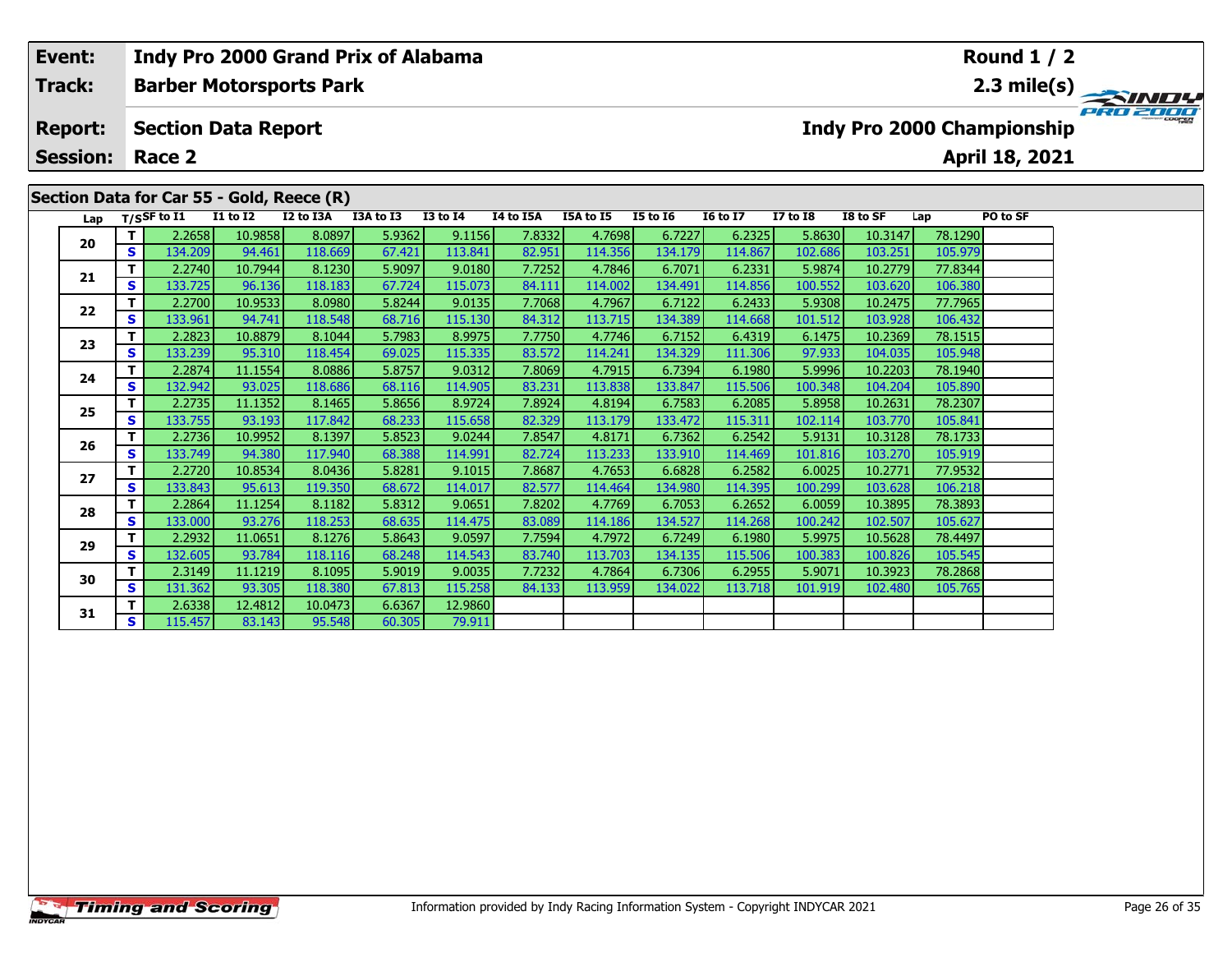#### **Event: Indy Pro 2000 Grand Prix of Alabama Round 1 / 2Track:Barber Motorsports Park 2.3 mile(s)** PRO 2000 **Report: Section Data Report Indy Pro 2000 Championship April 18, 2021 Session: Race 2Section Data for Car 55 - Gold, Reece (R) Lap T/SSF to I1 I1 to I2 I2 to I3A I3A to I3 I3 to I4 I4 to I5A I5A to I5 I5 to I6 I6 to I7 I7 to I8 I8 to SF Lap PO to SF <sup>T</sup>** 2.2658 10.9858 8.0897 5.9362 9.1156 7.8332 4.7698 6.7227 6.2325 5.8630 10.3147 78.1290 **<sup>S</sup>** 134.209 94.461 118.669 67.421 113.841 82.951 114.356 134.179 114.867 102.686 103.251 105.979**20 <sup>T</sup>** 2.2740 10.7944 8.1230 5.9097 9.0180 7.7252 4.7846 6.7071 6.2331 5.9874 10.2779 77.8344 **<sup>S</sup>** 133.725 96.136 118.183 67.724 115.073 84.111 114.002 134.491 114.856 100.552 103.620 106.380**21 <sup>T</sup>** 2.2700 10.9533 8.0980 5.8244 9.0135 7.7068 4.7967 6.7122 6.2433 5.9308 10.2475 77.7965 **<sup>S</sup>** 133.961 94.741 118.548 68.716 115.130 84.312 113.715 134.389 114.668 101.512 103.928 106.432**22**

**<sup>T</sup>** 2.2823 10.8879 8.1044 5.7983 8.9975 7.7750 4.7746 6.7152 6.4319 6.1475 10.2369 78.1515 **<sup>S</sup>** 133.239 95.310 118.454 69.025 115.335 83.572 114.241 134.329 111.306 97.933 104.035 105.948

**<sup>T</sup>** 2.2874 11.1554 8.0886 5.8757 9.0312 7.8069 4.7915 6.7394 6.1980 5.9996 10.2203 78.1940 **<sup>S</sup>** 132.942 93.025 118.686 68.116 114.905 83.231 113.838 133.847 115.506 100.348 104.204 105.890

**<sup>T</sup>** 2.2735 11.1352 8.1465 5.8656 8.9724 7.8924 4.8194 6.7583 6.2085 5.8958 10.2631 78.2307 **<sup>S</sup>** 133.755 93.193 117.842 68.233 115.658 82.329 113.179 133.472 115.311 102.114 103.770 105.841

**<sup>T</sup>** 2.2736 10.9952 8.1397 5.8523 9.0244 7.8547 4.8171 6.7362 6.2542 5.9131 10.3128 78.1733 **<sup>S</sup>** 133.749 94.380 117.940 68.388 114.991 82.724 113.233 133.910 114.469 101.816 103.270 105.919

**<sup>T</sup>** 2.2720 10.8534 8.0436 5.8281 9.1015 7.8687 4.7653 6.6828 6.2582 6.0025 10.2771 77.9532 **<sup>S</sup>** 133.843 95.613 119.350 68.672 114.017 82.577 114.464 134.980 114.395 100.299 103.628 106.218

**<sup>T</sup>** 2.2864 11.1254 8.1182 5.8312 9.0651 7.8202 4.7769 6.7053 6.2652 6.0059 10.3895 78.3893 **<sup>S</sup>** 133.000 93.276 118.253 68.635 114.475 83.089 114.186 134.527 114.268 100.242 102.507 105.627

**<sup>T</sup>** 2.2932 11.0651 8.1276 5.8643 9.0597 7.7594 4.7972 6.7249 6.1980 5.9975 10.5628 78.4497 **<sup>S</sup>** 132.605 93.784 118.116 68.248 114.543 83.740 113.703 134.135 115.506 100.383 100.826 105.545

**<sup>T</sup>** 2.3149 11.1219 8.1095 5.9019 9.0035 7.7232 4.7864 6.7306 6.2955 5.9071 10.3923 78.2868 **<sup>S</sup>** 131.362 93.305 118.380 67.813 115.258 84.133 113.959 134.022 113.718 101.919 102.480 105.765

**<sup>T</sup>** 2.6338 12.4812 10.0473 6.6367 12.9860 **<sup>S</sup>** 115.457 83.143 95.548 60.305 79.911

**23**

**24**

**25**

**26**

**27**

**28**

**29**

**30**

**31**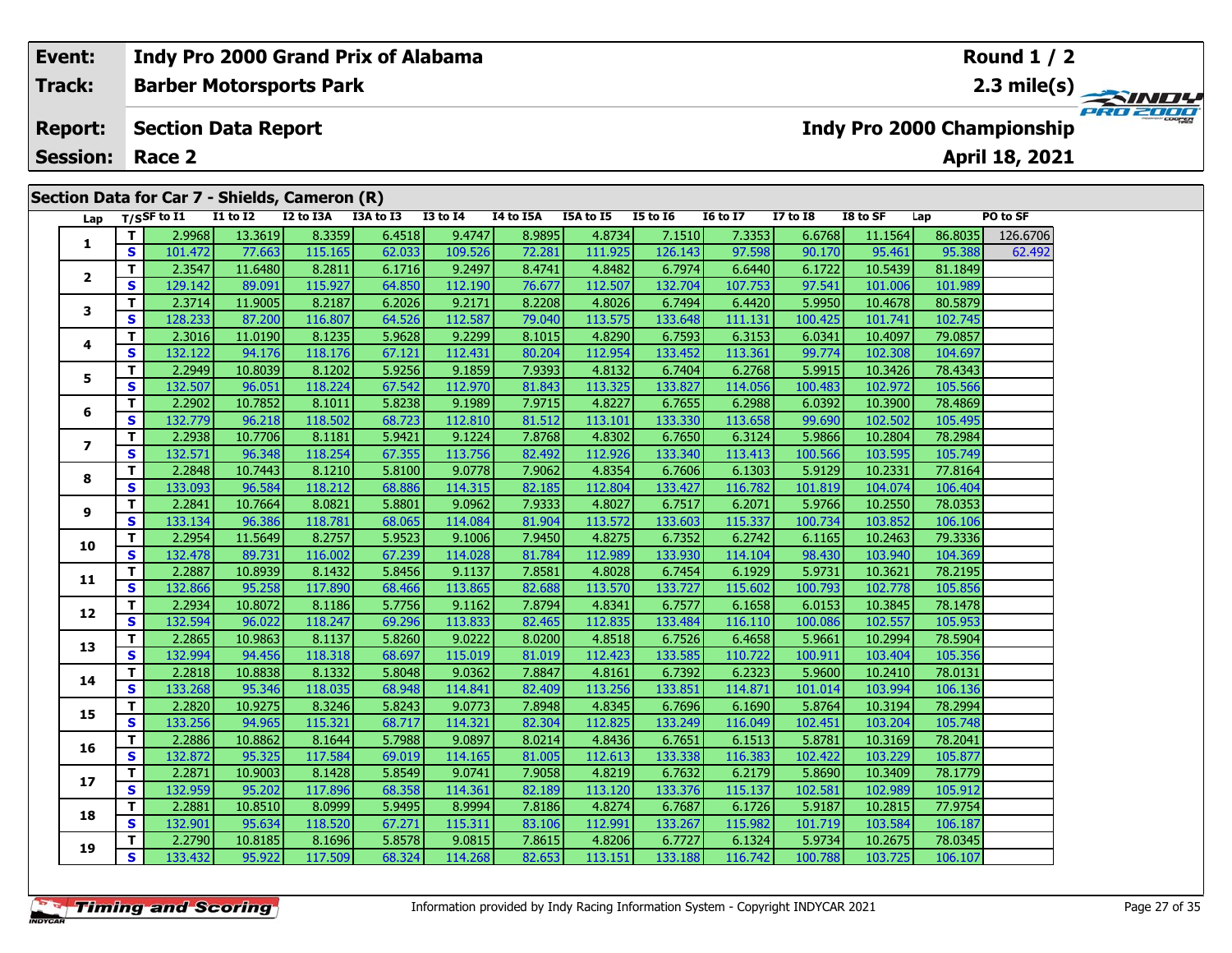| Event:<br><b>Track:</b><br><b>Report:</b><br><b>Session:</b><br>Section Data for Car 7 - Shields, Cameron (R) |     |                   |                                |           | <b>Indy Pro 2000 Grand Prix of Alabama</b> |                 |           |                  |                 |                 |                 |          |         | <b>Round 1 / 2</b>                |          |
|---------------------------------------------------------------------------------------------------------------|-----|-------------------|--------------------------------|-----------|--------------------------------------------|-----------------|-----------|------------------|-----------------|-----------------|-----------------|----------|---------|-----------------------------------|----------|
|                                                                                                               |     |                   | <b>Barber Motorsports Park</b> |           |                                            |                 |           |                  |                 |                 |                 |          |         |                                   |          |
|                                                                                                               |     |                   | <b>Section Data Report</b>     |           |                                            |                 |           |                  |                 |                 |                 |          |         | <b>Indy Pro 2000 Championship</b> | PRO 2000 |
|                                                                                                               |     | Race 2            |                                |           |                                            |                 |           |                  |                 |                 |                 |          |         | April 18, 2021                    |          |
|                                                                                                               |     |                   |                                |           |                                            |                 |           |                  |                 |                 |                 |          |         |                                   |          |
|                                                                                                               |     |                   |                                |           |                                            |                 |           |                  |                 |                 |                 |          |         |                                   |          |
|                                                                                                               |     | Lap $T/SSF$ to I1 | <b>I1 to I2</b>                | I2 to I3A | I3A to I3                                  | <b>I3 to I4</b> | I4 to I5A | <b>I5A to I5</b> | <b>I5 to 16</b> | <b>16 to 17</b> | <b>I7 to I8</b> | I8 to SF | Lap     | PO to SF                          |          |
|                                                                                                               |     | 2.9968            | 13.3619                        | 8.3359    | 6.4518                                     | 9.4747          | 8.9895    | 4.8734           | 7.1510          | 7.3353          | 6.6768          | 11.1564  | 86.8035 | 126.6706                          |          |
| л.                                                                                                            | S I | 101.472           | 77.663                         | 115.165   | 62.033                                     | 109.526         | 72.281    | 111.925          | 126.143         | 97.598          | 90.170          | 95.461   | 95.388  | 62.492                            |          |
|                                                                                                               |     | 2.3547            | 11.6480                        | 8.2811    | 6.1716                                     | 9.2497          | 8.4741    | 4.8482           | 6.7974          | 6.6440          | 6.1722          | 10.5439  | 81.1849 |                                   |          |
| $\overline{2}$                                                                                                | S I | 129.142           | 89.091                         | 115.927   | 64.850                                     | 112.190         | 76.677    | 112.507          | 132.704         | 107.753         | 97.541          | 101.006  | 101.989 |                                   |          |
|                                                                                                               | T.  | 2.3714            | 11.9005                        | 8.2187    | 6.2026                                     | 9.2171          | 8.2208    | 4.8026           | 6.7494          | 6.4420          | 5.9950          | 10.4678  | 80.5879 |                                   |          |

| 2.3547<br>8.2811<br>9.2497<br>4.8482<br>т<br>11.6480<br>6.1716<br>8.4741<br>6.7974<br>6.6440<br>6.1722<br>10.5439<br>81.1849<br>2<br>S<br>129.142<br>115.927<br>112.190<br>112.507<br>132.704<br>97.541<br>89.091<br>64.850<br>76.677<br>107.753<br>101.006<br>101.989<br>т<br>8.2187<br>9.2171<br>80.5879<br>2.3714<br>11.9005<br>6.2026<br>8.2208<br>4.8026<br>6.7494<br>6.4420<br>5.9950<br>10.4678<br>3<br>S<br>128.233<br>116.807<br>112.587<br>113.575<br>133.648<br>100.425<br>102.745<br>87.200<br>64.526<br>79.040<br>111.131<br>101.741<br>т<br>2.3016<br>8.1235<br>5.9628<br>9.2299<br>4.8290<br>6.7593<br>6.0341<br>10.4097<br>79.0857<br>11.0190<br>8.1015<br>6.3153<br>4<br>S<br>132.122<br>94.176<br>118.176<br>112.431<br>80.204<br>112.954<br>133.452<br>113.361<br>99.774<br>102.308<br>104.697<br>67.121<br>т<br>2.2949<br>5.9915<br>8.1202<br>5.9256<br>9.1859<br>7.9393<br>4.8132<br>78.4343<br>10.8039<br>6.7404<br>6.2768<br>10.3426<br>5<br>S<br>132.507<br>118.224<br>113.325<br>133.827<br>96.051<br>67.542<br>112.970<br>81.843<br>114.056<br>100.483<br>102.972<br>105.566<br>т<br>2.2902<br>8.1011<br>5.8238<br>9.1989<br>7.9715<br>4.8227<br>6.7655<br>6.2988<br>6.0392<br>10.3900<br>78.4869<br>10.7852<br>6<br>S<br>132.779<br>96.218<br>118.502<br>112.810<br>81.512<br>113.101<br>133.330<br>113.658<br>99.690<br>102.502<br>105.495<br>68.723<br>т<br>2.2938<br>9.1224<br>5.9866<br>10.7706<br>8.1181<br>5.9421<br>7.8768<br>4.8302<br>6.7650<br>6.3124<br>10.2804<br>78.2984<br>$\overline{\phantom{a}}$<br>S<br>132.571<br>118.254<br>112.926<br>113.756<br>82.492<br>133.340<br>100.566<br>103.595<br>105.749<br>96.348<br>67.355<br>113.413<br>т<br>2.2848<br>4.8354<br>10.7443<br>8.1210<br>9.0778<br>7.9062<br>6.7606<br>6.1303<br>5.9129<br>10.2331<br>77.8164<br>5.8100<br>8<br>S<br>133.093<br>133.427<br>101.819<br>96.584<br>118.212<br>68.886<br>114.315<br>82.185<br>112.804<br>116.782<br>104.074<br>106.404<br>т<br>2.2841<br>8.0821<br>9.0962<br>7.9333<br>4.8027<br>6.7517<br>5.9766<br>10.7664<br>5.8801<br>6.2071<br>10.2550<br>78.0353<br>9<br>$\mathbf{s}$<br>133.134<br>96.386<br>118.781<br>114.084<br>81.904<br>113.572<br>133.603<br>115.337<br>100.734<br>103.852<br>68.065<br>106.106<br>т<br>2.2954<br>8.2757<br>11.5649<br>5.9523<br>9.1006<br>7.9450<br>4.8275<br>6.7352<br>6.2742<br>79.3336<br>6.1165<br>10.2463<br>10<br>S<br>112.989<br>133.930<br>132.478<br>116.002<br>67.239<br>114.028<br>81.784<br>98.430<br>103.940<br>104.369<br>89.731<br>114.104<br>т<br>2.2887<br>8.1432<br>5.9731<br>10.8939<br>5.8456<br>9.1137<br>7.8581<br>4.8028<br>6.7454<br>6.1929<br>10.3621<br>78.2195<br>11<br>$\mathbf{s}$<br>117.890<br>132.866<br>95.258<br>113.865<br>82.688<br>113.570<br>133.727<br>100.793<br>105.856<br>68.466<br>115.602<br>102.778<br>т<br>2.2934<br>5.7756<br>7.8794<br>78.1478<br>10.8072<br>8.1186<br>9.1162<br>4.8341<br>6.7577<br>6.1658<br>6.0153<br>10.3845<br>12<br>S<br>132.594<br>96.022<br>118.247<br>69.296<br>113.833<br>82.465<br>112.835<br>133.484<br>105.953<br>116.110<br>100.086<br>102.557<br>2.2865<br>9.0222<br>т<br>8.1137<br>5.8260<br>4.8518<br>6.7526<br>6.4658<br>5.9661<br>10.2994<br>78.5904<br>10.9863<br>8.0200<br>13<br>S<br>132.994<br>118.318<br>115.019<br>112.423<br>133.585<br>105.356<br>94.456<br>68.697<br>81.019<br>110.722<br>100.911<br>103.404<br>T.<br>2.2818<br>9.0362<br>8.1332<br>5.8048<br>7.8847<br>4.8161<br>6.7392<br>5.9600<br>78.0131<br>10.8838<br>6.2323<br>10.2410<br>14<br>S<br>133.268<br>113.256<br>95.346<br>118.035<br>68.948<br>114.841<br>82.409<br>133.851<br>101.014<br>103.994<br>106.136<br>114.871<br>т<br>2.2820<br>8.3246<br>5.8764<br>78.2994<br>10.9275<br>5.8243<br>9.0773<br>7.8948<br>4.8345<br>6.7696<br>6.1690<br>10.3194<br>15<br>S<br>133.256<br>94.965<br>115.321<br>68.717<br>114.321<br>82.304<br>112.825<br>133.249<br>102.451<br>103.204<br>105.748<br>116.049<br>т<br>2.2886<br>10.8862<br>8.1644<br>5.7988<br>9.0897<br>8.0214<br>4.8436<br>6.7651<br>5.8781<br>78.2041<br>6.1513<br>10.3169<br>16<br>S<br>117.584<br>105.877<br>132.872<br>95.325<br>69.019<br>114.165<br>81.005<br>112.613<br>133.338<br>116.383<br>102.422<br>103.229<br>T.<br>2.2871<br>8.1428<br>9.0741<br>6.7632<br>5.8690<br>10.9003<br>5.8549<br>7.9058<br>4.8219<br>6.2179<br>10.3409<br>78.1779<br>17<br>S<br>132.959<br>117.896<br>95.202<br>68.358<br>114.361<br>82.189<br>113.120<br>133.376<br>102.581<br>105.912<br>115.137<br>102.989<br>$\mathbf{T}$<br>2.2881<br>8.0999<br>8.9994<br>10.8510<br>5.9495<br>7.8186<br>4.8274<br>6.7687<br>6.1726<br>5.9187<br>10.2815<br>77.9754<br>18<br>S<br>132.901<br>118.520<br>95.634<br>67.271<br>115.311<br>83.106<br>112.991<br>133.267<br>115.982<br>101.719<br>103.584<br>106.187<br>т<br>2.2790<br>8.1696<br>9.0815<br>78.0345<br>10.8185<br>5.8578<br>7.8615<br>4.8206<br>6.7727<br>6.1324<br>5.9734<br>10.2675<br>19<br>S<br>133.432<br>117.509<br>95.922<br>68.324<br>82.653<br>113.151<br>133.188<br>116.742<br>100.788<br>106.107<br>114.268<br>103.725 |  | 101.172 | 77.000 | <b>TTO:TOD</b> | <u>04.000</u> | 107.250 | 12.201 | 111,JL. | 140.1 IJ | <u>,,,,,,</u> | 30.170 | 33.101 | <u>JUNUU</u> | 02.132 |
|--------------------------------------------------------------------------------------------------------------------------------------------------------------------------------------------------------------------------------------------------------------------------------------------------------------------------------------------------------------------------------------------------------------------------------------------------------------------------------------------------------------------------------------------------------------------------------------------------------------------------------------------------------------------------------------------------------------------------------------------------------------------------------------------------------------------------------------------------------------------------------------------------------------------------------------------------------------------------------------------------------------------------------------------------------------------------------------------------------------------------------------------------------------------------------------------------------------------------------------------------------------------------------------------------------------------------------------------------------------------------------------------------------------------------------------------------------------------------------------------------------------------------------------------------------------------------------------------------------------------------------------------------------------------------------------------------------------------------------------------------------------------------------------------------------------------------------------------------------------------------------------------------------------------------------------------------------------------------------------------------------------------------------------------------------------------------------------------------------------------------------------------------------------------------------------------------------------------------------------------------------------------------------------------------------------------------------------------------------------------------------------------------------------------------------------------------------------------------------------------------------------------------------------------------------------------------------------------------------------------------------------------------------------------------------------------------------------------------------------------------------------------------------------------------------------------------------------------------------------------------------------------------------------------------------------------------------------------------------------------------------------------------------------------------------------------------------------------------------------------------------------------------------------------------------------------------------------------------------------------------------------------------------------------------------------------------------------------------------------------------------------------------------------------------------------------------------------------------------------------------------------------------------------------------------------------------------------------------------------------------------------------------------------------------------------------------------------------------------------------------------------------------------------------------------------------------------------------------------------------------------------------------------------------------------------------------------------------------------------------------------------------------------------------------------------------------------------------------------------------------------------------------------------------------------------------------------------------------------------------------------------------------------------------------------------------------------------------------------------------------------------------------------------------------------------------------------------------------------------------------------------------------------------------------------------------------------------------------------------------------------------------------------------------------------------------------------------------------------------------------------------------------------------------------------------------------------------------------------------------------------------------------------------------------------------------------------------------------------------------------------------------------------------------------------------------|--|---------|--------|----------------|---------------|---------|--------|---------|----------|---------------|--------|--------|--------------|--------|
|                                                                                                                                                                                                                                                                                                                                                                                                                                                                                                                                                                                                                                                                                                                                                                                                                                                                                                                                                                                                                                                                                                                                                                                                                                                                                                                                                                                                                                                                                                                                                                                                                                                                                                                                                                                                                                                                                                                                                                                                                                                                                                                                                                                                                                                                                                                                                                                                                                                                                                                                                                                                                                                                                                                                                                                                                                                                                                                                                                                                                                                                                                                                                                                                                                                                                                                                                                                                                                                                                                                                                                                                                                                                                                                                                                                                                                                                                                                                                                                                                                                                                                                                                                                                                                                                                                                                                                                                                                                                                                                                                                                                                                                                                                                                                                                                                                                                                                                                                                                                                                                                    |  |         |        |                |               |         |        |         |          |               |        |        |              |        |
|                                                                                                                                                                                                                                                                                                                                                                                                                                                                                                                                                                                                                                                                                                                                                                                                                                                                                                                                                                                                                                                                                                                                                                                                                                                                                                                                                                                                                                                                                                                                                                                                                                                                                                                                                                                                                                                                                                                                                                                                                                                                                                                                                                                                                                                                                                                                                                                                                                                                                                                                                                                                                                                                                                                                                                                                                                                                                                                                                                                                                                                                                                                                                                                                                                                                                                                                                                                                                                                                                                                                                                                                                                                                                                                                                                                                                                                                                                                                                                                                                                                                                                                                                                                                                                                                                                                                                                                                                                                                                                                                                                                                                                                                                                                                                                                                                                                                                                                                                                                                                                                                    |  |         |        |                |               |         |        |         |          |               |        |        |              |        |
|                                                                                                                                                                                                                                                                                                                                                                                                                                                                                                                                                                                                                                                                                                                                                                                                                                                                                                                                                                                                                                                                                                                                                                                                                                                                                                                                                                                                                                                                                                                                                                                                                                                                                                                                                                                                                                                                                                                                                                                                                                                                                                                                                                                                                                                                                                                                                                                                                                                                                                                                                                                                                                                                                                                                                                                                                                                                                                                                                                                                                                                                                                                                                                                                                                                                                                                                                                                                                                                                                                                                                                                                                                                                                                                                                                                                                                                                                                                                                                                                                                                                                                                                                                                                                                                                                                                                                                                                                                                                                                                                                                                                                                                                                                                                                                                                                                                                                                                                                                                                                                                                    |  |         |        |                |               |         |        |         |          |               |        |        |              |        |
|                                                                                                                                                                                                                                                                                                                                                                                                                                                                                                                                                                                                                                                                                                                                                                                                                                                                                                                                                                                                                                                                                                                                                                                                                                                                                                                                                                                                                                                                                                                                                                                                                                                                                                                                                                                                                                                                                                                                                                                                                                                                                                                                                                                                                                                                                                                                                                                                                                                                                                                                                                                                                                                                                                                                                                                                                                                                                                                                                                                                                                                                                                                                                                                                                                                                                                                                                                                                                                                                                                                                                                                                                                                                                                                                                                                                                                                                                                                                                                                                                                                                                                                                                                                                                                                                                                                                                                                                                                                                                                                                                                                                                                                                                                                                                                                                                                                                                                                                                                                                                                                                    |  |         |        |                |               |         |        |         |          |               |        |        |              |        |
|                                                                                                                                                                                                                                                                                                                                                                                                                                                                                                                                                                                                                                                                                                                                                                                                                                                                                                                                                                                                                                                                                                                                                                                                                                                                                                                                                                                                                                                                                                                                                                                                                                                                                                                                                                                                                                                                                                                                                                                                                                                                                                                                                                                                                                                                                                                                                                                                                                                                                                                                                                                                                                                                                                                                                                                                                                                                                                                                                                                                                                                                                                                                                                                                                                                                                                                                                                                                                                                                                                                                                                                                                                                                                                                                                                                                                                                                                                                                                                                                                                                                                                                                                                                                                                                                                                                                                                                                                                                                                                                                                                                                                                                                                                                                                                                                                                                                                                                                                                                                                                                                    |  |         |        |                |               |         |        |         |          |               |        |        |              |        |
|                                                                                                                                                                                                                                                                                                                                                                                                                                                                                                                                                                                                                                                                                                                                                                                                                                                                                                                                                                                                                                                                                                                                                                                                                                                                                                                                                                                                                                                                                                                                                                                                                                                                                                                                                                                                                                                                                                                                                                                                                                                                                                                                                                                                                                                                                                                                                                                                                                                                                                                                                                                                                                                                                                                                                                                                                                                                                                                                                                                                                                                                                                                                                                                                                                                                                                                                                                                                                                                                                                                                                                                                                                                                                                                                                                                                                                                                                                                                                                                                                                                                                                                                                                                                                                                                                                                                                                                                                                                                                                                                                                                                                                                                                                                                                                                                                                                                                                                                                                                                                                                                    |  |         |        |                |               |         |        |         |          |               |        |        |              |        |
|                                                                                                                                                                                                                                                                                                                                                                                                                                                                                                                                                                                                                                                                                                                                                                                                                                                                                                                                                                                                                                                                                                                                                                                                                                                                                                                                                                                                                                                                                                                                                                                                                                                                                                                                                                                                                                                                                                                                                                                                                                                                                                                                                                                                                                                                                                                                                                                                                                                                                                                                                                                                                                                                                                                                                                                                                                                                                                                                                                                                                                                                                                                                                                                                                                                                                                                                                                                                                                                                                                                                                                                                                                                                                                                                                                                                                                                                                                                                                                                                                                                                                                                                                                                                                                                                                                                                                                                                                                                                                                                                                                                                                                                                                                                                                                                                                                                                                                                                                                                                                                                                    |  |         |        |                |               |         |        |         |          |               |        |        |              |        |
|                                                                                                                                                                                                                                                                                                                                                                                                                                                                                                                                                                                                                                                                                                                                                                                                                                                                                                                                                                                                                                                                                                                                                                                                                                                                                                                                                                                                                                                                                                                                                                                                                                                                                                                                                                                                                                                                                                                                                                                                                                                                                                                                                                                                                                                                                                                                                                                                                                                                                                                                                                                                                                                                                                                                                                                                                                                                                                                                                                                                                                                                                                                                                                                                                                                                                                                                                                                                                                                                                                                                                                                                                                                                                                                                                                                                                                                                                                                                                                                                                                                                                                                                                                                                                                                                                                                                                                                                                                                                                                                                                                                                                                                                                                                                                                                                                                                                                                                                                                                                                                                                    |  |         |        |                |               |         |        |         |          |               |        |        |              |        |
|                                                                                                                                                                                                                                                                                                                                                                                                                                                                                                                                                                                                                                                                                                                                                                                                                                                                                                                                                                                                                                                                                                                                                                                                                                                                                                                                                                                                                                                                                                                                                                                                                                                                                                                                                                                                                                                                                                                                                                                                                                                                                                                                                                                                                                                                                                                                                                                                                                                                                                                                                                                                                                                                                                                                                                                                                                                                                                                                                                                                                                                                                                                                                                                                                                                                                                                                                                                                                                                                                                                                                                                                                                                                                                                                                                                                                                                                                                                                                                                                                                                                                                                                                                                                                                                                                                                                                                                                                                                                                                                                                                                                                                                                                                                                                                                                                                                                                                                                                                                                                                                                    |  |         |        |                |               |         |        |         |          |               |        |        |              |        |
|                                                                                                                                                                                                                                                                                                                                                                                                                                                                                                                                                                                                                                                                                                                                                                                                                                                                                                                                                                                                                                                                                                                                                                                                                                                                                                                                                                                                                                                                                                                                                                                                                                                                                                                                                                                                                                                                                                                                                                                                                                                                                                                                                                                                                                                                                                                                                                                                                                                                                                                                                                                                                                                                                                                                                                                                                                                                                                                                                                                                                                                                                                                                                                                                                                                                                                                                                                                                                                                                                                                                                                                                                                                                                                                                                                                                                                                                                                                                                                                                                                                                                                                                                                                                                                                                                                                                                                                                                                                                                                                                                                                                                                                                                                                                                                                                                                                                                                                                                                                                                                                                    |  |         |        |                |               |         |        |         |          |               |        |        |              |        |
|                                                                                                                                                                                                                                                                                                                                                                                                                                                                                                                                                                                                                                                                                                                                                                                                                                                                                                                                                                                                                                                                                                                                                                                                                                                                                                                                                                                                                                                                                                                                                                                                                                                                                                                                                                                                                                                                                                                                                                                                                                                                                                                                                                                                                                                                                                                                                                                                                                                                                                                                                                                                                                                                                                                                                                                                                                                                                                                                                                                                                                                                                                                                                                                                                                                                                                                                                                                                                                                                                                                                                                                                                                                                                                                                                                                                                                                                                                                                                                                                                                                                                                                                                                                                                                                                                                                                                                                                                                                                                                                                                                                                                                                                                                                                                                                                                                                                                                                                                                                                                                                                    |  |         |        |                |               |         |        |         |          |               |        |        |              |        |
|                                                                                                                                                                                                                                                                                                                                                                                                                                                                                                                                                                                                                                                                                                                                                                                                                                                                                                                                                                                                                                                                                                                                                                                                                                                                                                                                                                                                                                                                                                                                                                                                                                                                                                                                                                                                                                                                                                                                                                                                                                                                                                                                                                                                                                                                                                                                                                                                                                                                                                                                                                                                                                                                                                                                                                                                                                                                                                                                                                                                                                                                                                                                                                                                                                                                                                                                                                                                                                                                                                                                                                                                                                                                                                                                                                                                                                                                                                                                                                                                                                                                                                                                                                                                                                                                                                                                                                                                                                                                                                                                                                                                                                                                                                                                                                                                                                                                                                                                                                                                                                                                    |  |         |        |                |               |         |        |         |          |               |        |        |              |        |
|                                                                                                                                                                                                                                                                                                                                                                                                                                                                                                                                                                                                                                                                                                                                                                                                                                                                                                                                                                                                                                                                                                                                                                                                                                                                                                                                                                                                                                                                                                                                                                                                                                                                                                                                                                                                                                                                                                                                                                                                                                                                                                                                                                                                                                                                                                                                                                                                                                                                                                                                                                                                                                                                                                                                                                                                                                                                                                                                                                                                                                                                                                                                                                                                                                                                                                                                                                                                                                                                                                                                                                                                                                                                                                                                                                                                                                                                                                                                                                                                                                                                                                                                                                                                                                                                                                                                                                                                                                                                                                                                                                                                                                                                                                                                                                                                                                                                                                                                                                                                                                                                    |  |         |        |                |               |         |        |         |          |               |        |        |              |        |
|                                                                                                                                                                                                                                                                                                                                                                                                                                                                                                                                                                                                                                                                                                                                                                                                                                                                                                                                                                                                                                                                                                                                                                                                                                                                                                                                                                                                                                                                                                                                                                                                                                                                                                                                                                                                                                                                                                                                                                                                                                                                                                                                                                                                                                                                                                                                                                                                                                                                                                                                                                                                                                                                                                                                                                                                                                                                                                                                                                                                                                                                                                                                                                                                                                                                                                                                                                                                                                                                                                                                                                                                                                                                                                                                                                                                                                                                                                                                                                                                                                                                                                                                                                                                                                                                                                                                                                                                                                                                                                                                                                                                                                                                                                                                                                                                                                                                                                                                                                                                                                                                    |  |         |        |                |               |         |        |         |          |               |        |        |              |        |
|                                                                                                                                                                                                                                                                                                                                                                                                                                                                                                                                                                                                                                                                                                                                                                                                                                                                                                                                                                                                                                                                                                                                                                                                                                                                                                                                                                                                                                                                                                                                                                                                                                                                                                                                                                                                                                                                                                                                                                                                                                                                                                                                                                                                                                                                                                                                                                                                                                                                                                                                                                                                                                                                                                                                                                                                                                                                                                                                                                                                                                                                                                                                                                                                                                                                                                                                                                                                                                                                                                                                                                                                                                                                                                                                                                                                                                                                                                                                                                                                                                                                                                                                                                                                                                                                                                                                                                                                                                                                                                                                                                                                                                                                                                                                                                                                                                                                                                                                                                                                                                                                    |  |         |        |                |               |         |        |         |          |               |        |        |              |        |
|                                                                                                                                                                                                                                                                                                                                                                                                                                                                                                                                                                                                                                                                                                                                                                                                                                                                                                                                                                                                                                                                                                                                                                                                                                                                                                                                                                                                                                                                                                                                                                                                                                                                                                                                                                                                                                                                                                                                                                                                                                                                                                                                                                                                                                                                                                                                                                                                                                                                                                                                                                                                                                                                                                                                                                                                                                                                                                                                                                                                                                                                                                                                                                                                                                                                                                                                                                                                                                                                                                                                                                                                                                                                                                                                                                                                                                                                                                                                                                                                                                                                                                                                                                                                                                                                                                                                                                                                                                                                                                                                                                                                                                                                                                                                                                                                                                                                                                                                                                                                                                                                    |  |         |        |                |               |         |        |         |          |               |        |        |              |        |
|                                                                                                                                                                                                                                                                                                                                                                                                                                                                                                                                                                                                                                                                                                                                                                                                                                                                                                                                                                                                                                                                                                                                                                                                                                                                                                                                                                                                                                                                                                                                                                                                                                                                                                                                                                                                                                                                                                                                                                                                                                                                                                                                                                                                                                                                                                                                                                                                                                                                                                                                                                                                                                                                                                                                                                                                                                                                                                                                                                                                                                                                                                                                                                                                                                                                                                                                                                                                                                                                                                                                                                                                                                                                                                                                                                                                                                                                                                                                                                                                                                                                                                                                                                                                                                                                                                                                                                                                                                                                                                                                                                                                                                                                                                                                                                                                                                                                                                                                                                                                                                                                    |  |         |        |                |               |         |        |         |          |               |        |        |              |        |
|                                                                                                                                                                                                                                                                                                                                                                                                                                                                                                                                                                                                                                                                                                                                                                                                                                                                                                                                                                                                                                                                                                                                                                                                                                                                                                                                                                                                                                                                                                                                                                                                                                                                                                                                                                                                                                                                                                                                                                                                                                                                                                                                                                                                                                                                                                                                                                                                                                                                                                                                                                                                                                                                                                                                                                                                                                                                                                                                                                                                                                                                                                                                                                                                                                                                                                                                                                                                                                                                                                                                                                                                                                                                                                                                                                                                                                                                                                                                                                                                                                                                                                                                                                                                                                                                                                                                                                                                                                                                                                                                                                                                                                                                                                                                                                                                                                                                                                                                                                                                                                                                    |  |         |        |                |               |         |        |         |          |               |        |        |              |        |
|                                                                                                                                                                                                                                                                                                                                                                                                                                                                                                                                                                                                                                                                                                                                                                                                                                                                                                                                                                                                                                                                                                                                                                                                                                                                                                                                                                                                                                                                                                                                                                                                                                                                                                                                                                                                                                                                                                                                                                                                                                                                                                                                                                                                                                                                                                                                                                                                                                                                                                                                                                                                                                                                                                                                                                                                                                                                                                                                                                                                                                                                                                                                                                                                                                                                                                                                                                                                                                                                                                                                                                                                                                                                                                                                                                                                                                                                                                                                                                                                                                                                                                                                                                                                                                                                                                                                                                                                                                                                                                                                                                                                                                                                                                                                                                                                                                                                                                                                                                                                                                                                    |  |         |        |                |               |         |        |         |          |               |        |        |              |        |
|                                                                                                                                                                                                                                                                                                                                                                                                                                                                                                                                                                                                                                                                                                                                                                                                                                                                                                                                                                                                                                                                                                                                                                                                                                                                                                                                                                                                                                                                                                                                                                                                                                                                                                                                                                                                                                                                                                                                                                                                                                                                                                                                                                                                                                                                                                                                                                                                                                                                                                                                                                                                                                                                                                                                                                                                                                                                                                                                                                                                                                                                                                                                                                                                                                                                                                                                                                                                                                                                                                                                                                                                                                                                                                                                                                                                                                                                                                                                                                                                                                                                                                                                                                                                                                                                                                                                                                                                                                                                                                                                                                                                                                                                                                                                                                                                                                                                                                                                                                                                                                                                    |  |         |        |                |               |         |        |         |          |               |        |        |              |        |
|                                                                                                                                                                                                                                                                                                                                                                                                                                                                                                                                                                                                                                                                                                                                                                                                                                                                                                                                                                                                                                                                                                                                                                                                                                                                                                                                                                                                                                                                                                                                                                                                                                                                                                                                                                                                                                                                                                                                                                                                                                                                                                                                                                                                                                                                                                                                                                                                                                                                                                                                                                                                                                                                                                                                                                                                                                                                                                                                                                                                                                                                                                                                                                                                                                                                                                                                                                                                                                                                                                                                                                                                                                                                                                                                                                                                                                                                                                                                                                                                                                                                                                                                                                                                                                                                                                                                                                                                                                                                                                                                                                                                                                                                                                                                                                                                                                                                                                                                                                                                                                                                    |  |         |        |                |               |         |        |         |          |               |        |        |              |        |
|                                                                                                                                                                                                                                                                                                                                                                                                                                                                                                                                                                                                                                                                                                                                                                                                                                                                                                                                                                                                                                                                                                                                                                                                                                                                                                                                                                                                                                                                                                                                                                                                                                                                                                                                                                                                                                                                                                                                                                                                                                                                                                                                                                                                                                                                                                                                                                                                                                                                                                                                                                                                                                                                                                                                                                                                                                                                                                                                                                                                                                                                                                                                                                                                                                                                                                                                                                                                                                                                                                                                                                                                                                                                                                                                                                                                                                                                                                                                                                                                                                                                                                                                                                                                                                                                                                                                                                                                                                                                                                                                                                                                                                                                                                                                                                                                                                                                                                                                                                                                                                                                    |  |         |        |                |               |         |        |         |          |               |        |        |              |        |
|                                                                                                                                                                                                                                                                                                                                                                                                                                                                                                                                                                                                                                                                                                                                                                                                                                                                                                                                                                                                                                                                                                                                                                                                                                                                                                                                                                                                                                                                                                                                                                                                                                                                                                                                                                                                                                                                                                                                                                                                                                                                                                                                                                                                                                                                                                                                                                                                                                                                                                                                                                                                                                                                                                                                                                                                                                                                                                                                                                                                                                                                                                                                                                                                                                                                                                                                                                                                                                                                                                                                                                                                                                                                                                                                                                                                                                                                                                                                                                                                                                                                                                                                                                                                                                                                                                                                                                                                                                                                                                                                                                                                                                                                                                                                                                                                                                                                                                                                                                                                                                                                    |  |         |        |                |               |         |        |         |          |               |        |        |              |        |
|                                                                                                                                                                                                                                                                                                                                                                                                                                                                                                                                                                                                                                                                                                                                                                                                                                                                                                                                                                                                                                                                                                                                                                                                                                                                                                                                                                                                                                                                                                                                                                                                                                                                                                                                                                                                                                                                                                                                                                                                                                                                                                                                                                                                                                                                                                                                                                                                                                                                                                                                                                                                                                                                                                                                                                                                                                                                                                                                                                                                                                                                                                                                                                                                                                                                                                                                                                                                                                                                                                                                                                                                                                                                                                                                                                                                                                                                                                                                                                                                                                                                                                                                                                                                                                                                                                                                                                                                                                                                                                                                                                                                                                                                                                                                                                                                                                                                                                                                                                                                                                                                    |  |         |        |                |               |         |        |         |          |               |        |        |              |        |
|                                                                                                                                                                                                                                                                                                                                                                                                                                                                                                                                                                                                                                                                                                                                                                                                                                                                                                                                                                                                                                                                                                                                                                                                                                                                                                                                                                                                                                                                                                                                                                                                                                                                                                                                                                                                                                                                                                                                                                                                                                                                                                                                                                                                                                                                                                                                                                                                                                                                                                                                                                                                                                                                                                                                                                                                                                                                                                                                                                                                                                                                                                                                                                                                                                                                                                                                                                                                                                                                                                                                                                                                                                                                                                                                                                                                                                                                                                                                                                                                                                                                                                                                                                                                                                                                                                                                                                                                                                                                                                                                                                                                                                                                                                                                                                                                                                                                                                                                                                                                                                                                    |  |         |        |                |               |         |        |         |          |               |        |        |              |        |
|                                                                                                                                                                                                                                                                                                                                                                                                                                                                                                                                                                                                                                                                                                                                                                                                                                                                                                                                                                                                                                                                                                                                                                                                                                                                                                                                                                                                                                                                                                                                                                                                                                                                                                                                                                                                                                                                                                                                                                                                                                                                                                                                                                                                                                                                                                                                                                                                                                                                                                                                                                                                                                                                                                                                                                                                                                                                                                                                                                                                                                                                                                                                                                                                                                                                                                                                                                                                                                                                                                                                                                                                                                                                                                                                                                                                                                                                                                                                                                                                                                                                                                                                                                                                                                                                                                                                                                                                                                                                                                                                                                                                                                                                                                                                                                                                                                                                                                                                                                                                                                                                    |  |         |        |                |               |         |        |         |          |               |        |        |              |        |
|                                                                                                                                                                                                                                                                                                                                                                                                                                                                                                                                                                                                                                                                                                                                                                                                                                                                                                                                                                                                                                                                                                                                                                                                                                                                                                                                                                                                                                                                                                                                                                                                                                                                                                                                                                                                                                                                                                                                                                                                                                                                                                                                                                                                                                                                                                                                                                                                                                                                                                                                                                                                                                                                                                                                                                                                                                                                                                                                                                                                                                                                                                                                                                                                                                                                                                                                                                                                                                                                                                                                                                                                                                                                                                                                                                                                                                                                                                                                                                                                                                                                                                                                                                                                                                                                                                                                                                                                                                                                                                                                                                                                                                                                                                                                                                                                                                                                                                                                                                                                                                                                    |  |         |        |                |               |         |        |         |          |               |        |        |              |        |
|                                                                                                                                                                                                                                                                                                                                                                                                                                                                                                                                                                                                                                                                                                                                                                                                                                                                                                                                                                                                                                                                                                                                                                                                                                                                                                                                                                                                                                                                                                                                                                                                                                                                                                                                                                                                                                                                                                                                                                                                                                                                                                                                                                                                                                                                                                                                                                                                                                                                                                                                                                                                                                                                                                                                                                                                                                                                                                                                                                                                                                                                                                                                                                                                                                                                                                                                                                                                                                                                                                                                                                                                                                                                                                                                                                                                                                                                                                                                                                                                                                                                                                                                                                                                                                                                                                                                                                                                                                                                                                                                                                                                                                                                                                                                                                                                                                                                                                                                                                                                                                                                    |  |         |        |                |               |         |        |         |          |               |        |        |              |        |
|                                                                                                                                                                                                                                                                                                                                                                                                                                                                                                                                                                                                                                                                                                                                                                                                                                                                                                                                                                                                                                                                                                                                                                                                                                                                                                                                                                                                                                                                                                                                                                                                                                                                                                                                                                                                                                                                                                                                                                                                                                                                                                                                                                                                                                                                                                                                                                                                                                                                                                                                                                                                                                                                                                                                                                                                                                                                                                                                                                                                                                                                                                                                                                                                                                                                                                                                                                                                                                                                                                                                                                                                                                                                                                                                                                                                                                                                                                                                                                                                                                                                                                                                                                                                                                                                                                                                                                                                                                                                                                                                                                                                                                                                                                                                                                                                                                                                                                                                                                                                                                                                    |  |         |        |                |               |         |        |         |          |               |        |        |              |        |
|                                                                                                                                                                                                                                                                                                                                                                                                                                                                                                                                                                                                                                                                                                                                                                                                                                                                                                                                                                                                                                                                                                                                                                                                                                                                                                                                                                                                                                                                                                                                                                                                                                                                                                                                                                                                                                                                                                                                                                                                                                                                                                                                                                                                                                                                                                                                                                                                                                                                                                                                                                                                                                                                                                                                                                                                                                                                                                                                                                                                                                                                                                                                                                                                                                                                                                                                                                                                                                                                                                                                                                                                                                                                                                                                                                                                                                                                                                                                                                                                                                                                                                                                                                                                                                                                                                                                                                                                                                                                                                                                                                                                                                                                                                                                                                                                                                                                                                                                                                                                                                                                    |  |         |        |                |               |         |        |         |          |               |        |        |              |        |
|                                                                                                                                                                                                                                                                                                                                                                                                                                                                                                                                                                                                                                                                                                                                                                                                                                                                                                                                                                                                                                                                                                                                                                                                                                                                                                                                                                                                                                                                                                                                                                                                                                                                                                                                                                                                                                                                                                                                                                                                                                                                                                                                                                                                                                                                                                                                                                                                                                                                                                                                                                                                                                                                                                                                                                                                                                                                                                                                                                                                                                                                                                                                                                                                                                                                                                                                                                                                                                                                                                                                                                                                                                                                                                                                                                                                                                                                                                                                                                                                                                                                                                                                                                                                                                                                                                                                                                                                                                                                                                                                                                                                                                                                                                                                                                                                                                                                                                                                                                                                                                                                    |  |         |        |                |               |         |        |         |          |               |        |        |              |        |
|                                                                                                                                                                                                                                                                                                                                                                                                                                                                                                                                                                                                                                                                                                                                                                                                                                                                                                                                                                                                                                                                                                                                                                                                                                                                                                                                                                                                                                                                                                                                                                                                                                                                                                                                                                                                                                                                                                                                                                                                                                                                                                                                                                                                                                                                                                                                                                                                                                                                                                                                                                                                                                                                                                                                                                                                                                                                                                                                                                                                                                                                                                                                                                                                                                                                                                                                                                                                                                                                                                                                                                                                                                                                                                                                                                                                                                                                                                                                                                                                                                                                                                                                                                                                                                                                                                                                                                                                                                                                                                                                                                                                                                                                                                                                                                                                                                                                                                                                                                                                                                                                    |  |         |        |                |               |         |        |         |          |               |        |        |              |        |
|                                                                                                                                                                                                                                                                                                                                                                                                                                                                                                                                                                                                                                                                                                                                                                                                                                                                                                                                                                                                                                                                                                                                                                                                                                                                                                                                                                                                                                                                                                                                                                                                                                                                                                                                                                                                                                                                                                                                                                                                                                                                                                                                                                                                                                                                                                                                                                                                                                                                                                                                                                                                                                                                                                                                                                                                                                                                                                                                                                                                                                                                                                                                                                                                                                                                                                                                                                                                                                                                                                                                                                                                                                                                                                                                                                                                                                                                                                                                                                                                                                                                                                                                                                                                                                                                                                                                                                                                                                                                                                                                                                                                                                                                                                                                                                                                                                                                                                                                                                                                                                                                    |  |         |        |                |               |         |        |         |          |               |        |        |              |        |
|                                                                                                                                                                                                                                                                                                                                                                                                                                                                                                                                                                                                                                                                                                                                                                                                                                                                                                                                                                                                                                                                                                                                                                                                                                                                                                                                                                                                                                                                                                                                                                                                                                                                                                                                                                                                                                                                                                                                                                                                                                                                                                                                                                                                                                                                                                                                                                                                                                                                                                                                                                                                                                                                                                                                                                                                                                                                                                                                                                                                                                                                                                                                                                                                                                                                                                                                                                                                                                                                                                                                                                                                                                                                                                                                                                                                                                                                                                                                                                                                                                                                                                                                                                                                                                                                                                                                                                                                                                                                                                                                                                                                                                                                                                                                                                                                                                                                                                                                                                                                                                                                    |  |         |        |                |               |         |        |         |          |               |        |        |              |        |
|                                                                                                                                                                                                                                                                                                                                                                                                                                                                                                                                                                                                                                                                                                                                                                                                                                                                                                                                                                                                                                                                                                                                                                                                                                                                                                                                                                                                                                                                                                                                                                                                                                                                                                                                                                                                                                                                                                                                                                                                                                                                                                                                                                                                                                                                                                                                                                                                                                                                                                                                                                                                                                                                                                                                                                                                                                                                                                                                                                                                                                                                                                                                                                                                                                                                                                                                                                                                                                                                                                                                                                                                                                                                                                                                                                                                                                                                                                                                                                                                                                                                                                                                                                                                                                                                                                                                                                                                                                                                                                                                                                                                                                                                                                                                                                                                                                                                                                                                                                                                                                                                    |  |         |        |                |               |         |        |         |          |               |        |        |              |        |
|                                                                                                                                                                                                                                                                                                                                                                                                                                                                                                                                                                                                                                                                                                                                                                                                                                                                                                                                                                                                                                                                                                                                                                                                                                                                                                                                                                                                                                                                                                                                                                                                                                                                                                                                                                                                                                                                                                                                                                                                                                                                                                                                                                                                                                                                                                                                                                                                                                                                                                                                                                                                                                                                                                                                                                                                                                                                                                                                                                                                                                                                                                                                                                                                                                                                                                                                                                                                                                                                                                                                                                                                                                                                                                                                                                                                                                                                                                                                                                                                                                                                                                                                                                                                                                                                                                                                                                                                                                                                                                                                                                                                                                                                                                                                                                                                                                                                                                                                                                                                                                                                    |  |         |        |                |               |         |        |         |          |               |        |        |              |        |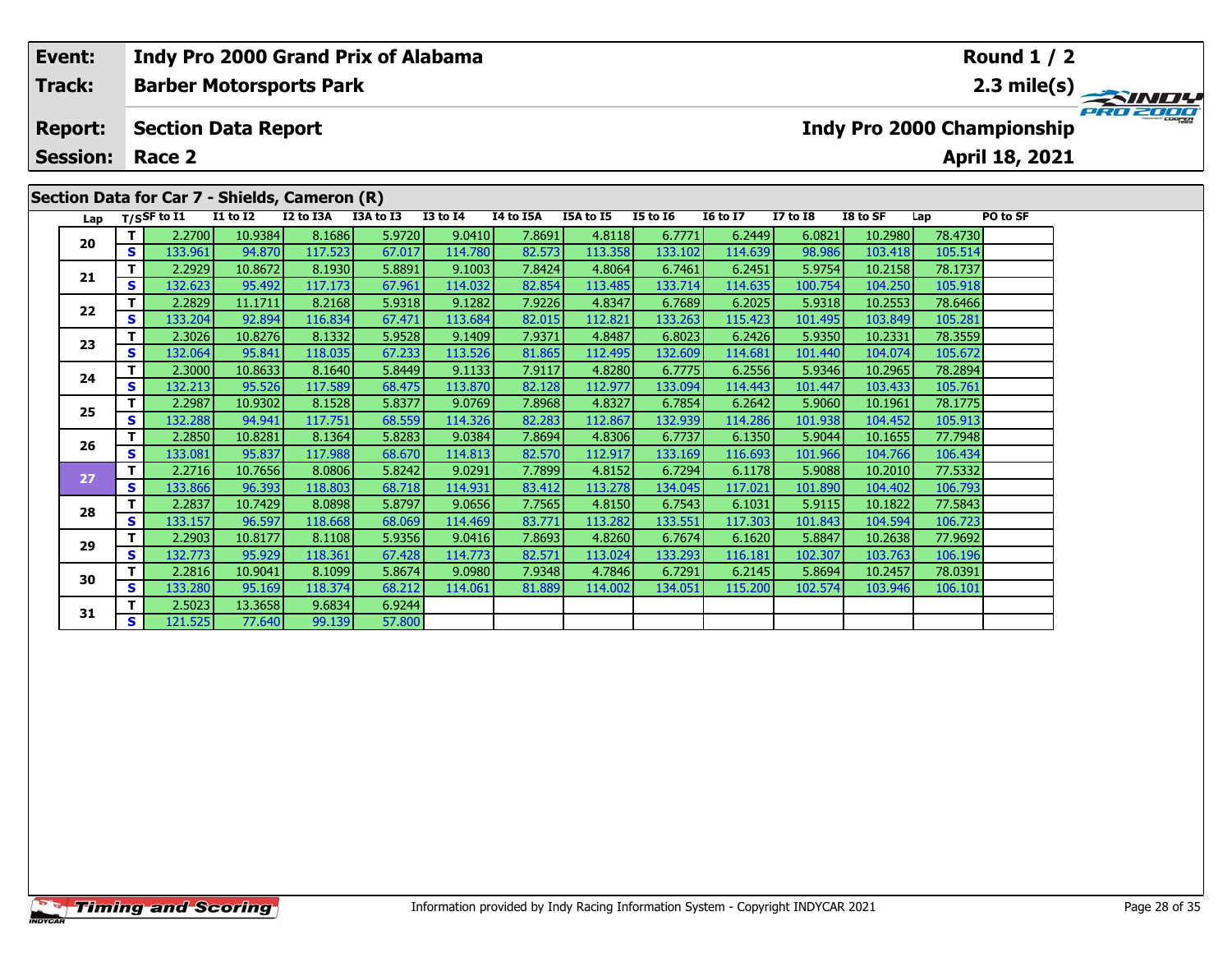| Event:          |    |                  |                            | Indy Pro 2000 Grand Prix of Alabama           |           |                 |           |           |                 |                 |              |          |         | <b>Round 1 / 2</b>         |          |
|-----------------|----|------------------|----------------------------|-----------------------------------------------|-----------|-----------------|-----------|-----------|-----------------|-----------------|--------------|----------|---------|----------------------------|----------|
| Track:          |    |                  |                            | <b>Barber Motorsports Park</b>                |           |                 |           |           |                 |                 |              |          |         |                            |          |
| <b>Report:</b>  |    |                  | <b>Section Data Report</b> |                                               |           |                 |           |           |                 |                 |              |          |         | Indy Pro 2000 Championship | PRO 2000 |
| <b>Session:</b> |    | Race 2           |                            |                                               |           |                 |           |           |                 |                 |              |          |         | April 18, 2021             |          |
|                 |    |                  |                            | Section Data for Car 7 - Shields, Cameron (R) |           |                 |           |           |                 |                 |              |          |         |                            |          |
| Lap             |    | $T/S$ SF to $I1$ | <b>I1 to I2</b>            | I2 to I3A                                     | I3A to I3 | <b>I3 to I4</b> | I4 to I5A | I5A to I5 | <b>I5 to 16</b> | <b>I6 to I7</b> | $I7$ to $I8$ | I8 to SF | Lap     | PO to SF                   |          |
| 20              |    | 2.2700           | 10.9384                    | 8.1686                                        | 5.9720    | 9.0410          | 7.8691    | 4.8118    | 6.7771          | 6.2449          | 6.0821       | 10.2980  | 78.4730 |                            |          |
|                 | S. | 133.961          | 94.870                     | 117.523                                       | 67.017    | 114.780         | 82.573    | 113.358   | 133.102         | 114.639         | 98.986       | 103.418  | 105.514 |                            |          |
|                 |    | 2.2929           | 10.8672                    | 8.1930                                        | 5.8891    | 9.1003          | 7.8424    | 4.8064    | 6.7461          | 6.2451          | 5.9754       | 10.2158  | 78.1737 |                            |          |
| 21              | S. | 132.623          | 95.492                     | 117.173                                       | 67.961    | 114.032         | 82.854    | 113.485   | 133.714         | 114.635         | 100.754      | 104.250  | 105.918 |                            |          |
| 22              |    | 2.2829           | 11.1711                    | 8.2168                                        | 5.9318    | 9.1282          | 7.9226    | 4.8347    | 6.7689          | 6.2025          | 5.9318       | 10.2553  | 78.6466 |                            |          |
|                 | S. | 133.204          | 92.894                     | 116.834                                       | 67.471    | 113.684         | 82.015    | 112.821   | 133.263         | 115.423         | 101.495      | 103.849  | 105.281 |                            |          |

# **<sup>T</sup>** 2.3026 10.8276 8.1332 5.9528 9.1409 7.9371 4.8487 6.8023 6.2426 5.9350 10.2331 78.3559 **<sup>S</sup>** 132.064 95.841 118.035 67.233 113.526 81.865 112.495 132.609 114.681 101.440 104.074 105.672**24<sup>T</sup>** 2.3000 10.8633 8.1640 5.8449 9.1133 7.9117 4.8280 6.7775 6.2556 5.9346 10.2965 78.2894 **<sup>S</sup>** 132.213 95.526 117.589 68.475 113.870 82.128 112.977 133.094 114.443 101.447 103.433 105.761

**23**

| - - | s l | 132.2131         | 95.526  | 117.589 | 68.475 | 113.870   | 82.128 | 112.977 | 133.094 <b> </b> | 114.443 | 101.447 | 103.433 | 105.761 |  |
|-----|-----|------------------|---------|---------|--------|-----------|--------|---------|------------------|---------|---------|---------|---------|--|
| 25  |     | 2.2987           | 10.9302 | 8.1528  | 5.8377 | 9.0769    | 7.8968 | 4.8327  | 6.7854           | 6.2642  | 5.9060  | 10.1961 | 78.1775 |  |
|     | S   | 132.288          | 94.941  | 117.751 | 68.559 | 114.326   | 82.283 | 112.867 | 132.939          | 114.286 | 101.938 | 104.452 | 105.913 |  |
| 26  |     | 2.2850           | 10.8281 | 8.1364  | 5.8283 | 9.0384    | 7.8694 | 4.8306  | 6.7737           | 6.1350  | 5.9044  | 10.1655 | 77.7948 |  |
|     | S.  | 133.081          | 95.837  | 117.988 | 68.670 | 114.813   | 82.570 | 112.917 | 133.169          | 116.693 | 101.966 | 104.766 | 106.434 |  |
| 27  |     | 2.2716           | 10.7656 | 8.0806  | 5.8242 | 9.0291    | 7.7899 | 4.8152  | 6.7294           | 6.1178  | 5.9088  | 10.2010 | 77.5332 |  |
|     | s l | 133.866 <b> </b> | 96.393  | 118.803 | 68.718 | 114.931 l | 83.412 | 113.278 | 134.045          | 117.021 | 101.890 | 104.402 | 106.793 |  |
| 28  |     | 2.2837           | 10.7429 | 8.0898  | 5.8797 | 9.0656    | 7.7565 | 4.8150  | 6.7543           | 6.1031  | 5.9115  | 10.1822 | 77.5843 |  |
|     | S   | 133.157          | 96.597  | 118.668 | 68.069 | 114.469   | 83.771 | 113.282 | 133.551          | 117.303 | 101.843 | 104.594 | 106.723 |  |
| 29  |     | 2.2903           | 10.8177 | 8.1108  | 5.9356 | 9.0416    | 7.8693 | 4.8260  | 6.7674           | 6.1620  | 5.8847  | 10.2638 | 77.9692 |  |
|     | S   | 132.773          | 95.929  | 118.361 | 67.428 | 114.773   | 82.571 | 113.024 | 133.293          | 116.181 | 102.307 | 103.763 | 106.196 |  |
| 30  |     | 2.2816           | 10.9041 | 8.1099  | 5.8674 | 9.0980    | 7.9348 | 4.7846  | 6.7291           | 6.2145  | 5.8694  | 10.2457 | 78.0391 |  |
|     | S.  | 133.280          | 95.169  | 118.374 | 68.212 | 114.061   | 81.889 | 114.002 | 134.051          | 115.200 | 102.574 | 103.946 | 106.101 |  |
|     |     | 2.5023           | 13.3658 | 9.6834  | 6.9244 |           |        |         |                  |         |         |         |         |  |
| 31  | s l | 121.525          | 77.640  | 99.139  | 57.800 |           |        |         |                  |         |         |         |         |  |

78.3559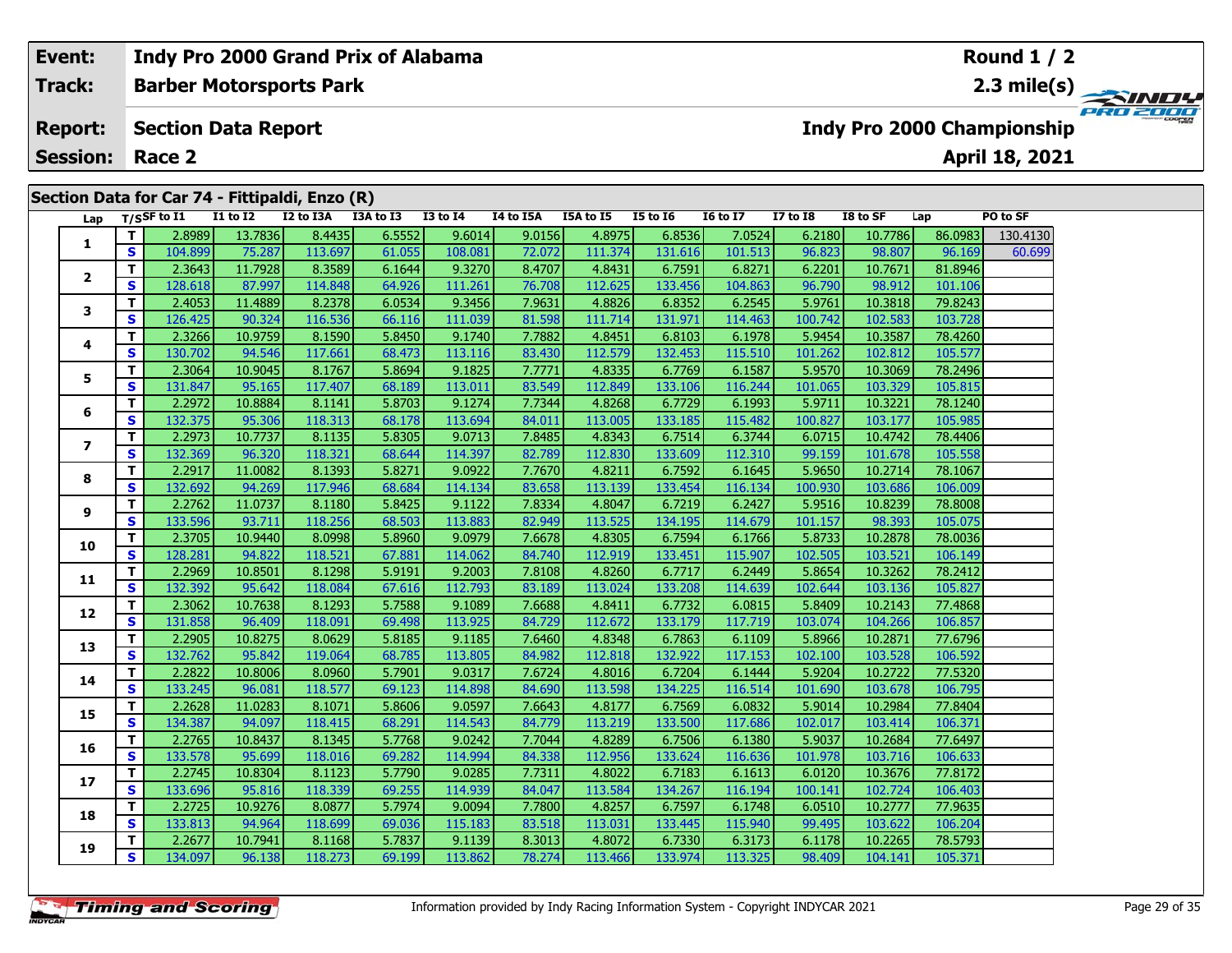# **Event: Indy Pro 2000 Grand Prix of Alabama Round 1 / 2Barber Motorsports Park 2.3 mile(s) Track:** PRO 200 **Section Data Report Report: Indy Pro 2000 Championship April 18, 2021 Session: Race 2 Section Data for Car 74 - Fittipaldi, Enzo (R) Lap T/SSF to I1 I1 to I2 I2 to I3A I3A to I3 I3 to I4 I4 to I5A I5A to I5 I5 to I6 I6 to I7 I7 to I8 I8 to SF Lap PO to SF**  г **<sup>T</sup>** 2.8989 13.7836 8.4435 6.5552 9.6014 9.0156 4.8975 6.8536 7.0524 6.2180 10.7786 86.0983 130.4130 **<sup>S</sup>** 104.899 75.287 113.697 61.055 108.081 72.072 111.374 131.616 101.513 96.823 98.807 96.169 60.699**1 <sup>T</sup>** 2.3643 11.7928 8.3589 6.1644 9.3270 8.4707 4.8431 6.7591 6.8271 6.2201 10.7671 81.8946 **<sup>S</sup>** 128.618 87.997 114.848 64.926 111.261 76.708 112.625 133.456 104.863 96.790 98.912 101.106**23**

|  | 1              |              | 2.8989  | 13.7836 | 8.4435  | 6.5552 | 9.6014  | 9.0156 | 4.8975  | 6.8536  | 7.0524  | 6.2180  | 10.7786 | 86.0983 | 130.4130 |
|--|----------------|--------------|---------|---------|---------|--------|---------|--------|---------|---------|---------|---------|---------|---------|----------|
|  |                | S            | 104.899 | 75.287  | 113.697 | 61.055 | 108.081 | 72.072 | 111.374 | 131.616 | 101.513 | 96.823  | 98.807  | 96.169  | 60.699   |
|  | $\overline{2}$ | T.           | 2.3643  | 11.7928 | 8.3589  | 6.1644 | 9.3270  | 8.4707 | 4.8431  | 6.7591  | 6.8271  | 6.2201  | 10.7671 | 81.8946 |          |
|  |                | S            | 128.618 | 87.997  | 114.848 | 64.926 | 111.261 | 76.708 | 112.625 | 133.456 | 104.863 | 96.790  | 98.912  | 101.106 |          |
|  | 3              | T.           | 2.4053  | 11.4889 | 8.2378  | 6.0534 | 9.3456  | 7.9631 | 4.8826  | 6.8352  | 6.2545  | 5.9761  | 10.3818 | 79.8243 |          |
|  |                | S            | 126.425 | 90.324  | 116.536 | 66.116 | 111.039 | 81.598 | 111.714 | 131.971 | 114.463 | 100.742 | 102.583 | 103.728 |          |
|  | 4              | T.           | 2.3266  | 10.9759 | 8.1590  | 5.8450 | 9.1740  | 7.7882 | 4.8451  | 6.8103  | 6.1978  | 5.9454  | 10.3587 | 78.4260 |          |
|  |                | $\mathbf{s}$ | 130.702 | 94.546  | 117.661 | 68.473 | 113.116 | 83.430 | 112.579 | 132.453 | 115.510 | 101.262 | 102.812 | 105.577 |          |
|  | 5              | T.           | 2.3064  | 10.9045 | 8.1767  | 5.8694 | 9.1825  | 7.7771 | 4.8335  | 6.7769  | 6.1587  | 5.9570  | 10.3069 | 78.2496 |          |
|  |                | S            | 131.847 | 95.165  | 117.407 | 68.189 | 113.011 | 83.549 | 112.849 | 133.106 | 116.244 | 101.065 | 103.329 | 105.815 |          |
|  | 6              | T.           | 2.2972  | 10.8884 | 8.1141  | 5.8703 | 9.1274  | 7.7344 | 4.8268  | 6.7729  | 6.1993  | 5.9711  | 10.3221 | 78.1240 |          |
|  |                | S            | 132.375 | 95.306  | 118.313 | 68.178 | 113.694 | 84.011 | 113.005 | 133.185 | 115.482 | 100.827 | 103.177 | 105.985 |          |
|  | 7              | T.           | 2.2973  | 10.7737 | 8.1135  | 5.8305 | 9.0713  | 7.8485 | 4.8343  | 6.7514  | 6.3744  | 6.0715  | 10.4742 | 78.4406 |          |
|  |                | S            | 132.369 | 96.320  | 118.321 | 68.644 | 114.397 | 82.789 | 112.830 | 133.609 | 112.310 | 99.159  | 101.678 | 105.558 |          |
|  | 8              | T.           | 2.2917  | 11.0082 | 8.1393  | 5.8271 | 9.0922  | 7.7670 | 4.8211  | 6.7592  | 6.1645  | 5.9650  | 10.2714 | 78.1067 |          |
|  |                | S            | 132.692 | 94.269  | 117.946 | 68.684 | 114.134 | 83.658 | 113.139 | 133.454 | 116.134 | 100.930 | 103.686 | 106.009 |          |
|  | 9              | T.           | 2.2762  | 11.0737 | 8.1180  | 5.8425 | 9.1122  | 7.8334 | 4.8047  | 6.7219  | 6.2427  | 5.9516  | 10.8239 | 78.8008 |          |
|  |                | S            | 133.596 | 93.711  | 118.256 | 68.503 | 113.883 | 82.949 | 113.525 | 134.195 | 114.679 | 101.157 | 98.393  | 105.075 |          |
|  | 10             | T.           | 2.3705  | 10.9440 | 8.0998  | 5.8960 | 9.0979  | 7.6678 | 4.8305  | 6.7594  | 6.1766  | 5.8733  | 10.2878 | 78.0036 |          |
|  |                | S            | 128.281 | 94.822  | 118.521 | 67.881 | 114.062 | 84.740 | 112.919 | 133.451 | 115.907 | 102.505 | 103.521 | 106.149 |          |
|  | 11             | T.           | 2.2969  | 10.8501 | 8.1298  | 5.9191 | 9.2003  | 7.8108 | 4.8260  | 6.7717  | 6.2449  | 5.8654  | 10.3262 | 78.2412 |          |
|  |                | S            | 132.392 | 95.642  | 118.084 | 67.616 | 112.793 | 83.189 | 113.024 | 133.208 | 114.639 | 102.644 | 103.136 | 105.827 |          |
|  | 12             | T.           | 2.3062  | 10.7638 | 8.1293  | 5.7588 | 9.1089  | 7.6688 | 4.8411  | 6.7732  | 6.0815  | 5.8409  | 10.2143 | 77.4868 |          |
|  |                | S            | 131.858 | 96.409  | 118.091 | 69.498 | 113.925 | 84.729 | 112.672 | 133.179 | 117.719 | 103.074 | 104.266 | 106.857 |          |
|  | 13             | T.           | 2.2905  | 10.8275 | 8.0629  | 5.8185 | 9.1185  | 7.6460 | 4.8348  | 6.7863  | 6.1109  | 5.8966  | 10.2871 | 77.6796 |          |
|  |                | S            | 132.762 | 95.842  | 119.064 | 68.785 | 113.805 | 84.982 | 112.818 | 132.922 | 117.153 | 102.100 | 103.528 | 106.592 |          |
|  | 14             | T.           | 2.2822  | 10.8006 | 8.0960  | 5.7901 | 9.0317  | 7.6724 | 4.8016  | 6.7204  | 6.1444  | 5.9204  | 10.2722 | 77.5320 |          |
|  |                | S            | 133.245 | 96.081  | 118.577 | 69.123 | 114.898 | 84.690 | 113.598 | 134.225 | 116.514 | 101.690 | 103.678 | 106.795 |          |
|  | 15             | T.           | 2.2628  | 11.0283 | 8.1071  | 5.8606 | 9.0597  | 7.6643 | 4.8177  | 6.7569  | 6.0832  | 5.9014  | 10.2984 | 77.8404 |          |
|  |                | S            | 134.387 | 94.097  | 118.415 | 68.291 | 114.543 | 84.779 | 113.219 | 133.500 | 117.686 | 102.017 | 103.414 | 106.371 |          |
|  | 16<br>17<br>18 | T.           | 2.2765  | 10.8437 | 8.1345  | 5.7768 | 9.0242  | 7.7044 | 4.8289  | 6.7506  | 6.1380  | 5.9037  | 10.2684 | 77.6497 |          |
|  |                | S            | 133.578 | 95.699  | 118.016 | 69.282 | 114.994 | 84.338 | 112.956 | 133.624 | 116.636 | 101.978 | 103.716 | 106.633 |          |
|  |                | T.           | 2.2745  | 10.8304 | 8.1123  | 5.7790 | 9.0285  | 7.7311 | 4.8022  | 6.7183  | 6.1613  | 6.0120  | 10.3676 | 77.8172 |          |
|  |                | S            | 133.696 | 95.816  | 118.339 | 69.255 | 114.939 | 84.047 | 113.584 | 134.267 | 116.194 | 100.141 | 102.724 | 106.403 |          |
|  |                | T.           | 2.2725  | 10.9276 | 8.0877  | 5.7974 | 9.0094  | 7.7800 | 4.8257  | 6.7597  | 6.1748  | 6.0510  | 10.2777 | 77.9635 |          |
|  |                | S            | 133.813 | 94.964  | 118.699 | 69.036 | 115.183 | 83.518 | 113.031 | 133.445 | 115.940 | 99.495  | 103.622 | 106.204 |          |
|  | 19             | T.           | 2.2677  | 10.7941 | 8.1168  | 5.7837 | 9.1139  | 8.3013 | 4.8072  | 6.7330  | 6.3173  | 6.1178  | 10.2265 | 78.5793 |          |
|  |                | S            | 134.097 | 96.138  | 118.273 | 69.199 | 113.862 | 78.274 | 113.466 | 133.974 | 113.325 | 98.409  | 104.141 | 105.371 |          |
|  |                |              |         |         |         |        |         |        |         |         |         |         |         |         |          |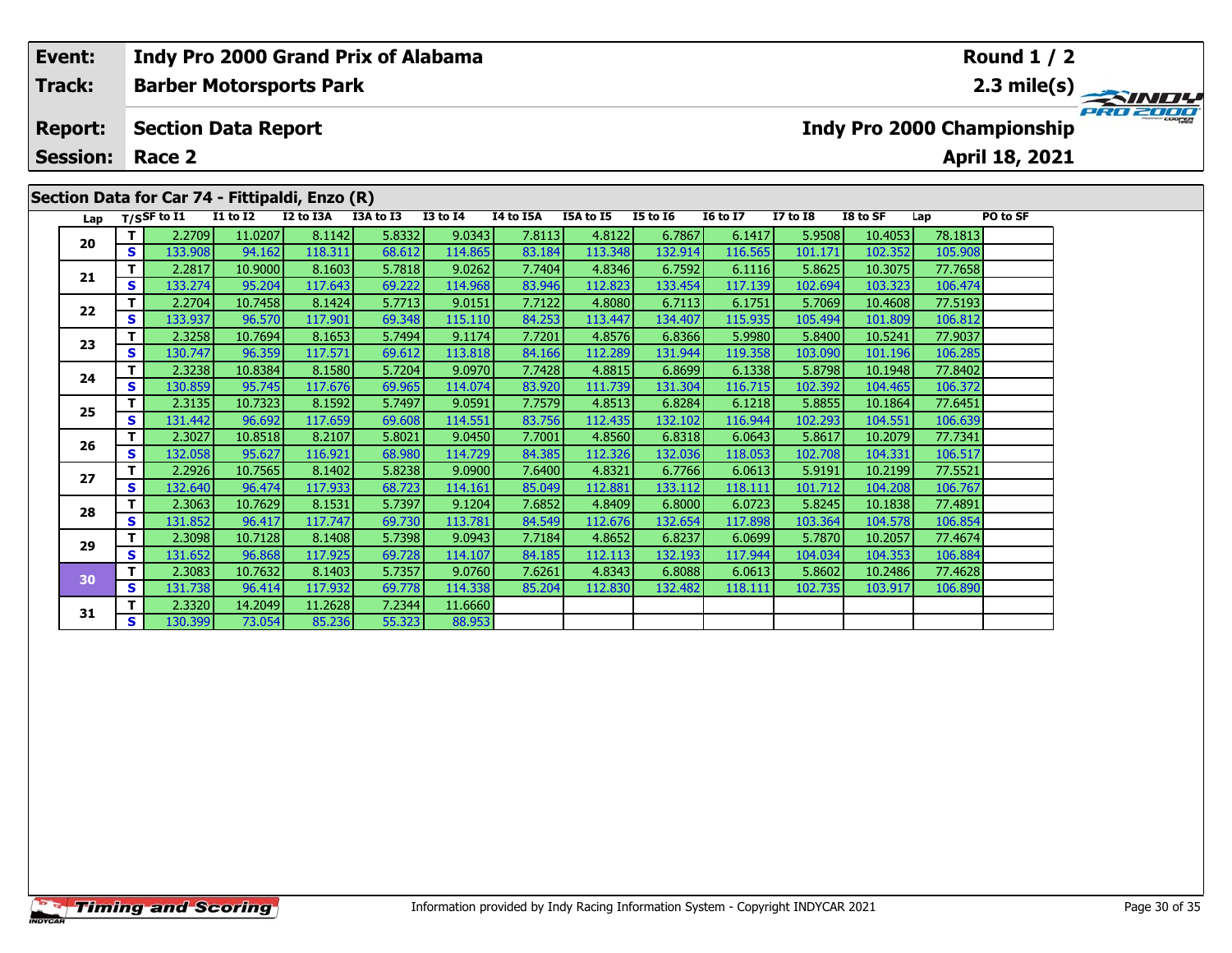| Event: |                                                                                                                                                                                                                                                     |          |                            |         | Indy Pro 2000 Grand Prix of Alabama |        |         |        |         |         |         |         |         |         | Round $1/2$                       |          |
|--------|-----------------------------------------------------------------------------------------------------------------------------------------------------------------------------------------------------------------------------------------------------|----------|----------------------------|---------|-------------------------------------|--------|---------|--------|---------|---------|---------|---------|---------|---------|-----------------------------------|----------|
| Track: |                                                                                                                                                                                                                                                     |          |                            |         | <b>Barber Motorsports Park</b>      |        |         |        |         |         |         |         |         |         |                                   |          |
|        | <b>Report:</b>                                                                                                                                                                                                                                      |          | <b>Section Data Report</b> |         |                                     |        |         |        |         |         |         |         |         |         | <b>Indy Pro 2000 Championship</b> | PRO 2000 |
|        | <b>Session:</b>                                                                                                                                                                                                                                     |          | Race 2                     |         |                                     |        |         |        |         |         |         |         |         |         | April 18, 2021                    |          |
|        | Section Data for Car 74 - Fittipaldi, Enzo (R)<br><b>I1 to I2</b><br>I2 to I3A<br>I3A to I3<br><b>I3 to I4</b><br>I4 to I5A<br>I5A to I5<br><b>I5 to 16</b><br>PO to SF<br>Lap T/SSF to I1<br><b>16 to 17</b><br><b>I7 to I8</b><br>I8 to SF<br>Lap |          |                            |         |                                     |        |         |        |         |         |         |         |         |         |                                   |          |
|        | 20                                                                                                                                                                                                                                                  |          | 2.2709                     | 11.0207 | 8.1142                              | 5.8332 | 9.0343  | 7.8113 | 4.8122  | 6.7867  | 6.1417  | 5.9508  | 10.4053 | 78.1813 |                                   |          |
|        |                                                                                                                                                                                                                                                     | <b>S</b> | 133.908                    | 94.162  | 118.311                             | 68.612 | 114.865 | 83.184 | 113.348 | 132.914 | 116.565 | 101.171 | 102.352 | 105.908 |                                   |          |
|        |                                                                                                                                                                                                                                                     |          | 2.2817                     | 10.9000 | 8.1603                              | 5.7818 | 9.0262  | 7.7404 | 4.8346  | 6.7592  | 6.1116  | 5.8625  | 10.3075 | 77.7658 |                                   |          |
|        |                                                                                                                                                                                                                                                     | <b>S</b> | 133.274                    | 95.204  | 117.643                             | 69.222 | 114.968 | 83.946 | 112.823 | 133.454 | 117.139 | 102.694 | 103.323 | 106.474 |                                   |          |
|        | 21<br>22                                                                                                                                                                                                                                            |          | 2.2704                     | 10.7458 | 8.1424                              | 5.7713 | 9.0151  | 7.7122 | 4.8080  | 6.7113  | 6.1751  | 5.7069  | 10.4608 | 77.5193 |                                   |          |
|        |                                                                                                                                                                                                                                                     | <b>S</b> | 133.937                    | 96.570  | 117.901                             | 69.348 | 115.110 | 84.253 | 113.447 | 134.407 | 115.935 | 105.494 | 101.809 | 106.812 |                                   |          |

**<sup>T</sup>** 2.3258 10.7694 8.1653 5.7494 9.1174 7.7201 4.8576 6.8366 5.9980 5.8400 10.5241 77.9037 **<sup>S</sup>** 130.747 96.359 117.571 69.612 113.818 84.166 112.289 131.944 119.358 103.090 101.196 106.285

**<sup>T</sup>** 2.3238 10.8384 8.1580 5.7204 9.0970 7.7428 4.8815 6.8699 6.1338 5.8798 10.1948 77.8402 **<sup>S</sup>** 130.859 95.745 117.676 69.965 114.074 83.920 111.739 131.304 116.715 102.392 104.465 106.372

**<sup>T</sup>** 2.3135 10.7323 8.1592 5.7497 9.0591 7.7579 4.8513 6.8284 6.1218 5.8855 10.1864 77.6451 **<sup>S</sup>** 131.442 96.692 117.659 69.608 114.551 83.756 112.435 132.102 116.944 102.293 104.551 106.639

**<sup>T</sup>** 2.3027 10.8518 8.2107 5.8021 9.0450 7.7001 4.8560 6.8318 6.0643 5.8617 10.2079 77.7341 **<sup>S</sup>** 132.058 95.627 116.921 68.980 114.729 84.385 112.326 132.036 118.053 102.708 104.331 106.517

**<sup>T</sup>** 2.2926 10.7565 8.1402 5.8238 9.0900 7.6400 4.8321 6.7766 6.0613 5.9191 10.2199 77.5521 **<sup>S</sup>** 132.640 96.474 117.933 68.723 114.161 85.049 112.881 133.112 118.111 101.712 104.208 106.767

**<sup>T</sup>** 2.3063 10.7629 8.1531 5.7397 9.1204 7.6852 4.8409 6.8000 6.0723 5.8245 10.1838 77.4891 **<sup>S</sup>** 131.852 96.417 117.747 69.730 113.781 84.549 112.676 132.654 117.898 103.364 104.578 106.854

**<sup>T</sup>** 2.3098 10.7128 8.1408 5.7398 9.0943 7.7184 4.8652 6.8237 6.0699 5.7870 10.2057 77.4674 **<sup>S</sup>** 131.652 96.868 117.925 69.728 114.107 84.185 112.113 132.193 117.944 104.034 104.353 106.884

**<sup>T</sup>** 2.3083 10.7632 8.1403 5.7357 9.0760 7.6261 4.8343 6.8088 6.0613 5.8602 10.2486 77.4628 **<sup>S</sup>** 131.738 96.414 117.932 69.778 114.338 85.204 112.830 132.482 118.111 102.735 103.917 106.890

88.953

|                    | <b>Timing and Scoring</b> |  |  |
|--------------------|---------------------------|--|--|
|                    |                           |  |  |
| <i><b>'CAR</b></i> |                           |  |  |

**<sup>T</sup>** 2.3320 14.2049 11.2628 7.2344 11.6660 **<sup>S</sup>** 130.399 73.054 85.236 55.323 88.953

**23**

**24**

**25**

**26**

**27**

**28**

**29**

**30**

**31**

106.28

106.517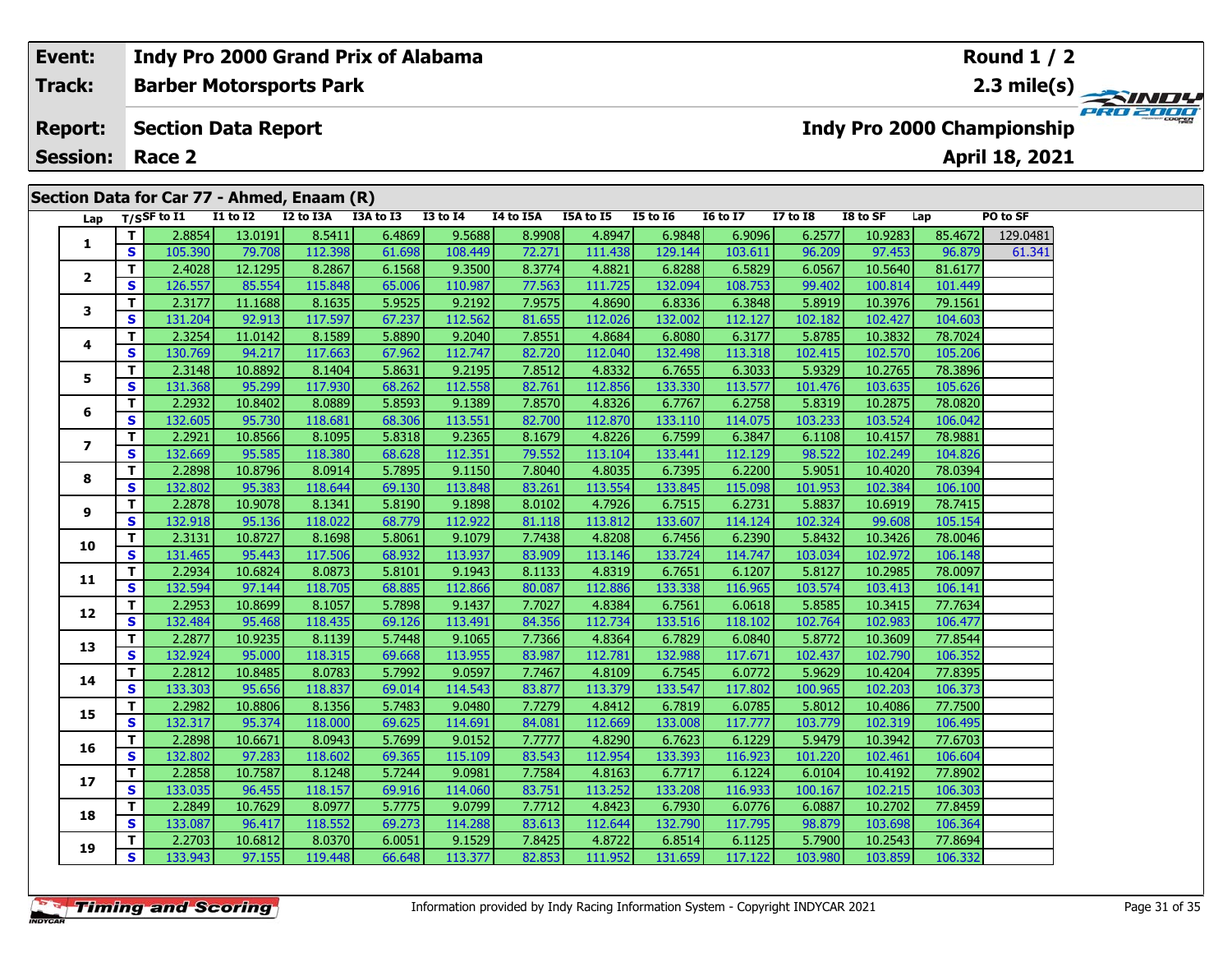# **Event:Round 1 / 2 Indy Pro 2000 Grand Prix of Alabama Track:Barber Motorsports Park 2.3 mile(s) PRO 200 Report: Section Data Report Indy Pro 2000 Championship April 18, 2021 Session: Race 2 Section Data for Car 77 - Ahmed, Enaam (R) Lap T/SSF to I1 I1 to I2 I2 to I3A I3A to I3 I3 to I4 I4 to I5A I5A to I5 I5 to I6 I6 to I7 I7 to I8 I8 to SF Lap PO to SF <sup>T</sup>** 2.8854 13.0191 8.5411 6.4869 9.5688 8.9908 4.8947 6.9848 6.9096 6.2577 10.9283 85.4672 129.0481 **<sup>S</sup>** 105.390 79.708 112.398 61.698 108.449 72.271 111.438 129.144 103.611 96.209 97.453 96.879 61.341**1 <sup>T</sup>** 2.4028 12.1295 8.2867 6.1568 9.3500 8.3774 4.8821 6.8288 6.5829 6.0567 10.5640 81.6177 **<sup>S</sup>** 126.557 85.554 115.848 65.006 110.987 77.563 111.725 132.094 108.753 99.402 100.814 101.449**2**

| 8.2867<br>6.5829<br>т<br>2.4028<br>12.1295<br>9.3500<br>4.8821<br>6.0567<br>10.5640<br>81.6177<br>6.1568<br>8.3774<br>6.8288<br>$\overline{2}$<br>S<br>126.557<br>85.554<br>115.848<br>65.006<br>110.987<br>77.563<br>111.725<br>132.094<br>108.753<br>99.402<br>100.814<br>101.449<br>T.<br>2.3177<br>8.1635<br>5.9525<br>9.2192<br>7.9575<br>5.8919<br>79.1561<br>11.1688<br>4.8690<br>6.8336<br>6.3848<br>10.3976<br>$\mathbf{3}$<br>S<br>131.204<br>117.597<br>112.562<br>112.026<br>132.002<br>112.127<br>102.182<br>92.913<br>67.237<br>81.655<br>102.427<br>104.603<br>T.<br>2.3254<br>8.1589<br>5.8890<br>9.2040<br>7.8551<br>6.3177<br>5.8785<br>78.7024<br>11.0142<br>4.8684<br>6.8080<br>10.3832<br>4<br>S<br>117.663<br>112.747<br>112.040<br>132.498<br>113.318<br>105.206<br>130.769<br>94.217<br>67.962<br>82.720<br>102.415<br>102.570<br>т<br>2.3148<br>8.1404<br>5.8631<br>9.2195<br>7.8512<br>4.8332<br>6.3033<br>5.9329<br>78.3896<br>10.8892<br>6.7655<br>10.2765<br>5<br>S<br>131.368<br>117.930<br>112.558<br>113.577<br>105.626<br>95.299<br>68.262<br>82.761<br>112.856<br>133.330<br>101.476<br>103.635<br>T.<br>2.2932<br>8.0889<br>9.1389<br>78.0820<br>10.8402<br>5.8593<br>7.8570<br>4.8326<br>6.7767<br>6.2758<br>5.8319<br>10.2875<br>6<br>S<br>132.605<br>95.730<br>118.681<br>113.551<br>82.700<br>133.110<br>114.075<br>103.233<br>103.524<br>106.042<br>68.306<br>112.870<br>T.<br>2.2921<br>8.1095<br>9.2365<br>4.8226<br>78.9881<br>10.8566<br>5.8318<br>8.1679<br>6.7599<br>6.3847<br>6.1108<br>10.4157<br>$\overline{ }$<br>S<br>132.669<br>118.380<br>112.351<br>98.522<br>95.585<br>68.628<br>79.552<br>113.104<br>133.441<br>112.129<br>102.249<br>104.826<br>T.<br>2.2898<br>8.0914<br>5.7895<br>9.1150<br>7.8040<br>4.8035<br>6.2200<br>78.0394<br>10.8796<br>6.7395<br>5.9051<br>10.4020<br>8<br>S<br>132.802<br>95.383<br>118.644<br>69.130<br>113.848<br>83.261<br>113.554<br>133.845<br>115.098<br>101.953<br>102.384<br>106.100<br>T.<br>2.2878<br>8.1341<br>9.1898<br>4.7926<br>78.7415<br>10.9078<br>5.8190<br>8.0102<br>6.7515<br>6.2731<br>5.8837<br>10.6919<br>9<br>S<br>112.922<br>132.918<br>95.136<br>118.022<br>68.779<br>81.118<br>113.812<br>133.607<br>102.324<br>99.608<br>105.154<br>114.124<br>T.<br>2.3131<br>8.1698<br>78.0046<br>10.8727<br>5.8061<br>9.1079<br>7.7438<br>4.8208<br>6.7456<br>6.2390<br>5.8432<br>10.3426<br>10<br>S<br>131.465<br>117.506<br>113.937<br>83.909<br>106.148<br>95.443<br>68.932<br>113.146<br>133.724<br>114.747<br>103.034<br>102.972<br>T.<br>2.2934<br>8.0873<br>9.1943<br>4.8319<br>78.0097<br>10.6824<br>5.8101<br>8.1133<br>6.7651<br>6.1207<br>5.8127<br>10.2985<br>11<br>S<br>132.594<br>116.965<br>118.705<br>68.885<br>112.866<br>80.087<br>112.886<br>103.574<br>97.144<br>133.338<br>103.413<br>106.141<br>T.<br>2.2953<br>8.1057<br>5.7898<br>7.7027<br>4.8384<br>6.0618<br>5.8585<br>77.7634<br>10.8699<br>9.1437<br>6.7561<br>10.3415<br>12<br>S<br>118.435<br>132.484<br>113.491<br>84.356<br>112.734<br>133.516<br>118.102<br>102.764<br>102.983<br>106.477<br>95.468<br>69.126<br>T.<br>2.2877<br>8.1139<br>9.1065<br>7.7366<br>4.8364<br>10.9235<br>5.7448<br>6.7829<br>6.0840<br>5.8772<br>10.3609<br>77.8544<br>13<br>$\mathbf{s}$<br>132.924<br>113.955<br>112.781<br>95.000<br>118.315<br>69.668<br>83.987<br>132.988<br>117.671<br>102.437<br>102.790<br>106.352<br>т<br>2.2812<br>8.0783<br>9.0597<br>10.8485<br>5.7992<br>7.7467<br>4.8109<br>6.7545<br>6.0772<br>5.9629<br>10.4204<br>77.8395<br>14<br>S<br>133.303<br>95.656<br>118.837<br>114.543<br>83.877<br>113.379<br>133.547<br>117.802<br>100.965<br>102.203<br>106.373<br>69.014<br>T.<br>8.1356<br>2.2982<br>10.8806<br>5.7483<br>9.0480<br>7.7279<br>4.8412<br>6.7819<br>6.0785<br>5.8012<br>77.7500<br>10.4086<br>15<br>S.<br>132.317<br>118.000<br>112.669<br>117.777<br>95.374<br>69.625<br>114.691<br>84.081<br>133.008<br>103.779<br>102.319<br>106.495<br>T.<br>8.0943<br>2.2898<br>9.0152<br>4.8290<br>6.1229<br>5.9479<br>77.6703<br>10.6671<br>5.7699<br>7.7777<br>6.7623<br>10.3942<br>16<br>S<br>132.802<br>118.602<br>115.109<br>112.954<br>97.283<br>69.365<br>83.543<br>133.393<br>116.923<br>101.220<br>106.604<br>102.461<br>T.<br>2.2858<br>8.1248<br>9.0981<br>7.7584<br>4.8163<br>6.7717<br>6.1224<br>77.8902<br>10.7587<br>5.7244<br>6.0104<br>10.4192<br>17<br><b>S</b><br>133.035<br>118.157<br>114.060<br>113.252<br>133.208<br>116.933<br>100.167<br>102.215<br>106.303<br>96.455<br>69.916<br>83.751<br>T.<br>2.2849<br>8.0977<br>9.0799<br>10.7629<br>5.7775<br>7.7712<br>4.8423<br>6.7930<br>6.0776<br>6.0887<br>10.2702<br>77.8459<br>18<br>S<br>133.087<br>118.552<br>114.288<br>132.790<br>117.795<br>98.879<br>103.698<br>106.364<br>96.417<br>69.273<br>83.613<br>112.644<br>T.<br>2.2703<br>8.0370<br>9.1529<br>7.8425<br>4.8722<br>5.7900<br>77.8694<br>10.6812<br>6.0051<br>6.8514<br>6.1125<br>10.2543<br>19<br>S.<br>133.943<br>113.377<br>106.332<br>97.155<br>119.448<br>66.648<br>82.853<br>111.952<br>131.659<br>117.122<br>103.980<br>103.859 |  | 103.330 | 7.5.700 | <b>TTC:200</b> | 01.020 | 100.117 | 12.211 | <b>TTT:100</b> | 143.11 | TOP COTT | <b>JU.LUJ</b> | ,,,,,, | <u>JUIUT J</u> | <b>ATIO</b> 17 |
|----------------------------------------------------------------------------------------------------------------------------------------------------------------------------------------------------------------------------------------------------------------------------------------------------------------------------------------------------------------------------------------------------------------------------------------------------------------------------------------------------------------------------------------------------------------------------------------------------------------------------------------------------------------------------------------------------------------------------------------------------------------------------------------------------------------------------------------------------------------------------------------------------------------------------------------------------------------------------------------------------------------------------------------------------------------------------------------------------------------------------------------------------------------------------------------------------------------------------------------------------------------------------------------------------------------------------------------------------------------------------------------------------------------------------------------------------------------------------------------------------------------------------------------------------------------------------------------------------------------------------------------------------------------------------------------------------------------------------------------------------------------------------------------------------------------------------------------------------------------------------------------------------------------------------------------------------------------------------------------------------------------------------------------------------------------------------------------------------------------------------------------------------------------------------------------------------------------------------------------------------------------------------------------------------------------------------------------------------------------------------------------------------------------------------------------------------------------------------------------------------------------------------------------------------------------------------------------------------------------------------------------------------------------------------------------------------------------------------------------------------------------------------------------------------------------------------------------------------------------------------------------------------------------------------------------------------------------------------------------------------------------------------------------------------------------------------------------------------------------------------------------------------------------------------------------------------------------------------------------------------------------------------------------------------------------------------------------------------------------------------------------------------------------------------------------------------------------------------------------------------------------------------------------------------------------------------------------------------------------------------------------------------------------------------------------------------------------------------------------------------------------------------------------------------------------------------------------------------------------------------------------------------------------------------------------------------------------------------------------------------------------------------------------------------------------------------------------------------------------------------------------------------------------------------------------------------------------------------------------------------------------------------------------------------------------------------------------------------------------------------------------------------------------------------------------------------------------------------------------------------------------------------------------------------------------------------------------------------------------------------------------------------------------------------------------------------------------------------------------------------------------------------------------------------------------------------------------------------------------------------------------------------------------------------------------------------------------------------------------------------------------------------------------------------------------------------------|--|---------|---------|----------------|--------|---------|--------|----------------|--------|----------|---------------|--------|----------------|----------------|
|                                                                                                                                                                                                                                                                                                                                                                                                                                                                                                                                                                                                                                                                                                                                                                                                                                                                                                                                                                                                                                                                                                                                                                                                                                                                                                                                                                                                                                                                                                                                                                                                                                                                                                                                                                                                                                                                                                                                                                                                                                                                                                                                                                                                                                                                                                                                                                                                                                                                                                                                                                                                                                                                                                                                                                                                                                                                                                                                                                                                                                                                                                                                                                                                                                                                                                                                                                                                                                                                                                                                                                                                                                                                                                                                                                                                                                                                                                                                                                                                                                                                                                                                                                                                                                                                                                                                                                                                                                                                                                                                                                                                                                                                                                                                                                                                                                                                                                                                                                                                                                                                                  |  |         |         |                |        |         |        |                |        |          |               |        |                |                |
|                                                                                                                                                                                                                                                                                                                                                                                                                                                                                                                                                                                                                                                                                                                                                                                                                                                                                                                                                                                                                                                                                                                                                                                                                                                                                                                                                                                                                                                                                                                                                                                                                                                                                                                                                                                                                                                                                                                                                                                                                                                                                                                                                                                                                                                                                                                                                                                                                                                                                                                                                                                                                                                                                                                                                                                                                                                                                                                                                                                                                                                                                                                                                                                                                                                                                                                                                                                                                                                                                                                                                                                                                                                                                                                                                                                                                                                                                                                                                                                                                                                                                                                                                                                                                                                                                                                                                                                                                                                                                                                                                                                                                                                                                                                                                                                                                                                                                                                                                                                                                                                                                  |  |         |         |                |        |         |        |                |        |          |               |        |                |                |
|                                                                                                                                                                                                                                                                                                                                                                                                                                                                                                                                                                                                                                                                                                                                                                                                                                                                                                                                                                                                                                                                                                                                                                                                                                                                                                                                                                                                                                                                                                                                                                                                                                                                                                                                                                                                                                                                                                                                                                                                                                                                                                                                                                                                                                                                                                                                                                                                                                                                                                                                                                                                                                                                                                                                                                                                                                                                                                                                                                                                                                                                                                                                                                                                                                                                                                                                                                                                                                                                                                                                                                                                                                                                                                                                                                                                                                                                                                                                                                                                                                                                                                                                                                                                                                                                                                                                                                                                                                                                                                                                                                                                                                                                                                                                                                                                                                                                                                                                                                                                                                                                                  |  |         |         |                |        |         |        |                |        |          |               |        |                |                |
|                                                                                                                                                                                                                                                                                                                                                                                                                                                                                                                                                                                                                                                                                                                                                                                                                                                                                                                                                                                                                                                                                                                                                                                                                                                                                                                                                                                                                                                                                                                                                                                                                                                                                                                                                                                                                                                                                                                                                                                                                                                                                                                                                                                                                                                                                                                                                                                                                                                                                                                                                                                                                                                                                                                                                                                                                                                                                                                                                                                                                                                                                                                                                                                                                                                                                                                                                                                                                                                                                                                                                                                                                                                                                                                                                                                                                                                                                                                                                                                                                                                                                                                                                                                                                                                                                                                                                                                                                                                                                                                                                                                                                                                                                                                                                                                                                                                                                                                                                                                                                                                                                  |  |         |         |                |        |         |        |                |        |          |               |        |                |                |
|                                                                                                                                                                                                                                                                                                                                                                                                                                                                                                                                                                                                                                                                                                                                                                                                                                                                                                                                                                                                                                                                                                                                                                                                                                                                                                                                                                                                                                                                                                                                                                                                                                                                                                                                                                                                                                                                                                                                                                                                                                                                                                                                                                                                                                                                                                                                                                                                                                                                                                                                                                                                                                                                                                                                                                                                                                                                                                                                                                                                                                                                                                                                                                                                                                                                                                                                                                                                                                                                                                                                                                                                                                                                                                                                                                                                                                                                                                                                                                                                                                                                                                                                                                                                                                                                                                                                                                                                                                                                                                                                                                                                                                                                                                                                                                                                                                                                                                                                                                                                                                                                                  |  |         |         |                |        |         |        |                |        |          |               |        |                |                |
|                                                                                                                                                                                                                                                                                                                                                                                                                                                                                                                                                                                                                                                                                                                                                                                                                                                                                                                                                                                                                                                                                                                                                                                                                                                                                                                                                                                                                                                                                                                                                                                                                                                                                                                                                                                                                                                                                                                                                                                                                                                                                                                                                                                                                                                                                                                                                                                                                                                                                                                                                                                                                                                                                                                                                                                                                                                                                                                                                                                                                                                                                                                                                                                                                                                                                                                                                                                                                                                                                                                                                                                                                                                                                                                                                                                                                                                                                                                                                                                                                                                                                                                                                                                                                                                                                                                                                                                                                                                                                                                                                                                                                                                                                                                                                                                                                                                                                                                                                                                                                                                                                  |  |         |         |                |        |         |        |                |        |          |               |        |                |                |
|                                                                                                                                                                                                                                                                                                                                                                                                                                                                                                                                                                                                                                                                                                                                                                                                                                                                                                                                                                                                                                                                                                                                                                                                                                                                                                                                                                                                                                                                                                                                                                                                                                                                                                                                                                                                                                                                                                                                                                                                                                                                                                                                                                                                                                                                                                                                                                                                                                                                                                                                                                                                                                                                                                                                                                                                                                                                                                                                                                                                                                                                                                                                                                                                                                                                                                                                                                                                                                                                                                                                                                                                                                                                                                                                                                                                                                                                                                                                                                                                                                                                                                                                                                                                                                                                                                                                                                                                                                                                                                                                                                                                                                                                                                                                                                                                                                                                                                                                                                                                                                                                                  |  |         |         |                |        |         |        |                |        |          |               |        |                |                |
|                                                                                                                                                                                                                                                                                                                                                                                                                                                                                                                                                                                                                                                                                                                                                                                                                                                                                                                                                                                                                                                                                                                                                                                                                                                                                                                                                                                                                                                                                                                                                                                                                                                                                                                                                                                                                                                                                                                                                                                                                                                                                                                                                                                                                                                                                                                                                                                                                                                                                                                                                                                                                                                                                                                                                                                                                                                                                                                                                                                                                                                                                                                                                                                                                                                                                                                                                                                                                                                                                                                                                                                                                                                                                                                                                                                                                                                                                                                                                                                                                                                                                                                                                                                                                                                                                                                                                                                                                                                                                                                                                                                                                                                                                                                                                                                                                                                                                                                                                                                                                                                                                  |  |         |         |                |        |         |        |                |        |          |               |        |                |                |
|                                                                                                                                                                                                                                                                                                                                                                                                                                                                                                                                                                                                                                                                                                                                                                                                                                                                                                                                                                                                                                                                                                                                                                                                                                                                                                                                                                                                                                                                                                                                                                                                                                                                                                                                                                                                                                                                                                                                                                                                                                                                                                                                                                                                                                                                                                                                                                                                                                                                                                                                                                                                                                                                                                                                                                                                                                                                                                                                                                                                                                                                                                                                                                                                                                                                                                                                                                                                                                                                                                                                                                                                                                                                                                                                                                                                                                                                                                                                                                                                                                                                                                                                                                                                                                                                                                                                                                                                                                                                                                                                                                                                                                                                                                                                                                                                                                                                                                                                                                                                                                                                                  |  |         |         |                |        |         |        |                |        |          |               |        |                |                |
|                                                                                                                                                                                                                                                                                                                                                                                                                                                                                                                                                                                                                                                                                                                                                                                                                                                                                                                                                                                                                                                                                                                                                                                                                                                                                                                                                                                                                                                                                                                                                                                                                                                                                                                                                                                                                                                                                                                                                                                                                                                                                                                                                                                                                                                                                                                                                                                                                                                                                                                                                                                                                                                                                                                                                                                                                                                                                                                                                                                                                                                                                                                                                                                                                                                                                                                                                                                                                                                                                                                                                                                                                                                                                                                                                                                                                                                                                                                                                                                                                                                                                                                                                                                                                                                                                                                                                                                                                                                                                                                                                                                                                                                                                                                                                                                                                                                                                                                                                                                                                                                                                  |  |         |         |                |        |         |        |                |        |          |               |        |                |                |
|                                                                                                                                                                                                                                                                                                                                                                                                                                                                                                                                                                                                                                                                                                                                                                                                                                                                                                                                                                                                                                                                                                                                                                                                                                                                                                                                                                                                                                                                                                                                                                                                                                                                                                                                                                                                                                                                                                                                                                                                                                                                                                                                                                                                                                                                                                                                                                                                                                                                                                                                                                                                                                                                                                                                                                                                                                                                                                                                                                                                                                                                                                                                                                                                                                                                                                                                                                                                                                                                                                                                                                                                                                                                                                                                                                                                                                                                                                                                                                                                                                                                                                                                                                                                                                                                                                                                                                                                                                                                                                                                                                                                                                                                                                                                                                                                                                                                                                                                                                                                                                                                                  |  |         |         |                |        |         |        |                |        |          |               |        |                |                |
|                                                                                                                                                                                                                                                                                                                                                                                                                                                                                                                                                                                                                                                                                                                                                                                                                                                                                                                                                                                                                                                                                                                                                                                                                                                                                                                                                                                                                                                                                                                                                                                                                                                                                                                                                                                                                                                                                                                                                                                                                                                                                                                                                                                                                                                                                                                                                                                                                                                                                                                                                                                                                                                                                                                                                                                                                                                                                                                                                                                                                                                                                                                                                                                                                                                                                                                                                                                                                                                                                                                                                                                                                                                                                                                                                                                                                                                                                                                                                                                                                                                                                                                                                                                                                                                                                                                                                                                                                                                                                                                                                                                                                                                                                                                                                                                                                                                                                                                                                                                                                                                                                  |  |         |         |                |        |         |        |                |        |          |               |        |                |                |
|                                                                                                                                                                                                                                                                                                                                                                                                                                                                                                                                                                                                                                                                                                                                                                                                                                                                                                                                                                                                                                                                                                                                                                                                                                                                                                                                                                                                                                                                                                                                                                                                                                                                                                                                                                                                                                                                                                                                                                                                                                                                                                                                                                                                                                                                                                                                                                                                                                                                                                                                                                                                                                                                                                                                                                                                                                                                                                                                                                                                                                                                                                                                                                                                                                                                                                                                                                                                                                                                                                                                                                                                                                                                                                                                                                                                                                                                                                                                                                                                                                                                                                                                                                                                                                                                                                                                                                                                                                                                                                                                                                                                                                                                                                                                                                                                                                                                                                                                                                                                                                                                                  |  |         |         |                |        |         |        |                |        |          |               |        |                |                |
|                                                                                                                                                                                                                                                                                                                                                                                                                                                                                                                                                                                                                                                                                                                                                                                                                                                                                                                                                                                                                                                                                                                                                                                                                                                                                                                                                                                                                                                                                                                                                                                                                                                                                                                                                                                                                                                                                                                                                                                                                                                                                                                                                                                                                                                                                                                                                                                                                                                                                                                                                                                                                                                                                                                                                                                                                                                                                                                                                                                                                                                                                                                                                                                                                                                                                                                                                                                                                                                                                                                                                                                                                                                                                                                                                                                                                                                                                                                                                                                                                                                                                                                                                                                                                                                                                                                                                                                                                                                                                                                                                                                                                                                                                                                                                                                                                                                                                                                                                                                                                                                                                  |  |         |         |                |        |         |        |                |        |          |               |        |                |                |
|                                                                                                                                                                                                                                                                                                                                                                                                                                                                                                                                                                                                                                                                                                                                                                                                                                                                                                                                                                                                                                                                                                                                                                                                                                                                                                                                                                                                                                                                                                                                                                                                                                                                                                                                                                                                                                                                                                                                                                                                                                                                                                                                                                                                                                                                                                                                                                                                                                                                                                                                                                                                                                                                                                                                                                                                                                                                                                                                                                                                                                                                                                                                                                                                                                                                                                                                                                                                                                                                                                                                                                                                                                                                                                                                                                                                                                                                                                                                                                                                                                                                                                                                                                                                                                                                                                                                                                                                                                                                                                                                                                                                                                                                                                                                                                                                                                                                                                                                                                                                                                                                                  |  |         |         |                |        |         |        |                |        |          |               |        |                |                |
|                                                                                                                                                                                                                                                                                                                                                                                                                                                                                                                                                                                                                                                                                                                                                                                                                                                                                                                                                                                                                                                                                                                                                                                                                                                                                                                                                                                                                                                                                                                                                                                                                                                                                                                                                                                                                                                                                                                                                                                                                                                                                                                                                                                                                                                                                                                                                                                                                                                                                                                                                                                                                                                                                                                                                                                                                                                                                                                                                                                                                                                                                                                                                                                                                                                                                                                                                                                                                                                                                                                                                                                                                                                                                                                                                                                                                                                                                                                                                                                                                                                                                                                                                                                                                                                                                                                                                                                                                                                                                                                                                                                                                                                                                                                                                                                                                                                                                                                                                                                                                                                                                  |  |         |         |                |        |         |        |                |        |          |               |        |                |                |
|                                                                                                                                                                                                                                                                                                                                                                                                                                                                                                                                                                                                                                                                                                                                                                                                                                                                                                                                                                                                                                                                                                                                                                                                                                                                                                                                                                                                                                                                                                                                                                                                                                                                                                                                                                                                                                                                                                                                                                                                                                                                                                                                                                                                                                                                                                                                                                                                                                                                                                                                                                                                                                                                                                                                                                                                                                                                                                                                                                                                                                                                                                                                                                                                                                                                                                                                                                                                                                                                                                                                                                                                                                                                                                                                                                                                                                                                                                                                                                                                                                                                                                                                                                                                                                                                                                                                                                                                                                                                                                                                                                                                                                                                                                                                                                                                                                                                                                                                                                                                                                                                                  |  |         |         |                |        |         |        |                |        |          |               |        |                |                |
|                                                                                                                                                                                                                                                                                                                                                                                                                                                                                                                                                                                                                                                                                                                                                                                                                                                                                                                                                                                                                                                                                                                                                                                                                                                                                                                                                                                                                                                                                                                                                                                                                                                                                                                                                                                                                                                                                                                                                                                                                                                                                                                                                                                                                                                                                                                                                                                                                                                                                                                                                                                                                                                                                                                                                                                                                                                                                                                                                                                                                                                                                                                                                                                                                                                                                                                                                                                                                                                                                                                                                                                                                                                                                                                                                                                                                                                                                                                                                                                                                                                                                                                                                                                                                                                                                                                                                                                                                                                                                                                                                                                                                                                                                                                                                                                                                                                                                                                                                                                                                                                                                  |  |         |         |                |        |         |        |                |        |          |               |        |                |                |
|                                                                                                                                                                                                                                                                                                                                                                                                                                                                                                                                                                                                                                                                                                                                                                                                                                                                                                                                                                                                                                                                                                                                                                                                                                                                                                                                                                                                                                                                                                                                                                                                                                                                                                                                                                                                                                                                                                                                                                                                                                                                                                                                                                                                                                                                                                                                                                                                                                                                                                                                                                                                                                                                                                                                                                                                                                                                                                                                                                                                                                                                                                                                                                                                                                                                                                                                                                                                                                                                                                                                                                                                                                                                                                                                                                                                                                                                                                                                                                                                                                                                                                                                                                                                                                                                                                                                                                                                                                                                                                                                                                                                                                                                                                                                                                                                                                                                                                                                                                                                                                                                                  |  |         |         |                |        |         |        |                |        |          |               |        |                |                |
|                                                                                                                                                                                                                                                                                                                                                                                                                                                                                                                                                                                                                                                                                                                                                                                                                                                                                                                                                                                                                                                                                                                                                                                                                                                                                                                                                                                                                                                                                                                                                                                                                                                                                                                                                                                                                                                                                                                                                                                                                                                                                                                                                                                                                                                                                                                                                                                                                                                                                                                                                                                                                                                                                                                                                                                                                                                                                                                                                                                                                                                                                                                                                                                                                                                                                                                                                                                                                                                                                                                                                                                                                                                                                                                                                                                                                                                                                                                                                                                                                                                                                                                                                                                                                                                                                                                                                                                                                                                                                                                                                                                                                                                                                                                                                                                                                                                                                                                                                                                                                                                                                  |  |         |         |                |        |         |        |                |        |          |               |        |                |                |
|                                                                                                                                                                                                                                                                                                                                                                                                                                                                                                                                                                                                                                                                                                                                                                                                                                                                                                                                                                                                                                                                                                                                                                                                                                                                                                                                                                                                                                                                                                                                                                                                                                                                                                                                                                                                                                                                                                                                                                                                                                                                                                                                                                                                                                                                                                                                                                                                                                                                                                                                                                                                                                                                                                                                                                                                                                                                                                                                                                                                                                                                                                                                                                                                                                                                                                                                                                                                                                                                                                                                                                                                                                                                                                                                                                                                                                                                                                                                                                                                                                                                                                                                                                                                                                                                                                                                                                                                                                                                                                                                                                                                                                                                                                                                                                                                                                                                                                                                                                                                                                                                                  |  |         |         |                |        |         |        |                |        |          |               |        |                |                |
|                                                                                                                                                                                                                                                                                                                                                                                                                                                                                                                                                                                                                                                                                                                                                                                                                                                                                                                                                                                                                                                                                                                                                                                                                                                                                                                                                                                                                                                                                                                                                                                                                                                                                                                                                                                                                                                                                                                                                                                                                                                                                                                                                                                                                                                                                                                                                                                                                                                                                                                                                                                                                                                                                                                                                                                                                                                                                                                                                                                                                                                                                                                                                                                                                                                                                                                                                                                                                                                                                                                                                                                                                                                                                                                                                                                                                                                                                                                                                                                                                                                                                                                                                                                                                                                                                                                                                                                                                                                                                                                                                                                                                                                                                                                                                                                                                                                                                                                                                                                                                                                                                  |  |         |         |                |        |         |        |                |        |          |               |        |                |                |
|                                                                                                                                                                                                                                                                                                                                                                                                                                                                                                                                                                                                                                                                                                                                                                                                                                                                                                                                                                                                                                                                                                                                                                                                                                                                                                                                                                                                                                                                                                                                                                                                                                                                                                                                                                                                                                                                                                                                                                                                                                                                                                                                                                                                                                                                                                                                                                                                                                                                                                                                                                                                                                                                                                                                                                                                                                                                                                                                                                                                                                                                                                                                                                                                                                                                                                                                                                                                                                                                                                                                                                                                                                                                                                                                                                                                                                                                                                                                                                                                                                                                                                                                                                                                                                                                                                                                                                                                                                                                                                                                                                                                                                                                                                                                                                                                                                                                                                                                                                                                                                                                                  |  |         |         |                |        |         |        |                |        |          |               |        |                |                |
|                                                                                                                                                                                                                                                                                                                                                                                                                                                                                                                                                                                                                                                                                                                                                                                                                                                                                                                                                                                                                                                                                                                                                                                                                                                                                                                                                                                                                                                                                                                                                                                                                                                                                                                                                                                                                                                                                                                                                                                                                                                                                                                                                                                                                                                                                                                                                                                                                                                                                                                                                                                                                                                                                                                                                                                                                                                                                                                                                                                                                                                                                                                                                                                                                                                                                                                                                                                                                                                                                                                                                                                                                                                                                                                                                                                                                                                                                                                                                                                                                                                                                                                                                                                                                                                                                                                                                                                                                                                                                                                                                                                                                                                                                                                                                                                                                                                                                                                                                                                                                                                                                  |  |         |         |                |        |         |        |                |        |          |               |        |                |                |
|                                                                                                                                                                                                                                                                                                                                                                                                                                                                                                                                                                                                                                                                                                                                                                                                                                                                                                                                                                                                                                                                                                                                                                                                                                                                                                                                                                                                                                                                                                                                                                                                                                                                                                                                                                                                                                                                                                                                                                                                                                                                                                                                                                                                                                                                                                                                                                                                                                                                                                                                                                                                                                                                                                                                                                                                                                                                                                                                                                                                                                                                                                                                                                                                                                                                                                                                                                                                                                                                                                                                                                                                                                                                                                                                                                                                                                                                                                                                                                                                                                                                                                                                                                                                                                                                                                                                                                                                                                                                                                                                                                                                                                                                                                                                                                                                                                                                                                                                                                                                                                                                                  |  |         |         |                |        |         |        |                |        |          |               |        |                |                |
|                                                                                                                                                                                                                                                                                                                                                                                                                                                                                                                                                                                                                                                                                                                                                                                                                                                                                                                                                                                                                                                                                                                                                                                                                                                                                                                                                                                                                                                                                                                                                                                                                                                                                                                                                                                                                                                                                                                                                                                                                                                                                                                                                                                                                                                                                                                                                                                                                                                                                                                                                                                                                                                                                                                                                                                                                                                                                                                                                                                                                                                                                                                                                                                                                                                                                                                                                                                                                                                                                                                                                                                                                                                                                                                                                                                                                                                                                                                                                                                                                                                                                                                                                                                                                                                                                                                                                                                                                                                                                                                                                                                                                                                                                                                                                                                                                                                                                                                                                                                                                                                                                  |  |         |         |                |        |         |        |                |        |          |               |        |                |                |
|                                                                                                                                                                                                                                                                                                                                                                                                                                                                                                                                                                                                                                                                                                                                                                                                                                                                                                                                                                                                                                                                                                                                                                                                                                                                                                                                                                                                                                                                                                                                                                                                                                                                                                                                                                                                                                                                                                                                                                                                                                                                                                                                                                                                                                                                                                                                                                                                                                                                                                                                                                                                                                                                                                                                                                                                                                                                                                                                                                                                                                                                                                                                                                                                                                                                                                                                                                                                                                                                                                                                                                                                                                                                                                                                                                                                                                                                                                                                                                                                                                                                                                                                                                                                                                                                                                                                                                                                                                                                                                                                                                                                                                                                                                                                                                                                                                                                                                                                                                                                                                                                                  |  |         |         |                |        |         |        |                |        |          |               |        |                |                |
|                                                                                                                                                                                                                                                                                                                                                                                                                                                                                                                                                                                                                                                                                                                                                                                                                                                                                                                                                                                                                                                                                                                                                                                                                                                                                                                                                                                                                                                                                                                                                                                                                                                                                                                                                                                                                                                                                                                                                                                                                                                                                                                                                                                                                                                                                                                                                                                                                                                                                                                                                                                                                                                                                                                                                                                                                                                                                                                                                                                                                                                                                                                                                                                                                                                                                                                                                                                                                                                                                                                                                                                                                                                                                                                                                                                                                                                                                                                                                                                                                                                                                                                                                                                                                                                                                                                                                                                                                                                                                                                                                                                                                                                                                                                                                                                                                                                                                                                                                                                                                                                                                  |  |         |         |                |        |         |        |                |        |          |               |        |                |                |
|                                                                                                                                                                                                                                                                                                                                                                                                                                                                                                                                                                                                                                                                                                                                                                                                                                                                                                                                                                                                                                                                                                                                                                                                                                                                                                                                                                                                                                                                                                                                                                                                                                                                                                                                                                                                                                                                                                                                                                                                                                                                                                                                                                                                                                                                                                                                                                                                                                                                                                                                                                                                                                                                                                                                                                                                                                                                                                                                                                                                                                                                                                                                                                                                                                                                                                                                                                                                                                                                                                                                                                                                                                                                                                                                                                                                                                                                                                                                                                                                                                                                                                                                                                                                                                                                                                                                                                                                                                                                                                                                                                                                                                                                                                                                                                                                                                                                                                                                                                                                                                                                                  |  |         |         |                |        |         |        |                |        |          |               |        |                |                |
|                                                                                                                                                                                                                                                                                                                                                                                                                                                                                                                                                                                                                                                                                                                                                                                                                                                                                                                                                                                                                                                                                                                                                                                                                                                                                                                                                                                                                                                                                                                                                                                                                                                                                                                                                                                                                                                                                                                                                                                                                                                                                                                                                                                                                                                                                                                                                                                                                                                                                                                                                                                                                                                                                                                                                                                                                                                                                                                                                                                                                                                                                                                                                                                                                                                                                                                                                                                                                                                                                                                                                                                                                                                                                                                                                                                                                                                                                                                                                                                                                                                                                                                                                                                                                                                                                                                                                                                                                                                                                                                                                                                                                                                                                                                                                                                                                                                                                                                                                                                                                                                                                  |  |         |         |                |        |         |        |                |        |          |               |        |                |                |
|                                                                                                                                                                                                                                                                                                                                                                                                                                                                                                                                                                                                                                                                                                                                                                                                                                                                                                                                                                                                                                                                                                                                                                                                                                                                                                                                                                                                                                                                                                                                                                                                                                                                                                                                                                                                                                                                                                                                                                                                                                                                                                                                                                                                                                                                                                                                                                                                                                                                                                                                                                                                                                                                                                                                                                                                                                                                                                                                                                                                                                                                                                                                                                                                                                                                                                                                                                                                                                                                                                                                                                                                                                                                                                                                                                                                                                                                                                                                                                                                                                                                                                                                                                                                                                                                                                                                                                                                                                                                                                                                                                                                                                                                                                                                                                                                                                                                                                                                                                                                                                                                                  |  |         |         |                |        |         |        |                |        |          |               |        |                |                |
|                                                                                                                                                                                                                                                                                                                                                                                                                                                                                                                                                                                                                                                                                                                                                                                                                                                                                                                                                                                                                                                                                                                                                                                                                                                                                                                                                                                                                                                                                                                                                                                                                                                                                                                                                                                                                                                                                                                                                                                                                                                                                                                                                                                                                                                                                                                                                                                                                                                                                                                                                                                                                                                                                                                                                                                                                                                                                                                                                                                                                                                                                                                                                                                                                                                                                                                                                                                                                                                                                                                                                                                                                                                                                                                                                                                                                                                                                                                                                                                                                                                                                                                                                                                                                                                                                                                                                                                                                                                                                                                                                                                                                                                                                                                                                                                                                                                                                                                                                                                                                                                                                  |  |         |         |                |        |         |        |                |        |          |               |        |                |                |
|                                                                                                                                                                                                                                                                                                                                                                                                                                                                                                                                                                                                                                                                                                                                                                                                                                                                                                                                                                                                                                                                                                                                                                                                                                                                                                                                                                                                                                                                                                                                                                                                                                                                                                                                                                                                                                                                                                                                                                                                                                                                                                                                                                                                                                                                                                                                                                                                                                                                                                                                                                                                                                                                                                                                                                                                                                                                                                                                                                                                                                                                                                                                                                                                                                                                                                                                                                                                                                                                                                                                                                                                                                                                                                                                                                                                                                                                                                                                                                                                                                                                                                                                                                                                                                                                                                                                                                                                                                                                                                                                                                                                                                                                                                                                                                                                                                                                                                                                                                                                                                                                                  |  |         |         |                |        |         |        |                |        |          |               |        |                |                |
|                                                                                                                                                                                                                                                                                                                                                                                                                                                                                                                                                                                                                                                                                                                                                                                                                                                                                                                                                                                                                                                                                                                                                                                                                                                                                                                                                                                                                                                                                                                                                                                                                                                                                                                                                                                                                                                                                                                                                                                                                                                                                                                                                                                                                                                                                                                                                                                                                                                                                                                                                                                                                                                                                                                                                                                                                                                                                                                                                                                                                                                                                                                                                                                                                                                                                                                                                                                                                                                                                                                                                                                                                                                                                                                                                                                                                                                                                                                                                                                                                                                                                                                                                                                                                                                                                                                                                                                                                                                                                                                                                                                                                                                                                                                                                                                                                                                                                                                                                                                                                                                                                  |  |         |         |                |        |         |        |                |        |          |               |        |                |                |
|                                                                                                                                                                                                                                                                                                                                                                                                                                                                                                                                                                                                                                                                                                                                                                                                                                                                                                                                                                                                                                                                                                                                                                                                                                                                                                                                                                                                                                                                                                                                                                                                                                                                                                                                                                                                                                                                                                                                                                                                                                                                                                                                                                                                                                                                                                                                                                                                                                                                                                                                                                                                                                                                                                                                                                                                                                                                                                                                                                                                                                                                                                                                                                                                                                                                                                                                                                                                                                                                                                                                                                                                                                                                                                                                                                                                                                                                                                                                                                                                                                                                                                                                                                                                                                                                                                                                                                                                                                                                                                                                                                                                                                                                                                                                                                                                                                                                                                                                                                                                                                                                                  |  |         |         |                |        |         |        |                |        |          |               |        |                |                |
|                                                                                                                                                                                                                                                                                                                                                                                                                                                                                                                                                                                                                                                                                                                                                                                                                                                                                                                                                                                                                                                                                                                                                                                                                                                                                                                                                                                                                                                                                                                                                                                                                                                                                                                                                                                                                                                                                                                                                                                                                                                                                                                                                                                                                                                                                                                                                                                                                                                                                                                                                                                                                                                                                                                                                                                                                                                                                                                                                                                                                                                                                                                                                                                                                                                                                                                                                                                                                                                                                                                                                                                                                                                                                                                                                                                                                                                                                                                                                                                                                                                                                                                                                                                                                                                                                                                                                                                                                                                                                                                                                                                                                                                                                                                                                                                                                                                                                                                                                                                                                                                                                  |  |         |         |                |        |         |        |                |        |          |               |        |                |                |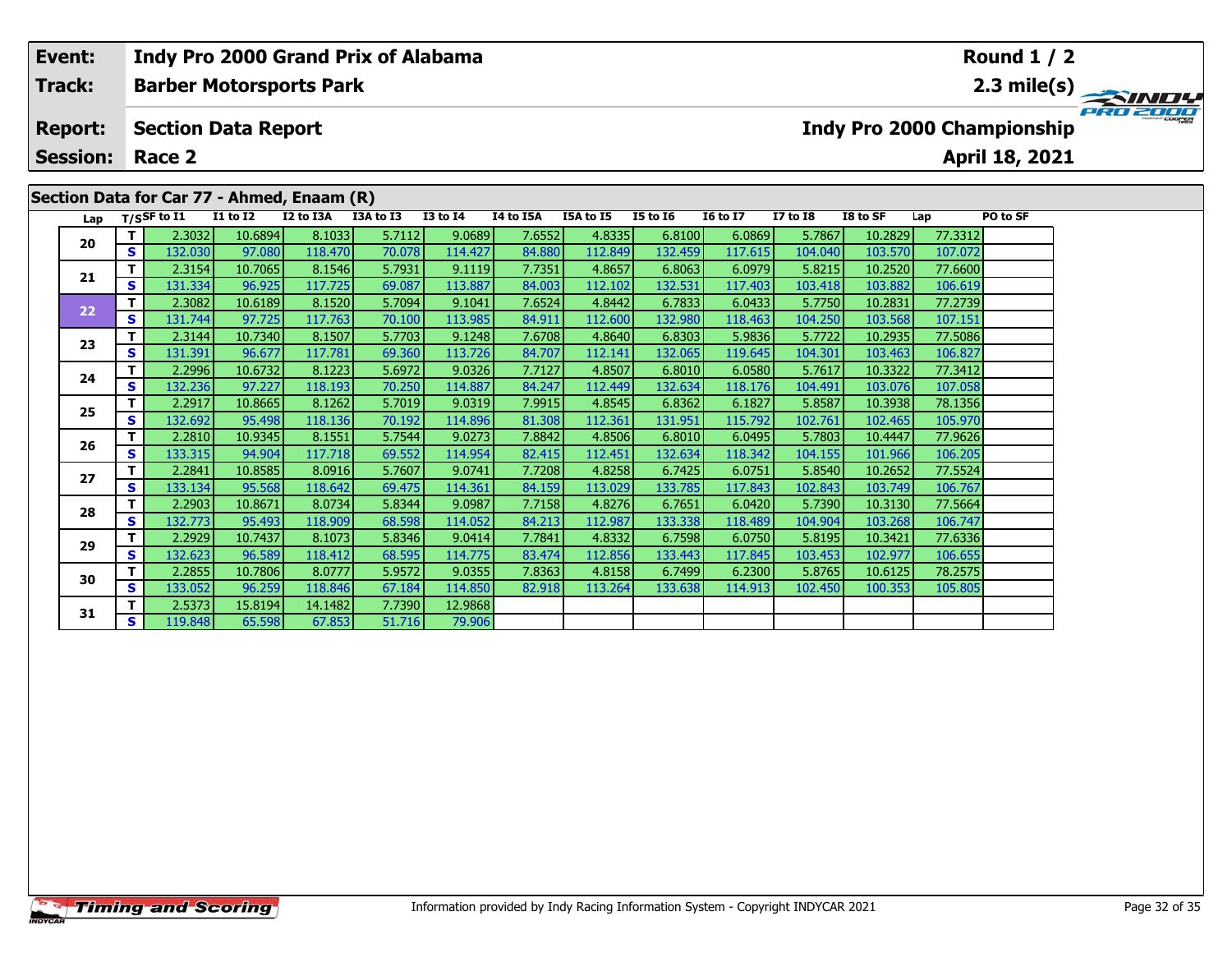|                                              | Event:<br>Indy Pro 2000 Grand Prix of Alabama |          |                                                                                                                                                                                                                                                                                                                                                                                                                                                                                                    |                 |             |                   |                 |           |                                           |                 |                                               |              | Round $1/2$ |                 |                |  |  |  |  |  |
|----------------------------------------------|-----------------------------------------------|----------|----------------------------------------------------------------------------------------------------------------------------------------------------------------------------------------------------------------------------------------------------------------------------------------------------------------------------------------------------------------------------------------------------------------------------------------------------------------------------------------------------|-----------------|-------------|-------------------|-----------------|-----------|-------------------------------------------|-----------------|-----------------------------------------------|--------------|-------------|-----------------|----------------|--|--|--|--|--|
| Track:<br><b>Barber Motorsports Park</b>     |                                               |          |                                                                                                                                                                                                                                                                                                                                                                                                                                                                                                    |                 |             |                   |                 |           | 2.3 mile(s) $\rightarrow$<br><b>SINDY</b> |                 |                                               |              |             |                 |                |  |  |  |  |  |
| <b>Report:</b><br><b>Section Data Report</b> |                                               |          |                                                                                                                                                                                                                                                                                                                                                                                                                                                                                                    |                 |             |                   |                 |           |                                           |                 | PRO 2000<br><b>Indy Pro 2000 Championship</b> |              |             |                 |                |  |  |  |  |  |
|                                              | <b>Session:</b>                               |          | Race 2                                                                                                                                                                                                                                                                                                                                                                                                                                                                                             |                 |             |                   |                 |           |                                           |                 |                                               |              |             |                 | April 18, 2021 |  |  |  |  |  |
|                                              | Section Data for Car 77 - Ahmed, Enaam (R)    |          |                                                                                                                                                                                                                                                                                                                                                                                                                                                                                                    |                 |             |                   |                 |           |                                           |                 |                                               |              |             |                 |                |  |  |  |  |  |
|                                              |                                               |          | Lap T/SSF to I1                                                                                                                                                                                                                                                                                                                                                                                                                                                                                    | <b>I1 to I2</b> | I2 to I3A   | I3A to I3         | <b>I3 to I4</b> | I4 to I5A | I5A to I5                                 | <b>I5 to 16</b> | <b>16 to 17</b>                               | $I7$ to $I8$ | I8 to SF    | Lap             | PO to SF       |  |  |  |  |  |
|                                              | 20                                            |          | 2.3032                                                                                                                                                                                                                                                                                                                                                                                                                                                                                             | 10.6894         | 8.1033      | 5.7112            | 9.0689          | 7.6552    | 4.8335                                    | 6.8100          | 6.0869                                        | 5.7867       | 10.2829     | 77.3312         |                |  |  |  |  |  |
|                                              |                                               | <b>S</b> | 132.030                                                                                                                                                                                                                                                                                                                                                                                                                                                                                            | 97.080          | 118.470     | 70.078            | 114.427         | 84.880    | 112.849                                   | 132.459         | 117.615                                       | 104.040      | 103.570     | 107.072         |                |  |  |  |  |  |
|                                              |                                               |          | 2.3154                                                                                                                                                                                                                                                                                                                                                                                                                                                                                             | 10.7065         | 8.1546      | 5.7931            | 9.1119          | 7.7351    | 4.8657                                    | 6.8063          | 6.0979                                        | 5.8215       | 10.2520     | 77.6600         |                |  |  |  |  |  |
|                                              | 21                                            | <b>S</b> | 131.334                                                                                                                                                                                                                                                                                                                                                                                                                                                                                            | 96.925          | 117.7251    | 69.087            | 113.887         | 84.003    | 112.102                                   | 132.531         | 117.403                                       | 103.418      | 103.882     | 106.619         |                |  |  |  |  |  |
|                                              |                                               |          | 2.3082                                                                                                                                                                                                                                                                                                                                                                                                                                                                                             | 10.6189         | 8.1520      | 5.7094            | 9.1041          | 7.6524    | 4.8442                                    | 6.7833          | 6.0433                                        | 5.7750       | 10.2831     | 77.2739         |                |  |  |  |  |  |
|                                              | 22                                            |          | $\begin{array}{c} \n \text{if } \mathcal{A} \text{ is } \mathcal{A} \text{ is } \mathcal{A} \text{ is } \mathcal{A} \text{ is } \mathcal{A} \text{ is } \mathcal{A} \text{ is } \mathcal{A} \text{ is } \mathcal{A} \text{ is } \mathcal{A} \text{ is } \mathcal{A} \text{ is } \mathcal{A} \text{ is } \mathcal{A} \text{ is } \mathcal{A} \text{ is } \mathcal{A} \text{ is } \mathcal{A} \text{ is } \mathcal{A} \text{ is } \mathcal{A} \text{ is } \mathcal{A} \text{ is } \mathcal{A} \text$ | 27.72           | $227 - 722$ | $\sim$ 400 $\sim$ |                 | 0.4041    |                                           | 122200          | $\sim$ $\sim$ $\sim$                          |              |             | $\overline{AB}$ |                |  |  |  |  |  |

| <br><u>ivi vui 77</u><br>AUURW, FRANCH (R) |              |             |                 |           |           |                 |           |           |                 |                 |                 |          |         |          |
|--------------------------------------------|--------------|-------------|-----------------|-----------|-----------|-----------------|-----------|-----------|-----------------|-----------------|-----------------|----------|---------|----------|
| Lap                                        |              | T/SSF to I1 | <b>I1 to I2</b> | I2 to I3A | I3A to I3 | <b>I3 to I4</b> | I4 to I5A | I5A to I5 | <b>I5 to 16</b> | <b>16 to 17</b> | <b>I7 to I8</b> | I8 to SF | Lap     | PO to SF |
| 20                                         | Τ.           | 2.3032      | 10.6894         | 8.1033    | 5.7112    | 9.0689          | 7.6552    | 4.8335    | 6.8100          | 6.0869          | 5.7867          | 10.2829  | 77.3312 |          |
|                                            | S            | 132.030     | 97.080          | 118.470   | 70.078    | 114.427         | 84.880    | 112.849   | 132.459         | 117.615         | 104.040         | 103.570  | 107.072 |          |
| 21                                         | T.           | 2.3154      | 10.7065         | 8.1546    | 5.7931    | 9.1119          | 7.7351    | 4.8657    | 6.8063          | 6.0979          | 5.8215          | 10.2520  | 77.6600 |          |
|                                            | S            | 131.334     | 96.925          | 117.725   | 69.087    | 113.887         | 84.003    | 112.102   | 132.531         | 117.403         | 103.418         | 103.882  | 106.619 |          |
| 22                                         | т            | 2.3082      | 10.6189         | 8.1520    | 5.7094    | 9.1041          | 7.6524    | 4.8442    | 6.7833          | 6.0433          | 5.7750          | 10.2831  | 77.2739 |          |
|                                            | $\mathbf{s}$ | 131.744     | 97.725          | 117.763   | 70.100    | 113.985         | 84.911    | 112.600   | 132.980         | 118.463         | 104.250         | 103.568  | 107.151 |          |
| 23                                         | т            | 2.3144      | 10.7340         | 8.1507    | 5.7703    | 9.1248          | 7.6708    | 4.8640    | 6.8303          | 5.9836          | 5.7722          | 10.2935  | 77.5086 |          |
|                                            | $\mathbf{s}$ | 131.391     | 96.677          | 117.781   | 69.360    | 113.726         | 84.707    | 112.141   | 132.065         | 119.645         | 104.301         | 103.463  | 106.827 |          |
| 24                                         | T.           | 2.2996      | 10.6732         | 8.1223    | 5.6972    | 9.0326          | 7.7127    | 4.8507    | 6.8010          | 6.0580          | 5.7617          | 10.3322  | 77.3412 |          |
|                                            | S            | 132.236     | 97.227          | 118.193   | 70.250    | 114.887         | 84.247    | 112.449   | 132.634         | 118.176         | 104.491         | 103.076  | 107.058 |          |
| 25                                         | T.           | 2.2917      | 10.8665         | 8.1262    | 5.7019    | 9.0319          | 7.9915    | 4.8545    | 6.8362          | 6.1827          | 5.8587          | 10.3938  | 78.1356 |          |
|                                            | S            | 132.692     | 95.498          | 118.136   | 70.192    | 114.896         | 81.308    | 112.361   | 131.951         | 115.792         | 102.761         | 102.465  | 105.970 |          |
| 26                                         | T.           | 2.2810      | 10.9345         | 8.1551    | 5.7544    | 9.0273          | 7.8842    | 4.8506    | 6.8010          | 6.0495          | 5.7803          | 10.4447  | 77.9626 |          |
|                                            | $\mathbf{s}$ | 133.315     | 94.904          | 117.718   | 69.552    | 114.954         | 82.415    | 112.451   | 132.634         | 118.342         | 104.155         | 101.966  | 106.205 |          |
| 27                                         | т            | 2.2841      | 10.8585         | 8.0916    | 5.7607    | 9.0741          | 7.7208    | 4.8258    | 6.7425          | 6.0751          | 5.8540          | 10.2652  | 77.5524 |          |
|                                            | $\mathbf{s}$ | 133.134     | 95.568          | 118.642   | 69.475    | 114.361         | 84.159    | 113.029   | 133.785         | 117.843         | 102.843         | 103.749  | 106.767 |          |
| 28                                         | т            | 2.2903      | 10.8671         | 8.0734    | 5.8344    | 9.0987          | 7.7158    | 4.8276    | 6.7651          | 6.0420          | 5.7390          | 10.3130  | 77.5664 |          |
|                                            | S            | 132.773     | 95.493          | 118.909   | 68.598    | 114.052         | 84.213    | 112.987   | 133.338         | 118.489         | 104.904         | 103.268  | 106.747 |          |
| 29                                         | T.           | 2.2929      | 10.7437         | 8.1073    | 5.8346    | 9.0414          | 7.7841    | 4.8332    | 6.7598          | 6.0750          | 5.8195          | 10.3421  | 77.6336 |          |
|                                            | $\mathbf{s}$ | 132.623     | 96.589          | 118.412   | 68.595    | 114.775         | 83.474    | 112.856   | 133.443         | 117.845         | 103.453         | 102.977  | 106.655 |          |
| 30                                         | T            | 2.2855      | 10.7806         | 8.0777    | 5.9572    | 9.0355          | 7.8363    | 4.8158    | 6.7499          | 6.2300          | 5.8765          | 10.6125  | 78.2575 |          |
|                                            | $\mathbf{s}$ | 133.052     | 96.259          | 118.846   | 67.184    | 114.850         | 82.918    | 113.264   | 133.638         | 114.913         | 102.450         | 100.353  | 105.805 |          |
|                                            | т            | 2.5373      | 15.8194         | 14.1482   | 7.7390    | 12.9868         |           |           |                 |                 |                 |          |         |          |
| 31                                         | S.           | 119.848     | 65.598          | 67.853    | 51.716    | 79.906          |           |           |                 |                 |                 |          |         |          |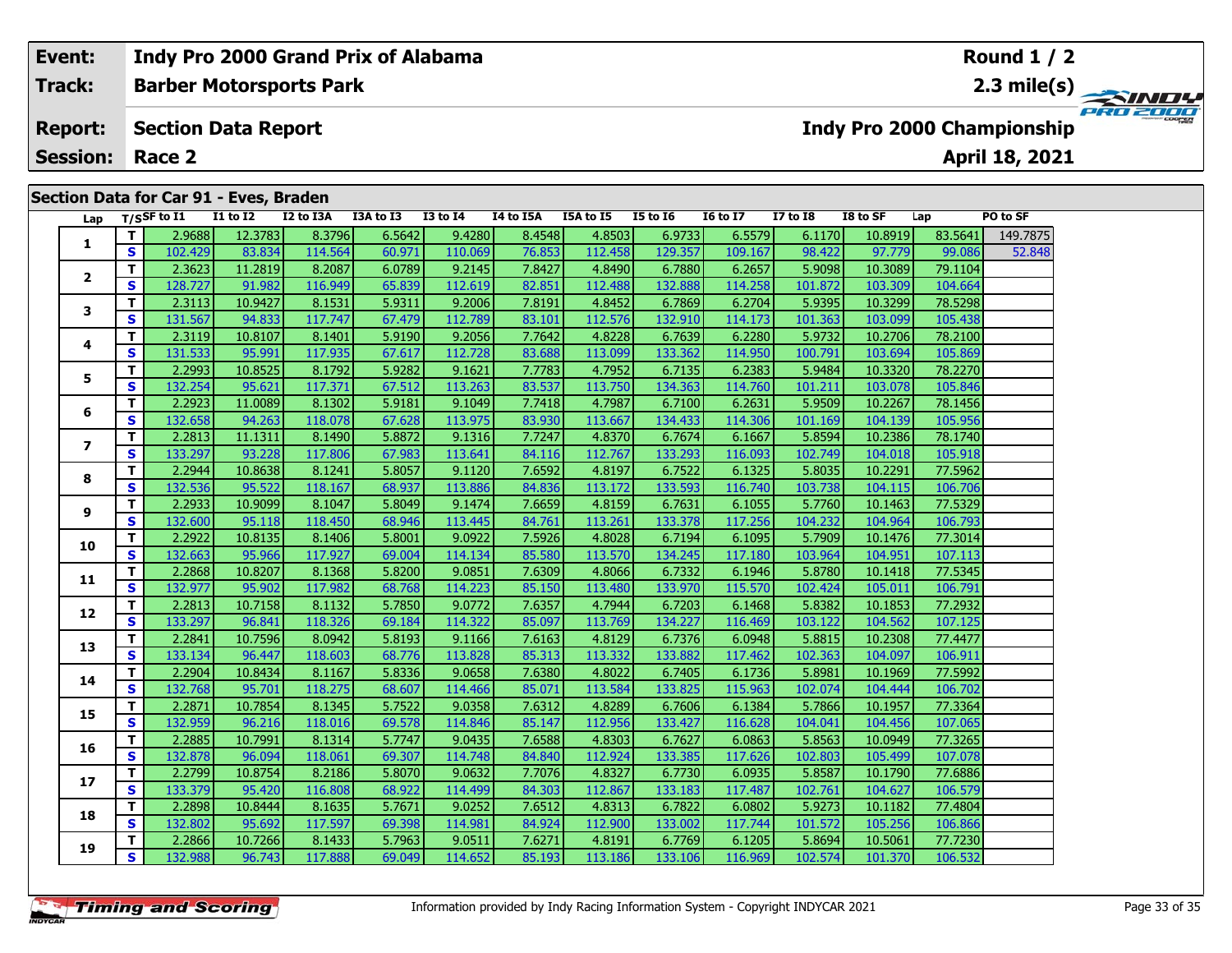# **Event: Indy Pro 2000 Grand Prix of Alabama Round 1 / 2Barber Motorsports Park 2.3 mile(s) Track:** PRO 2000 **Section Data Report Report: Indy Pro 2000 Championship April 18, 2021 Session: Race 2 Section Data for Car 91 - Eves, Braden Lap T/SSF to I1 I1 to I2 I2 to I3A I3A to I3 I3 to I4 I4 to I5A I5A to I5 I5 to I6 I6 to I7 I7 to I8 I8 to SF Lap PO to SF 1**

| T.<br>2.9688<br>12.3783<br>8.3796<br>6.5642<br>9.4280<br>8.4548<br>4.8503<br>6.9733<br>6.5579<br>6.1170<br>10.8919<br>83.5641<br>1<br>S<br>114.564<br>60.971<br>129.357<br>98.422<br>102.429<br>83.834<br>110.069<br>76.853<br>112.458<br>109.167<br>97.779<br>99.086<br>9.2145<br>4.8490<br>5.9098<br>79.1104<br>T.<br>2.3623<br>11.2819<br>8.2087<br>6.0789<br>7.8427<br>6.7880<br>6.2657<br>10.3089<br>$\mathbf{2}$<br>S<br>65.839<br>112.619<br>112.488<br>132.888<br>114.258<br>101.872<br>104.664<br>128.727<br>91.982<br>116.949<br>82.851<br>103.309<br>T.<br>2.3113<br>10.9427<br>9.2006<br>4.8452<br>6.7869<br>6.2704<br>5.9395<br>10.3299<br>78.5298<br>8.1531<br>5.9311<br>7.8191<br>3<br>S<br>112.789<br>94.833<br>117.747<br>67.479<br>112.576<br>132.910<br>105.438<br>131.567<br>83.101<br>114.173<br>101.363<br>103.099<br>5.9190<br>9.2056<br>7.7642<br>4.8228<br>6.2280<br>5.9732<br>78.2100<br>т<br>2.3119<br>10.8107<br>8.1401<br>6.7639<br>10.2706<br>4<br>117.935<br>112.728<br>105.869<br>S<br>95.991<br>67.617<br>113.099<br>133.362<br>114.950<br>100.791<br>103.694<br>131.533<br>83.688<br>4.7952<br>78.2270<br>2.2993<br>10.8525<br>8.1792<br>5.9282<br>9.1621<br>6.2383<br>5.9484<br>10.3320<br>T.<br>7.7783<br>6.7135<br>5<br>S<br>117.371<br>134.363<br>105.846<br>132.254<br>95.621<br>67.512<br>113.263<br>83.537<br>113.750<br>114.760<br>101.211<br>103.078<br>T.<br>4.7987<br>78.1456<br>2.2923<br>11.0089<br>8.1302<br>5.9181<br>9.1049<br>6.7100<br>6.2631<br>5.9509<br>10.2267<br>7.7418<br>6<br>S<br>105.956<br>118.078<br>113.975<br>113.667<br>134.433<br>132.658<br>94.263<br>67.628<br>83.930<br>114.306<br>101.169<br>104.139<br>T.<br>11.1311<br>8.1490<br>9.1316<br>4.8370<br>6.7674<br>6.1667<br>5.8594<br>78.1740<br>2.2813<br>5.8872<br>7.7247<br>10.2386<br>$\overline{ }$<br>117.806<br>S<br>133.297<br>93.228<br>67.983<br>113.641<br>112.767<br>133.293<br>116.093<br>102.749<br>105.918<br>84.116<br>104.018<br>2.2944<br>10.8638<br>5.8057<br>9.1120<br>4.8197<br>6.7522<br>6.1325<br>5.8035<br>77.5962<br>T.<br>8.1241<br>7.6592<br>10.2291<br>8<br>S<br>95.522<br>113.886<br>133.593<br>132.536<br>118.167<br>68.937<br>84.836<br>113.172<br>116.740<br>103.738<br>106.706<br>104.115<br>T.<br>5.8049<br>77.5329<br>2.2933<br>10.9099<br>9.1474<br>7.6659<br>4.8159<br>6.7631<br>6.1055<br>5.7760<br>8.1047<br>10.1463<br>9<br>S<br>132.600<br>95.118<br>118.450<br>68.946<br>113.445<br>113.261<br>133.378<br>117.256<br>104.232<br>104.964<br>106.793<br>84.761<br>10.8135<br>9.0922<br>7.5926<br>4.8028<br>6.7194<br>6.1095<br>5.7909<br>77.3014<br>T.<br>2.2922<br>8.1406<br>5.8001<br>10.1476<br>10<br>S<br>117.927<br>107.113<br>132.663<br>95.966<br>69.004<br>114.134<br>113.570<br>134.245<br>117.180<br>103.964<br>104.951<br>85.580<br>4.8066<br>77.5345<br>2.2868<br>10.8207<br>5.8200<br>9.0851<br>6.7332<br>6.1946<br>5.8780<br>т<br>8.1368<br>7.6309<br>10.1418<br>11<br>S<br>117.982<br>133.970<br>106.791<br>132.977<br>95.902<br>68.768<br>114.223<br>113.480<br>115.570<br>102.424<br>85.150<br>105.011<br>T<br>5.7850<br>9.0772<br>4.7944<br>5.8382<br>77.2932<br>2.2813<br>10.7158<br>8.1132<br>7.6357<br>6.7203<br>6.1468<br>10.1853<br>12<br>S<br>133.297<br>96.841<br>118.326<br>69.184<br>114.322<br>113.769<br>134.227<br>116.469<br>103.122<br>104.562<br>107.125<br>85.097<br>10.7596<br>8.0942<br>5.8193<br>9.1166<br>4.8129<br>6.7376<br>6.0948<br>5.8815<br>77.4477<br>T.<br>2.2841<br>7.6163<br>10.2308<br>13<br>S<br>96.447<br>118.603<br>113.828<br>113.332<br>133.882<br>117.462<br>102.363<br>106.911<br>133.134<br>68.776<br>85.313<br>104.097<br>77.5992<br>T.<br>2.2904<br>10.8434<br>8.1167<br>5.8336<br>9.0658<br>7.6380<br>4.8022<br>6.7405<br>6.1736<br>5.8981<br>10.1969<br>14<br>S<br>118.275<br>113.584<br>133.825<br>132.768<br>95.701<br>68.607<br>114.466<br>115.963<br>102.074<br>104.444<br>106.702<br>85.071<br>77.3364<br>T.<br>10.7854<br>5.7522<br>9.0358<br>7.6312<br>4.8289<br>6.1384<br>2.2871<br>8.1345<br>6.7606<br>5.7866<br>10.1957<br>15<br>S<br>132.959<br>96.216<br>118.016<br>69.578<br>114.846<br>85.147<br>112.956<br>133.427<br>116.628<br>104.041<br>104.456<br>107.065<br>77.3265<br>T.<br>10.7991<br>5.7747<br>9.0435<br>4.8303<br>6.0863<br>10.0949<br>2.2885<br>8.1314<br>7.6588<br>6.7627<br>5.8563<br>16<br>S<br>107.078<br>96.094<br>118.061<br>69.307<br>114.748<br>112.924<br>133.385<br>102.803<br>105.499<br>132.878<br>84.840<br>117.626<br>T<br>4.8327<br>77.6886<br>2.2799<br>10.8754<br>8.2186<br>5.8070<br>9.0632<br>7.7076<br>6.7730<br>6.0935<br>5.8587<br>10.1790<br>17<br>S<br>95.420<br>116.808<br>112.867<br>133.183<br>106.579<br>133.379<br>68.922<br>114.499<br>117.487<br>102.761<br>104.627<br>84.303<br>T.<br>10.8444<br>9.0252<br>4.8313<br>6.0802<br>5.9273<br>77.4804<br>2.2898<br>8.1635<br>5.7671<br>7.6512<br>6.7822<br>10.1182<br>18<br>S<br>132.802<br>95.692<br>117.597<br>69.398<br>114.981<br>84.924<br>112.900<br>133.002<br>117.744<br>101.572<br>106.866<br>105.256<br>10.7266<br>5.7963<br>9.0511<br>7.6271<br>4.8191<br>5.8694<br>T.<br>2.2866<br>8.1433<br>6.7769<br>6.1205<br>10.5061<br>77.7230<br>19 | Lap |   | T/SSF to $I1$ | I1 to I2 | I2 to I3A | I3A to I3 | <b>I3 to I4</b> | 14 to 15A | I5A to I5 | <b>I5 to I6</b> | <b>16 to 17</b> | I7 to I8 | I8 to SF | Lap     | PO to SF |
|---------------------------------------------------------------------------------------------------------------------------------------------------------------------------------------------------------------------------------------------------------------------------------------------------------------------------------------------------------------------------------------------------------------------------------------------------------------------------------------------------------------------------------------------------------------------------------------------------------------------------------------------------------------------------------------------------------------------------------------------------------------------------------------------------------------------------------------------------------------------------------------------------------------------------------------------------------------------------------------------------------------------------------------------------------------------------------------------------------------------------------------------------------------------------------------------------------------------------------------------------------------------------------------------------------------------------------------------------------------------------------------------------------------------------------------------------------------------------------------------------------------------------------------------------------------------------------------------------------------------------------------------------------------------------------------------------------------------------------------------------------------------------------------------------------------------------------------------------------------------------------------------------------------------------------------------------------------------------------------------------------------------------------------------------------------------------------------------------------------------------------------------------------------------------------------------------------------------------------------------------------------------------------------------------------------------------------------------------------------------------------------------------------------------------------------------------------------------------------------------------------------------------------------------------------------------------------------------------------------------------------------------------------------------------------------------------------------------------------------------------------------------------------------------------------------------------------------------------------------------------------------------------------------------------------------------------------------------------------------------------------------------------------------------------------------------------------------------------------------------------------------------------------------------------------------------------------------------------------------------------------------------------------------------------------------------------------------------------------------------------------------------------------------------------------------------------------------------------------------------------------------------------------------------------------------------------------------------------------------------------------------------------------------------------------------------------------------------------------------------------------------------------------------------------------------------------------------------------------------------------------------------------------------------------------------------------------------------------------------------------------------------------------------------------------------------------------------------------------------------------------------------------------------------------------------------------------------------------------------------------------------------------------------------------------------------------------------------------------------------------------------------------------------------------------------------------------------------------------------------------------------------------------------------------------------------------------------------------------------------------------------------------------------------------------------------------------------------------------------------------------------------------------------------------------------------------------------------------------------------------------------------------------------------------------------------------------------------------------------------------------------------------------------------------------------------------------------------------------------------------------------------------------------------------------------|-----|---|---------------|----------|-----------|-----------|-----------------|-----------|-----------|-----------------|-----------------|----------|----------|---------|----------|
|                                                                                                                                                                                                                                                                                                                                                                                                                                                                                                                                                                                                                                                                                                                                                                                                                                                                                                                                                                                                                                                                                                                                                                                                                                                                                                                                                                                                                                                                                                                                                                                                                                                                                                                                                                                                                                                                                                                                                                                                                                                                                                                                                                                                                                                                                                                                                                                                                                                                                                                                                                                                                                                                                                                                                                                                                                                                                                                                                                                                                                                                                                                                                                                                                                                                                                                                                                                                                                                                                                                                                                                                                                                                                                                                                                                                                                                                                                                                                                                                                                                                                                                                                                                                                                                                                                                                                                                                                                                                                                                                                                                                                                                                                                                                                                                                                                                                                                                                                                                                                                                                                                                                                                                       |     |   |               |          |           |           |                 |           |           |                 |                 |          |          |         | 149.7875 |
|                                                                                                                                                                                                                                                                                                                                                                                                                                                                                                                                                                                                                                                                                                                                                                                                                                                                                                                                                                                                                                                                                                                                                                                                                                                                                                                                                                                                                                                                                                                                                                                                                                                                                                                                                                                                                                                                                                                                                                                                                                                                                                                                                                                                                                                                                                                                                                                                                                                                                                                                                                                                                                                                                                                                                                                                                                                                                                                                                                                                                                                                                                                                                                                                                                                                                                                                                                                                                                                                                                                                                                                                                                                                                                                                                                                                                                                                                                                                                                                                                                                                                                                                                                                                                                                                                                                                                                                                                                                                                                                                                                                                                                                                                                                                                                                                                                                                                                                                                                                                                                                                                                                                                                                       |     |   |               |          |           |           |                 |           |           |                 |                 |          |          |         | 52.848   |
|                                                                                                                                                                                                                                                                                                                                                                                                                                                                                                                                                                                                                                                                                                                                                                                                                                                                                                                                                                                                                                                                                                                                                                                                                                                                                                                                                                                                                                                                                                                                                                                                                                                                                                                                                                                                                                                                                                                                                                                                                                                                                                                                                                                                                                                                                                                                                                                                                                                                                                                                                                                                                                                                                                                                                                                                                                                                                                                                                                                                                                                                                                                                                                                                                                                                                                                                                                                                                                                                                                                                                                                                                                                                                                                                                                                                                                                                                                                                                                                                                                                                                                                                                                                                                                                                                                                                                                                                                                                                                                                                                                                                                                                                                                                                                                                                                                                                                                                                                                                                                                                                                                                                                                                       |     |   |               |          |           |           |                 |           |           |                 |                 |          |          |         |          |
|                                                                                                                                                                                                                                                                                                                                                                                                                                                                                                                                                                                                                                                                                                                                                                                                                                                                                                                                                                                                                                                                                                                                                                                                                                                                                                                                                                                                                                                                                                                                                                                                                                                                                                                                                                                                                                                                                                                                                                                                                                                                                                                                                                                                                                                                                                                                                                                                                                                                                                                                                                                                                                                                                                                                                                                                                                                                                                                                                                                                                                                                                                                                                                                                                                                                                                                                                                                                                                                                                                                                                                                                                                                                                                                                                                                                                                                                                                                                                                                                                                                                                                                                                                                                                                                                                                                                                                                                                                                                                                                                                                                                                                                                                                                                                                                                                                                                                                                                                                                                                                                                                                                                                                                       |     |   |               |          |           |           |                 |           |           |                 |                 |          |          |         |          |
|                                                                                                                                                                                                                                                                                                                                                                                                                                                                                                                                                                                                                                                                                                                                                                                                                                                                                                                                                                                                                                                                                                                                                                                                                                                                                                                                                                                                                                                                                                                                                                                                                                                                                                                                                                                                                                                                                                                                                                                                                                                                                                                                                                                                                                                                                                                                                                                                                                                                                                                                                                                                                                                                                                                                                                                                                                                                                                                                                                                                                                                                                                                                                                                                                                                                                                                                                                                                                                                                                                                                                                                                                                                                                                                                                                                                                                                                                                                                                                                                                                                                                                                                                                                                                                                                                                                                                                                                                                                                                                                                                                                                                                                                                                                                                                                                                                                                                                                                                                                                                                                                                                                                                                                       |     |   |               |          |           |           |                 |           |           |                 |                 |          |          |         |          |
|                                                                                                                                                                                                                                                                                                                                                                                                                                                                                                                                                                                                                                                                                                                                                                                                                                                                                                                                                                                                                                                                                                                                                                                                                                                                                                                                                                                                                                                                                                                                                                                                                                                                                                                                                                                                                                                                                                                                                                                                                                                                                                                                                                                                                                                                                                                                                                                                                                                                                                                                                                                                                                                                                                                                                                                                                                                                                                                                                                                                                                                                                                                                                                                                                                                                                                                                                                                                                                                                                                                                                                                                                                                                                                                                                                                                                                                                                                                                                                                                                                                                                                                                                                                                                                                                                                                                                                                                                                                                                                                                                                                                                                                                                                                                                                                                                                                                                                                                                                                                                                                                                                                                                                                       |     |   |               |          |           |           |                 |           |           |                 |                 |          |          |         |          |
|                                                                                                                                                                                                                                                                                                                                                                                                                                                                                                                                                                                                                                                                                                                                                                                                                                                                                                                                                                                                                                                                                                                                                                                                                                                                                                                                                                                                                                                                                                                                                                                                                                                                                                                                                                                                                                                                                                                                                                                                                                                                                                                                                                                                                                                                                                                                                                                                                                                                                                                                                                                                                                                                                                                                                                                                                                                                                                                                                                                                                                                                                                                                                                                                                                                                                                                                                                                                                                                                                                                                                                                                                                                                                                                                                                                                                                                                                                                                                                                                                                                                                                                                                                                                                                                                                                                                                                                                                                                                                                                                                                                                                                                                                                                                                                                                                                                                                                                                                                                                                                                                                                                                                                                       |     |   |               |          |           |           |                 |           |           |                 |                 |          |          |         |          |
|                                                                                                                                                                                                                                                                                                                                                                                                                                                                                                                                                                                                                                                                                                                                                                                                                                                                                                                                                                                                                                                                                                                                                                                                                                                                                                                                                                                                                                                                                                                                                                                                                                                                                                                                                                                                                                                                                                                                                                                                                                                                                                                                                                                                                                                                                                                                                                                                                                                                                                                                                                                                                                                                                                                                                                                                                                                                                                                                                                                                                                                                                                                                                                                                                                                                                                                                                                                                                                                                                                                                                                                                                                                                                                                                                                                                                                                                                                                                                                                                                                                                                                                                                                                                                                                                                                                                                                                                                                                                                                                                                                                                                                                                                                                                                                                                                                                                                                                                                                                                                                                                                                                                                                                       |     |   |               |          |           |           |                 |           |           |                 |                 |          |          |         |          |
|                                                                                                                                                                                                                                                                                                                                                                                                                                                                                                                                                                                                                                                                                                                                                                                                                                                                                                                                                                                                                                                                                                                                                                                                                                                                                                                                                                                                                                                                                                                                                                                                                                                                                                                                                                                                                                                                                                                                                                                                                                                                                                                                                                                                                                                                                                                                                                                                                                                                                                                                                                                                                                                                                                                                                                                                                                                                                                                                                                                                                                                                                                                                                                                                                                                                                                                                                                                                                                                                                                                                                                                                                                                                                                                                                                                                                                                                                                                                                                                                                                                                                                                                                                                                                                                                                                                                                                                                                                                                                                                                                                                                                                                                                                                                                                                                                                                                                                                                                                                                                                                                                                                                                                                       |     |   |               |          |           |           |                 |           |           |                 |                 |          |          |         |          |
|                                                                                                                                                                                                                                                                                                                                                                                                                                                                                                                                                                                                                                                                                                                                                                                                                                                                                                                                                                                                                                                                                                                                                                                                                                                                                                                                                                                                                                                                                                                                                                                                                                                                                                                                                                                                                                                                                                                                                                                                                                                                                                                                                                                                                                                                                                                                                                                                                                                                                                                                                                                                                                                                                                                                                                                                                                                                                                                                                                                                                                                                                                                                                                                                                                                                                                                                                                                                                                                                                                                                                                                                                                                                                                                                                                                                                                                                                                                                                                                                                                                                                                                                                                                                                                                                                                                                                                                                                                                                                                                                                                                                                                                                                                                                                                                                                                                                                                                                                                                                                                                                                                                                                                                       |     |   |               |          |           |           |                 |           |           |                 |                 |          |          |         |          |
|                                                                                                                                                                                                                                                                                                                                                                                                                                                                                                                                                                                                                                                                                                                                                                                                                                                                                                                                                                                                                                                                                                                                                                                                                                                                                                                                                                                                                                                                                                                                                                                                                                                                                                                                                                                                                                                                                                                                                                                                                                                                                                                                                                                                                                                                                                                                                                                                                                                                                                                                                                                                                                                                                                                                                                                                                                                                                                                                                                                                                                                                                                                                                                                                                                                                                                                                                                                                                                                                                                                                                                                                                                                                                                                                                                                                                                                                                                                                                                                                                                                                                                                                                                                                                                                                                                                                                                                                                                                                                                                                                                                                                                                                                                                                                                                                                                                                                                                                                                                                                                                                                                                                                                                       |     |   |               |          |           |           |                 |           |           |                 |                 |          |          |         |          |
|                                                                                                                                                                                                                                                                                                                                                                                                                                                                                                                                                                                                                                                                                                                                                                                                                                                                                                                                                                                                                                                                                                                                                                                                                                                                                                                                                                                                                                                                                                                                                                                                                                                                                                                                                                                                                                                                                                                                                                                                                                                                                                                                                                                                                                                                                                                                                                                                                                                                                                                                                                                                                                                                                                                                                                                                                                                                                                                                                                                                                                                                                                                                                                                                                                                                                                                                                                                                                                                                                                                                                                                                                                                                                                                                                                                                                                                                                                                                                                                                                                                                                                                                                                                                                                                                                                                                                                                                                                                                                                                                                                                                                                                                                                                                                                                                                                                                                                                                                                                                                                                                                                                                                                                       |     |   |               |          |           |           |                 |           |           |                 |                 |          |          |         |          |
|                                                                                                                                                                                                                                                                                                                                                                                                                                                                                                                                                                                                                                                                                                                                                                                                                                                                                                                                                                                                                                                                                                                                                                                                                                                                                                                                                                                                                                                                                                                                                                                                                                                                                                                                                                                                                                                                                                                                                                                                                                                                                                                                                                                                                                                                                                                                                                                                                                                                                                                                                                                                                                                                                                                                                                                                                                                                                                                                                                                                                                                                                                                                                                                                                                                                                                                                                                                                                                                                                                                                                                                                                                                                                                                                                                                                                                                                                                                                                                                                                                                                                                                                                                                                                                                                                                                                                                                                                                                                                                                                                                                                                                                                                                                                                                                                                                                                                                                                                                                                                                                                                                                                                                                       |     |   |               |          |           |           |                 |           |           |                 |                 |          |          |         |          |
|                                                                                                                                                                                                                                                                                                                                                                                                                                                                                                                                                                                                                                                                                                                                                                                                                                                                                                                                                                                                                                                                                                                                                                                                                                                                                                                                                                                                                                                                                                                                                                                                                                                                                                                                                                                                                                                                                                                                                                                                                                                                                                                                                                                                                                                                                                                                                                                                                                                                                                                                                                                                                                                                                                                                                                                                                                                                                                                                                                                                                                                                                                                                                                                                                                                                                                                                                                                                                                                                                                                                                                                                                                                                                                                                                                                                                                                                                                                                                                                                                                                                                                                                                                                                                                                                                                                                                                                                                                                                                                                                                                                                                                                                                                                                                                                                                                                                                                                                                                                                                                                                                                                                                                                       |     |   |               |          |           |           |                 |           |           |                 |                 |          |          |         |          |
|                                                                                                                                                                                                                                                                                                                                                                                                                                                                                                                                                                                                                                                                                                                                                                                                                                                                                                                                                                                                                                                                                                                                                                                                                                                                                                                                                                                                                                                                                                                                                                                                                                                                                                                                                                                                                                                                                                                                                                                                                                                                                                                                                                                                                                                                                                                                                                                                                                                                                                                                                                                                                                                                                                                                                                                                                                                                                                                                                                                                                                                                                                                                                                                                                                                                                                                                                                                                                                                                                                                                                                                                                                                                                                                                                                                                                                                                                                                                                                                                                                                                                                                                                                                                                                                                                                                                                                                                                                                                                                                                                                                                                                                                                                                                                                                                                                                                                                                                                                                                                                                                                                                                                                                       |     |   |               |          |           |           |                 |           |           |                 |                 |          |          |         |          |
|                                                                                                                                                                                                                                                                                                                                                                                                                                                                                                                                                                                                                                                                                                                                                                                                                                                                                                                                                                                                                                                                                                                                                                                                                                                                                                                                                                                                                                                                                                                                                                                                                                                                                                                                                                                                                                                                                                                                                                                                                                                                                                                                                                                                                                                                                                                                                                                                                                                                                                                                                                                                                                                                                                                                                                                                                                                                                                                                                                                                                                                                                                                                                                                                                                                                                                                                                                                                                                                                                                                                                                                                                                                                                                                                                                                                                                                                                                                                                                                                                                                                                                                                                                                                                                                                                                                                                                                                                                                                                                                                                                                                                                                                                                                                                                                                                                                                                                                                                                                                                                                                                                                                                                                       |     |   |               |          |           |           |                 |           |           |                 |                 |          |          |         |          |
|                                                                                                                                                                                                                                                                                                                                                                                                                                                                                                                                                                                                                                                                                                                                                                                                                                                                                                                                                                                                                                                                                                                                                                                                                                                                                                                                                                                                                                                                                                                                                                                                                                                                                                                                                                                                                                                                                                                                                                                                                                                                                                                                                                                                                                                                                                                                                                                                                                                                                                                                                                                                                                                                                                                                                                                                                                                                                                                                                                                                                                                                                                                                                                                                                                                                                                                                                                                                                                                                                                                                                                                                                                                                                                                                                                                                                                                                                                                                                                                                                                                                                                                                                                                                                                                                                                                                                                                                                                                                                                                                                                                                                                                                                                                                                                                                                                                                                                                                                                                                                                                                                                                                                                                       |     |   |               |          |           |           |                 |           |           |                 |                 |          |          |         |          |
|                                                                                                                                                                                                                                                                                                                                                                                                                                                                                                                                                                                                                                                                                                                                                                                                                                                                                                                                                                                                                                                                                                                                                                                                                                                                                                                                                                                                                                                                                                                                                                                                                                                                                                                                                                                                                                                                                                                                                                                                                                                                                                                                                                                                                                                                                                                                                                                                                                                                                                                                                                                                                                                                                                                                                                                                                                                                                                                                                                                                                                                                                                                                                                                                                                                                                                                                                                                                                                                                                                                                                                                                                                                                                                                                                                                                                                                                                                                                                                                                                                                                                                                                                                                                                                                                                                                                                                                                                                                                                                                                                                                                                                                                                                                                                                                                                                                                                                                                                                                                                                                                                                                                                                                       |     |   |               |          |           |           |                 |           |           |                 |                 |          |          |         |          |
|                                                                                                                                                                                                                                                                                                                                                                                                                                                                                                                                                                                                                                                                                                                                                                                                                                                                                                                                                                                                                                                                                                                                                                                                                                                                                                                                                                                                                                                                                                                                                                                                                                                                                                                                                                                                                                                                                                                                                                                                                                                                                                                                                                                                                                                                                                                                                                                                                                                                                                                                                                                                                                                                                                                                                                                                                                                                                                                                                                                                                                                                                                                                                                                                                                                                                                                                                                                                                                                                                                                                                                                                                                                                                                                                                                                                                                                                                                                                                                                                                                                                                                                                                                                                                                                                                                                                                                                                                                                                                                                                                                                                                                                                                                                                                                                                                                                                                                                                                                                                                                                                                                                                                                                       |     |   |               |          |           |           |                 |           |           |                 |                 |          |          |         |          |
|                                                                                                                                                                                                                                                                                                                                                                                                                                                                                                                                                                                                                                                                                                                                                                                                                                                                                                                                                                                                                                                                                                                                                                                                                                                                                                                                                                                                                                                                                                                                                                                                                                                                                                                                                                                                                                                                                                                                                                                                                                                                                                                                                                                                                                                                                                                                                                                                                                                                                                                                                                                                                                                                                                                                                                                                                                                                                                                                                                                                                                                                                                                                                                                                                                                                                                                                                                                                                                                                                                                                                                                                                                                                                                                                                                                                                                                                                                                                                                                                                                                                                                                                                                                                                                                                                                                                                                                                                                                                                                                                                                                                                                                                                                                                                                                                                                                                                                                                                                                                                                                                                                                                                                                       |     |   |               |          |           |           |                 |           |           |                 |                 |          |          |         |          |
|                                                                                                                                                                                                                                                                                                                                                                                                                                                                                                                                                                                                                                                                                                                                                                                                                                                                                                                                                                                                                                                                                                                                                                                                                                                                                                                                                                                                                                                                                                                                                                                                                                                                                                                                                                                                                                                                                                                                                                                                                                                                                                                                                                                                                                                                                                                                                                                                                                                                                                                                                                                                                                                                                                                                                                                                                                                                                                                                                                                                                                                                                                                                                                                                                                                                                                                                                                                                                                                                                                                                                                                                                                                                                                                                                                                                                                                                                                                                                                                                                                                                                                                                                                                                                                                                                                                                                                                                                                                                                                                                                                                                                                                                                                                                                                                                                                                                                                                                                                                                                                                                                                                                                                                       |     |   |               |          |           |           |                 |           |           |                 |                 |          |          |         |          |
|                                                                                                                                                                                                                                                                                                                                                                                                                                                                                                                                                                                                                                                                                                                                                                                                                                                                                                                                                                                                                                                                                                                                                                                                                                                                                                                                                                                                                                                                                                                                                                                                                                                                                                                                                                                                                                                                                                                                                                                                                                                                                                                                                                                                                                                                                                                                                                                                                                                                                                                                                                                                                                                                                                                                                                                                                                                                                                                                                                                                                                                                                                                                                                                                                                                                                                                                                                                                                                                                                                                                                                                                                                                                                                                                                                                                                                                                                                                                                                                                                                                                                                                                                                                                                                                                                                                                                                                                                                                                                                                                                                                                                                                                                                                                                                                                                                                                                                                                                                                                                                                                                                                                                                                       |     |   |               |          |           |           |                 |           |           |                 |                 |          |          |         |          |
|                                                                                                                                                                                                                                                                                                                                                                                                                                                                                                                                                                                                                                                                                                                                                                                                                                                                                                                                                                                                                                                                                                                                                                                                                                                                                                                                                                                                                                                                                                                                                                                                                                                                                                                                                                                                                                                                                                                                                                                                                                                                                                                                                                                                                                                                                                                                                                                                                                                                                                                                                                                                                                                                                                                                                                                                                                                                                                                                                                                                                                                                                                                                                                                                                                                                                                                                                                                                                                                                                                                                                                                                                                                                                                                                                                                                                                                                                                                                                                                                                                                                                                                                                                                                                                                                                                                                                                                                                                                                                                                                                                                                                                                                                                                                                                                                                                                                                                                                                                                                                                                                                                                                                                                       |     |   |               |          |           |           |                 |           |           |                 |                 |          |          |         |          |
|                                                                                                                                                                                                                                                                                                                                                                                                                                                                                                                                                                                                                                                                                                                                                                                                                                                                                                                                                                                                                                                                                                                                                                                                                                                                                                                                                                                                                                                                                                                                                                                                                                                                                                                                                                                                                                                                                                                                                                                                                                                                                                                                                                                                                                                                                                                                                                                                                                                                                                                                                                                                                                                                                                                                                                                                                                                                                                                                                                                                                                                                                                                                                                                                                                                                                                                                                                                                                                                                                                                                                                                                                                                                                                                                                                                                                                                                                                                                                                                                                                                                                                                                                                                                                                                                                                                                                                                                                                                                                                                                                                                                                                                                                                                                                                                                                                                                                                                                                                                                                                                                                                                                                                                       |     |   |               |          |           |           |                 |           |           |                 |                 |          |          |         |          |
|                                                                                                                                                                                                                                                                                                                                                                                                                                                                                                                                                                                                                                                                                                                                                                                                                                                                                                                                                                                                                                                                                                                                                                                                                                                                                                                                                                                                                                                                                                                                                                                                                                                                                                                                                                                                                                                                                                                                                                                                                                                                                                                                                                                                                                                                                                                                                                                                                                                                                                                                                                                                                                                                                                                                                                                                                                                                                                                                                                                                                                                                                                                                                                                                                                                                                                                                                                                                                                                                                                                                                                                                                                                                                                                                                                                                                                                                                                                                                                                                                                                                                                                                                                                                                                                                                                                                                                                                                                                                                                                                                                                                                                                                                                                                                                                                                                                                                                                                                                                                                                                                                                                                                                                       |     |   |               |          |           |           |                 |           |           |                 |                 |          |          |         |          |
|                                                                                                                                                                                                                                                                                                                                                                                                                                                                                                                                                                                                                                                                                                                                                                                                                                                                                                                                                                                                                                                                                                                                                                                                                                                                                                                                                                                                                                                                                                                                                                                                                                                                                                                                                                                                                                                                                                                                                                                                                                                                                                                                                                                                                                                                                                                                                                                                                                                                                                                                                                                                                                                                                                                                                                                                                                                                                                                                                                                                                                                                                                                                                                                                                                                                                                                                                                                                                                                                                                                                                                                                                                                                                                                                                                                                                                                                                                                                                                                                                                                                                                                                                                                                                                                                                                                                                                                                                                                                                                                                                                                                                                                                                                                                                                                                                                                                                                                                                                                                                                                                                                                                                                                       |     |   |               |          |           |           |                 |           |           |                 |                 |          |          |         |          |
|                                                                                                                                                                                                                                                                                                                                                                                                                                                                                                                                                                                                                                                                                                                                                                                                                                                                                                                                                                                                                                                                                                                                                                                                                                                                                                                                                                                                                                                                                                                                                                                                                                                                                                                                                                                                                                                                                                                                                                                                                                                                                                                                                                                                                                                                                                                                                                                                                                                                                                                                                                                                                                                                                                                                                                                                                                                                                                                                                                                                                                                                                                                                                                                                                                                                                                                                                                                                                                                                                                                                                                                                                                                                                                                                                                                                                                                                                                                                                                                                                                                                                                                                                                                                                                                                                                                                                                                                                                                                                                                                                                                                                                                                                                                                                                                                                                                                                                                                                                                                                                                                                                                                                                                       |     |   |               |          |           |           |                 |           |           |                 |                 |          |          |         |          |
|                                                                                                                                                                                                                                                                                                                                                                                                                                                                                                                                                                                                                                                                                                                                                                                                                                                                                                                                                                                                                                                                                                                                                                                                                                                                                                                                                                                                                                                                                                                                                                                                                                                                                                                                                                                                                                                                                                                                                                                                                                                                                                                                                                                                                                                                                                                                                                                                                                                                                                                                                                                                                                                                                                                                                                                                                                                                                                                                                                                                                                                                                                                                                                                                                                                                                                                                                                                                                                                                                                                                                                                                                                                                                                                                                                                                                                                                                                                                                                                                                                                                                                                                                                                                                                                                                                                                                                                                                                                                                                                                                                                                                                                                                                                                                                                                                                                                                                                                                                                                                                                                                                                                                                                       |     |   |               |          |           |           |                 |           |           |                 |                 |          |          |         |          |
|                                                                                                                                                                                                                                                                                                                                                                                                                                                                                                                                                                                                                                                                                                                                                                                                                                                                                                                                                                                                                                                                                                                                                                                                                                                                                                                                                                                                                                                                                                                                                                                                                                                                                                                                                                                                                                                                                                                                                                                                                                                                                                                                                                                                                                                                                                                                                                                                                                                                                                                                                                                                                                                                                                                                                                                                                                                                                                                                                                                                                                                                                                                                                                                                                                                                                                                                                                                                                                                                                                                                                                                                                                                                                                                                                                                                                                                                                                                                                                                                                                                                                                                                                                                                                                                                                                                                                                                                                                                                                                                                                                                                                                                                                                                                                                                                                                                                                                                                                                                                                                                                                                                                                                                       |     |   |               |          |           |           |                 |           |           |                 |                 |          |          |         |          |
|                                                                                                                                                                                                                                                                                                                                                                                                                                                                                                                                                                                                                                                                                                                                                                                                                                                                                                                                                                                                                                                                                                                                                                                                                                                                                                                                                                                                                                                                                                                                                                                                                                                                                                                                                                                                                                                                                                                                                                                                                                                                                                                                                                                                                                                                                                                                                                                                                                                                                                                                                                                                                                                                                                                                                                                                                                                                                                                                                                                                                                                                                                                                                                                                                                                                                                                                                                                                                                                                                                                                                                                                                                                                                                                                                                                                                                                                                                                                                                                                                                                                                                                                                                                                                                                                                                                                                                                                                                                                                                                                                                                                                                                                                                                                                                                                                                                                                                                                                                                                                                                                                                                                                                                       |     |   |               |          |           |           |                 |           |           |                 |                 |          |          |         |          |
|                                                                                                                                                                                                                                                                                                                                                                                                                                                                                                                                                                                                                                                                                                                                                                                                                                                                                                                                                                                                                                                                                                                                                                                                                                                                                                                                                                                                                                                                                                                                                                                                                                                                                                                                                                                                                                                                                                                                                                                                                                                                                                                                                                                                                                                                                                                                                                                                                                                                                                                                                                                                                                                                                                                                                                                                                                                                                                                                                                                                                                                                                                                                                                                                                                                                                                                                                                                                                                                                                                                                                                                                                                                                                                                                                                                                                                                                                                                                                                                                                                                                                                                                                                                                                                                                                                                                                                                                                                                                                                                                                                                                                                                                                                                                                                                                                                                                                                                                                                                                                                                                                                                                                                                       |     |   |               |          |           |           |                 |           |           |                 |                 |          |          |         |          |
|                                                                                                                                                                                                                                                                                                                                                                                                                                                                                                                                                                                                                                                                                                                                                                                                                                                                                                                                                                                                                                                                                                                                                                                                                                                                                                                                                                                                                                                                                                                                                                                                                                                                                                                                                                                                                                                                                                                                                                                                                                                                                                                                                                                                                                                                                                                                                                                                                                                                                                                                                                                                                                                                                                                                                                                                                                                                                                                                                                                                                                                                                                                                                                                                                                                                                                                                                                                                                                                                                                                                                                                                                                                                                                                                                                                                                                                                                                                                                                                                                                                                                                                                                                                                                                                                                                                                                                                                                                                                                                                                                                                                                                                                                                                                                                                                                                                                                                                                                                                                                                                                                                                                                                                       |     |   |               |          |           |           |                 |           |           |                 |                 |          |          |         |          |
|                                                                                                                                                                                                                                                                                                                                                                                                                                                                                                                                                                                                                                                                                                                                                                                                                                                                                                                                                                                                                                                                                                                                                                                                                                                                                                                                                                                                                                                                                                                                                                                                                                                                                                                                                                                                                                                                                                                                                                                                                                                                                                                                                                                                                                                                                                                                                                                                                                                                                                                                                                                                                                                                                                                                                                                                                                                                                                                                                                                                                                                                                                                                                                                                                                                                                                                                                                                                                                                                                                                                                                                                                                                                                                                                                                                                                                                                                                                                                                                                                                                                                                                                                                                                                                                                                                                                                                                                                                                                                                                                                                                                                                                                                                                                                                                                                                                                                                                                                                                                                                                                                                                                                                                       |     |   |               |          |           |           |                 |           |           |                 |                 |          |          |         |          |
|                                                                                                                                                                                                                                                                                                                                                                                                                                                                                                                                                                                                                                                                                                                                                                                                                                                                                                                                                                                                                                                                                                                                                                                                                                                                                                                                                                                                                                                                                                                                                                                                                                                                                                                                                                                                                                                                                                                                                                                                                                                                                                                                                                                                                                                                                                                                                                                                                                                                                                                                                                                                                                                                                                                                                                                                                                                                                                                                                                                                                                                                                                                                                                                                                                                                                                                                                                                                                                                                                                                                                                                                                                                                                                                                                                                                                                                                                                                                                                                                                                                                                                                                                                                                                                                                                                                                                                                                                                                                                                                                                                                                                                                                                                                                                                                                                                                                                                                                                                                                                                                                                                                                                                                       |     |   |               |          |           |           |                 |           |           |                 |                 |          |          |         |          |
|                                                                                                                                                                                                                                                                                                                                                                                                                                                                                                                                                                                                                                                                                                                                                                                                                                                                                                                                                                                                                                                                                                                                                                                                                                                                                                                                                                                                                                                                                                                                                                                                                                                                                                                                                                                                                                                                                                                                                                                                                                                                                                                                                                                                                                                                                                                                                                                                                                                                                                                                                                                                                                                                                                                                                                                                                                                                                                                                                                                                                                                                                                                                                                                                                                                                                                                                                                                                                                                                                                                                                                                                                                                                                                                                                                                                                                                                                                                                                                                                                                                                                                                                                                                                                                                                                                                                                                                                                                                                                                                                                                                                                                                                                                                                                                                                                                                                                                                                                                                                                                                                                                                                                                                       |     |   |               |          |           |           |                 |           |           |                 |                 |          |          |         |          |
|                                                                                                                                                                                                                                                                                                                                                                                                                                                                                                                                                                                                                                                                                                                                                                                                                                                                                                                                                                                                                                                                                                                                                                                                                                                                                                                                                                                                                                                                                                                                                                                                                                                                                                                                                                                                                                                                                                                                                                                                                                                                                                                                                                                                                                                                                                                                                                                                                                                                                                                                                                                                                                                                                                                                                                                                                                                                                                                                                                                                                                                                                                                                                                                                                                                                                                                                                                                                                                                                                                                                                                                                                                                                                                                                                                                                                                                                                                                                                                                                                                                                                                                                                                                                                                                                                                                                                                                                                                                                                                                                                                                                                                                                                                                                                                                                                                                                                                                                                                                                                                                                                                                                                                                       |     |   |               |          |           |           |                 |           |           |                 |                 |          |          |         |          |
|                                                                                                                                                                                                                                                                                                                                                                                                                                                                                                                                                                                                                                                                                                                                                                                                                                                                                                                                                                                                                                                                                                                                                                                                                                                                                                                                                                                                                                                                                                                                                                                                                                                                                                                                                                                                                                                                                                                                                                                                                                                                                                                                                                                                                                                                                                                                                                                                                                                                                                                                                                                                                                                                                                                                                                                                                                                                                                                                                                                                                                                                                                                                                                                                                                                                                                                                                                                                                                                                                                                                                                                                                                                                                                                                                                                                                                                                                                                                                                                                                                                                                                                                                                                                                                                                                                                                                                                                                                                                                                                                                                                                                                                                                                                                                                                                                                                                                                                                                                                                                                                                                                                                                                                       |     | S | 132.988       | 96.743   | 117.888   | 69.049    | 114.652         | 85.193    | 113.186   | 133.106         | 116.969         | 102.574  | 101.370  | 106.532 |          |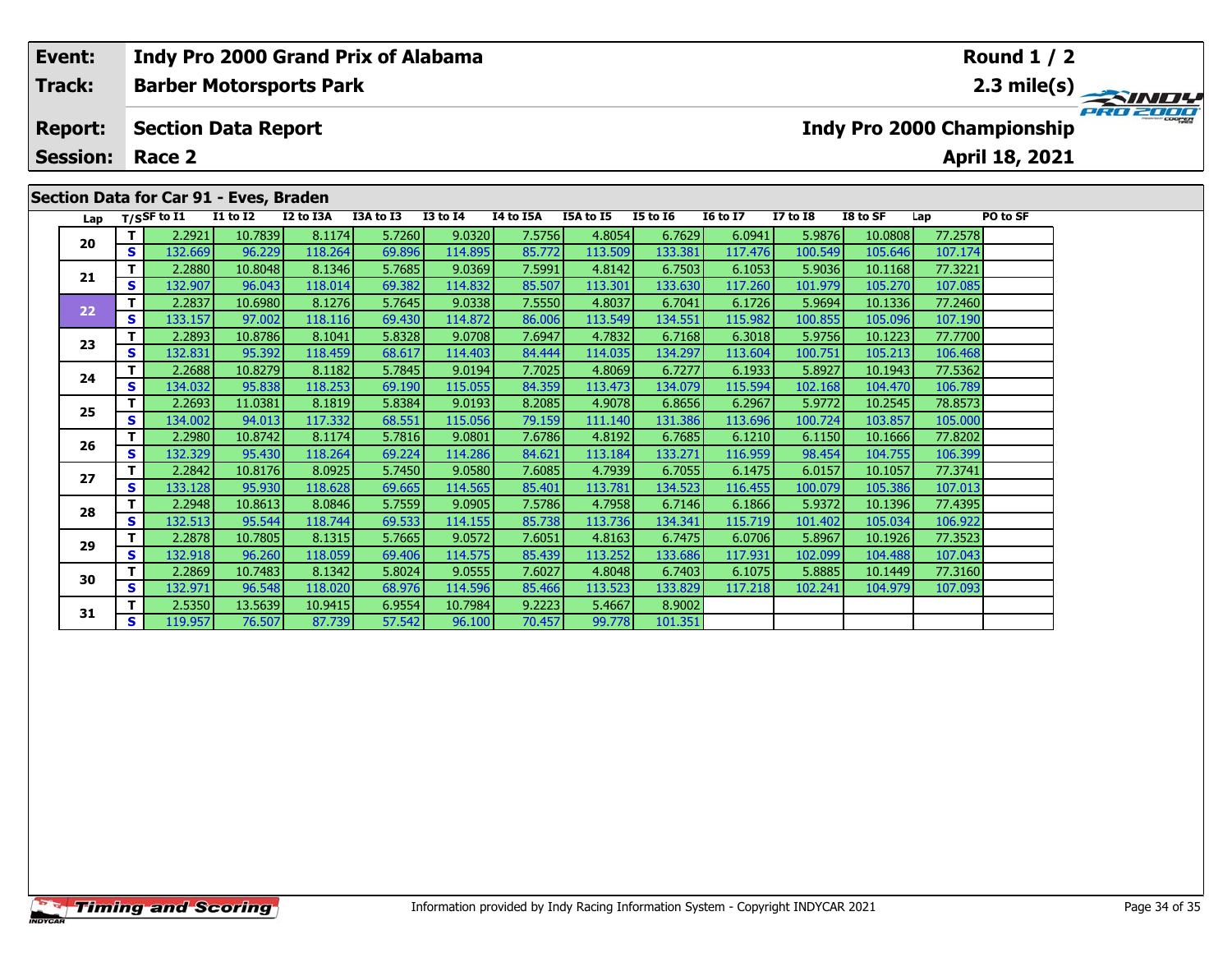# **Event: Indy Pro 2000 Grand Prix of Alabama Round 1 / 2Track:Barber Motorsports Park 2.3 mile(s)** PRO 2000 **Report: Section Data Report Indy Pro 2000 Championship April 18, 2021 Session: Race 2Section Data for Car 91 - Eves, Braden Lap T/SSF to I1 I1 to I2 I2 to I3A I3A to I3 I3 to I4 I4 to I5A I5A to I5 I5 to I6 I6 to I7 I7 to I8 I8 to SF Lap PO to SF <sup>T</sup>** 2.2921 10.7839 8.1174 5.7260 9.0320 7.5756 4.8054 6.7629 6.0941 5.9876 10.0808 77.2578 **<sup>S</sup>** 132.669 96.229 118.264 69.896 114.895 85.772 113.509 133.381 117.476 100.549 105.646 107.174**20 <sup>T</sup>** 2.2880 10.8048 8.1346 5.7685 9.0369 7.5991 4.8142 6.7503 6.1053 5.9036 10.1168 77.3221 **<sup>S</sup>** 132.907 96.043 118.014 69.382 114.832 85.507 113.301 133.630 117.260 101.979 105.270 107.085**21<sup>T</sup>** 2.2837 10.6980 8.1276 5.7645 9.0338 7.5550 4.8037 6.7041 6.1726 5.9694 10.1336 77.2460 **<sup>S</sup>** 133.157 97.002 118.116 69.430 114.872 86.006 113.549 134.551 115.982 100.855 105.096 107.190

**<sup>T</sup>** 2.2893 10.8786 8.1041 5.8328 9.0708 7.6947 4.7832 6.7168 6.3018 5.9756 10.1223 77.7700 **<sup>S</sup>** 132.831 95.392 118.459 68.617 114.403 84.444 114.035 134.297 113.604 100.751 105.213 106.468

**<sup>T</sup>** 2.2688 10.8279 8.1182 5.7845 9.0194 7.7025 4.8069 6.7277 6.1933 5.8927 10.1943 77.5362 **<sup>S</sup>** 134.032 95.838 118.253 69.190 115.055 84.359 113.473 134.079 115.594 102.168 104.470 106.789

**<sup>T</sup>** 2.2693 11.0381 8.1819 5.8384 9.0193 8.2085 4.9078 6.8656 6.2967 5.9772 10.2545 78.8573 **<sup>S</sup>** 134.002 94.013 117.332 68.551 115.056 79.159 111.140 131.386 113.696 100.724 103.857 105.000

**<sup>T</sup>** 2.2980 10.8742 8.1174 5.7816 9.0801 7.6786 4.8192 6.7685 6.1210 6.1150 10.1666 77.8202 **<sup>S</sup>** 132.329 95.430 118.264 69.224 114.286 84.621 113.184 133.271 116.959 98.454 104.755 106.399

**<sup>T</sup>** 2.2842 10.8176 8.0925 5.7450 9.0580 7.6085 4.7939 6.7055 6.1475 6.0157 10.1057 77.3741 **<sup>S</sup>** 133.128 95.930 118.628 69.665 114.565 85.401 113.781 134.523 116.455 100.079 105.386 107.013

**<sup>T</sup>** 2.2948 10.8613 8.0846 5.7559 9.0905 7.5786 4.7958 6.7146 6.1866 5.9372 10.1396 77.4395 **<sup>S</sup>** 132.513 95.544 118.744 69.533 114.155 85.738 113.736 134.341 115.719 101.402 105.034 106.922

**<sup>T</sup>** 2.2878 10.7805 8.1315 5.7665 9.0572 7.6051 4.8163 6.7475 6.0706 5.8967 10.1926 77.3523 **<sup>S</sup>** 132.918 96.260 118.059 69.406 114.575 85.439 113.252 133.686 117.931 102.099 104.488 107.043

**<sup>T</sup>** 2.2869 10.7483 8.1342 5.8024 9.0555 7.6027 4.8048 6.7403 6.1075 5.8885 10.1449 77.3160 **<sup>S</sup>** 132.971 96.548 118.020 68.976 114.596 85.466 113.523 133.829 117.218 102.241 104.979 107.093

**<sup>T</sup>** 2.5350 13.5639 10.9415 6.9554 10.7984 9.2223 5.4667 8.9002 **<sup>S</sup>** 119.957 76.507 87.739 57.542 96.100 70.457 99.778 101.351

**Timing and Scoring** 

**22**

**23**

**24**

**25**

**26**

**27**

**28**

**29**

**30**

**31**

106.468